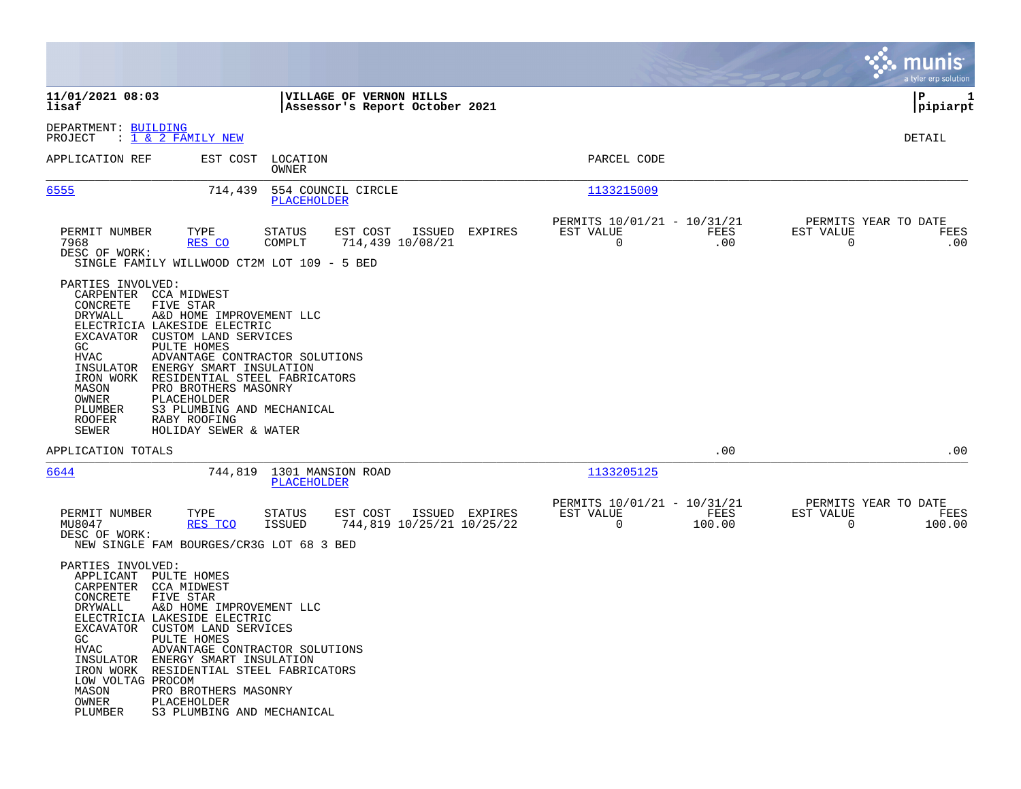|                                                                                                                                                                                                                                                                                                                                                                                                                                                                                                        |                                                                                    |                                                                                   | munis<br>a tyler erp solution                                      |
|--------------------------------------------------------------------------------------------------------------------------------------------------------------------------------------------------------------------------------------------------------------------------------------------------------------------------------------------------------------------------------------------------------------------------------------------------------------------------------------------------------|------------------------------------------------------------------------------------|-----------------------------------------------------------------------------------|--------------------------------------------------------------------|
| 11/01/2021 08:03<br>lisaf                                                                                                                                                                                                                                                                                                                                                                                                                                                                              | VILLAGE OF VERNON HILLS<br>Assessor's Report October 2021                          |                                                                                   | l P<br>1<br> pipiarpt                                              |
| DEPARTMENT: BUILDING<br>: <u>1 &amp; 2 FAMILY NEW</u><br>PROJECT                                                                                                                                                                                                                                                                                                                                                                                                                                       |                                                                                    |                                                                                   | DETAIL                                                             |
| APPLICATION REF<br>EST COST                                                                                                                                                                                                                                                                                                                                                                                                                                                                            | LOCATION<br>OWNER                                                                  | PARCEL CODE                                                                       |                                                                    |
| 6555<br>714,439                                                                                                                                                                                                                                                                                                                                                                                                                                                                                        | 554 COUNCIL CIRCLE<br>PLACEHOLDER                                                  | 1133215009                                                                        |                                                                    |
| PERMIT NUMBER<br>TYPE<br>7968<br>RES CO<br>DESC OF WORK:<br>SINGLE FAMILY WILLWOOD CT2M LOT 109 - 5 BED                                                                                                                                                                                                                                                                                                                                                                                                | <b>STATUS</b><br>EST COST<br>ISSUED<br>COMPLT<br>714,439 10/08/21                  | PERMITS 10/01/21 - 10/31/21<br>EXPIRES<br>EST VALUE<br>FEES<br>$\mathbf 0$<br>.00 | PERMITS YEAR TO DATE<br>EST VALUE<br>FEES<br>$\Omega$<br>.00       |
| PARTIES INVOLVED:<br>CARPENTER CCA MIDWEST<br>CONCRETE<br>FIVE STAR<br>DRYWALL<br>A&D HOME IMPROVEMENT LLC<br>ELECTRICIA LAKESIDE ELECTRIC<br>EXCAVATOR CUSTOM LAND SERVICES<br>GC<br>PULTE HOMES<br>HVAC<br>ADVANTAGE CONTRACTOR SOLUTIONS<br>ENERGY SMART INSULATION<br>INSULATOR<br>IRON WORK<br>RESIDENTIAL STEEL FABRICATORS<br>PRO BROTHERS MASONRY<br>MASON<br>OWNER<br>PLACEHOLDER<br>PLUMBER<br>S3 PLUMBING AND MECHANICAL<br><b>ROOFER</b><br>RABY ROOFING<br>SEWER<br>HOLIDAY SEWER & WATER |                                                                                    |                                                                                   |                                                                    |
| APPLICATION TOTALS                                                                                                                                                                                                                                                                                                                                                                                                                                                                                     |                                                                                    | .00                                                                               | .00                                                                |
| 6644                                                                                                                                                                                                                                                                                                                                                                                                                                                                                                   | 744,819 1301 MANSION ROAD<br>PLACEHOLDER                                           | 1133205125                                                                        |                                                                    |
| PERMIT NUMBER<br>TYPE<br>MU8047<br>RES TCO<br>DESC OF WORK:<br>NEW SINGLE FAM BOURGES/CR3G LOT 68 3 BED                                                                                                                                                                                                                                                                                                                                                                                                | <b>STATUS</b><br>EST COST<br>ISSUED EXPIRES<br>744,819 10/25/21 10/25/22<br>ISSUED | PERMITS 10/01/21 - 10/31/21<br>EST VALUE<br>FEES<br>$\mathbf 0$<br>100.00         | PERMITS YEAR TO DATE<br>EST VALUE<br>FEES<br>$\mathbf 0$<br>100.00 |
| PARTIES INVOLVED:<br>APPLICANT<br>PULTE HOMES<br>CARPENTER CCA MIDWEST<br>CONCRETE<br>FIVE STAR<br>A&D HOME IMPROVEMENT LLC<br>DRYWALL<br>ELECTRICIA LAKESIDE ELECTRIC<br>EXCAVATOR CUSTOM LAND SERVICES<br>GC<br>PULTE HOMES<br>HVAC<br>ADVANTAGE CONTRACTOR SOLUTIONS<br>INSULATOR ENERGY SMART INSULATION<br>IRON WORK RESIDENTIAL STEEL FABRICATORS<br>LOW VOLTAG PROCOM<br>MASON<br>PRO BROTHERS MASONRY<br>OWNER<br>PLACEHOLDER<br>PLUMBER<br>S3 PLUMBING AND MECHANICAL                         |                                                                                    |                                                                                   |                                                                    |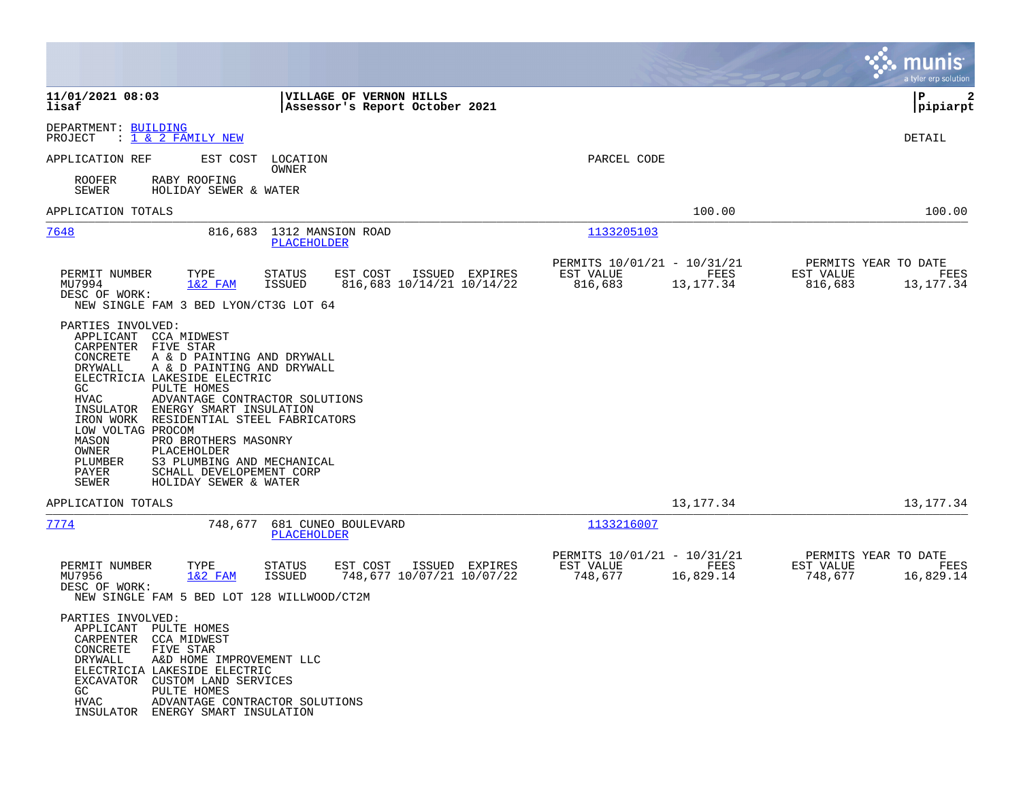|                                                                                                                                                                                                                                                                                                                                                                                                                                                                                                                                               |                                                                            | munis<br>a tyler erp solution                                     |
|-----------------------------------------------------------------------------------------------------------------------------------------------------------------------------------------------------------------------------------------------------------------------------------------------------------------------------------------------------------------------------------------------------------------------------------------------------------------------------------------------------------------------------------------------|----------------------------------------------------------------------------|-------------------------------------------------------------------|
| 11/01/2021 08:03<br>VILLAGE OF VERNON HILLS<br>lisaf<br>Assessor's Report October 2021                                                                                                                                                                                                                                                                                                                                                                                                                                                        |                                                                            | P.<br>2<br> pipiarpt                                              |
| DEPARTMENT: BUILDING<br>: 1 & 2 FAMILY NEW<br>PROJECT                                                                                                                                                                                                                                                                                                                                                                                                                                                                                         |                                                                            | DETAIL                                                            |
| EST COST<br>APPLICATION REF<br>LOCATION<br>OWNER                                                                                                                                                                                                                                                                                                                                                                                                                                                                                              | PARCEL CODE                                                                |                                                                   |
| <b>ROOFER</b><br>RABY ROOFING<br>SEWER<br>HOLIDAY SEWER & WATER                                                                                                                                                                                                                                                                                                                                                                                                                                                                               |                                                                            |                                                                   |
| APPLICATION TOTALS                                                                                                                                                                                                                                                                                                                                                                                                                                                                                                                            | 100.00                                                                     | 100.00                                                            |
| 7648<br>816,683 1312 MANSION ROAD<br>PLACEHOLDER                                                                                                                                                                                                                                                                                                                                                                                                                                                                                              | 1133205103                                                                 |                                                                   |
| EST COST<br>ISSUED EXPIRES<br>PERMIT NUMBER<br>TYPE<br>STATUS<br>MU7994<br>$1&2$ FAM<br>ISSUED<br>816,683 10/14/21 10/14/22<br>DESC OF WORK:<br>NEW SINGLE FAM 3 BED LYON/CT3G LOT 64                                                                                                                                                                                                                                                                                                                                                         | PERMITS 10/01/21 - 10/31/21<br>EST VALUE<br>FEES<br>816,683<br>13, 177. 34 | PERMITS YEAR TO DATE<br>EST VALUE<br>FEES<br>816,683<br>13,177.34 |
| PARTIES INVOLVED:<br>APPLICANT<br>CCA MIDWEST<br>CARPENTER<br>FIVE STAR<br>CONCRETE<br>A & D PAINTING AND DRYWALL<br>DRYWALL<br>A & D PAINTING AND DRYWALL<br>ELECTRICIA LAKESIDE ELECTRIC<br>GC<br>PULTE HOMES<br>HVAC<br>ADVANTAGE CONTRACTOR SOLUTIONS<br>INSULATOR<br>ENERGY SMART INSULATION<br>RESIDENTIAL STEEL FABRICATORS<br>IRON WORK<br>LOW VOLTAG PROCOM<br>MASON<br>PRO BROTHERS MASONRY<br>OWNER<br>PLACEHOLDER<br>PLUMBER<br>S3 PLUMBING AND MECHANICAL<br>PAYER<br>SCHALL DEVELOPEMENT CORP<br>SEWER<br>HOLIDAY SEWER & WATER |                                                                            |                                                                   |
| APPLICATION TOTALS                                                                                                                                                                                                                                                                                                                                                                                                                                                                                                                            | 13,177.34                                                                  | 13,177.34                                                         |
| 7774<br>748,677<br>681 CUNEO BOULEVARD<br>PLACEHOLDER                                                                                                                                                                                                                                                                                                                                                                                                                                                                                         | 1133216007                                                                 |                                                                   |
| PERMIT NUMBER<br>STATUS<br>EST COST<br>ISSUED EXPIRES<br>TYPE<br>MU7956<br><b>ISSUED</b><br>748,677 10/07/21 10/07/22<br>$1&2$ FAM<br>DESC OF WORK:<br>NEW SINGLE FAM 5 BED LOT 128 WILLWOOD/CT2M                                                                                                                                                                                                                                                                                                                                             | PERMITS 10/01/21 - 10/31/21<br>EST VALUE<br>FEES<br>748,677<br>16,829.14   | PERMITS YEAR TO DATE<br>EST VALUE<br>FEES<br>748,677<br>16,829.14 |
| PARTIES INVOLVED:<br>PULTE HOMES<br>APPLICANT<br>CARPENTER CCA MIDWEST<br>CONCRETE<br>FIVE STAR<br>DRYWALL<br>A&D HOME IMPROVEMENT LLC<br>ELECTRICIA LAKESIDE ELECTRIC<br>EXCAVATOR<br>CUSTOM LAND SERVICES<br>GC<br>PULTE HOMES<br>HVAC<br>ADVANTAGE CONTRACTOR SOLUTIONS<br>INSULATOR ENERGY SMART INSULATION                                                                                                                                                                                                                               |                                                                            |                                                                   |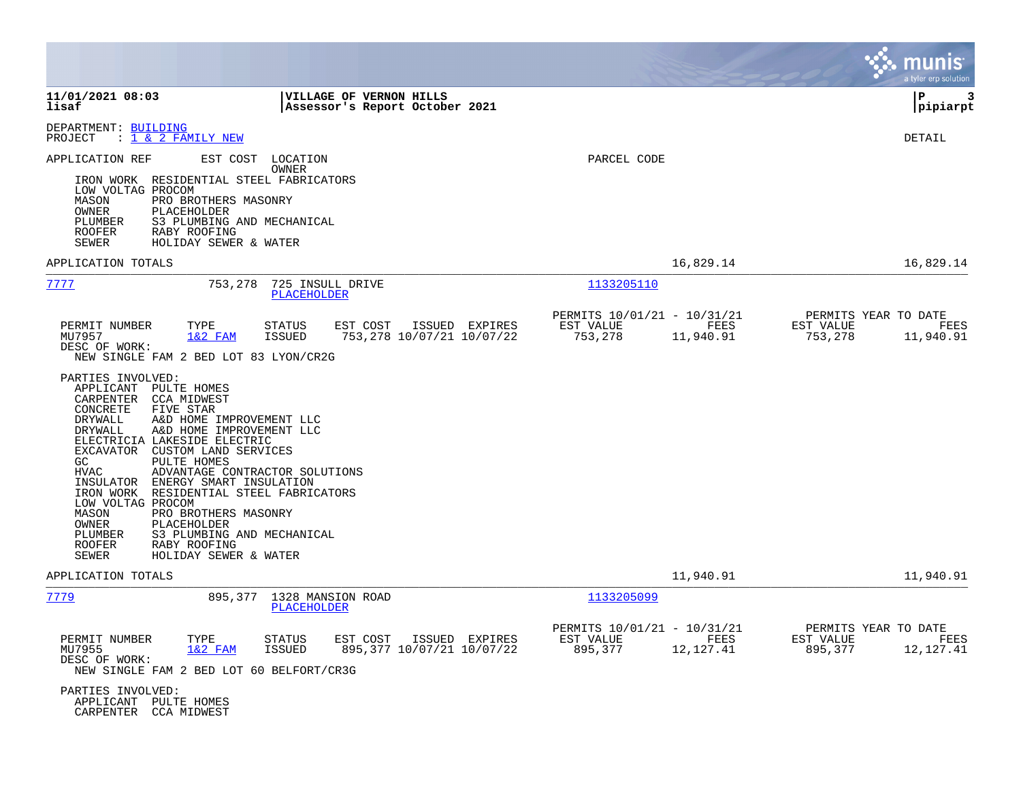|                                                                                                                                                                                                                                                                                                                                                                                                                                                                                                                                                                                                                                                                                                                                                                                         |                                                                                 | a tyler erp solution                                              |
|-----------------------------------------------------------------------------------------------------------------------------------------------------------------------------------------------------------------------------------------------------------------------------------------------------------------------------------------------------------------------------------------------------------------------------------------------------------------------------------------------------------------------------------------------------------------------------------------------------------------------------------------------------------------------------------------------------------------------------------------------------------------------------------------|---------------------------------------------------------------------------------|-------------------------------------------------------------------|
| 11/01/2021 08:03<br>VILLAGE OF VERNON HILLS<br>lisaf<br>Assessor's Report October 2021                                                                                                                                                                                                                                                                                                                                                                                                                                                                                                                                                                                                                                                                                                  |                                                                                 | lР<br>3<br> pipiarpt                                              |
| DEPARTMENT: BUILDING<br>: 1 & 2 FAMILY NEW<br>PROJECT                                                                                                                                                                                                                                                                                                                                                                                                                                                                                                                                                                                                                                                                                                                                   |                                                                                 | <b>DETAIL</b>                                                     |
| APPLICATION REF<br>EST COST<br>LOCATION<br>OWNER<br>IRON WORK RESIDENTIAL STEEL FABRICATORS<br>LOW VOLTAG PROCOM<br>PRO BROTHERS MASONRY<br>MASON<br>OWNER<br>PLACEHOLDER<br>S3 PLUMBING AND MECHANICAL<br>PLUMBER<br>ROOFER<br>RABY ROOFING<br>SEWER<br>HOLIDAY SEWER & WATER                                                                                                                                                                                                                                                                                                                                                                                                                                                                                                          | PARCEL CODE                                                                     |                                                                   |
| APPLICATION TOTALS                                                                                                                                                                                                                                                                                                                                                                                                                                                                                                                                                                                                                                                                                                                                                                      | 16,829.14                                                                       | 16,829.14                                                         |
| 725 INSULL DRIVE<br>7777<br>753,278<br><b>PLACEHOLDER</b>                                                                                                                                                                                                                                                                                                                                                                                                                                                                                                                                                                                                                                                                                                                               | 1133205110                                                                      |                                                                   |
| PERMIT NUMBER<br>TYPE<br>ISSUED EXPIRES<br><b>STATUS</b><br>EST COST<br>MU7957<br>$1&2$ FAM<br>753,278 10/07/21 10/07/22<br>ISSUED<br>DESC OF WORK:<br>NEW SINGLE FAM 2 BED LOT 83 LYON/CR2G<br>PARTIES INVOLVED:<br>APPLICANT<br>PULTE HOMES<br>CARPENTER CCA MIDWEST<br>CONCRETE<br>FIVE STAR<br>DRYWALL<br>A&D HOME IMPROVEMENT LLC<br>DRYWALL<br>A&D HOME IMPROVEMENT LLC<br>ELECTRICIA LAKESIDE ELECTRIC<br>EXCAVATOR CUSTOM LAND SERVICES<br>PULTE HOMES<br>GC<br>HVAC<br>ADVANTAGE CONTRACTOR SOLUTIONS<br>ENERGY SMART INSULATION<br>INSULATOR<br>RESIDENTIAL STEEL FABRICATORS<br>IRON WORK<br>LOW VOLTAG PROCOM<br>PRO BROTHERS MASONRY<br>MASON<br>OWNER<br>PLACEHOLDER<br>S3 PLUMBING AND MECHANICAL<br>PLUMBER<br>ROOFER<br>RABY ROOFING<br>SEWER<br>HOLIDAY SEWER & WATER | PERMITS 10/01/21 - 10/31/21<br><b>EST VALUE</b><br>FEES<br>753,278<br>11,940.91 | PERMITS YEAR TO DATE<br>EST VALUE<br>FEES<br>753,278<br>11,940.91 |
| APPLICATION TOTALS                                                                                                                                                                                                                                                                                                                                                                                                                                                                                                                                                                                                                                                                                                                                                                      | 11,940.91                                                                       | 11,940.91                                                         |
| 7779<br>895,377<br>1328 MANSION ROAD<br>PLACEHOLDER                                                                                                                                                                                                                                                                                                                                                                                                                                                                                                                                                                                                                                                                                                                                     | 1133205099                                                                      |                                                                   |
| PERMIT NUMBER<br>TYPE<br><b>STATUS</b><br>EST COST<br>ISSUED EXPIRES<br>MU7955<br>$1&2$ FAM<br>ISSUED<br>895,377 10/07/21 10/07/22<br>DESC OF WORK:<br>NEW SINGLE FAM 2 BED LOT 60 BELFORT/CR3G<br>PARTIES INVOLVED:<br>APPLICANT PULTE HOMES<br>CARPENTER CCA MIDWEST                                                                                                                                                                                                                                                                                                                                                                                                                                                                                                                  | PERMITS 10/01/21 - 10/31/21<br>EST VALUE<br>FEES<br>895,377<br>12,127.41        | PERMITS YEAR TO DATE<br>EST VALUE<br>FEES<br>895,377<br>12,127.41 |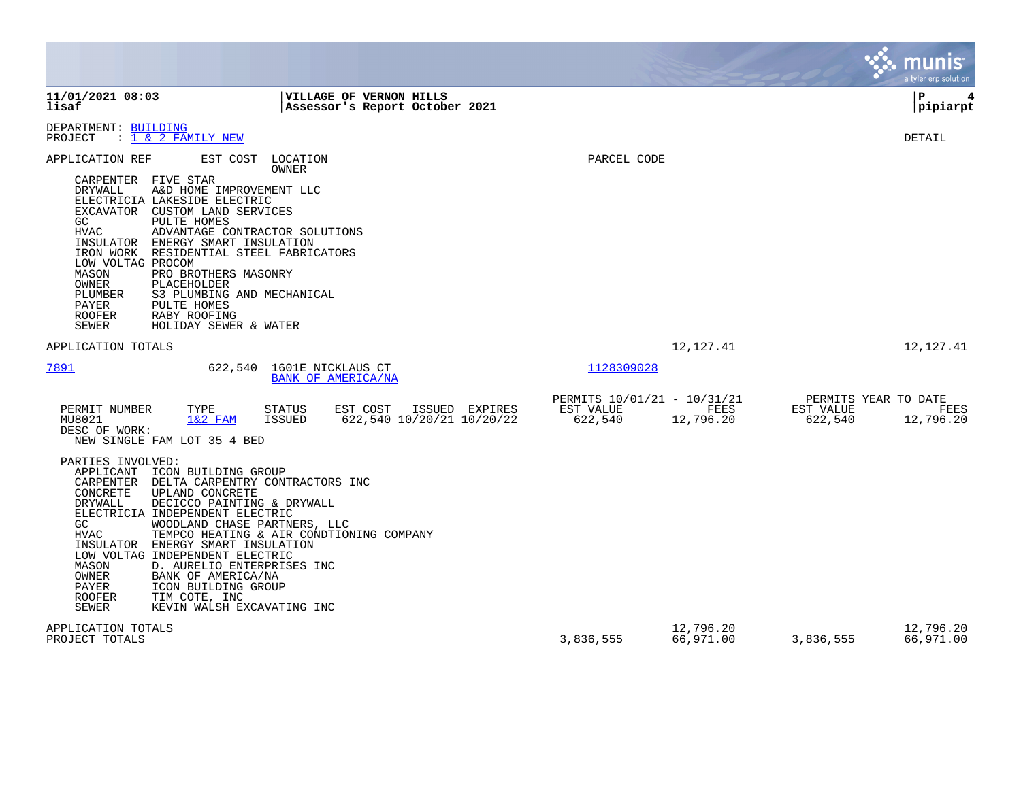|                                                                                                                                                                                                                                                                                                                                                                                                                                                                                                                                              |                                                                             |                                                     |                        |                                              | munis<br>a tyler erp solution |
|----------------------------------------------------------------------------------------------------------------------------------------------------------------------------------------------------------------------------------------------------------------------------------------------------------------------------------------------------------------------------------------------------------------------------------------------------------------------------------------------------------------------------------------------|-----------------------------------------------------------------------------|-----------------------------------------------------|------------------------|----------------------------------------------|-------------------------------|
| 11/01/2021 08:03<br>lisaf                                                                                                                                                                                                                                                                                                                                                                                                                                                                                                                    | VILLAGE OF VERNON HILLS<br>Assessor's Report October 2021                   |                                                     |                        |                                              | P<br>4<br> pipiarpt           |
| DEPARTMENT: BUILDING<br>PROJECT<br>: <u>1 &amp; 2 FAMILY NEW</u>                                                                                                                                                                                                                                                                                                                                                                                                                                                                             |                                                                             |                                                     |                        |                                              | DETAIL                        |
| EST COST LOCATION<br>APPLICATION REF<br>CARPENTER FIVE STAR<br>DRYWALL<br>A&D HOME IMPROVEMENT LLC<br>ELECTRICIA LAKESIDE ELECTRIC<br>EXCAVATOR CUSTOM LAND SERVICES<br>GC<br>PULTE HOMES<br><b>HVAC</b><br>ADVANTAGE CONTRACTOR SOLUTIONS<br>INSULATOR ENERGY SMART INSULATION<br>IRON WORK RESIDENTIAL STEEL FABRICATORS<br>LOW VOLTAG PROCOM<br>MASON<br>PRO BROTHERS MASONRY<br><b>OWNER</b><br>PLACEHOLDER<br>PLUMBER<br>S3 PLUMBING AND MECHANICAL<br>PULTE HOMES<br>PAYER<br>ROOFER<br>RABY ROOFING<br>SEWER<br>HOLIDAY SEWER & WATER | OWNER                                                                       | PARCEL CODE                                         |                        |                                              |                               |
| APPLICATION TOTALS                                                                                                                                                                                                                                                                                                                                                                                                                                                                                                                           |                                                                             |                                                     | 12,127.41              |                                              | 12,127.41                     |
| 7891<br>622,540                                                                                                                                                                                                                                                                                                                                                                                                                                                                                                                              | 1601E NICKLAUS CT<br>BANK OF AMERICA/NA                                     | 1128309028                                          |                        |                                              |                               |
| PERMIT NUMBER<br>TYPE<br>$1&2$ FAM<br>MU8021<br>DESC OF WORK:<br>NEW SINGLE FAM LOT 35 4 BED                                                                                                                                                                                                                                                                                                                                                                                                                                                 | STATUS<br>EST COST<br>ISSUED EXPIRES<br>622,540 10/20/21 10/20/22<br>ISSUED | PERMITS 10/01/21 - 10/31/21<br>EST VALUE<br>622,540 | FEES<br>12,796.20      | PERMITS YEAR TO DATE<br>EST VALUE<br>622,540 | FEES<br>12,796.20             |
| PARTIES INVOLVED:<br>APPLICANT ICON BUILDING GROUP<br>CARPENTER<br>DELTA CARPENTRY CONTRACTORS INC<br>CONCRETE<br>UPLAND CONCRETE<br><b>DRYWALL</b><br>DECICCO PAINTING & DRYWALL<br>ELECTRICIA INDEPENDENT ELECTRIC<br>GC<br>WOODLAND CHASE PARTNERS, LLC<br><b>HVAC</b><br>INSULATOR ENERGY SMART INSULATION<br>LOW VOLTAG INDEPENDENT ELECTRIC<br>MASON<br>D. AURELIO ENTERPRISES INC<br>OWNER<br>BANK OF AMERICA/NA<br>PAYER<br>ICON BUILDING GROUP<br><b>ROOFER</b><br>TIM COTE, INC<br><b>SEWER</b><br>KEVIN WALSH EXCAVATING INC      | TEMPCO HEATING & AIR CONDTIONING COMPANY                                    |                                                     |                        |                                              |                               |
| APPLICATION TOTALS<br>PROJECT TOTALS                                                                                                                                                                                                                                                                                                                                                                                                                                                                                                         |                                                                             | 3,836,555                                           | 12,796.20<br>66,971.00 | 3,836,555                                    | 12,796.20<br>66,971.00        |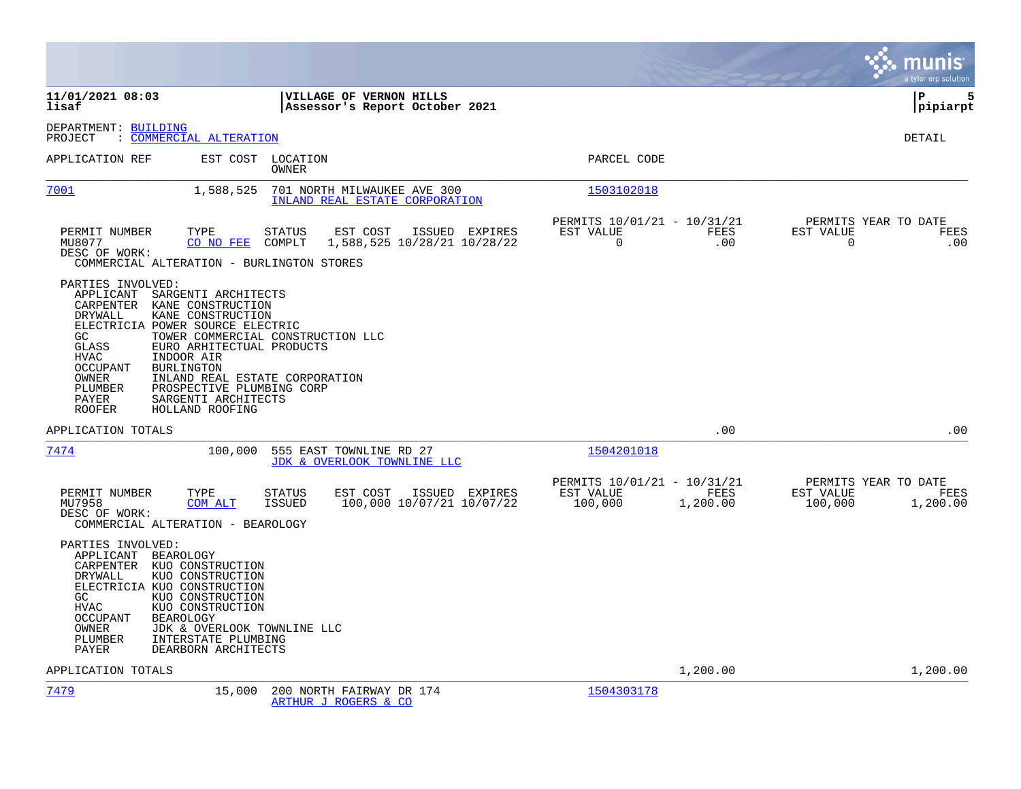|                                                                                                                                                                                                                                                                                                                               |                                                                                                                               |                                                                         | munis<br>a tyler erp solution                                    |
|-------------------------------------------------------------------------------------------------------------------------------------------------------------------------------------------------------------------------------------------------------------------------------------------------------------------------------|-------------------------------------------------------------------------------------------------------------------------------|-------------------------------------------------------------------------|------------------------------------------------------------------|
| 11/01/2021 08:03<br>lisaf                                                                                                                                                                                                                                                                                                     | VILLAGE OF VERNON HILLS<br>Assessor's Report October 2021                                                                     |                                                                         | lР<br>5<br> pipiarpt                                             |
| DEPARTMENT: BUILDING<br>: COMMERCIAL ALTERATION<br>PROJECT                                                                                                                                                                                                                                                                    |                                                                                                                               |                                                                         | <b>DETAIL</b>                                                    |
| APPLICATION REF                                                                                                                                                                                                                                                                                                               | EST COST LOCATION<br>OWNER                                                                                                    | PARCEL CODE                                                             |                                                                  |
| 7001<br>1,588,525                                                                                                                                                                                                                                                                                                             | 701 NORTH MILWAUKEE AVE 300<br>INLAND REAL ESTATE CORPORATION                                                                 | 1503102018                                                              |                                                                  |
| PERMIT NUMBER<br>TYPE<br>MU8077<br>CO NO FEE<br>DESC OF WORK:<br>COMMERCIAL ALTERATION - BURLINGTON STORES                                                                                                                                                                                                                    | EST COST<br><b>STATUS</b><br>ISSUED EXPIRES<br>COMPLT<br>1,588,525 10/28/21 10/28/22                                          | PERMITS 10/01/21 - 10/31/21<br>FEES<br>EST VALUE<br>$\mathbf 0$<br>.00  | PERMITS YEAR TO DATE<br>EST VALUE<br>FEES<br>$\mathsf{O}$<br>.00 |
| PARTIES INVOLVED:<br>APPLICANT<br>SARGENTI ARCHITECTS<br>CARPENTER KANE CONSTRUCTION<br>KANE CONSTRUCTION<br>DRYWALL<br>ELECTRICIA POWER SOURCE ELECTRIC<br>GC<br>GLASS<br>HVAC<br>INDOOR AIR<br><b>BURLINGTON</b><br><b>OCCUPANT</b><br>OWNER<br>PLUMBER<br>PAYER<br>SARGENTI ARCHITECTS<br><b>ROOFER</b><br>HOLLAND ROOFING | TOWER COMMERCIAL CONSTRUCTION LLC<br>EURO ARHITECTUAL PRODUCTS<br>INLAND REAL ESTATE CORPORATION<br>PROSPECTIVE PLUMBING CORP |                                                                         |                                                                  |
| APPLICATION TOTALS                                                                                                                                                                                                                                                                                                            |                                                                                                                               |                                                                         | .00<br>.00                                                       |
| 7474                                                                                                                                                                                                                                                                                                                          | 100,000<br>555 EAST TOWNLINE RD 27<br>JDK & OVERLOOK TOWNLINE LLC                                                             | 1504201018                                                              |                                                                  |
| PERMIT NUMBER<br>TYPE<br>MU7958<br>COM ALT<br>DESC OF WORK:<br>COMMERCIAL ALTERATION - BEAROLOGY                                                                                                                                                                                                                              | EST COST<br>ISSUED EXPIRES<br><b>STATUS</b><br>100,000 10/07/21 10/07/22<br>ISSUED                                            | PERMITS 10/01/21 - 10/31/21<br>EST VALUE<br>FEES<br>100,000<br>1,200.00 | PERMITS YEAR TO DATE<br>EST VALUE<br>FEES<br>100,000<br>1,200.00 |
| PARTIES INVOLVED:<br>APPLICANT<br>BEAROLOGY<br>CARPENTER<br>KUO CONSTRUCTION<br>KUO CONSTRUCTION<br>DRYWALL<br>ELECTRICIA KUO CONSTRUCTION<br>GC<br>KUO CONSTRUCTION<br>KUO CONSTRUCTION<br>HVAC<br><b>OCCUPANT</b><br><b>BEAROLOGY</b><br>OWNER<br>PLUMBER<br>INTERSTATE PLUMBING<br>PAYER<br>DEARBORN ARCHITECTS            | JDK & OVERLOOK TOWNLINE LLC                                                                                                   |                                                                         |                                                                  |
| APPLICATION TOTALS                                                                                                                                                                                                                                                                                                            |                                                                                                                               | 1,200.00                                                                | 1,200.00                                                         |
| 7479                                                                                                                                                                                                                                                                                                                          | 15,000<br>200 NORTH FAIRWAY DR 174<br>ARTHUR J ROGERS & CO                                                                    | 1504303178                                                              |                                                                  |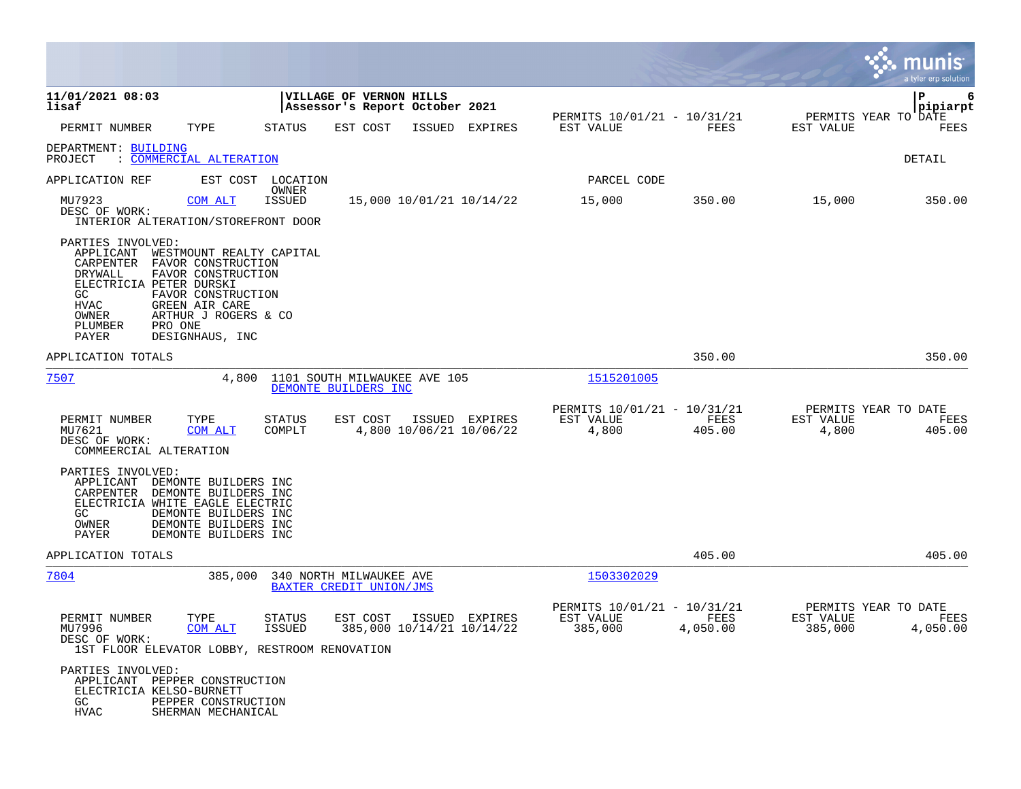|                                                                                                                                                                                                                                                                                                    |                                                                           |                                                                         | a tyler erp solution                                             |
|----------------------------------------------------------------------------------------------------------------------------------------------------------------------------------------------------------------------------------------------------------------------------------------------------|---------------------------------------------------------------------------|-------------------------------------------------------------------------|------------------------------------------------------------------|
| 11/01/2021 08:03<br>lisaf                                                                                                                                                                                                                                                                          | VILLAGE OF VERNON HILLS<br>Assessor's Report October 2021                 |                                                                         | ΙP<br>6<br> pipiarpt                                             |
| PERMIT NUMBER<br>TYPE                                                                                                                                                                                                                                                                              | <b>STATUS</b><br>EST COST<br>ISSUED EXPIRES                               | PERMITS 10/01/21 - 10/31/21<br>EST VALUE<br>FEES                        | PERMITS YEAR TO DATE<br>EST VALUE<br>FEES                        |
| DEPARTMENT: BUILDING<br>COMMERCIAL ALTERATION<br>PROJECT                                                                                                                                                                                                                                           |                                                                           |                                                                         | DETAIL                                                           |
| APPLICATION REF                                                                                                                                                                                                                                                                                    | EST COST LOCATION<br>OWNER                                                | PARCEL CODE                                                             |                                                                  |
| MU7923<br>COM ALT<br>DESC OF WORK:<br>INTERIOR ALTERATION/STOREFRONT DOOR                                                                                                                                                                                                                          | <b>ISSUED</b><br>15,000 10/01/21 10/14/22                                 | 15,000<br>350.00                                                        | 350.00<br>15,000                                                 |
| PARTIES INVOLVED:<br>APPLICANT<br>WESTMOUNT REALTY CAPITAL<br>CARPENTER<br>FAVOR CONSTRUCTION<br>DRYWALL<br>FAVOR CONSTRUCTION<br>ELECTRICIA PETER DURSKI<br>FAVOR CONSTRUCTION<br>GC<br>HVAC<br>GREEN AIR CARE<br>OWNER<br>ARTHUR J ROGERS & CO<br>PLUMBER<br>PRO ONE<br>PAYER<br>DESIGNHAUS, INC |                                                                           |                                                                         |                                                                  |
| APPLICATION TOTALS                                                                                                                                                                                                                                                                                 |                                                                           | 350.00                                                                  | 350.00                                                           |
| 7507<br>4,800                                                                                                                                                                                                                                                                                      | 1101 SOUTH MILWAUKEE AVE 105<br>DEMONTE BUILDERS INC                      | 1515201005                                                              |                                                                  |
| PERMIT NUMBER<br>TYPE<br>MU7621<br>COM ALT<br>DESC OF WORK:<br>COMMEERCIAL ALTERATION                                                                                                                                                                                                              | EST COST<br>ISSUED EXPIRES<br>STATUS<br>4,800 10/06/21 10/06/22<br>COMPLT | PERMITS 10/01/21 - 10/31/21<br>EST VALUE<br>FEES<br>4,800<br>405.00     | PERMITS YEAR TO DATE<br>EST VALUE<br>FEES<br>4,800<br>405.00     |
| PARTIES INVOLVED:<br>APPLICANT DEMONTE BUILDERS INC<br>CARPENTER DEMONTE BUILDERS INC<br>ELECTRICIA WHITE EAGLE ELECTRIC<br>GC<br>DEMONTE BUILDERS INC<br>OWNER<br>DEMONTE BUILDERS INC<br>PAYER<br>DEMONTE BUILDERS INC                                                                           |                                                                           |                                                                         |                                                                  |
| APPLICATION TOTALS                                                                                                                                                                                                                                                                                 |                                                                           | 405.00                                                                  | 405.00                                                           |
| 7804<br>385,000                                                                                                                                                                                                                                                                                    | 340 NORTH MILWAUKEE AVE<br>BAXTER CREDIT UNION/JMS                        | 1503302029                                                              |                                                                  |
| PERMIT NUMBER<br>TYPE<br>MU7996<br>COM ALT<br>DESC OF WORK:<br>1ST FLOOR ELEVATOR LOBBY, RESTROOM RENOVATION                                                                                                                                                                                       | STATUS<br>EST COST ISSUED EXPIRES<br>385,000 10/14/21 10/14/22<br>ISSUED  | PERMITS 10/01/21 - 10/31/21<br>EST VALUE<br>FEES<br>4,050.00<br>385,000 | PERMITS YEAR TO DATE<br>EST VALUE<br>FEES<br>385,000<br>4,050.00 |
| PARTIES INVOLVED:<br>APPLICANT PEPPER CONSTRUCTION<br>ELECTRICIA KELSO-BURNETT<br>GC<br>PEPPER CONSTRUCTION<br>HVAC<br>SHERMAN MECHANICAL                                                                                                                                                          |                                                                           |                                                                         |                                                                  |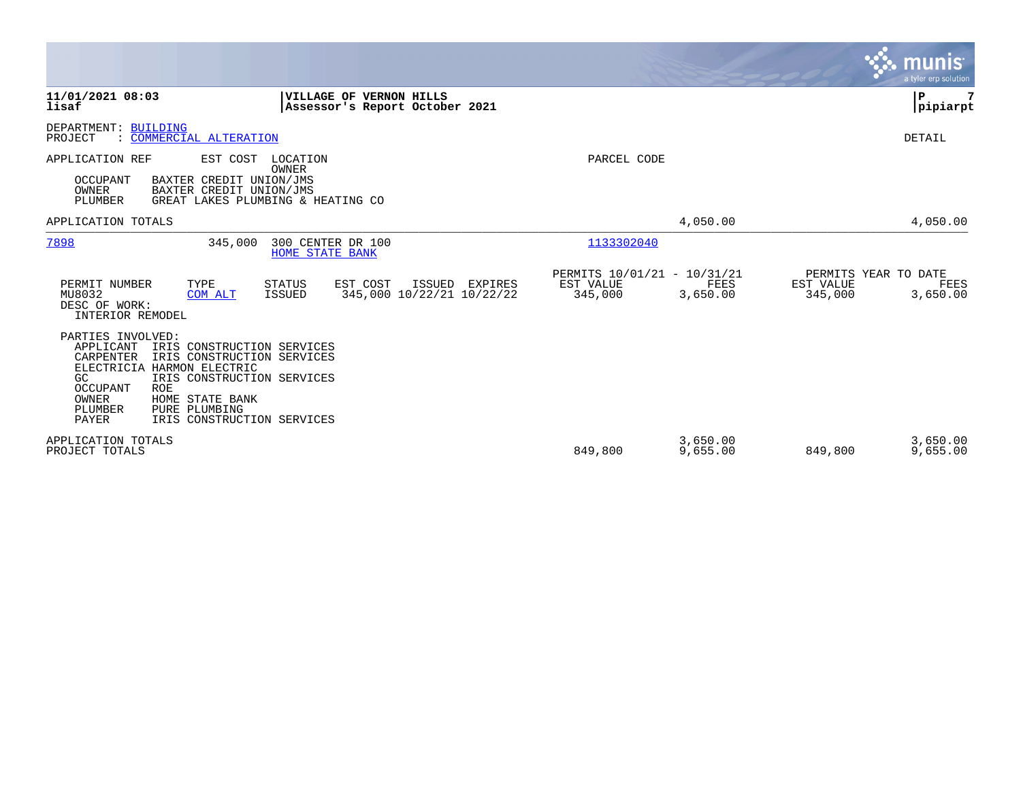|                                                                                                                                                                                                                                                                                                           |                                                                                       |                                                     |                      |                                              | munis<br>a tyler erp solution |
|-----------------------------------------------------------------------------------------------------------------------------------------------------------------------------------------------------------------------------------------------------------------------------------------------------------|---------------------------------------------------------------------------------------|-----------------------------------------------------|----------------------|----------------------------------------------|-------------------------------|
| 11/01/2021 08:03<br>lisaf                                                                                                                                                                                                                                                                                 | VILLAGE OF VERNON HILLS<br>Assessor's Report October 2021                             |                                                     |                      |                                              | ∣P<br> pipiarpt               |
| DEPARTMENT: BUILDING<br>: COMMERCIAL ALTERATION<br>PROJECT                                                                                                                                                                                                                                                |                                                                                       |                                                     |                      |                                              | DETAIL                        |
| APPLICATION REF<br>EST COST<br>BAXTER CREDIT UNION/JMS<br><b>OCCUPANT</b><br>OWNER<br>BAXTER CREDIT UNION/JMS<br>PLUMBER<br>GREAT LAKES PLUMBING & HEATING CO                                                                                                                                             | LOCATION<br>OWNER                                                                     | PARCEL CODE                                         |                      |                                              |                               |
| APPLICATION TOTALS                                                                                                                                                                                                                                                                                        |                                                                                       |                                                     | 4,050.00             |                                              | 4,050.00                      |
| 7898<br>345,000                                                                                                                                                                                                                                                                                           | 300 CENTER DR 100<br><b>HOME STATE BANK</b>                                           | 1133302040                                          |                      |                                              |                               |
| PERMIT NUMBER<br>TYPE<br>MU8032<br>COM ALT<br>DESC OF WORK:<br>INTERIOR REMODEL                                                                                                                                                                                                                           | EST COST<br>ISSUED<br><b>STATUS</b><br>EXPIRES<br>345,000 10/22/21 10/22/22<br>ISSUED | PERMITS 10/01/21 - 10/31/21<br>EST VALUE<br>345,000 | FEES<br>3,650.00     | PERMITS YEAR TO DATE<br>EST VALUE<br>345,000 | FEES<br>3,650.00              |
| PARTIES INVOLVED:<br>APPLICANT<br>IRIS CONSTRUCTION SERVICES<br>CARPENTER<br>IRIS CONSTRUCTION SERVICES<br>ELECTRICIA HARMON ELECTRIC<br>GC<br>IRIS CONSTRUCTION SERVICES<br>OCCUPANT<br><b>ROE</b><br>OWNER<br>HOME STATE BANK<br>PLUMBER<br>PURE PLUMBING<br><b>PAYER</b><br>IRIS CONSTRUCTION SERVICES |                                                                                       |                                                     |                      |                                              |                               |
| APPLICATION TOTALS<br>PROJECT TOTALS                                                                                                                                                                                                                                                                      |                                                                                       | 849,800                                             | 3,650.00<br>9,655.00 | 849,800                                      | 3,650.00<br>9,655.00          |

**Contract**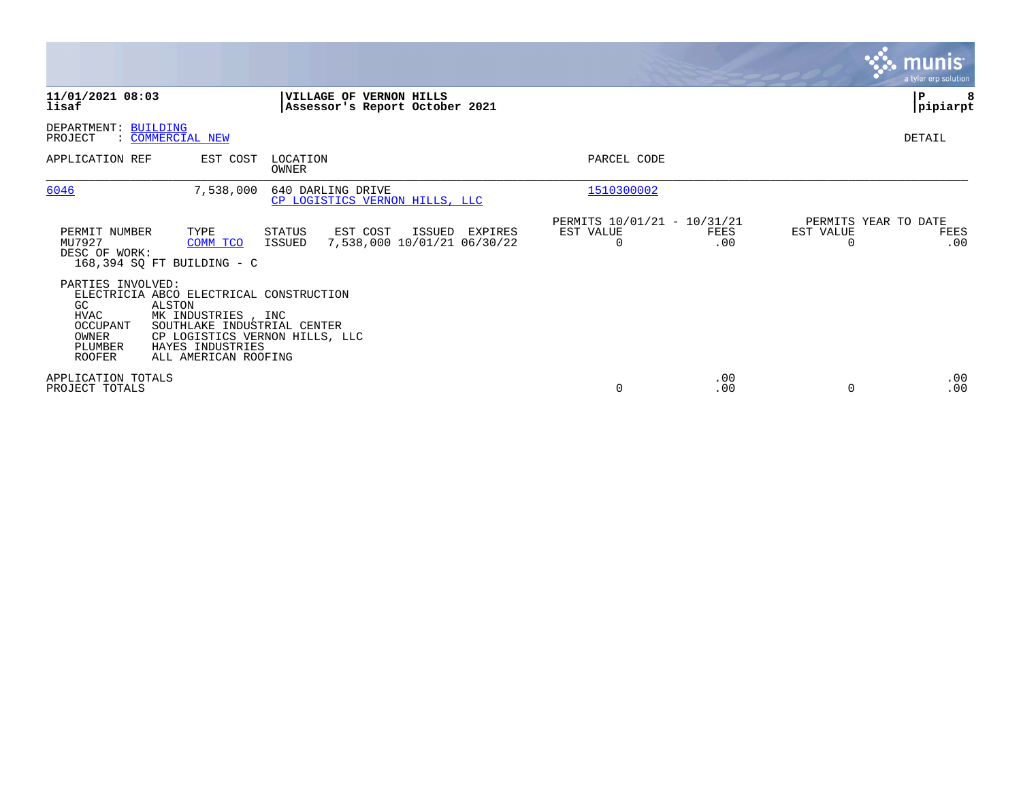|                                                                                                                                                                                                                                                       |                                                                                         |                                               |             |                                        | munis<br>a tyler erp solution |
|-------------------------------------------------------------------------------------------------------------------------------------------------------------------------------------------------------------------------------------------------------|-----------------------------------------------------------------------------------------|-----------------------------------------------|-------------|----------------------------------------|-------------------------------|
| 11/01/2021 08:03<br>lisaf                                                                                                                                                                                                                             | VILLAGE OF VERNON HILLS<br>Assessor's Report October 2021                               |                                               |             |                                        | P<br> pipiarpt                |
| <b>BUILDING</b><br>DEPARTMENT:<br>PROJECT<br>: COMMERCIAL NEW                                                                                                                                                                                         |                                                                                         |                                               |             |                                        | DETAIL                        |
| APPLICATION REF<br>EST COST                                                                                                                                                                                                                           | LOCATION<br><b>OWNER</b>                                                                | PARCEL CODE                                   |             |                                        |                               |
| 6046<br>7,538,000                                                                                                                                                                                                                                     | 640 DARLING DRIVE<br>CP LOGISTICS VERNON HILLS, LLC                                     | 1510300002                                    |             |                                        |                               |
| TYPE<br>PERMIT NUMBER<br>MU7927<br>COMM TCO<br>DESC OF WORK:<br>168,394 SQ FT BUILDING - C                                                                                                                                                            | <b>STATUS</b><br>EST COST<br>ISSUED<br>EXPIRES<br>ISSUED<br>7,538,000 10/01/21 06/30/22 | PERMITS 10/01/21 - 10/31/21<br>EST VALUE<br>0 | FEES<br>.00 | PERMITS YEAR TO DATE<br>EST VALUE<br>0 | FEES<br>.00                   |
| PARTIES INVOLVED:<br>ELECTRICIA ABCO ELECTRICAL CONSTRUCTION<br><b>ALSTON</b><br>GC.<br><b>HVAC</b><br>MK INDUSTRIES, INC<br>OCCUPANT<br>SOUTHLAKE INDUSTRIAL CENTER<br>OWNER<br>PLUMBER<br>HAYES INDUSTRIES<br><b>ROOFER</b><br>ALL AMERICAN ROOFING | CP LOGISTICS VERNON HILLS, LLC                                                          |                                               |             |                                        |                               |
| APPLICATION TOTALS<br>PROJECT TOTALS                                                                                                                                                                                                                  |                                                                                         | 0                                             | .00<br>.00  | $\Omega$                               | .00<br>.00                    |

**Contract**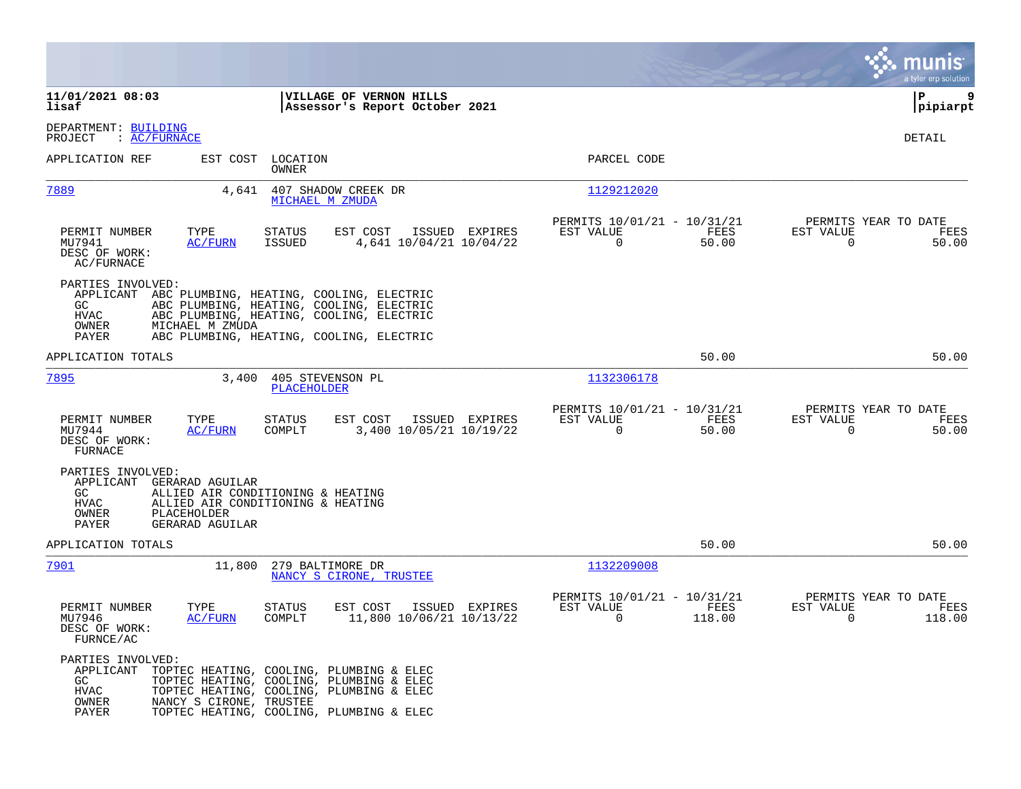|                                                                                                                            |                                                                                                                                                                                                         |                                                                           | a tyler erp solution                                              |
|----------------------------------------------------------------------------------------------------------------------------|---------------------------------------------------------------------------------------------------------------------------------------------------------------------------------------------------------|---------------------------------------------------------------------------|-------------------------------------------------------------------|
| 11/01/2021 08:03<br>lisaf                                                                                                  | VILLAGE OF VERNON HILLS<br>Assessor's Report October 2021                                                                                                                                               |                                                                           | P<br>9<br> pipiarpt                                               |
| DEPARTMENT: BUILDING<br>: AC/FURNACE<br>PROJECT                                                                            |                                                                                                                                                                                                         |                                                                           | <b>DETAIL</b>                                                     |
| APPLICATION REF                                                                                                            | EST COST LOCATION<br><b>OWNER</b>                                                                                                                                                                       | PARCEL CODE                                                               |                                                                   |
| 7889                                                                                                                       | 407 SHADOW CREEK DR<br>4,641<br>MICHAEL M ZMUDA                                                                                                                                                         | 1129212020                                                                |                                                                   |
| PERMIT NUMBER<br>TYPE<br>MU7941<br><b>AC/FURN</b><br>DESC OF WORK:<br>AC/FURNACE                                           | EST COST<br>ISSUED EXPIRES<br>STATUS<br>4,641 10/04/21 10/04/22<br>ISSUED                                                                                                                               | PERMITS 10/01/21 - 10/31/21<br>EST VALUE<br>FEES<br>0<br>50.00            | PERMITS YEAR TO DATE<br>EST VALUE<br>FEES<br>$\mathbf 0$<br>50.00 |
| PARTIES INVOLVED:<br>GC<br><b>HVAC</b><br>OWNER<br>MICHAEL M ZMUDA<br>PAYER                                                | APPLICANT ABC PLUMBING, HEATING, COOLING, ELECTRIC<br>ABC PLUMBING, HEATING, COOLING, ELECTRIC<br>ABC PLUMBING, HEATING, COOLING, ELECTRIC<br>ABC PLUMBING, HEATING, COOLING, ELECTRIC                  |                                                                           |                                                                   |
| APPLICATION TOTALS                                                                                                         |                                                                                                                                                                                                         | 50.00                                                                     | 50.00                                                             |
| 7895                                                                                                                       | 3,400<br>405 STEVENSON PL<br><b>PLACEHOLDER</b>                                                                                                                                                         | 1132306178                                                                |                                                                   |
| TYPE<br>PERMIT NUMBER<br>MU7944<br>AC/FURN<br>DESC OF WORK:<br>FURNACE                                                     | EST COST<br><b>STATUS</b><br>ISSUED EXPIRES<br>COMPLT<br>3,400 10/05/21 10/19/22                                                                                                                        | PERMITS 10/01/21 - 10/31/21<br>EST VALUE<br>FEES<br>0<br>50.00            | PERMITS YEAR TO DATE<br>EST VALUE<br>FEES<br>$\mathbf 0$<br>50.00 |
| PARTIES INVOLVED:<br>APPLICANT<br>GERARAD AGUILAR<br>GC<br><b>HVAC</b><br>OWNER<br>PLACEHOLDER<br>PAYER<br>GERARAD AGUILAR | ALLIED AIR CONDITIONING & HEATING<br>ALLIED AIR CONDITIONING & HEATING                                                                                                                                  |                                                                           |                                                                   |
| APPLICATION TOTALS                                                                                                         |                                                                                                                                                                                                         | 50.00                                                                     | 50.00                                                             |
| 7901                                                                                                                       | 11,800<br>279 BALTIMORE DR<br>NANCY S CIRONE, TRUSTEE                                                                                                                                                   | 1132209008                                                                |                                                                   |
| PERMIT NUMBER<br>TYPE<br>MU7946<br>AC/FURN<br>DESC OF WORK:<br>FURNCE/AC                                                   | EST COST<br>ISSUED EXPIRES<br><b>STATUS</b><br>COMPLT<br>11,800 10/06/21 10/13/22                                                                                                                       | PERMITS 10/01/21 - 10/31/21<br>EST VALUE<br>FEES<br>$\mathbf 0$<br>118.00 | PERMITS YEAR TO DATE<br>EST VALUE<br>FEES<br>0<br>118.00          |
| PARTIES INVOLVED:<br>APPLICANT<br>GC.<br>HVAC<br>OWNER<br>PAYER                                                            | TOPTEC HEATING, COOLING, PLUMBING & ELEC<br>TOPTEC HEATING, COOLING, PLUMBING & ELEC<br>TOPTEC HEATING, COOLING, PLUMBING & ELEC<br>NANCY S CIRONE, TRUSTEE<br>TOPTEC HEATING, COOLING, PLUMBING & ELEC |                                                                           |                                                                   |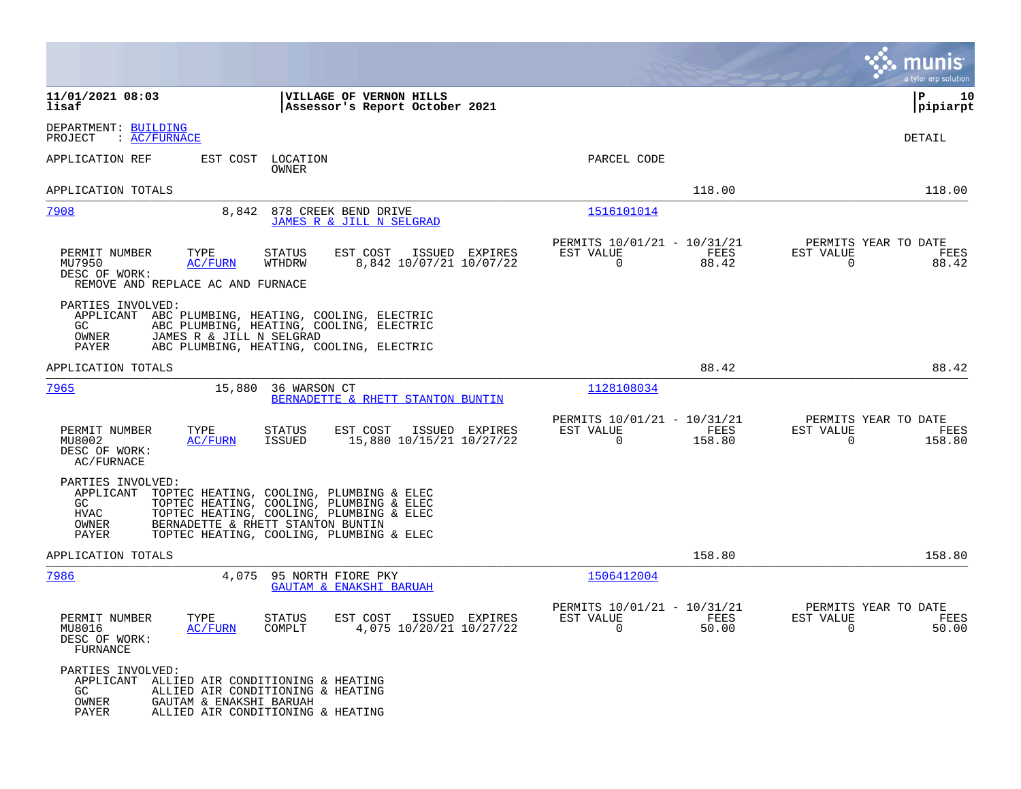|                                                                                                                                                                                                                                                                                     |                                                           |                                                         |                |                                                  | munis<br>a tyler erp solution |
|-------------------------------------------------------------------------------------------------------------------------------------------------------------------------------------------------------------------------------------------------------------------------------------|-----------------------------------------------------------|---------------------------------------------------------|----------------|--------------------------------------------------|-------------------------------|
| 11/01/2021 08:03<br>lisaf                                                                                                                                                                                                                                                           | VILLAGE OF VERNON HILLS<br>Assessor's Report October 2021 |                                                         |                |                                                  | ΙP<br>10<br> pipiarpt         |
| DEPARTMENT: BUILDING<br>PROJECT<br>$\colon$ AC/FURNACE                                                                                                                                                                                                                              |                                                           |                                                         |                |                                                  | DETAIL                        |
| APPLICATION REF<br>EST COST<br>LOCATION<br>OWNER                                                                                                                                                                                                                                    |                                                           | PARCEL CODE                                             |                |                                                  |                               |
| APPLICATION TOTALS                                                                                                                                                                                                                                                                  |                                                           |                                                         | 118.00         |                                                  | 118.00                        |
| 7908<br>8,842 878 CREEK BEND DRIVE<br>JAMES R & JILL N SELGRAD                                                                                                                                                                                                                      |                                                           | 1516101014                                              |                |                                                  |                               |
| PERMIT NUMBER<br>TYPE<br>STATUS<br>MU7950<br>WTHDRW<br>AC/FURN<br>DESC OF WORK:<br>REMOVE AND REPLACE AC AND FURNACE                                                                                                                                                                | EST COST<br>ISSUED EXPIRES<br>8,842 10/07/21 10/07/22     | PERMITS 10/01/21 - 10/31/21<br>EST VALUE<br>$\mathbf 0$ | FEES<br>88.42  | PERMITS YEAR TO DATE<br>EST VALUE<br>$\mathbf 0$ | FEES<br>88.42                 |
| PARTIES INVOLVED:<br>APPLICANT<br>ABC PLUMBING, HEATING, COOLING, ELECTRIC<br>ABC PLUMBING, HEATING, COOLING, ELECTRIC<br>GC<br>OWNER<br>JAMES R & JILL N SELGRAD<br>PAYER<br>ABC PLUMBING, HEATING, COOLING, ELECTRIC                                                              |                                                           |                                                         |                |                                                  |                               |
| APPLICATION TOTALS                                                                                                                                                                                                                                                                  |                                                           |                                                         | 88.42          |                                                  | 88.42                         |
| 7965<br>15,880 36 WARSON CT                                                                                                                                                                                                                                                         | BERNADETTE & RHETT STANTON BUNTIN                         | 1128108034                                              |                |                                                  |                               |
| PERMIT NUMBER<br>TYPE<br>STATUS<br>MU8002<br>ISSUED<br>AC/FURN<br>DESC OF WORK:<br>AC/FURNACE                                                                                                                                                                                       | EST COST<br>ISSUED EXPIRES<br>15,880 10/15/21 10/27/22    | PERMITS 10/01/21 - 10/31/21<br>EST VALUE<br>0           | FEES<br>158.80 | PERMITS YEAR TO DATE<br>EST VALUE<br>$\Omega$    | FEES<br>158.80                |
| PARTIES INVOLVED:<br>TOPTEC HEATING, COOLING, PLUMBING & ELEC<br>APPLICANT<br>TOPTEC HEATING, COOLING, PLUMBING & ELEC<br>GC<br>TOPTEC HEATING, COOLING, PLUMBING & ELEC<br>HVAC<br>OWNER<br>BERNADETTE & RHETT STANTON BUNTIN<br>PAYER<br>TOPTEC HEATING, COOLING, PLUMBING & ELEC |                                                           |                                                         |                |                                                  |                               |
| APPLICATION TOTALS                                                                                                                                                                                                                                                                  |                                                           |                                                         | 158.80         |                                                  | 158.80                        |
| 7986<br>4,075 95 NORTH FIORE PKY<br><b>GAUTAM &amp; ENAKSHI BARUAH</b>                                                                                                                                                                                                              |                                                           | 1506412004                                              |                |                                                  |                               |
| <b>STATUS</b><br>PERMIT NUMBER<br>TYPE<br>MU8016<br>AC/FURN<br>COMPLT<br>DESC OF WORK:<br>FURNANCE                                                                                                                                                                                  | ISSUED EXPIRES<br>EST COST<br>4,075 10/20/21 10/27/22     | PERMITS 10/01/21 - 10/31/21<br>EST VALUE<br>U           | FEES<br>50.00  | PERMITS YEAR TO DATE<br>EST VALUE<br>U           | FEES<br>50.00                 |
| PARTIES INVOLVED:<br>APPLICANT ALLIED AIR CONDITIONING & HEATING<br>GC<br>ALLIED AIR CONDITIONING & HEATING<br>OWNER<br>GAUTAM & ENAKSHI BARUAH<br>PAYER<br>ALLIED AIR CONDITIONING & HEATING                                                                                       |                                                           |                                                         |                |                                                  |                               |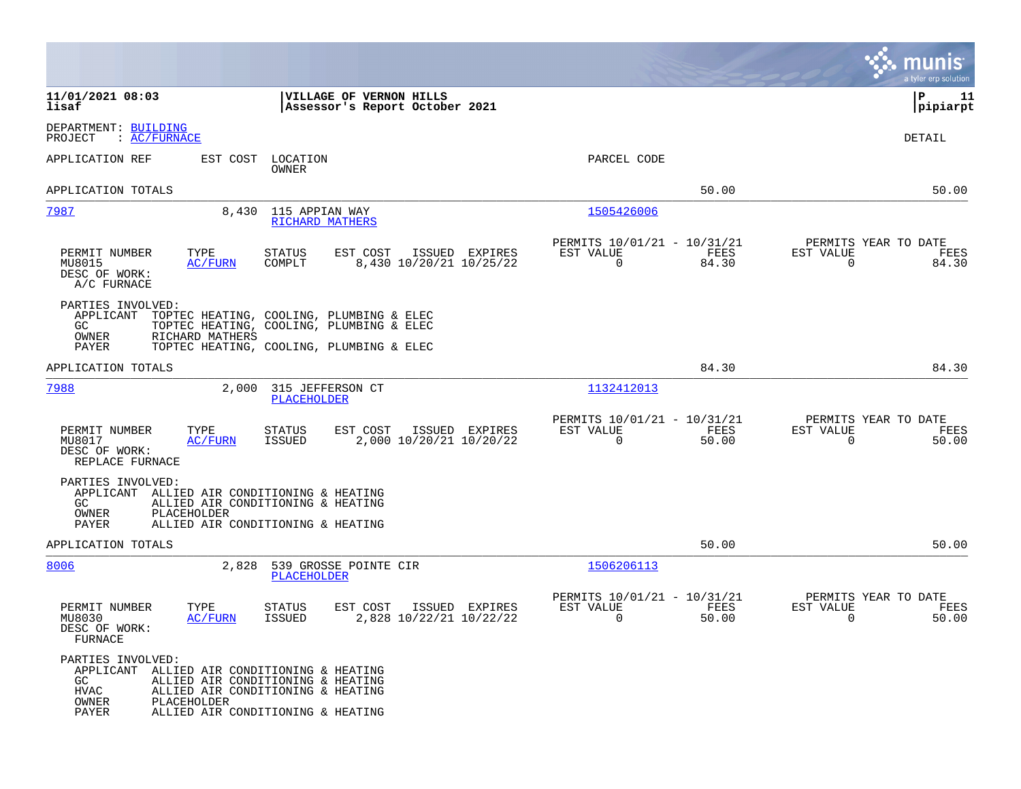|                                                                                                                        |                                                                                                             |                                                                          | munis<br>a tyler erp solution                                     |
|------------------------------------------------------------------------------------------------------------------------|-------------------------------------------------------------------------------------------------------------|--------------------------------------------------------------------------|-------------------------------------------------------------------|
| 11/01/2021 08:03<br>lisaf                                                                                              | VILLAGE OF VERNON HILLS<br>Assessor's Report October 2021                                                   |                                                                          | ΙP<br>11<br> pipiarpt                                             |
| DEPARTMENT: BUILDING<br>PROJECT<br>: <u>AC/FURNACE</u>                                                                 |                                                                                                             |                                                                          | DETAIL                                                            |
| APPLICATION REF<br>EST COST                                                                                            | LOCATION<br>OWNER                                                                                           | PARCEL CODE                                                              |                                                                   |
| APPLICATION TOTALS                                                                                                     |                                                                                                             | 50.00                                                                    | 50.00                                                             |
| 7987<br>8,430                                                                                                          | 115 APPIAN WAY<br>RICHARD MATHERS                                                                           | 1505426006                                                               |                                                                   |
| PERMIT NUMBER<br>TYPE<br>MU8015<br>AC/FURN<br>DESC OF WORK:<br>A/C FURNACE                                             | <b>STATUS</b><br>EST COST<br>ISSUED EXPIRES<br>COMPLT<br>8,430 10/20/21 10/25/22                            | PERMITS 10/01/21 - 10/31/21<br>EST VALUE<br>FEES<br>84.30<br>0           | PERMITS YEAR TO DATE<br>EST VALUE<br>FEES<br>$\mathbf 0$<br>84.30 |
| PARTIES INVOLVED:<br>APPLICANT<br>GC<br>OWNER<br>RICHARD MATHERS                                                       | TOPTEC HEATING, COOLING, PLUMBING & ELEC<br>TOPTEC HEATING, COOLING, PLUMBING & ELEC                        |                                                                          |                                                                   |
| PAYER                                                                                                                  | TOPTEC HEATING, COOLING, PLUMBING & ELEC                                                                    |                                                                          |                                                                   |
| APPLICATION TOTALS                                                                                                     |                                                                                                             | 84.30                                                                    | 84.30                                                             |
| 7988                                                                                                                   | 2,000 315 JEFFERSON CT<br><b>PLACEHOLDER</b>                                                                | 1132412013                                                               |                                                                   |
| TYPE<br>PERMIT NUMBER<br>MU8017<br>AC/FURN<br>DESC OF WORK:<br>REPLACE FURNACE                                         | EST COST<br>ISSUED EXPIRES<br>STATUS<br><b>ISSUED</b><br>2,000 10/20/21 10/20/22                            | PERMITS 10/01/21 - 10/31/21<br>EST VALUE<br>FEES<br>$\mathbf 0$<br>50.00 | PERMITS YEAR TO DATE<br>EST VALUE<br>FEES<br>50.00<br>$\Omega$    |
| PARTIES INVOLVED:<br>APPLICANT<br>GC.<br>PLACEHOLDER<br>OWNER<br>PAYER                                                 | ALLIED AIR CONDITIONING & HEATING<br>ALLIED AIR CONDITIONING & HEATING<br>ALLIED AIR CONDITIONING & HEATING |                                                                          |                                                                   |
| APPLICATION TOTALS                                                                                                     |                                                                                                             | 50.00                                                                    | 50.00                                                             |
| 8006<br>2,828                                                                                                          | 539 GROSSE POINTE CIR<br>PLACEHOLDER                                                                        | 1506206113                                                               |                                                                   |
| PERMIT NUMBER<br>TYPE<br>MU8030<br><b>AC/FURN</b><br>DESC OF WORK:<br>FURNACE                                          | ISSUED EXPIRES<br><b>STATUS</b><br>EST COST<br><b>ISSUED</b><br>2,828 10/22/21 10/22/22                     | PERMITS 10/01/21 - 10/31/21<br>EST VALUE<br>FEES<br>0<br>50.00           | PERMITS YEAR TO DATE<br>EST VALUE<br>FEES<br>50.00<br>0           |
| PARTIES INVOLVED:<br>APPLICANT ALLIED AIR CONDITIONING & HEATING<br>GC<br><b>HVAC</b><br>OWNER<br>PLACEHOLDER<br>PAYER | ALLIED AIR CONDITIONING & HEATING<br>ALLIED AIR CONDITIONING & HEATING<br>ALLIED AIR CONDITIONING & HEATING |                                                                          |                                                                   |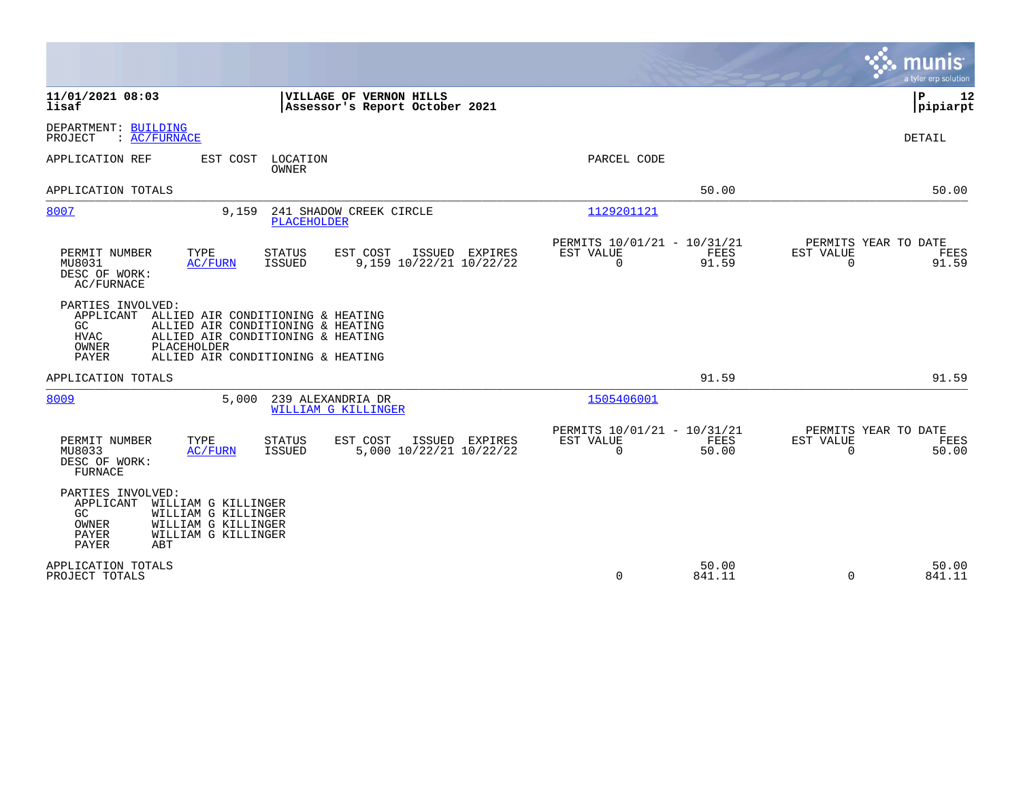|                                                                                                                                                                                                                                          |                                                                          | a tyler erp solution                                           |
|------------------------------------------------------------------------------------------------------------------------------------------------------------------------------------------------------------------------------------------|--------------------------------------------------------------------------|----------------------------------------------------------------|
| 11/01/2021 08:03<br>VILLAGE OF VERNON HILLS<br>lisaf<br>Assessor's Report October 2021                                                                                                                                                   |                                                                          | P<br>12<br> pipiarpt                                           |
| DEPARTMENT: BUILDING<br>PROJECT<br>: AC/FURNACE                                                                                                                                                                                          |                                                                          | <b>DETAIL</b>                                                  |
| EST COST LOCATION<br>APPLICATION REF<br>OWNER                                                                                                                                                                                            | PARCEL CODE                                                              |                                                                |
| APPLICATION TOTALS                                                                                                                                                                                                                       | 50.00                                                                    | 50.00                                                          |
| 8007<br>241 SHADOW CREEK CIRCLE<br>9,159<br><b>PLACEHOLDER</b>                                                                                                                                                                           | 1129201121                                                               |                                                                |
| PERMIT NUMBER<br>TYPE<br><b>STATUS</b><br>EST COST<br>ISSUED EXPIRES<br>9,159 10/22/21 10/22/22<br>MU8031<br>AC/FURN<br>ISSUED<br>DESC OF WORK:<br>AC/FURNACE                                                                            | PERMITS 10/01/21 - 10/31/21<br>EST VALUE<br>FEES<br>$\mathbf 0$<br>91.59 | PERMITS YEAR TO DATE<br>EST VALUE<br>FEES<br>$\Omega$<br>91.59 |
| PARTIES INVOLVED:<br>APPLICANT<br>ALLIED AIR CONDITIONING & HEATING<br>GC<br>ALLIED AIR CONDITIONING & HEATING<br><b>HVAC</b><br>ALLIED AIR CONDITIONING & HEATING<br>OWNER<br>PLACEHOLDER<br>PAYER<br>ALLIED AIR CONDITIONING & HEATING |                                                                          |                                                                |
| APPLICATION TOTALS                                                                                                                                                                                                                       | 91.59                                                                    | 91.59                                                          |
| 8009<br>239 ALEXANDRIA DR<br>5,000<br>WILLIAM G KILLINGER                                                                                                                                                                                | 1505406001                                                               |                                                                |
| EST COST<br>PERMIT NUMBER<br>TYPE<br><b>STATUS</b><br>ISSUED EXPIRES<br>5,000 10/22/21 10/22/22<br>MU8033<br><b>ISSUED</b><br>AC/FURN<br>DESC OF WORK:<br>FURNACE                                                                        | PERMITS 10/01/21 - 10/31/21<br>EST VALUE<br>FEES<br>$\Omega$<br>50.00    | PERMITS YEAR TO DATE<br>EST VALUE<br>FEES<br>50.00<br>$\Omega$ |
| PARTIES INVOLVED:<br>APPLICANT<br>WILLIAM G KILLINGER<br>WILLIAM G KILLINGER<br>GC.<br>OWNER<br>WILLIAM G KILLINGER<br>PAYER<br>WILLIAM G KILLINGER<br>PAYER<br>ABT                                                                      |                                                                          |                                                                |
| APPLICATION TOTALS<br>PROJECT TOTALS                                                                                                                                                                                                     | 50.00<br>$\mathbf 0$<br>841.11                                           | 50.00<br>$\Omega$<br>841.11                                    |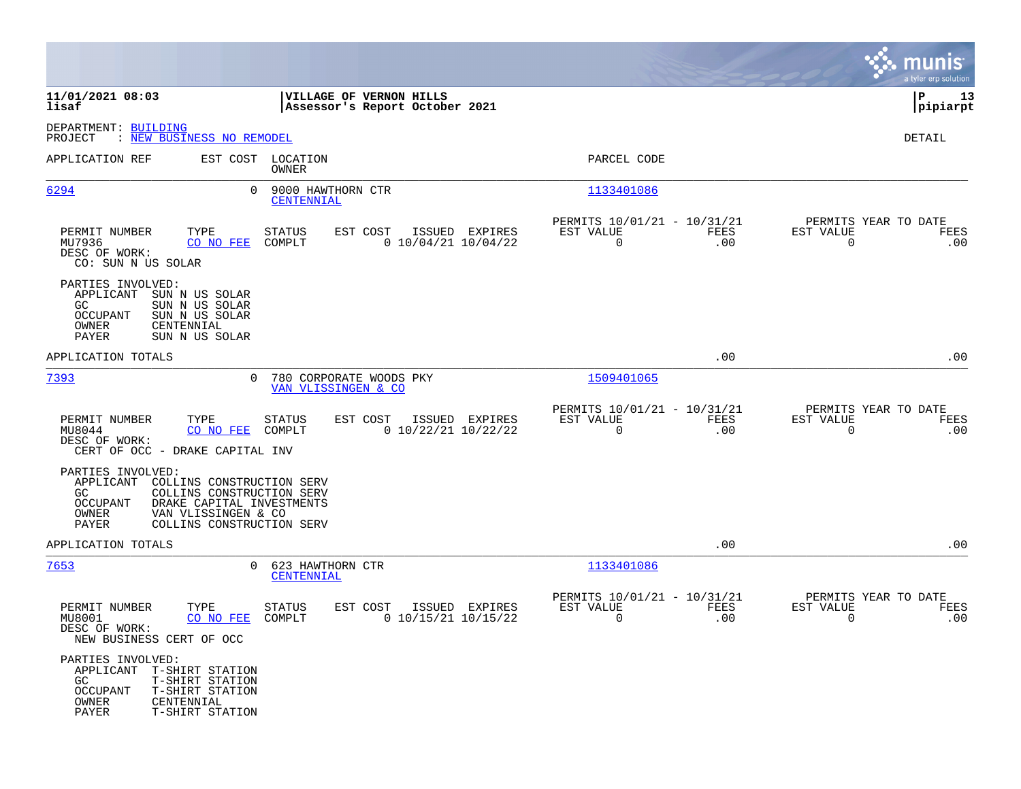|                                                                                                                                                                                                                       |                                                                                |                                                                               | munis<br>a tyler erp solution                                   |
|-----------------------------------------------------------------------------------------------------------------------------------------------------------------------------------------------------------------------|--------------------------------------------------------------------------------|-------------------------------------------------------------------------------|-----------------------------------------------------------------|
| 11/01/2021 08:03<br>lisaf                                                                                                                                                                                             | VILLAGE OF VERNON HILLS<br>Assessor's Report October 2021                      |                                                                               | 13<br>l P<br> pipiarpt                                          |
| DEPARTMENT: BUILDING<br>: NEW BUSINESS NO REMODEL<br>PROJECT                                                                                                                                                          |                                                                                |                                                                               | DETAIL                                                          |
| APPLICATION REF                                                                                                                                                                                                       | EST COST LOCATION<br>OWNER                                                     | PARCEL CODE                                                                   |                                                                 |
| 6294                                                                                                                                                                                                                  | 9000 HAWTHORN CTR<br>$\Omega$<br>CENTENNIAL                                    | 1133401086                                                                    |                                                                 |
| PERMIT NUMBER<br>TYPE<br>MU7936<br>CO NO FEE<br>DESC OF WORK:<br>CO: SUN N US SOLAR                                                                                                                                   | <b>STATUS</b><br>EST COST<br>ISSUED EXPIRES<br>COMPLT<br>$0$ 10/04/21 10/04/22 | PERMITS 10/01/21 - 10/31/21<br>EST VALUE<br>FEES<br>$\overline{0}$<br>.00     | PERMITS YEAR TO DATE<br>EST VALUE<br>FEES<br>$\Omega$<br>.00    |
| PARTIES INVOLVED:<br>APPLICANT<br>SUN N US SOLAR<br>SUN N US SOLAR<br>GC.<br><b>OCCUPANT</b><br>SUN N US SOLAR<br>OWNER<br>CENTENNIAL<br>PAYER<br>SUN N US SOLAR                                                      |                                                                                |                                                                               |                                                                 |
| APPLICATION TOTALS                                                                                                                                                                                                    |                                                                                | .00                                                                           | .00                                                             |
| 7393                                                                                                                                                                                                                  | 780 CORPORATE WOODS PKY<br>$\Omega$<br>VAN VLISSINGEN & CO                     | 1509401065                                                                    |                                                                 |
| TYPE<br>PERMIT NUMBER<br>MU8044<br>CO NO FEE<br>DESC OF WORK:<br>CERT OF OCC - DRAKE CAPITAL INV                                                                                                                      | STATUS<br>EST COST<br>ISSUED EXPIRES<br>$0$ 10/22/21 10/22/22<br>COMPLT        | PERMITS 10/01/21 - 10/31/21<br>EST VALUE<br>FEES<br>$\mathbf 0$<br>.00        | PERMITS YEAR TO DATE<br>EST VALUE<br>FEES<br>$\mathbf 0$<br>.00 |
| PARTIES INVOLVED:<br>APPLICANT<br>COLLINS CONSTRUCTION SERV<br>COLLINS CONSTRUCTION SERV<br>GC.<br><b>OCCUPANT</b><br>DRAKE CAPITAL INVESTMENTS<br>OWNER<br>VAN VLISSINGEN & CO<br>PAYER<br>COLLINS CONSTRUCTION SERV |                                                                                |                                                                               |                                                                 |
| APPLICATION TOTALS                                                                                                                                                                                                    |                                                                                | .00                                                                           | .00                                                             |
| 7653                                                                                                                                                                                                                  | 623 HAWTHORN CTR<br>$\mathbf{0}$<br>CENTENNIAL                                 | 1133401086                                                                    |                                                                 |
| PERMIT NUMBER<br>TYPE<br>MU8001<br>CO NO FEE<br>DESC OF WORK:<br>NEW BUSINESS CERT OF OCC                                                                                                                             | EST COST<br>ISSUED EXPIRES<br>STATUS<br>COMPLT<br>$0$ 10/15/21 10/15/22        | PERMITS 10/01/21 - 10/31/21<br>EST VALUE<br><b>FEES</b><br>$\mathbf 0$<br>.00 | PERMITS YEAR TO DATE<br>EST VALUE<br>FEES<br>0<br>.00           |
| PARTIES INVOLVED:<br>APPLICANT T-SHIRT STATION<br>GC<br>T-SHIRT STATION<br>OCCUPANT<br>T-SHIRT STATION<br>OWNER<br>CENTENNIAL<br>PAYER<br>T-SHIRT STATION                                                             |                                                                                |                                                                               |                                                                 |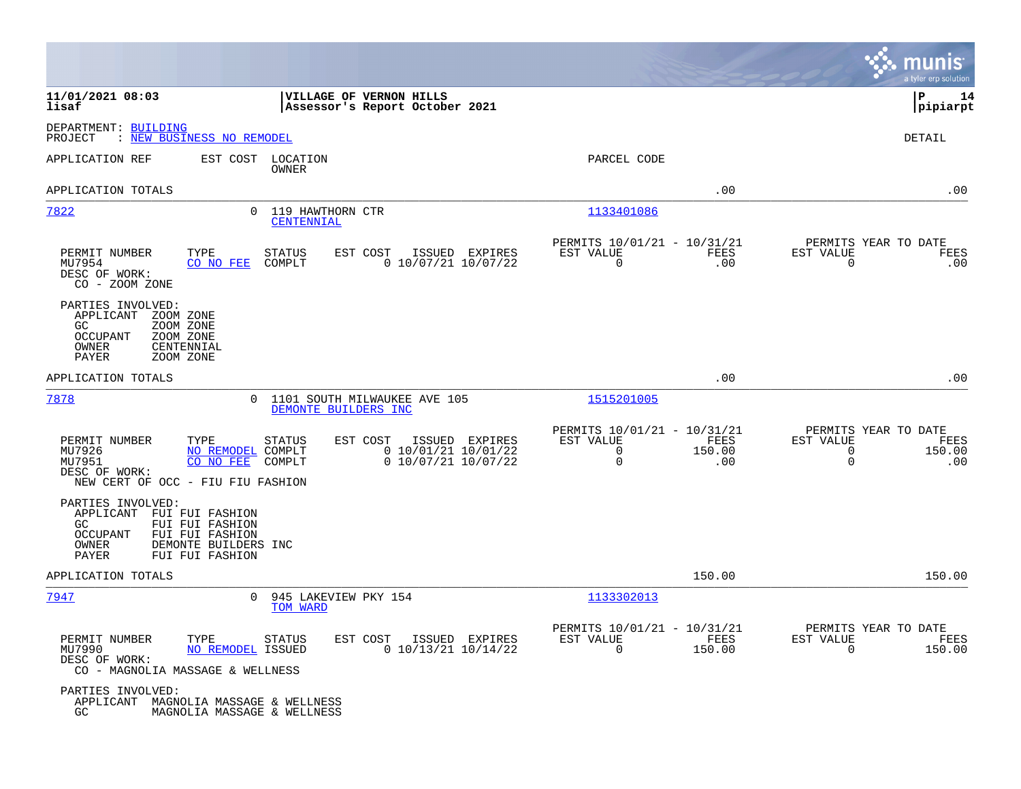|                                                                                                                                                                                |                                                                                                  |                                                                                              | munis<br>a tyler erp solution                                                         |
|--------------------------------------------------------------------------------------------------------------------------------------------------------------------------------|--------------------------------------------------------------------------------------------------|----------------------------------------------------------------------------------------------|---------------------------------------------------------------------------------------|
| 11/01/2021 08:03<br>lisaf                                                                                                                                                      | VILLAGE OF VERNON HILLS<br>Assessor's Report October 2021                                        |                                                                                              | l P<br>14<br> pipiarpt                                                                |
| DEPARTMENT: BUILDING<br>: NEW BUSINESS NO REMODEL<br>PROJECT                                                                                                                   |                                                                                                  |                                                                                              | DETAIL                                                                                |
| APPLICATION REF                                                                                                                                                                | EST COST LOCATION<br>OWNER                                                                       | PARCEL CODE                                                                                  |                                                                                       |
| APPLICATION TOTALS                                                                                                                                                             |                                                                                                  | .00                                                                                          | .00                                                                                   |
| 7822<br>$\Omega$                                                                                                                                                               | 119 HAWTHORN CTR<br>CENTENNIAL                                                                   | 1133401086                                                                                   |                                                                                       |
| PERMIT NUMBER<br>TYPE<br>MU7954<br>CO NO FEE<br>DESC OF WORK:<br>CO - ZOOM ZONE                                                                                                | EST COST<br>STATUS<br>ISSUED EXPIRES<br>$0$ 10/07/21 10/07/22<br>COMPLT                          | PERMITS 10/01/21 - 10/31/21<br>EST VALUE<br>FEES<br>$\Omega$<br>.00                          | PERMITS YEAR TO DATE<br>EST VALUE<br>FEES<br>$\mathbf 0$<br>.00                       |
| PARTIES INVOLVED:<br>APPLICANT<br>ZOOM ZONE<br>ZOOM ZONE<br>GC.<br>OCCUPANT<br>ZOOM ZONE<br>OWNER<br>CENTENNIAL<br>PAYER<br>ZOOM ZONE                                          |                                                                                                  |                                                                                              |                                                                                       |
| APPLICATION TOTALS                                                                                                                                                             |                                                                                                  | .00                                                                                          | .00                                                                                   |
| 7878<br>$\Omega$                                                                                                                                                               | 1101 SOUTH MILWAUKEE AVE 105<br>DEMONTE BUILDERS INC                                             | 1515201005                                                                                   |                                                                                       |
| PERMIT NUMBER<br>TYPE<br>MU7926<br>NO REMODEL COMPLT<br>MU7951<br>CO NO FEE<br>DESC OF WORK:<br>NEW CERT OF OCC - FIU FIU FASHION                                              | EST COST<br>ISSUED EXPIRES<br>STATUS<br>$0$ 10/01/21 10/01/22<br>$0$ 10/07/21 10/07/22<br>COMPLT | PERMITS 10/01/21 - 10/31/21<br>EST VALUE<br>FEES<br>$\Omega$<br>150.00<br>$\mathbf 0$<br>.00 | PERMITS YEAR TO DATE<br>EST VALUE<br>FEES<br>$\Omega$<br>150.00<br>$\mathbf 0$<br>.00 |
| PARTIES INVOLVED:<br>APPLICANT<br>FUI FUI FASHION<br>FUI FUI FASHION<br>GC.<br><b>OCCUPANT</b><br>FUI FUI FASHION<br>DEMONTE BUILDERS INC<br>OWNER<br>PAYER<br>FUI FUI FASHION |                                                                                                  |                                                                                              |                                                                                       |
| APPLICATION TOTALS                                                                                                                                                             |                                                                                                  | 150.00                                                                                       | 150.00                                                                                |
| 7947<br>0                                                                                                                                                                      | 945 LAKEVIEW PKY 154<br>TOM WARD                                                                 | 1133302013                                                                                   |                                                                                       |
| PERMIT NUMBER<br>TYPE<br>MU7990<br>NO REMODEL ISSUED<br>DESC OF WORK:<br>CO - MAGNOLIA MASSAGE & WELLNESS                                                                      | STATUS<br>EST COST<br>ISSUED EXPIRES<br>$0$ 10/13/21 10/14/22                                    | PERMITS 10/01/21 - 10/31/21<br>EST VALUE<br>FEES<br>$\mathbf 0$<br>150.00                    | PERMITS YEAR TO DATE<br>EST VALUE<br>FEES<br>$\mathbf 0$<br>150.00                    |
| PARTIES INVOLVED:<br>APPLICANT<br>MAGNOLIA MASSAGE & WELLNESS<br>GC<br>MAGNOLIA MASSAGE & WELLNESS                                                                             |                                                                                                  |                                                                                              |                                                                                       |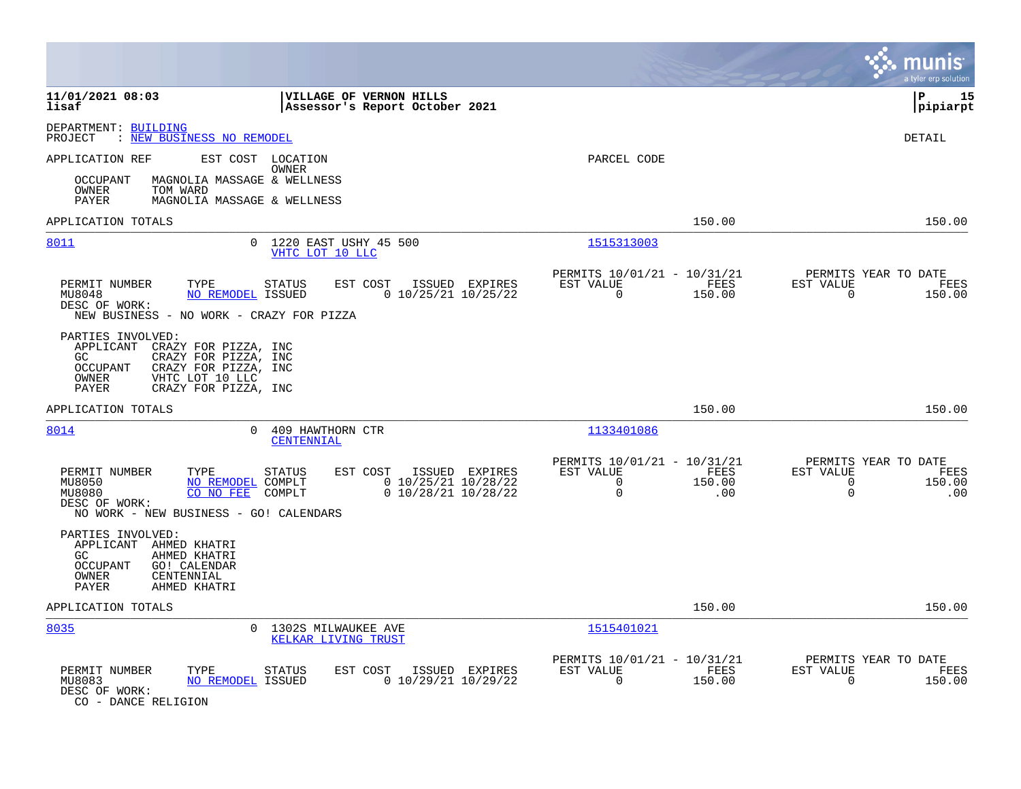|                                                                                                                                                                                                                                            |                                                                                                           | a tyler erp solution                                                                     |
|--------------------------------------------------------------------------------------------------------------------------------------------------------------------------------------------------------------------------------------------|-----------------------------------------------------------------------------------------------------------|------------------------------------------------------------------------------------------|
| 11/01/2021 08:03<br>VILLAGE OF VERNON HILLS<br>lisaf<br>Assessor's Report October 2021                                                                                                                                                     |                                                                                                           | lР<br>15<br> pipiarpt                                                                    |
| DEPARTMENT: BUILDING<br>: NEW BUSINESS NO REMODEL<br>PROJECT                                                                                                                                                                               |                                                                                                           | DETAIL                                                                                   |
| EST COST LOCATION<br>APPLICATION REF<br>OWNER<br>MAGNOLIA MASSAGE & WELLNESS<br>OCCUPANT<br><b>OWNER</b><br>TOM WARD<br>PAYER<br>MAGNOLIA MASSAGE & WELLNESS                                                                               | PARCEL CODE                                                                                               |                                                                                          |
| APPLICATION TOTALS                                                                                                                                                                                                                         | 150.00                                                                                                    | 150.00                                                                                   |
| 8011<br>0 1220 EAST USHY 45 500<br>VHTC LOT 10 LLC                                                                                                                                                                                         | 1515313003                                                                                                |                                                                                          |
| EST COST<br>PERMIT NUMBER<br>TYPE<br><b>STATUS</b><br>ISSUED EXPIRES<br>MU8048<br><b>NO REMODEL ISSUED</b><br>$0$ 10/25/21 10/25/22<br>DESC OF WORK:<br>NEW BUSINESS - NO WORK - CRAZY FOR PIZZA                                           | PERMITS 10/01/21 - 10/31/21<br>EST VALUE<br>FEES<br>$\Omega$<br>150.00                                    | PERMITS YEAR TO DATE<br>EST VALUE<br>FEES<br>$\Omega$<br>150.00                          |
| PARTIES INVOLVED:<br>APPLICANT<br>CRAZY FOR PIZZA, INC<br>GC<br>CRAZY FOR PIZZA, INC<br><b>OCCUPANT</b><br>CRAZY FOR PIZZA, INC<br>VHTC LOT 10 LLC<br>OWNER<br>CRAZY FOR PIZZA, INC<br>PAYER                                               |                                                                                                           |                                                                                          |
| APPLICATION TOTALS                                                                                                                                                                                                                         | 150.00                                                                                                    | 150.00                                                                                   |
| 8014<br>$\Omega$<br>409 HAWTHORN CTR<br>CENTENNIAL                                                                                                                                                                                         | 1133401086                                                                                                |                                                                                          |
| PERMIT NUMBER<br>TYPE<br>EST COST<br>ISSUED EXPIRES<br>STATUS<br>$0$ 10/25/21 10/28/22<br>MU8050<br>NO REMODEL COMPLT<br>CO NO FEE<br>$0$ 10/28/21 10/28/22<br>MU8080<br>COMPLT<br>DESC OF WORK:<br>NO WORK - NEW BUSINESS - GO! CALENDARS | PERMITS 10/01/21 - 10/31/21<br>EST VALUE<br><b>FEES</b><br>$\overline{0}$<br>150.00<br>$\mathbf 0$<br>.00 | PERMITS YEAR TO DATE<br>EST VALUE<br>FEES<br>$\mathbf 0$<br>150.00<br>$\mathbf 0$<br>.00 |
| PARTIES INVOLVED:<br>APPLICANT AHMED KHATRI<br>GC<br>AHMED KHATRI<br>OCCUPANT<br><b>GO! CALENDAR</b><br>OWNER<br>CENTENNIAL<br>PAYER<br>AHMED KHATRI                                                                                       |                                                                                                           |                                                                                          |
| APPLICATION TOTALS                                                                                                                                                                                                                         | 150.00                                                                                                    | 150.00                                                                                   |
| 8035<br>$\Omega$<br>1302S MILWAUKEE AVE<br>KELKAR LIVING TRUST                                                                                                                                                                             | 1515401021                                                                                                |                                                                                          |
| TYPE<br>EST COST<br>PERMIT NUMBER<br>ISSUED EXPIRES<br>STATUS<br>$0$ 10/29/21 10/29/22<br>MU8083<br>NO REMODEL ISSUED<br>DESC OF WORK:<br>CO - DANCE RELIGION                                                                              | PERMITS 10/01/21 - 10/31/21<br>EST VALUE<br>FEES<br>$\Omega$<br>150.00                                    | PERMITS YEAR TO DATE<br>EST VALUE<br>FEES<br>150.00<br>$\Omega$                          |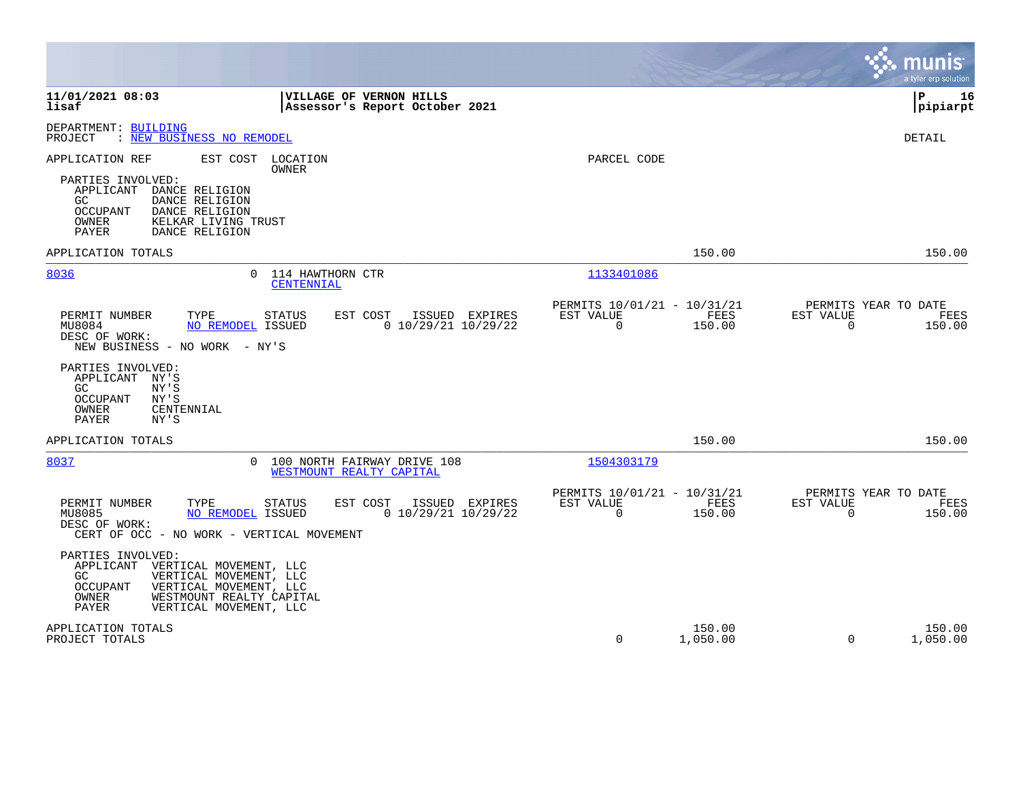|                                                                                                                                                                                                                                                 |                                                                   |                                                                        | munis<br>a tyler erp solution                                   |
|-------------------------------------------------------------------------------------------------------------------------------------------------------------------------------------------------------------------------------------------------|-------------------------------------------------------------------|------------------------------------------------------------------------|-----------------------------------------------------------------|
| 11/01/2021 08:03<br>lisaf                                                                                                                                                                                                                       | <b> VILLAGE OF VERNON HILLS</b><br>Assessor's Report October 2021 |                                                                        | l P<br>16<br> pipiarpt                                          |
| DEPARTMENT: BUILDING<br>PROJECT<br>: NEW BUSINESS NO REMODEL                                                                                                                                                                                    |                                                                   |                                                                        | DETAIL                                                          |
| APPLICATION REF<br>EST COST LOCATION<br>OWNER<br>PARTIES INVOLVED:<br>APPLICANT DANCE RELIGION<br>DANCE RELIGION<br>GC.<br>OCCUPANT<br>DANCE RELIGION<br>OWNER<br>KELKAR LIVING TRUST<br>PAYER<br>DANCE RELIGION                                |                                                                   | PARCEL CODE                                                            |                                                                 |
| APPLICATION TOTALS                                                                                                                                                                                                                              |                                                                   | 150.00                                                                 | 150.00                                                          |
| 8036<br>$\Omega$<br>114 HAWTHORN CTR<br>CENTENNIAL                                                                                                                                                                                              |                                                                   | 1133401086                                                             |                                                                 |
| PERMIT NUMBER<br>TYPE<br><b>STATUS</b><br>MU8084<br>NO REMODEL ISSUED<br>DESC OF WORK:<br>NEW BUSINESS - NO WORK - NY'S<br>PARTIES INVOLVED:<br>APPLICANT NY'S<br>GC<br>NY'S<br>OCCUPANT<br>NY'S<br>OWNER<br>CENTENNIAL<br><b>PAYER</b><br>NY'S | ISSUED EXPIRES<br>EST COST<br>$0$ 10/29/21 10/29/22               | PERMITS 10/01/21 - 10/31/21<br>EST VALUE<br>FEES<br>$\Omega$<br>150.00 | PERMITS YEAR TO DATE<br>EST VALUE<br>FEES<br>$\Omega$<br>150.00 |
| APPLICATION TOTALS                                                                                                                                                                                                                              |                                                                   | 150.00                                                                 | 150.00                                                          |
| 8037<br>$\Omega$                                                                                                                                                                                                                                | 100 NORTH FAIRWAY DRIVE 108<br>WESTMOUNT REALTY CAPITAL           | 1504303179                                                             |                                                                 |
| TYPE<br>PERMIT NUMBER<br><b>STATUS</b><br>NO REMODEL ISSUED<br>MU8085<br>DESC OF WORK:<br>CERT OF OCC - NO WORK - VERTICAL MOVEMENT                                                                                                             | EST COST<br>ISSUED EXPIRES<br>$0$ 10/29/21 10/29/22               | PERMITS 10/01/21 - 10/31/21<br>EST VALUE<br>FEES<br>$\Omega$<br>150.00 | PERMITS YEAR TO DATE<br>EST VALUE<br>FEES<br>$\Omega$<br>150.00 |
| PARTIES INVOLVED:<br>APPLICANT VERTICAL MOVEMENT, LLC<br>GC<br>VERTICAL MOVEMENT, LLC<br>OCCUPANT<br>VERTICAL MOVEMENT, LLC<br>OWNER<br>WESTMOUNT REALTY CAPITAL<br>PAYER<br>VERTICAL MOVEMENT, LLC                                             |                                                                   |                                                                        |                                                                 |
| APPLICATION TOTALS<br>PROJECT TOTALS                                                                                                                                                                                                            |                                                                   | 150.00<br>$\Omega$<br>1,050.00                                         | 150.00<br>$\Omega$<br>1,050.00                                  |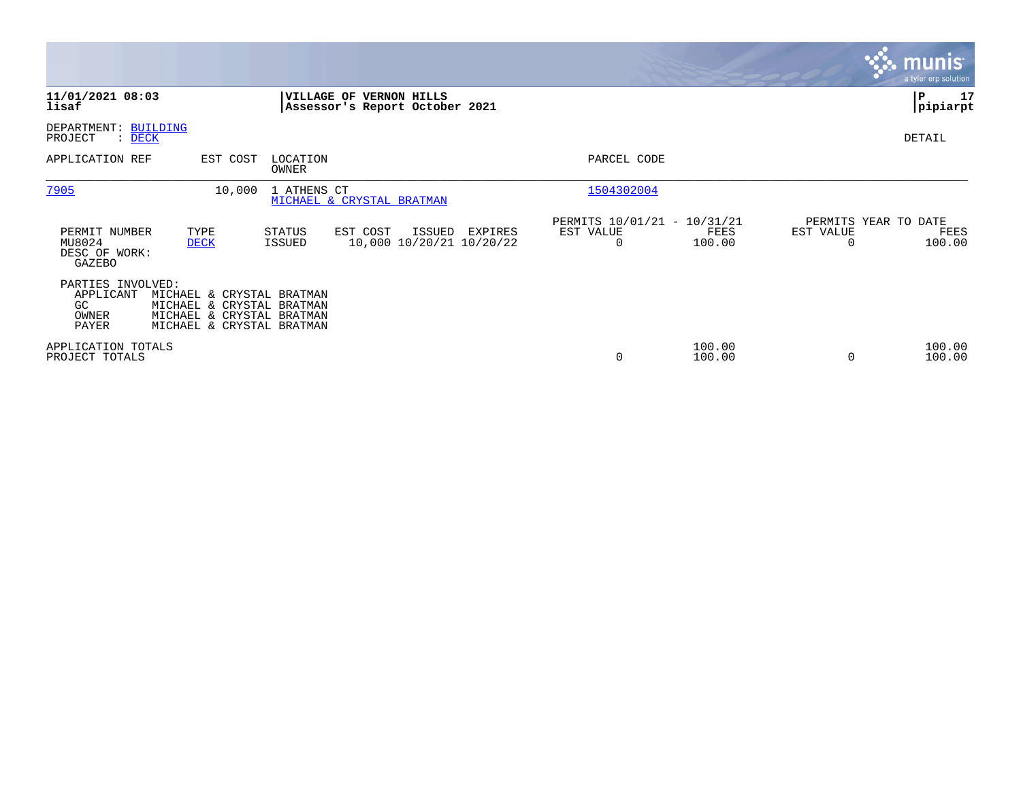|                                                        |                                                                                                                  |                   |                                                           |         |                                                      |                  |                | munis <sup>®</sup><br>a tyler erp solution |
|--------------------------------------------------------|------------------------------------------------------------------------------------------------------------------|-------------------|-----------------------------------------------------------|---------|------------------------------------------------------|------------------|----------------|--------------------------------------------|
| 11/01/2021 08:03<br>lisaf                              |                                                                                                                  |                   | VILLAGE OF VERNON HILLS<br>Assessor's Report October 2021 |         |                                                      |                  |                | $\mathbf P$<br>17<br> pipiarpt             |
| DEPARTMENT: BUILDING<br>PROJECT<br>$\therefore$ DECK   |                                                                                                                  |                   |                                                           |         |                                                      |                  |                | DETAIL                                     |
| APPLICATION REF                                        | EST COST                                                                                                         | LOCATION<br>OWNER |                                                           |         | PARCEL CODE                                          |                  |                |                                            |
| 7905                                                   | 10,000                                                                                                           | 1 ATHENS CT       | MICHAEL & CRYSTAL BRATMAN                                 |         | 1504302004                                           |                  |                |                                            |
| PERMIT NUMBER<br>MU8024<br>DESC OF WORK:<br>GAZEBO     | TYPE<br><b>DECK</b>                                                                                              | STATUS<br>ISSUED  | EST COST<br>ISSUED<br>10,000 10/20/21 10/20/22            | EXPIRES | PERMITS 10/01/21 - 10/31/21<br>EST VALUE<br>$\Omega$ | FEES<br>100.00   | EST VALUE<br>0 | PERMITS YEAR TO DATE<br>FEES<br>100.00     |
| PARTIES INVOLVED:<br>APPLICANT<br>GC<br>OWNER<br>PAYER | MICHAEL & CRYSTAL BRATMAN<br>MICHAEL & CRYSTAL BRATMAN<br>MICHAEL & CRYSTAL BRATMAN<br>MICHAEL & CRYSTAL BRATMAN |                   |                                                           |         |                                                      |                  |                |                                            |
| APPLICATION TOTALS<br>PROJECT TOTALS                   |                                                                                                                  |                   |                                                           |         | 0                                                    | 100.00<br>100.00 | 0              | 100.00<br>100.00                           |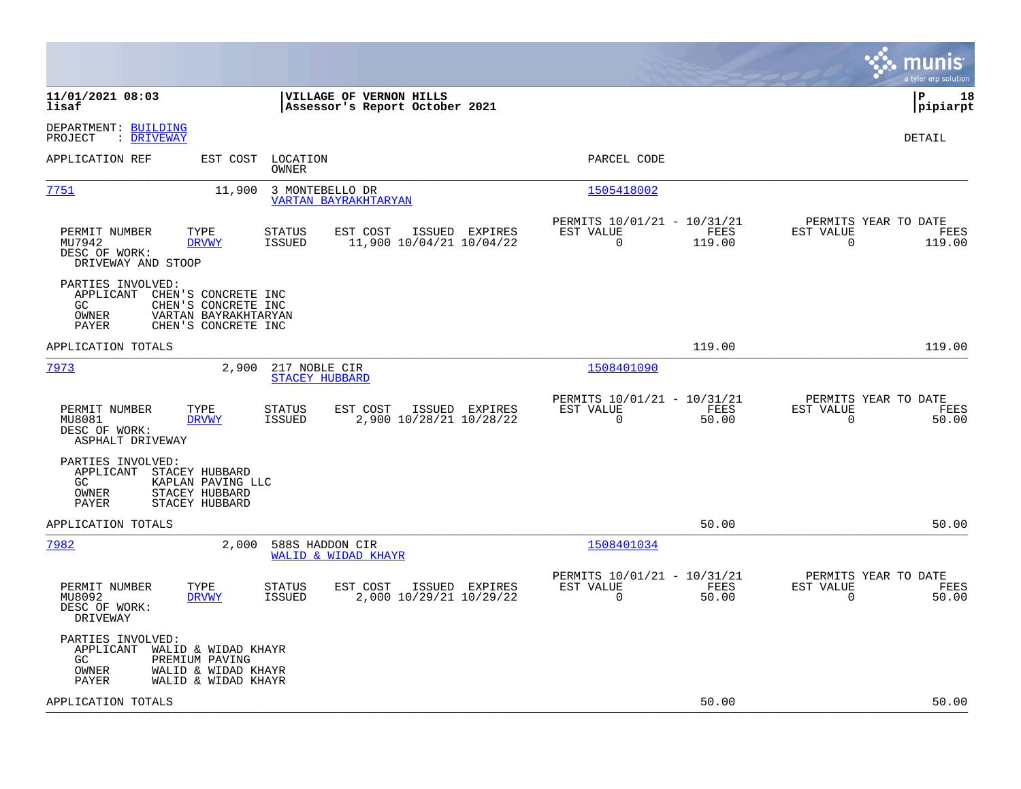|                                                                                                                                                     |                                                           |                                                                          | munis<br>a tyler erp solution                                     |
|-----------------------------------------------------------------------------------------------------------------------------------------------------|-----------------------------------------------------------|--------------------------------------------------------------------------|-------------------------------------------------------------------|
| 11/01/2021 08:03<br>lisaf                                                                                                                           | VILLAGE OF VERNON HILLS<br>Assessor's Report October 2021 |                                                                          | lР<br>18<br> pipiarpt                                             |
| DEPARTMENT: BUILDING<br>PROJECT<br>: DRIVEWAY                                                                                                       |                                                           |                                                                          | DETAIL                                                            |
| APPLICATION REF<br>EST COST LOCATION<br>OWNER                                                                                                       |                                                           | PARCEL CODE                                                              |                                                                   |
| 7751<br>11,900                                                                                                                                      | 3 MONTEBELLO DR<br><b>VARTAN BAYRAKHTARYAN</b>            | 1505418002                                                               |                                                                   |
| PERMIT NUMBER<br>TYPE<br><b>STATUS</b><br>MU7942<br><b>DRVWY</b><br>ISSUED<br>DESC OF WORK:<br>DRIVEWAY AND STOOP                                   | EST COST<br>ISSUED EXPIRES<br>11,900 10/04/21 10/04/22    | PERMITS 10/01/21 - 10/31/21<br>EST VALUE<br>FEES<br>$\Omega$<br>119.00   | PERMITS YEAR TO DATE<br>EST VALUE<br>FEES<br>$\Omega$<br>119.00   |
| PARTIES INVOLVED:<br>APPLICANT<br>CHEN'S CONCRETE INC<br>CHEN'S CONCRETE INC<br>GC<br>OWNER<br>VARTAN BAYRAKHTARYAN<br>PAYER<br>CHEN'S CONCRETE INC |                                                           |                                                                          |                                                                   |
| APPLICATION TOTALS                                                                                                                                  |                                                           | 119.00                                                                   | 119.00                                                            |
| 7973<br>2,900                                                                                                                                       | 217 NOBLE CIR<br><b>STACEY HUBBARD</b>                    | 1508401090                                                               |                                                                   |
| PERMIT NUMBER<br>TYPE<br><b>STATUS</b><br>MU8081<br><b>ISSUED</b><br><b>DRVWY</b><br>DESC OF WORK:<br>ASPHALT DRIVEWAY                              | EST COST<br>ISSUED EXPIRES<br>2,900 10/28/21 10/28/22     | PERMITS 10/01/21 - 10/31/21<br>EST VALUE<br>FEES<br>$\mathbf 0$<br>50.00 | PERMITS YEAR TO DATE<br>EST VALUE<br>FEES<br>$\mathbf 0$<br>50.00 |
| PARTIES INVOLVED:<br>APPLICANT<br>STACEY HUBBARD<br>GC<br>KAPLAN PAVING LLC<br>STACEY HUBBARD<br>OWNER<br>PAYER<br>STACEY HUBBARD                   |                                                           |                                                                          |                                                                   |
| APPLICATION TOTALS                                                                                                                                  |                                                           | 50.00                                                                    | 50.00                                                             |
| 7982<br>2,000                                                                                                                                       | 588S HADDON CIR<br><b>WALID &amp; WIDAD KHAYR</b>         | 1508401034                                                               |                                                                   |
| TYPE<br>PERMIT NUMBER<br><b>STATUS</b><br>MU8092<br><b>DRVWY</b><br>ISSUED<br>DESC OF WORK:<br>DRIVEWAY                                             | EST COST<br>ISSUED EXPIRES<br>2,000 10/29/21 10/29/22     | PERMITS 10/01/21 - 10/31/21<br>EST VALUE<br>FEES<br>$\Omega$<br>50.00    | PERMITS YEAR TO DATE<br>EST VALUE<br>FEES<br>$\mathbf 0$<br>50.00 |
| PARTIES INVOLVED:<br>APPLICANT<br>WALID & WIDAD KHAYR<br>GC<br>PREMIUM PAVING<br>WALID & WIDAD KHAYR<br>OWNER<br>PAYER<br>WALID & WIDAD KHAYR       |                                                           |                                                                          |                                                                   |
| APPLICATION TOTALS                                                                                                                                  |                                                           | 50.00                                                                    | 50.00                                                             |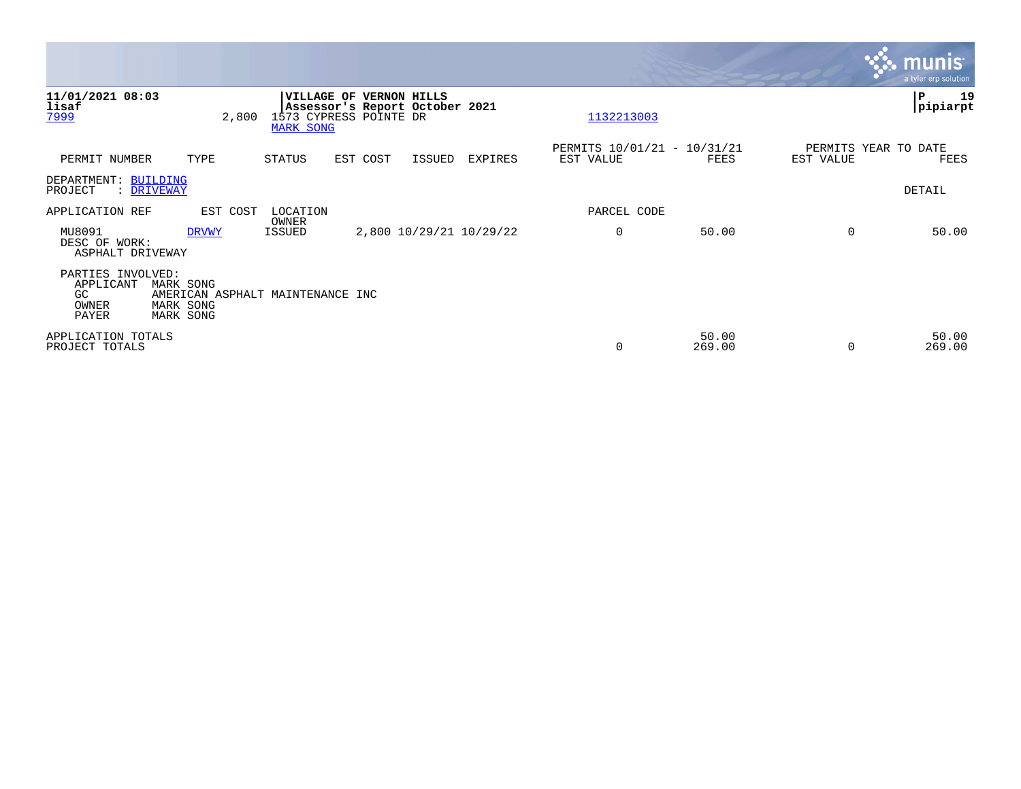|                                                         |                                     |          |                                                                                                         |          |               |                         |                                          |                 |           | $\overline{\mathsf{m} \mathsf{u} \mathsf{n} \mathsf{l} \mathsf{s} \mathsf{u}}$<br>a tyler erp solution |
|---------------------------------------------------------|-------------------------------------|----------|---------------------------------------------------------------------------------------------------------|----------|---------------|-------------------------|------------------------------------------|-----------------|-----------|--------------------------------------------------------------------------------------------------------|
| 11/01/2021 08:03<br>lisaf<br>7999                       |                                     | 2,800    | VILLAGE OF VERNON HILLS<br>Assessor's Report October 2021<br>1573 CYPRESS POINTE DR<br><b>MARK SONG</b> |          |               |                         | 1132213003                               |                 |           | 19<br>P<br> pipiarpt                                                                                   |
| PERMIT NUMBER                                           | TYPE                                |          | STATUS                                                                                                  | EST COST | <b>ISSUED</b> | EXPIRES                 | PERMITS 10/01/21 - 10/31/21<br>EST VALUE | FEES            | EST VALUE | PERMITS YEAR TO DATE<br>FEES                                                                           |
| DEPARTMENT: BUILDING<br>PROJECT                         | : DRIVEWAY                          |          |                                                                                                         |          |               |                         |                                          |                 |           | DETAIL                                                                                                 |
| APPLICATION REF                                         |                                     | EST COST | LOCATION                                                                                                |          |               |                         | PARCEL CODE                              |                 |           |                                                                                                        |
| MU8091<br>DESC OF WORK:<br>ASPHALT DRIVEWAY             | <b>DRVWY</b>                        |          | OWNER<br><b>ISSUED</b>                                                                                  |          |               | 2,800 10/29/21 10/29/22 | 0                                        | 50.00           | $\Omega$  | 50.00                                                                                                  |
| PARTIES INVOLVED:<br>APPLICANT<br>GC.<br>OWNER<br>PAYER | MARK SONG<br>MARK SONG<br>MARK SONG |          | AMERICAN ASPHALT MAINTENANCE INC                                                                        |          |               |                         |                                          |                 |           |                                                                                                        |
| APPLICATION TOTALS<br>PROJECT TOTALS                    |                                     |          |                                                                                                         |          |               |                         | 0                                        | 50.00<br>269.00 | $\Omega$  | 50.00<br>269.00                                                                                        |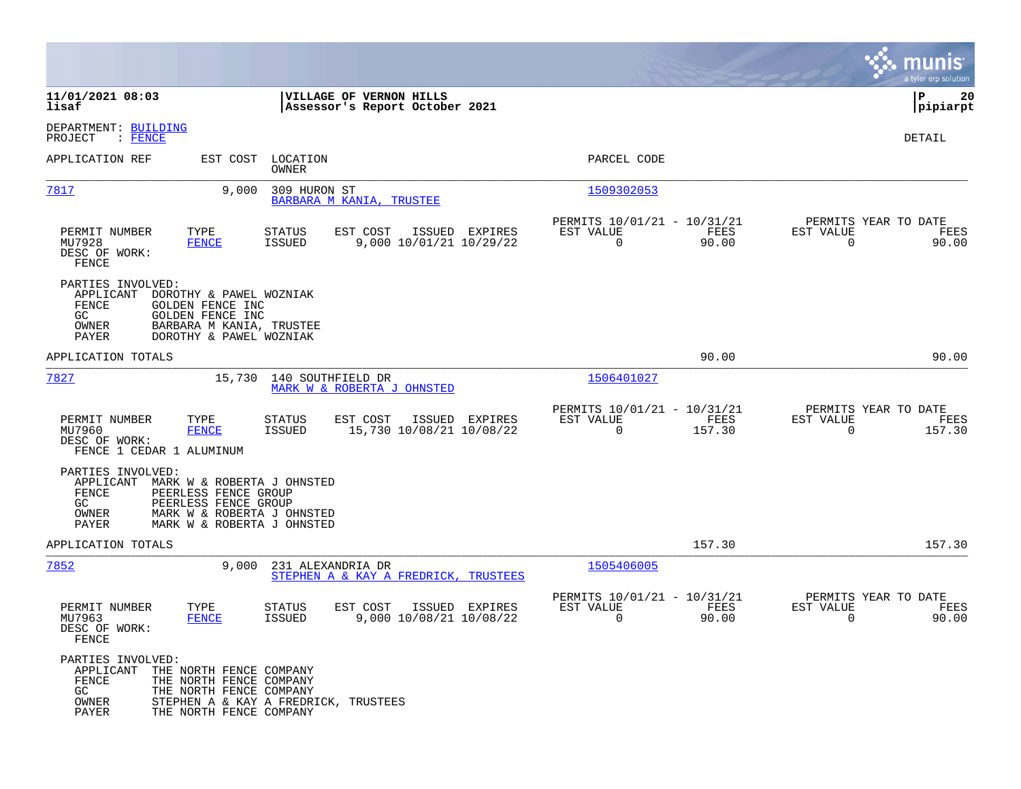|                                                                                                                                                                                                           |                                                                                         |                                                                          | munis<br>a tyler erp solution                                   |
|-----------------------------------------------------------------------------------------------------------------------------------------------------------------------------------------------------------|-----------------------------------------------------------------------------------------|--------------------------------------------------------------------------|-----------------------------------------------------------------|
| 11/01/2021 08:03<br>lisaf                                                                                                                                                                                 | VILLAGE OF VERNON HILLS<br>Assessor's Report October 2021                               |                                                                          | 20<br>IΡ<br> pipiarpt                                           |
| DEPARTMENT: BUILDING<br>PROJECT<br>: FENCE                                                                                                                                                                |                                                                                         |                                                                          | DETAIL                                                          |
| APPLICATION REF                                                                                                                                                                                           | EST COST LOCATION<br>OWNER                                                              | PARCEL CODE                                                              |                                                                 |
| 7817<br>9,000                                                                                                                                                                                             | 309 HURON ST<br>BARBARA M KANIA, TRUSTEE                                                | 1509302053                                                               |                                                                 |
| TYPE<br>PERMIT NUMBER<br>MU7928<br><b>FENCE</b><br>DESC OF WORK:<br>FENCE                                                                                                                                 | <b>STATUS</b><br>EST COST<br>ISSUED EXPIRES<br><b>ISSUED</b><br>9,000 10/01/21 10/29/22 | PERMITS 10/01/21 - 10/31/21<br>FEES<br>EST VALUE<br>$\mathbf 0$<br>90.00 | PERMITS YEAR TO DATE<br>EST VALUE<br>FEES<br>$\Omega$<br>90.00  |
| PARTIES INVOLVED:<br>APPLICANT<br>DOROTHY & PAWEL WOZNIAK<br>FENCE<br><b>GOLDEN FENCE INC</b><br>GOLDEN FENCE INC<br>GC.<br>OWNER<br>BARBARA M KANIA, TRUSTEE<br>PAYER<br>DOROTHY & PAWEL WOZNIAK         |                                                                                         |                                                                          |                                                                 |
| APPLICATION TOTALS                                                                                                                                                                                        |                                                                                         | 90.00                                                                    | 90.00                                                           |
| 7827<br>15,730                                                                                                                                                                                            | 140 SOUTHFIELD DR<br>MARK W & ROBERTA J OHNSTED                                         | 1506401027                                                               |                                                                 |
| PERMIT NUMBER<br>TYPE<br>MU7960<br>FENCE<br>DESC OF WORK:<br>FENCE 1 CEDAR 1 ALUMINUM                                                                                                                     | EST COST<br>ISSUED EXPIRES<br>STATUS<br>15,730 10/08/21 10/08/22<br>ISSUED              | PERMITS 10/01/21 - 10/31/21<br>EST VALUE<br>FEES<br>$\Omega$<br>157.30   | PERMITS YEAR TO DATE<br>EST VALUE<br>FEES<br>$\Omega$<br>157.30 |
| PARTIES INVOLVED:<br>APPLICANT<br>MARK W & ROBERTA J OHNSTED<br>FENCE<br>PEERLESS FENCE GROUP<br>PEERLESS FENCE GROUP<br>GC<br>OWNER<br>MARK W & ROBERTA J OHNSTED<br>PAYER<br>MARK W & ROBERTA J OHNSTED |                                                                                         |                                                                          |                                                                 |
| APPLICATION TOTALS                                                                                                                                                                                        |                                                                                         | 157.30                                                                   | 157.30                                                          |
| 7852<br>9,000                                                                                                                                                                                             | 231 ALEXANDRIA DR<br>STEPHEN A & KAY A FREDRICK, TRUSTEES                               | 1505406005                                                               |                                                                 |
| PERMIT NUMBER<br>TYPE<br>MU7963<br><b>FENCE</b><br>DESC OF WORK:<br>FENCE                                                                                                                                 | STATUS<br>EST COST<br>ISSUED EXPIRES<br>9,000 10/08/21 10/08/22<br><b>ISSUED</b>        | PERMITS 10/01/21 - 10/31/21<br>EST VALUE<br>FEES<br>0<br>90.00           | PERMITS YEAR TO DATE<br>EST VALUE<br>FEES<br>90.00<br>0         |
| PARTIES INVOLVED:<br>APPLICANT<br>THE NORTH FENCE COMPANY<br>FENCE<br>THE NORTH FENCE COMPANY<br>GC<br>THE NORTH FENCE COMPANY<br>OWNER<br>PAYER<br>THE NORTH FENCE COMPANY                               | STEPHEN A & KAY A FREDRICK, TRUSTEES                                                    |                                                                          |                                                                 |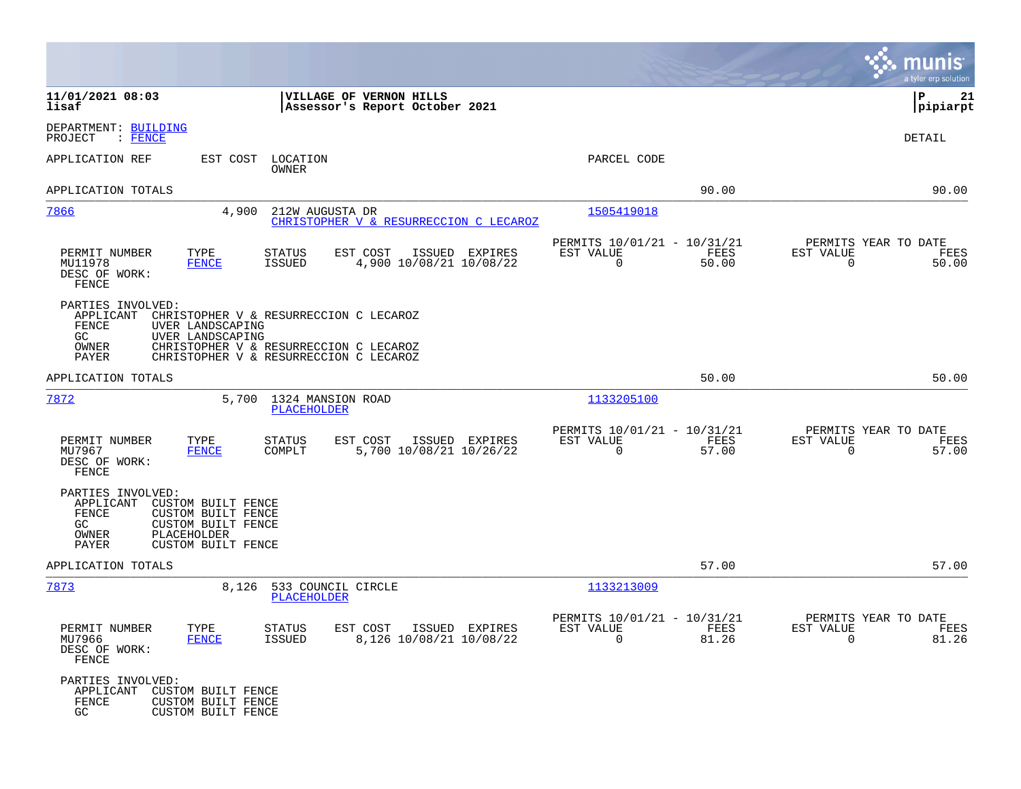|                                                                                                                                                                                                                                        |                                                                                                                              | munis<br>a tyler erp solution |
|----------------------------------------------------------------------------------------------------------------------------------------------------------------------------------------------------------------------------------------|------------------------------------------------------------------------------------------------------------------------------|-------------------------------|
| 11/01/2021 08:03<br>VILLAGE OF VERNON HILLS<br>lisaf<br>Assessor's Report October 2021                                                                                                                                                 | P                                                                                                                            | 21<br> pipiarpt               |
| DEPARTMENT: BUILDING<br>PROJECT<br>$\colon$ FENCE                                                                                                                                                                                      | DETAIL                                                                                                                       |                               |
| APPLICATION REF<br>EST COST<br>LOCATION<br>OWNER                                                                                                                                                                                       | PARCEL CODE                                                                                                                  |                               |
| APPLICATION TOTALS                                                                                                                                                                                                                     | 90.00                                                                                                                        | 90.00                         |
| 7866<br>4,900<br>212W AUGUSTA DR<br>CHRISTOPHER V & RESURRECCION C LECAROZ                                                                                                                                                             | 1505419018                                                                                                                   |                               |
| PERMIT NUMBER<br>TYPE<br>STATUS<br>EST COST<br>ISSUED EXPIRES<br>4,900 10/08/21 10/08/22<br>MU11978<br><b>FENCE</b><br>ISSUED<br>DESC OF WORK:<br>FENCE                                                                                | PERMITS 10/01/21 - 10/31/21<br>PERMITS YEAR TO DATE<br>FEES<br>EST VALUE<br>EST VALUE<br>0<br>50.00<br>0                     | FEES<br>50.00                 |
| PARTIES INVOLVED:<br>APPLICANT<br>CHRISTOPHER V & RESURRECCION C LECAROZ<br>FENCE<br>UVER LANDSCAPING<br>GC.<br>UVER LANDSCAPING<br>OWNER<br>CHRISTOPHER V & RESURRECCION C LECAROZ<br>PAYER<br>CHRISTOPHER V & RESURRECCION C LECAROZ |                                                                                                                              |                               |
| APPLICATION TOTALS                                                                                                                                                                                                                     | 50.00                                                                                                                        | 50.00                         |
| 7872<br>5,700<br>1324 MANSION ROAD<br>PLACEHOLDER                                                                                                                                                                                      | 1133205100                                                                                                                   |                               |
| TYPE<br>STATUS<br>EST COST<br>ISSUED EXPIRES<br>PERMIT NUMBER<br>MU7967<br>COMPLT<br>5,700 10/08/21 10/26/22<br><b>FENCE</b><br>DESC OF WORK:<br>FENCE                                                                                 | PERMITS 10/01/21 - 10/31/21<br>PERMITS YEAR TO DATE<br>EST VALUE<br>FEES<br>EST VALUE<br>$\Omega$<br>57.00<br>$\Omega$       | FEES<br>57.00                 |
| PARTIES INVOLVED:<br>APPLICANT<br>CUSTOM BUILT FENCE<br>FENCE<br>CUSTOM BUILT FENCE<br>CUSTOM BUILT FENCE<br>GC.<br>PLACEHOLDER<br>OWNER<br>PAYER<br>CUSTOM BUILT FENCE                                                                |                                                                                                                              |                               |
| APPLICATION TOTALS                                                                                                                                                                                                                     | 57.00                                                                                                                        | 57.00                         |
| 7873<br>8,126<br>533 COUNCIL CIRCLE<br><b>PLACEHOLDER</b>                                                                                                                                                                              | 1133213009                                                                                                                   |                               |
| PERMIT NUMBER<br>TYPE<br><b>STATUS</b><br>EST COST<br>ISSUED EXPIRES<br>MU7966<br><b>FENCE</b><br>8,126 10/08/21 10/08/22<br>ISSUED<br>DESC OF WORK:<br>${\tt FENCE}$                                                                  | PERMITS 10/01/21 - 10/31/21<br>PERMITS YEAR TO DATE<br>EST VALUE<br>FEES<br>EST VALUE<br>$\mathbf 0$<br>81.26<br>$\mathbf 0$ | FEES<br>81.26                 |
| PARTIES INVOLVED:<br>APPLICANT<br>CUSTOM BUILT FENCE<br>FENCE<br>CUSTOM BUILT FENCE<br>GC<br>CUSTOM BUILT FENCE                                                                                                                        |                                                                                                                              |                               |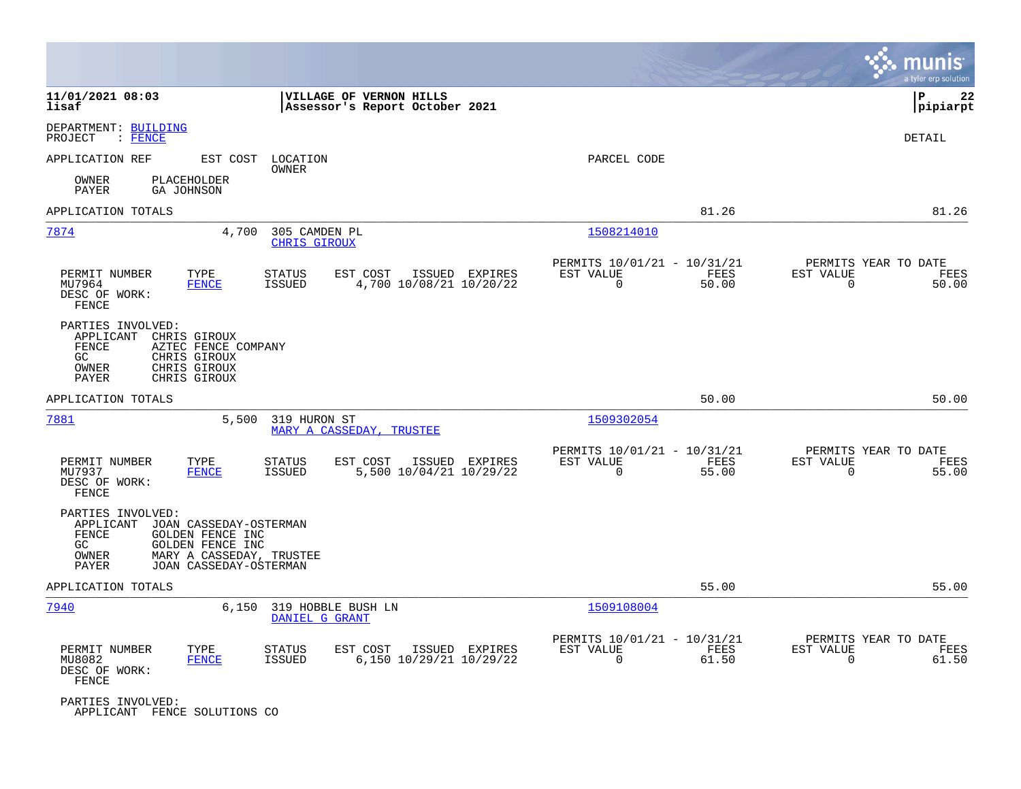|                                                                                                                                 |                                                                              |                                                           |                |                                                         |               |                                                  | munis<br>a tyler erp solution |
|---------------------------------------------------------------------------------------------------------------------------------|------------------------------------------------------------------------------|-----------------------------------------------------------|----------------|---------------------------------------------------------|---------------|--------------------------------------------------|-------------------------------|
| 11/01/2021 08:03<br>lisaf                                                                                                       |                                                                              | VILLAGE OF VERNON HILLS<br>Assessor's Report October 2021 |                |                                                         |               |                                                  | l P<br>22<br> pipiarpt        |
| DEPARTMENT: BUILDING<br>PROJECT<br>: FENCE                                                                                      |                                                                              |                                                           |                |                                                         |               |                                                  | <b>DETAIL</b>                 |
| APPLICATION REF                                                                                                                 | EST COST<br>LOCATION<br>OWNER                                                |                                                           |                | PARCEL CODE                                             |               |                                                  |                               |
| PLACEHOLDER<br>OWNER<br>PAYER<br>GA JOHNSON                                                                                     |                                                                              |                                                           |                |                                                         |               |                                                  |                               |
| APPLICATION TOTALS                                                                                                              |                                                                              |                                                           |                |                                                         | 81.26         |                                                  | 81.26                         |
| 7874                                                                                                                            | 4,700<br>305 CAMDEN PL<br><b>CHRIS GIROUX</b>                                |                                                           |                | 1508214010                                              |               |                                                  |                               |
| PERMIT NUMBER<br>TYPE<br><b>FENCE</b><br>MU7964<br>DESC OF WORK:<br>FENCE                                                       | <b>STATUS</b><br><b>ISSUED</b>                                               | EST COST<br>4,700 10/08/21 10/20/22                       | ISSUED EXPIRES | PERMITS 10/01/21 - 10/31/21<br>EST VALUE<br>0           | FEES<br>50.00 | PERMITS YEAR TO DATE<br>EST VALUE<br>0           | FEES<br>50.00                 |
| PARTIES INVOLVED:<br>CHRIS GIROUX<br>APPLICANT<br>FENCE<br>GC<br>CHRIS GIROUX<br>OWNER<br>CHRIS GIROUX<br>CHRIS GIROUX<br>PAYER | AZTEC FENCE COMPANY                                                          |                                                           |                |                                                         |               |                                                  |                               |
| APPLICATION TOTALS                                                                                                              |                                                                              |                                                           |                |                                                         | 50.00         |                                                  | 50.00                         |
| 7881                                                                                                                            | 5,500<br>319 HURON ST                                                        | MARY A CASSEDAY, TRUSTEE                                  |                | 1509302054                                              |               |                                                  |                               |
| PERMIT NUMBER<br>TYPE<br>MU7937<br><b>FENCE</b><br>DESC OF WORK:<br>FENCE                                                       | <b>STATUS</b><br><b>ISSUED</b>                                               | EST COST<br>5,500 10/04/21 10/29/22                       | ISSUED EXPIRES | PERMITS 10/01/21 - 10/31/21<br>EST VALUE<br>$\Omega$    | FEES<br>55.00 | PERMITS YEAR TO DATE<br>EST VALUE<br>$\Omega$    | FEES<br>55.00                 |
| PARTIES INVOLVED:<br>APPLICANT<br>FENCE<br>GOLDEN FENCE INC<br>GC<br>GOLDEN FENCE INC<br>OWNER<br>PAYER                         | JOAN CASSEDAY-OSTERMAN<br>MARY A CASSEDAY, TRUSTEE<br>JOAN CASSEDAY-OSTERMAN |                                                           |                |                                                         |               |                                                  |                               |
| APPLICATION TOTALS                                                                                                              |                                                                              |                                                           |                |                                                         | 55.00         |                                                  | 55.00                         |
| 7940                                                                                                                            | 6,150<br>319 HOBBLE BUSH LN<br>DANIEL G GRANT                                |                                                           |                | 1509108004                                              |               |                                                  |                               |
| PERMIT NUMBER<br>TYPE<br>MU8082<br><b>FENCE</b><br>DESC OF WORK:<br>FENCE                                                       | STATUS<br>ISSUED                                                             | EST COST<br>6,150 10/29/21 10/29/22                       | ISSUED EXPIRES | PERMITS 10/01/21 - 10/31/21<br>EST VALUE<br>$\mathbf 0$ | FEES<br>61.50 | PERMITS YEAR TO DATE<br>EST VALUE<br>$\mathbf 0$ | FEES<br>61.50                 |
| PARTIES INVOLVED:<br>APPLICANT FENCE SOLUTIONS CO                                                                               |                                                                              |                                                           |                |                                                         |               |                                                  |                               |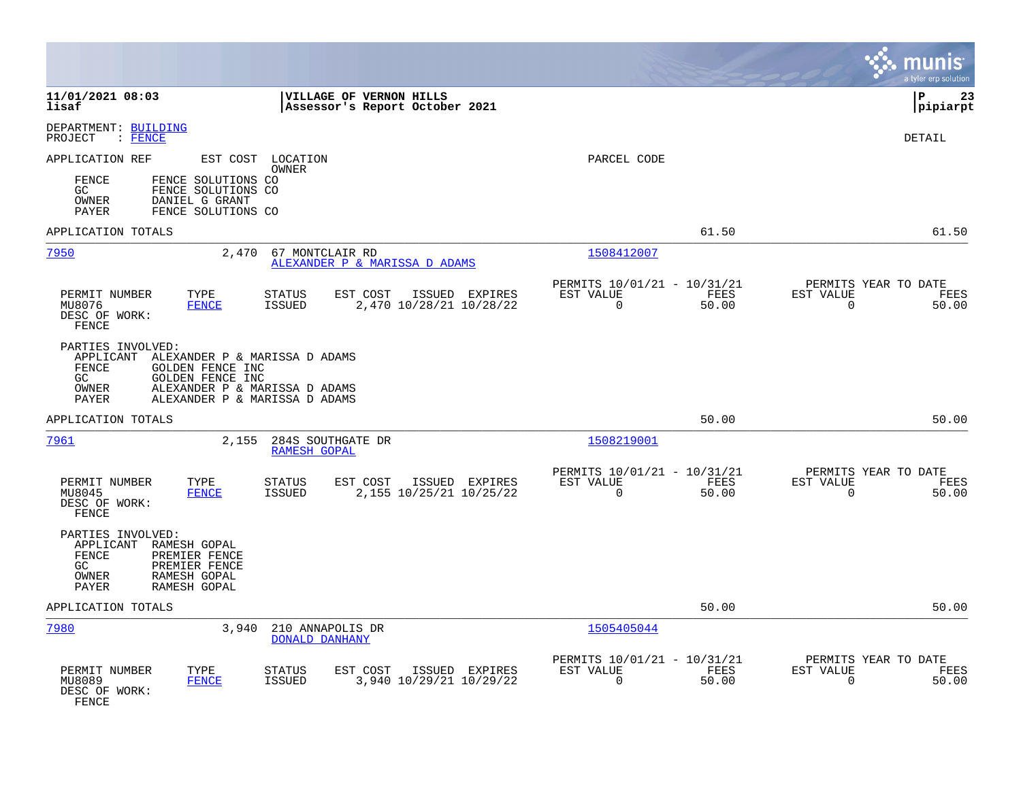|                                                                                                                                                                                                            |                                                                       | munis<br>a tyler erp solution                                     |
|------------------------------------------------------------------------------------------------------------------------------------------------------------------------------------------------------------|-----------------------------------------------------------------------|-------------------------------------------------------------------|
| 11/01/2021 08:03<br>VILLAGE OF VERNON HILLS<br>lisaf<br>Assessor's Report October 2021                                                                                                                     |                                                                       | ΙP<br>23<br> pipiarpt                                             |
| DEPARTMENT: BUILDING<br>PROJECT<br>$\colon$ FENCE                                                                                                                                                          |                                                                       | <b>DETAIL</b>                                                     |
| EST COST LOCATION<br>APPLICATION REF<br>OWNER                                                                                                                                                              | PARCEL CODE                                                           |                                                                   |
| FENCE<br>FENCE SOLUTIONS CO<br>FENCE SOLUTIONS CO<br>GC<br>DANIEL G GRANT<br>OWNER<br>FENCE SOLUTIONS CO<br>PAYER                                                                                          |                                                                       |                                                                   |
| APPLICATION TOTALS                                                                                                                                                                                         | 61.50                                                                 | 61.50                                                             |
| 7950<br>2,470<br>67 MONTCLAIR RD<br>ALEXANDER P & MARISSA D ADAMS                                                                                                                                          | 1508412007                                                            |                                                                   |
| PERMIT NUMBER<br>TYPE<br><b>STATUS</b><br>EST COST<br>ISSUED EXPIRES<br><b>ISSUED</b><br>2,470 10/28/21 10/28/22<br>MU8076<br><b>FENCE</b><br>DESC OF WORK:<br>FENCE                                       | PERMITS 10/01/21 - 10/31/21<br>EST VALUE<br>FEES<br>$\Omega$<br>50.00 | PERMITS YEAR TO DATE<br>EST VALUE<br>FEES<br>$\Omega$<br>50.00    |
| PARTIES INVOLVED:<br>APPLICANT<br>ALEXANDER P & MARISSA D ADAMS<br>FENCE<br>GOLDEN FENCE INC<br>GC<br>GOLDEN FENCE INC<br>ALEXANDER P & MARISSA D ADAMS<br>OWNER<br>ALEXANDER P & MARISSA D ADAMS<br>PAYER |                                                                       |                                                                   |
| APPLICATION TOTALS                                                                                                                                                                                         | 50.00                                                                 | 50.00                                                             |
| 7961<br>2,155<br>284S SOUTHGATE DR<br><b>RAMESH GOPAL</b>                                                                                                                                                  | 1508219001                                                            |                                                                   |
| PERMIT NUMBER<br>TYPE<br><b>STATUS</b><br>EST COST<br>ISSUED EXPIRES<br>2,155 10/25/21 10/25/22<br>MU8045<br><b>FENCE</b><br><b>ISSUED</b><br>DESC OF WORK:<br>FENCE                                       | PERMITS 10/01/21 - 10/31/21<br>EST VALUE<br>FEES<br>$\Omega$<br>50.00 | PERMITS YEAR TO DATE<br>EST VALUE<br>FEES<br>50.00<br>$\Omega$    |
| PARTIES INVOLVED:<br>APPLICANT RAMESH GOPAL<br>FENCE<br>PREMIER FENCE<br>GC.<br>PREMIER FENCE<br>RAMESH GOPAL<br>OWNER<br>RAMESH GOPAL<br>PAYER                                                            |                                                                       |                                                                   |
| APPLICATION TOTALS                                                                                                                                                                                         | 50.00                                                                 | 50.00                                                             |
| 7980<br>3,940<br>210 ANNAPOLIS DR<br><b>DONALD DANHANY</b>                                                                                                                                                 | 1505405044                                                            |                                                                   |
| PERMIT NUMBER<br>TYPE<br>EST COST<br>ISSUED EXPIRES<br><b>STATUS</b><br>MU8089<br><b>ISSUED</b><br>3,940 10/29/21 10/29/22<br><b>FENCE</b><br>DESC OF WORK:<br>FENCE                                       | PERMITS 10/01/21 - 10/31/21<br>EST VALUE<br>FEES<br>0<br>50.00        | PERMITS YEAR TO DATE<br>EST VALUE<br>FEES<br>$\mathbf 0$<br>50.00 |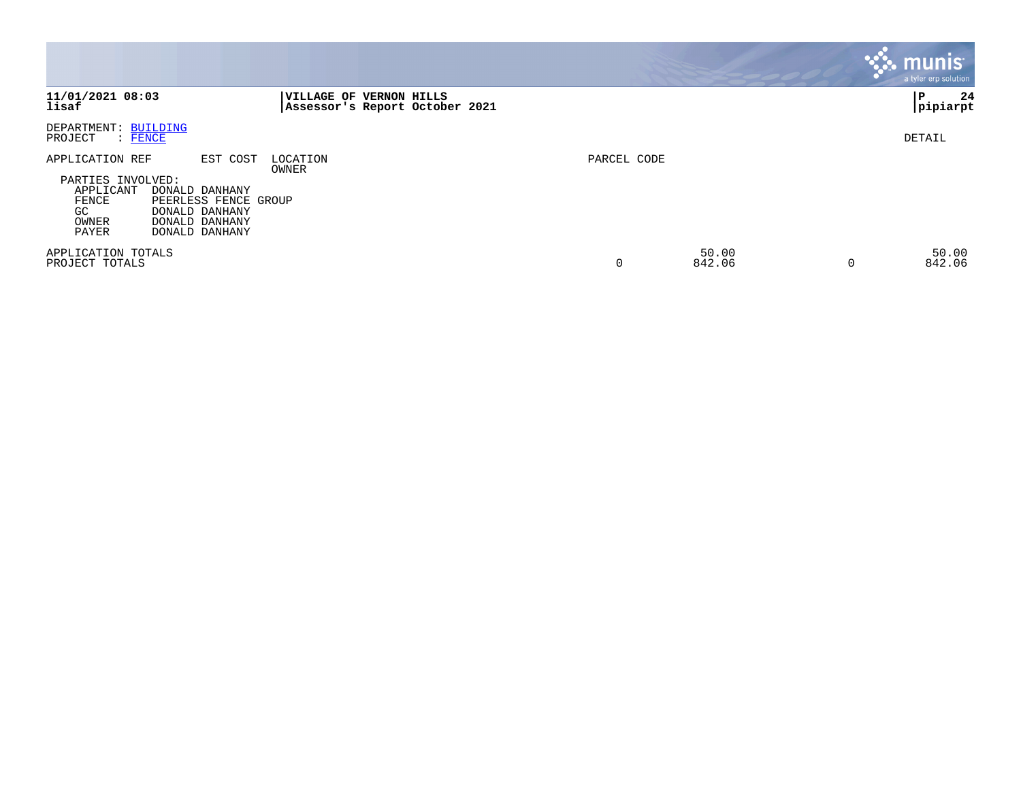|                                                                                     |                                                                                                                               |                      |   | <u>munis l</u><br>a tyler erp solution |
|-------------------------------------------------------------------------------------|-------------------------------------------------------------------------------------------------------------------------------|----------------------|---|----------------------------------------|
| 11/01/2021 08:03<br>lisaf                                                           | <b>VILLAGE OF VERNON HILLS</b><br>Assessor's Report October 2021                                                              |                      |   | 24<br>P<br> pipiarpt                   |
| DEPARTMENT: BUILDING<br>PROJECT<br>$:$ FENCE                                        |                                                                                                                               |                      |   | DETAIL                                 |
| APPLICATION REF<br>PARTIES INVOLVED:<br>APPLICANT<br>FENCE<br>GC.<br>OWNER<br>PAYER | EST COST<br>LOCATION<br>OWNER<br>DONALD DANHANY<br>PEERLESS FENCE GROUP<br>DONALD DANHANY<br>DONALD DANHANY<br>DONALD DANHANY | PARCEL CODE          |   |                                        |
| APPLICATION TOTALS<br>PROJECT TOTALS                                                |                                                                                                                               | 50.00<br>0<br>842.06 | 0 | 50.00<br>842.06                        |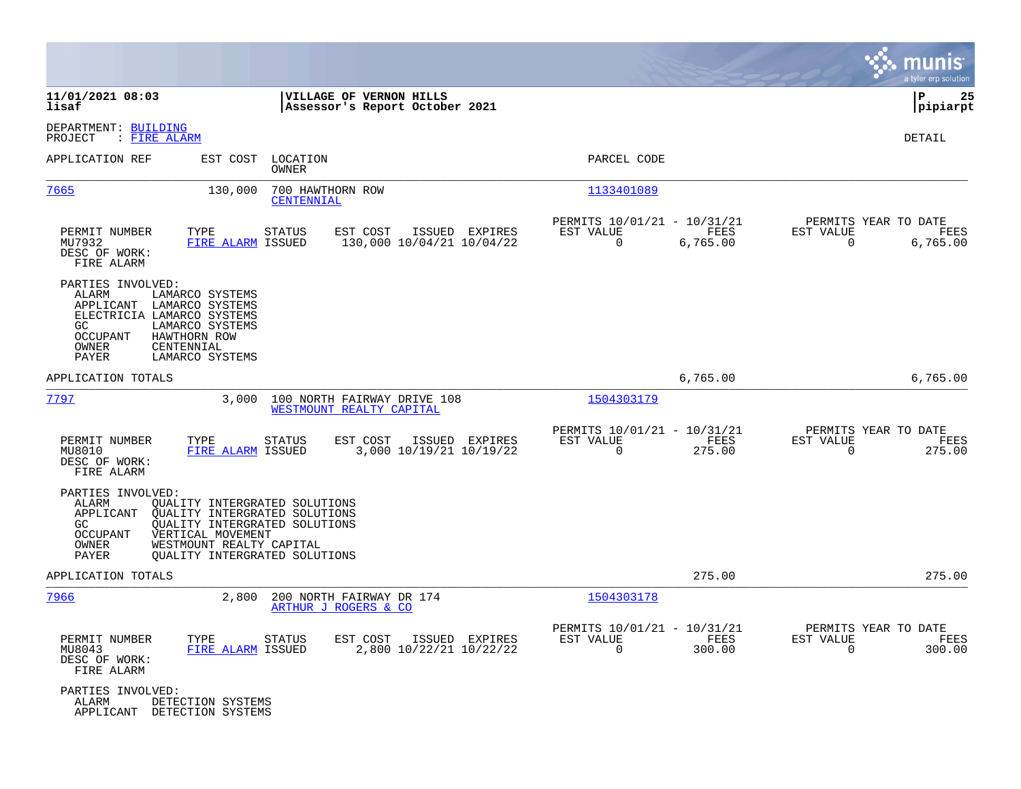|                                                                                                                                                                                                                         |                                                                                                                                  |                                                                           | munis<br>a tyler erp solution                                        |
|-------------------------------------------------------------------------------------------------------------------------------------------------------------------------------------------------------------------------|----------------------------------------------------------------------------------------------------------------------------------|---------------------------------------------------------------------------|----------------------------------------------------------------------|
| 11/01/2021 08:03<br>lisaf                                                                                                                                                                                               | VILLAGE OF VERNON HILLS<br>Assessor's Report October 2021                                                                        |                                                                           | l P<br>25<br> pipiarpt                                               |
| DEPARTMENT: BUILDING<br>: FIRE ALARM<br>PROJECT                                                                                                                                                                         |                                                                                                                                  |                                                                           | DETAIL                                                               |
| APPLICATION REF                                                                                                                                                                                                         | EST COST LOCATION<br>OWNER                                                                                                       | PARCEL CODE                                                               |                                                                      |
| 7665<br>130,000                                                                                                                                                                                                         | 700 HAWTHORN ROW<br>CENTENNIAL                                                                                                   | 1133401089                                                                |                                                                      |
| PERMIT NUMBER<br>TYPE<br>MU7932<br>FIRE ALARM ISSUED<br>DESC OF WORK:<br>FIRE ALARM                                                                                                                                     | <b>STATUS</b><br>EST COST<br>ISSUED EXPIRES<br>130,000 10/04/21 10/04/22                                                         | PERMITS 10/01/21 - 10/31/21<br>EST VALUE<br>FEES<br>$\Omega$<br>6,765.00  | PERMITS YEAR TO DATE<br>EST VALUE<br>FEES<br>$\mathbf 0$<br>6,765.00 |
| PARTIES INVOLVED:<br>ALARM<br>LAMARCO SYSTEMS<br>APPLICANT LAMARCO SYSTEMS<br>ELECTRICIA LAMARCO SYSTEMS<br>GC<br>LAMARCO SYSTEMS<br><b>OCCUPANT</b><br>HAWTHORN ROW<br>OWNER<br>CENTENNIAL<br>PAYER<br>LAMARCO SYSTEMS |                                                                                                                                  |                                                                           |                                                                      |
| APPLICATION TOTALS                                                                                                                                                                                                      |                                                                                                                                  | 6,765.00                                                                  | 6,765.00                                                             |
| 7797<br>3,000                                                                                                                                                                                                           | 100 NORTH FAIRWAY DRIVE 108<br>WESTMOUNT REALTY CAPITAL                                                                          | 1504303179                                                                |                                                                      |
| TYPE<br>PERMIT NUMBER<br>FIRE ALARM ISSUED<br>MU8010<br>DESC OF WORK:<br>FIRE ALARM                                                                                                                                     | EST COST<br>ISSUED EXPIRES<br>STATUS<br>3,000 10/19/21 10/19/22                                                                  | PERMITS 10/01/21 - 10/31/21<br>EST VALUE<br>FEES<br>$\mathbf 0$<br>275.00 | PERMITS YEAR TO DATE<br>EST VALUE<br>FEES<br>$\mathbf 0$<br>275.00   |
| PARTIES INVOLVED:<br>ALARM<br>APPLICANT<br>GC.<br>OCCUPANT<br>VERTICAL MOVEMENT<br>OWNER<br>WESTMOUNT REALTY CAPITAL<br>PAYER                                                                                           | QUALITY INTERGRATED SOLUTIONS<br>QUALITY INTERGRATED SOLUTIONS<br>QUALITY INTERGRATED SOLUTIONS<br>QUALITY INTERGRATED SOLUTIONS |                                                                           |                                                                      |
| APPLICATION TOTALS                                                                                                                                                                                                      |                                                                                                                                  | 275.00                                                                    | 275.00                                                               |
| 7966<br>2,800                                                                                                                                                                                                           | 200 NORTH FAIRWAY DR 174<br>ARTHUR J ROGERS & CO                                                                                 | 1504303178                                                                |                                                                      |
| PERMIT NUMBER<br>TYPE<br>MU8043<br>FIRE ALARM ISSUED<br>DESC OF WORK:<br>FIRE ALARM                                                                                                                                     | STATUS<br>EST COST<br>ISSUED EXPIRES<br>2,800 10/22/21 10/22/22                                                                  | PERMITS 10/01/21 - 10/31/21<br>EST VALUE<br>FEES<br>$\mathbf 0$<br>300.00 | PERMITS YEAR TO DATE<br>EST VALUE<br>FEES<br>$\Omega$<br>300.00      |
| PARTIES INVOLVED:<br>ALARM<br>DETECTION SYSTEMS<br>APPLICANT DETECTION SYSTEMS                                                                                                                                          |                                                                                                                                  |                                                                           |                                                                      |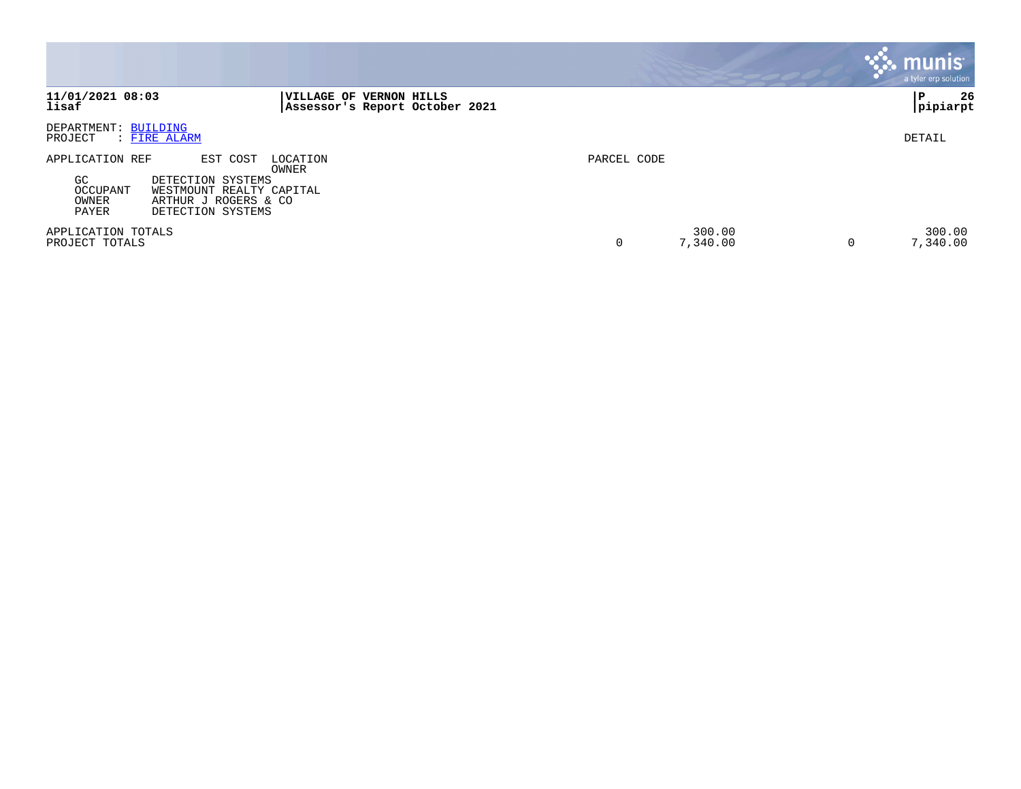|                                                                                                                                                               |                                                           |             |                         | munis <sup>®</sup><br>a tyler erp solution |
|---------------------------------------------------------------------------------------------------------------------------------------------------------------|-----------------------------------------------------------|-------------|-------------------------|--------------------------------------------|
| 11/01/2021 08:03<br>lisaf                                                                                                                                     | VILLAGE OF VERNON HILLS<br>Assessor's Report October 2021 |             |                         | 26<br>P<br> pipiarpt                       |
| DEPARTMENT: BUILDING<br>PROJECT<br>: FIRE ALARM                                                                                                               |                                                           |             |                         | DETAIL                                     |
| APPLICATION REF<br>EST COST<br>GC<br>DETECTION SYSTEMS<br>OCCUPANT<br>WESTMOUNT REALTY CAPITAL<br>OWNER<br>ARTHUR J ROGERS & CO<br>PAYER<br>DETECTION SYSTEMS | LOCATION<br>OWNER                                         | PARCEL CODE |                         |                                            |
| APPLICATION TOTALS<br>PROJECT TOTALS                                                                                                                          |                                                           | 0           | 300.00<br>7,340.00<br>0 | 300.00<br>7,340.00                         |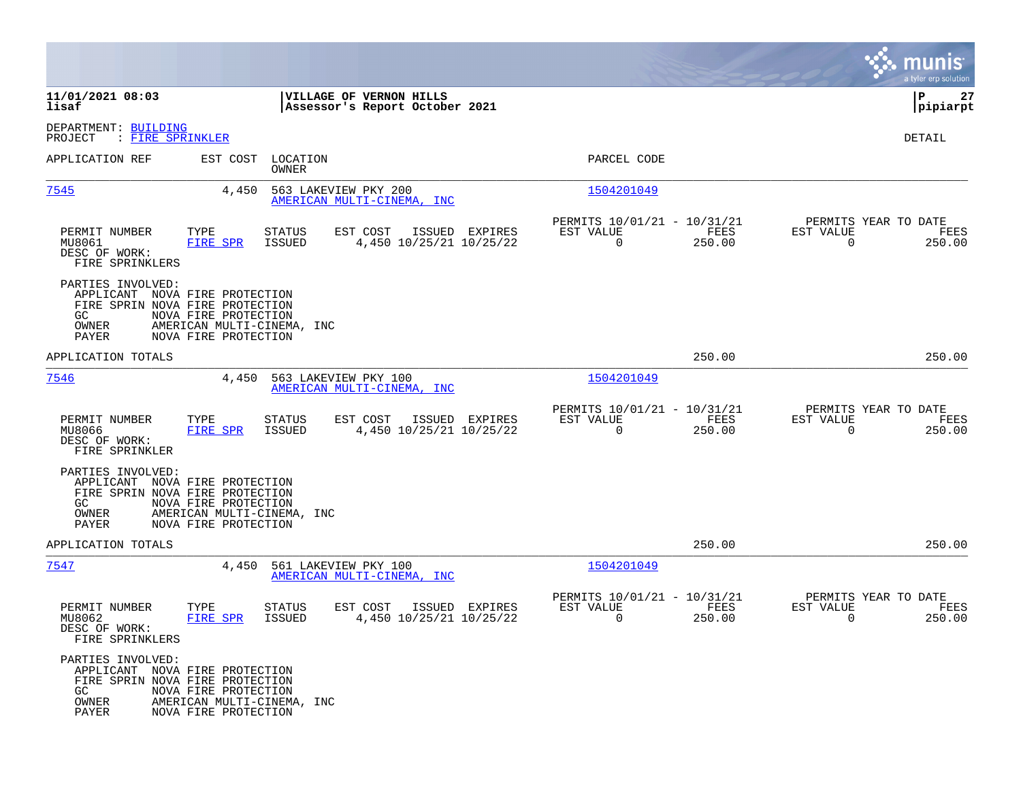|                                                                                                                 |                                                                            |                         |                                                           |                |                                                         |                |                                                  | munis<br>a tyler erp solution |
|-----------------------------------------------------------------------------------------------------------------|----------------------------------------------------------------------------|-------------------------|-----------------------------------------------------------|----------------|---------------------------------------------------------|----------------|--------------------------------------------------|-------------------------------|
| 11/01/2021 08:03<br>lisaf                                                                                       |                                                                            |                         | VILLAGE OF VERNON HILLS<br>Assessor's Report October 2021 |                |                                                         |                |                                                  | P<br>27<br> pipiarpt          |
| DEPARTMENT: BUILDING<br>PROJECT<br>: FIRE SPRINKLER                                                             |                                                                            |                         |                                                           |                |                                                         |                |                                                  | DETAIL                        |
| APPLICATION REF                                                                                                 | EST COST                                                                   | LOCATION<br>OWNER       |                                                           |                | PARCEL CODE                                             |                |                                                  |                               |
| 7545                                                                                                            | 4,450                                                                      | 563 LAKEVIEW PKY 200    | AMERICAN MULTI-CINEMA, INC                                |                | 1504201049                                              |                |                                                  |                               |
| PERMIT NUMBER<br>MU8061<br>DESC OF WORK:<br>FIRE SPRINKLERS                                                     | TYPE<br>FIRE SPR                                                           | STATUS<br>ISSUED        | EST COST<br>4,450 10/25/21 10/25/22                       | ISSUED EXPIRES | PERMITS 10/01/21 - 10/31/21<br>EST VALUE<br>$\mathbf 0$ | FEES<br>250.00 | PERMITS YEAR TO DATE<br>EST VALUE<br>$\Omega$    | FEES<br>250.00                |
| PARTIES INVOLVED:<br>APPLICANT NOVA FIRE PROTECTION<br>FIRE SPRIN NOVA FIRE PROTECTION<br>GC.<br>OWNER<br>PAYER | NOVA FIRE PROTECTION<br>AMERICAN MULTI-CINEMA, INC<br>NOVA FIRE PROTECTION |                         |                                                           |                |                                                         |                |                                                  |                               |
| APPLICATION TOTALS                                                                                              |                                                                            |                         |                                                           |                |                                                         | 250.00         |                                                  | 250.00                        |
| 7546                                                                                                            | 4,450                                                                      | 563 LAKEVIEW PKY 100    | AMERICAN MULTI-CINEMA, INC                                |                | 1504201049                                              |                |                                                  |                               |
| PERMIT NUMBER<br>MU8066<br>DESC OF WORK:<br>FIRE SPRINKLER                                                      | TYPE<br>FIRE SPR                                                           | <b>STATUS</b><br>ISSUED | EST COST<br>4,450 10/25/21 10/25/22                       | ISSUED EXPIRES | PERMITS 10/01/21 - 10/31/21<br>EST VALUE<br>$\mathbf 0$ | FEES<br>250.00 | PERMITS YEAR TO DATE<br>EST VALUE<br>$\mathbf 0$ | FEES<br>250.00                |
| PARTIES INVOLVED:<br>APPLICANT NOVA FIRE PROTECTION<br>FIRE SPRIN NOVA FIRE PROTECTION<br>GC.<br>OWNER<br>PAYER | NOVA FIRE PROTECTION<br>AMERICAN MULTI-CINEMA, INC<br>NOVA FIRE PROTECTION |                         |                                                           |                |                                                         |                |                                                  |                               |
| APPLICATION TOTALS                                                                                              |                                                                            |                         |                                                           |                |                                                         | 250.00         |                                                  | 250.00                        |
| 7547                                                                                                            | 4,450                                                                      | 561 LAKEVIEW PKY 100    | AMERICAN MULTI-CINEMA, INC                                |                | 1504201049                                              |                |                                                  |                               |
| PERMIT NUMBER<br>MU8062<br>DESC OF WORK:<br>FIRE SPRINKLERS                                                     | TYPE<br>FIRE SPR                                                           | STATUS<br>ISSUED        | EST COST<br>4,450 10/25/21 10/25/22                       | ISSUED EXPIRES | PERMITS 10/01/21 - 10/31/21<br>EST VALUE<br>0           | FEES<br>250.00 | PERMITS YEAR TO DATE<br>EST VALUE<br>0           | FEES<br>250.00                |
| PARTIES INVOLVED:<br>APPLICANT NOVA FIRE PROTECTION<br>FIRE SPRIN NOVA FIRE PROTECTION<br>GC<br>OWNER<br>PAYER  | NOVA FIRE PROTECTION<br>AMERICAN MULTI-CINEMA, INC<br>NOVA FIRE PROTECTION |                         |                                                           |                |                                                         |                |                                                  |                               |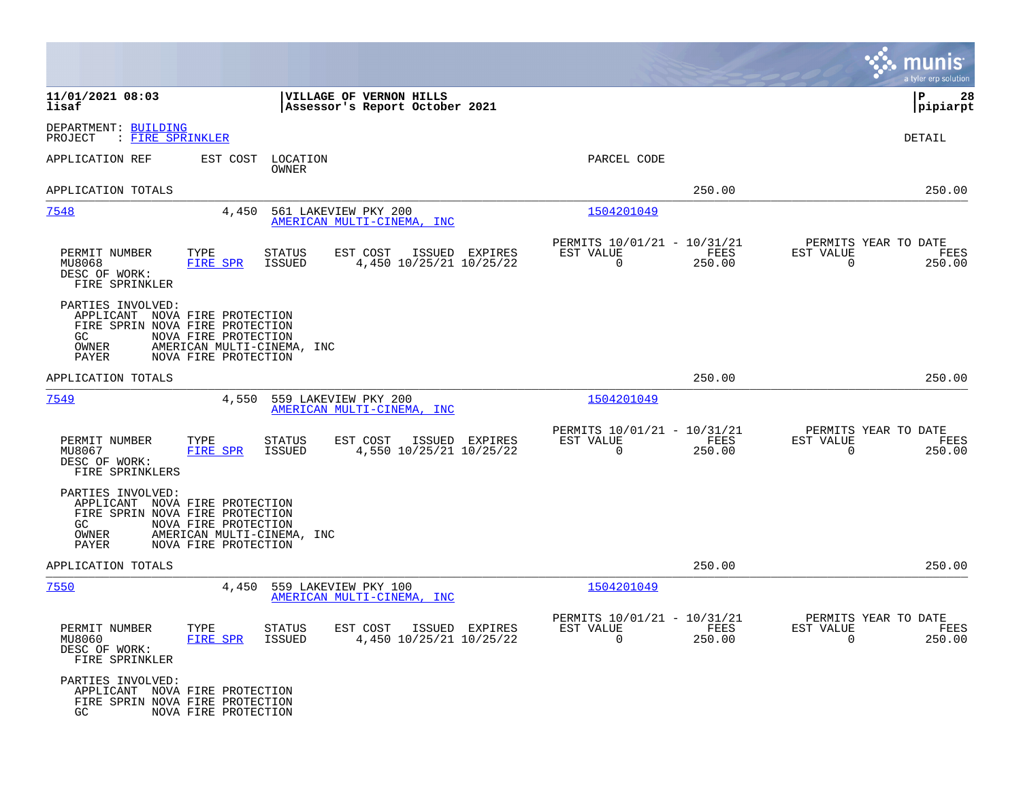|                                                             |                                                                                                                                                 |                                                                              | munis<br>a tyler erp solution                                      |
|-------------------------------------------------------------|-------------------------------------------------------------------------------------------------------------------------------------------------|------------------------------------------------------------------------------|--------------------------------------------------------------------|
| 11/01/2021 08:03<br>lisaf                                   | VILLAGE OF VERNON HILLS<br>Assessor's Report October 2021                                                                                       |                                                                              | l P<br>28<br> pipiarpt                                             |
| DEPARTMENT: BUILDING<br>: FIRE SPRINKLER<br>PROJECT         |                                                                                                                                                 |                                                                              | DETAIL                                                             |
| APPLICATION REF                                             | EST COST<br>LOCATION<br>OWNER                                                                                                                   | PARCEL CODE                                                                  |                                                                    |
| APPLICATION TOTALS                                          |                                                                                                                                                 | 250.00                                                                       | 250.00                                                             |
| 7548                                                        | 4,450<br>561 LAKEVIEW PKY 200<br>AMERICAN MULTI-CINEMA, INC                                                                                     | 1504201049                                                                   |                                                                    |
| PERMIT NUMBER<br>MU8068<br>DESC OF WORK:<br>FIRE SPRINKLER  | TYPE<br>STATUS<br>EST COST<br>ISSUED EXPIRES<br><b>FIRE SPR</b><br>4,450 10/25/21 10/25/22<br><b>ISSUED</b>                                     | PERMITS 10/01/21 - 10/31/21<br>FEES<br>EST VALUE<br>$\Omega$<br>250.00       | PERMITS YEAR TO DATE<br>EST VALUE<br>FEES<br>$\Omega$<br>250.00    |
| PARTIES INVOLVED:<br>GC.<br>OWNER<br>PAYER                  | APPLICANT NOVA FIRE PROTECTION<br>FIRE SPRIN NOVA FIRE PROTECTION<br>NOVA FIRE PROTECTION<br>AMERICAN MULTI-CINEMA, INC<br>NOVA FIRE PROTECTION |                                                                              |                                                                    |
| APPLICATION TOTALS                                          |                                                                                                                                                 | 250.00                                                                       | 250.00                                                             |
| 7549                                                        | 4,550<br>559 LAKEVIEW PKY 200<br>AMERICAN MULTI-CINEMA, INC                                                                                     | 1504201049                                                                   |                                                                    |
| PERMIT NUMBER<br>MU8067<br>DESC OF WORK:<br>FIRE SPRINKLERS | TYPE<br><b>STATUS</b><br>EST COST<br>ISSUED EXPIRES<br><b>FIRE SPR</b><br>4,550 10/25/21 10/25/22<br>ISSUED                                     | PERMITS 10/01/21 - 10/31/21<br>EST VALUE<br>FEES<br>$\overline{0}$<br>250.00 | PERMITS YEAR TO DATE<br>EST VALUE<br>FEES<br>$\mathbf 0$<br>250.00 |
| PARTIES INVOLVED:<br>GC.<br>OWNER<br>PAYER                  | APPLICANT NOVA FIRE PROTECTION<br>FIRE SPRIN NOVA FIRE PROTECTION<br>NOVA FIRE PROTECTION<br>AMERICAN MULTI-CINEMA, INC<br>NOVA FIRE PROTECTION |                                                                              |                                                                    |
| APPLICATION TOTALS                                          |                                                                                                                                                 | 250.00                                                                       | 250.00                                                             |
| 7550                                                        | 4,450<br>559 LAKEVIEW PKY 100<br>AMERICAN MULTI-CINEMA, INC                                                                                     | 1504201049                                                                   |                                                                    |
| PERMIT NUMBER<br>MU8060<br>DESC OF WORK:<br>FIRE SPRINKLER  | EST COST<br>TYPE<br>STATUS<br>ISSUED EXPIRES<br>FIRE SPR<br><b>ISSUED</b><br>4,450 10/25/21 10/25/22                                            | PERMITS 10/01/21 - 10/31/21<br>EST VALUE<br>FEES<br>$\mathbf 0$<br>250.00    | PERMITS YEAR TO DATE<br>EST VALUE<br>FEES<br>$\mathbf 0$<br>250.00 |
| PARTIES INVOLVED:<br>GC                                     | APPLICANT NOVA FIRE PROTECTION<br>FIRE SPRIN NOVA FIRE PROTECTION<br>NOVA FIRE PROTECTION                                                       |                                                                              |                                                                    |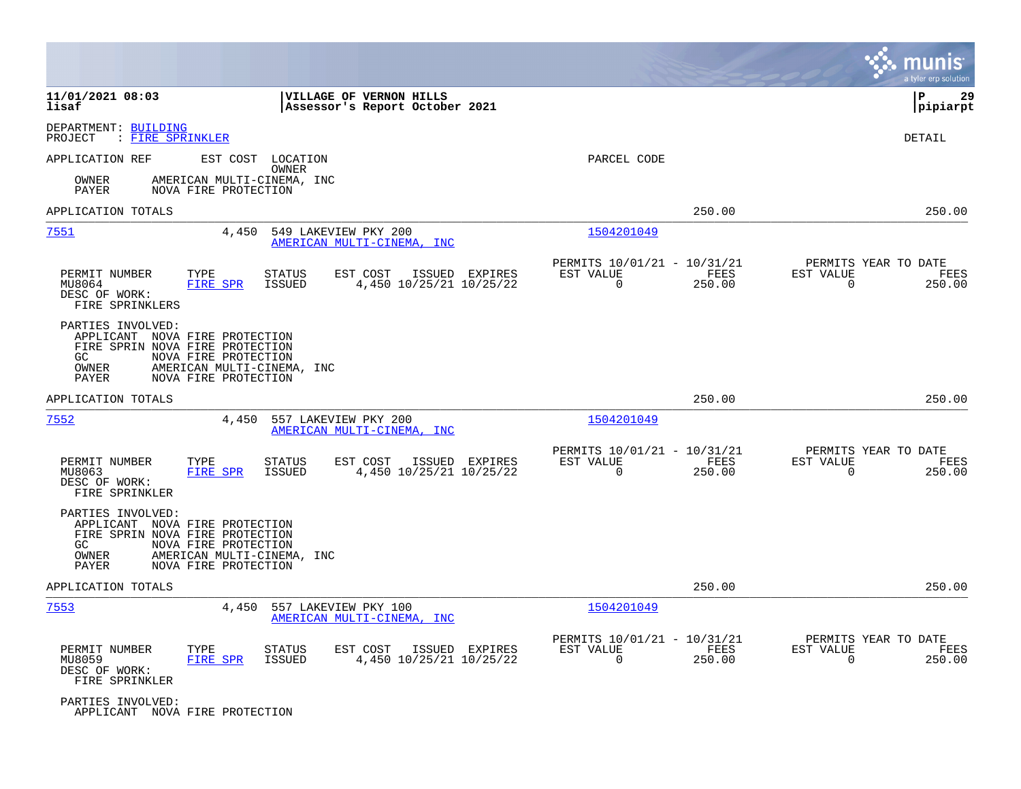|                                                                                                                 |                                                                            |                                           |                                                                           | munis<br>a tyler erp solution                                      |
|-----------------------------------------------------------------------------------------------------------------|----------------------------------------------------------------------------|-------------------------------------------|---------------------------------------------------------------------------|--------------------------------------------------------------------|
| 11/01/2021 08:03<br>lisaf                                                                                       | VILLAGE OF VERNON HILLS<br>Assessor's Report October 2021                  |                                           |                                                                           | l P<br>29<br> pipiarpt                                             |
| DEPARTMENT: BUILDING<br>: FIRE SPRINKLER<br>PROJECT                                                             |                                                                            |                                           |                                                                           | DETAIL                                                             |
| APPLICATION REF                                                                                                 | EST COST LOCATION                                                          |                                           | PARCEL CODE                                                               |                                                                    |
| OWNER<br>PAYER                                                                                                  | OWNER<br>AMERICAN MULTI-CINEMA, INC<br>NOVA FIRE PROTECTION                |                                           |                                                                           |                                                                    |
| APPLICATION TOTALS                                                                                              |                                                                            |                                           | 250.00                                                                    | 250.00                                                             |
| 7551                                                                                                            | 4,450<br>549 LAKEVIEW PKY 200<br>AMERICAN MULTI-CINEMA, INC                |                                           | 1504201049                                                                |                                                                    |
| PERMIT NUMBER<br>MU8064<br>DESC OF WORK:<br>FIRE SPRINKLERS                                                     | TYPE<br><b>STATUS</b><br>EST COST<br>FIRE SPR<br><b>ISSUED</b>             | ISSUED EXPIRES<br>4,450 10/25/21 10/25/22 | PERMITS 10/01/21 - 10/31/21<br>EST VALUE<br>FEES<br>$\mathbf 0$<br>250.00 | PERMITS YEAR TO DATE<br>EST VALUE<br>FEES<br>$\mathbf 0$<br>250.00 |
| PARTIES INVOLVED:<br>APPLICANT NOVA FIRE PROTECTION<br>FIRE SPRIN NOVA FIRE PROTECTION<br>GC<br>OWNER<br>PAYER  | NOVA FIRE PROTECTION<br>AMERICAN MULTI-CINEMA, INC<br>NOVA FIRE PROTECTION |                                           |                                                                           |                                                                    |
| APPLICATION TOTALS                                                                                              |                                                                            |                                           | 250.00                                                                    | 250.00                                                             |
| 7552                                                                                                            | 4,450<br>557 LAKEVIEW PKY 200<br>AMERICAN MULTI-CINEMA, INC                |                                           | 1504201049                                                                |                                                                    |
| PERMIT NUMBER<br>MU8063<br>DESC OF WORK:<br>FIRE SPRINKLER                                                      | TYPE<br><b>STATUS</b><br>EST COST<br>FIRE SPR<br>ISSUED                    | ISSUED EXPIRES<br>4,450 10/25/21 10/25/22 | PERMITS 10/01/21 - 10/31/21<br>EST VALUE<br>FEES<br>0<br>250.00           | PERMITS YEAR TO DATE<br>EST VALUE<br>FEES<br>0<br>250.00           |
| PARTIES INVOLVED:<br>APPLICANT NOVA FIRE PROTECTION<br>FIRE SPRIN NOVA FIRE PROTECTION<br>GC.<br>OWNER<br>PAYER | NOVA FIRE PROTECTION<br>AMERICAN MULTI-CINEMA, INC<br>NOVA FIRE PROTECTION |                                           |                                                                           |                                                                    |
| APPLICATION TOTALS                                                                                              |                                                                            |                                           | 250.00                                                                    | 250.00                                                             |
| 7553                                                                                                            | 4,450<br>557 LAKEVIEW PKY 100<br>AMERICAN MULTI-CINEMA, INC                |                                           | 1504201049                                                                |                                                                    |
| PERMIT NUMBER<br>MU8059<br>DESC OF WORK:<br>FIRE SPRINKLER                                                      | TYPE<br><b>STATUS</b><br>EST COST<br>FIRE SPR<br><b>ISSUED</b>             | ISSUED EXPIRES<br>4,450 10/25/21 10/25/22 | PERMITS 10/01/21 - 10/31/21<br>EST VALUE<br>FEES<br>$\mathbf 0$<br>250.00 | PERMITS YEAR TO DATE<br>EST VALUE<br>FEES<br>$\mathbf 0$<br>250.00 |
| PARTIES INVOLVED:<br>APPLICANT NOVA FIRE PROTECTION                                                             |                                                                            |                                           |                                                                           |                                                                    |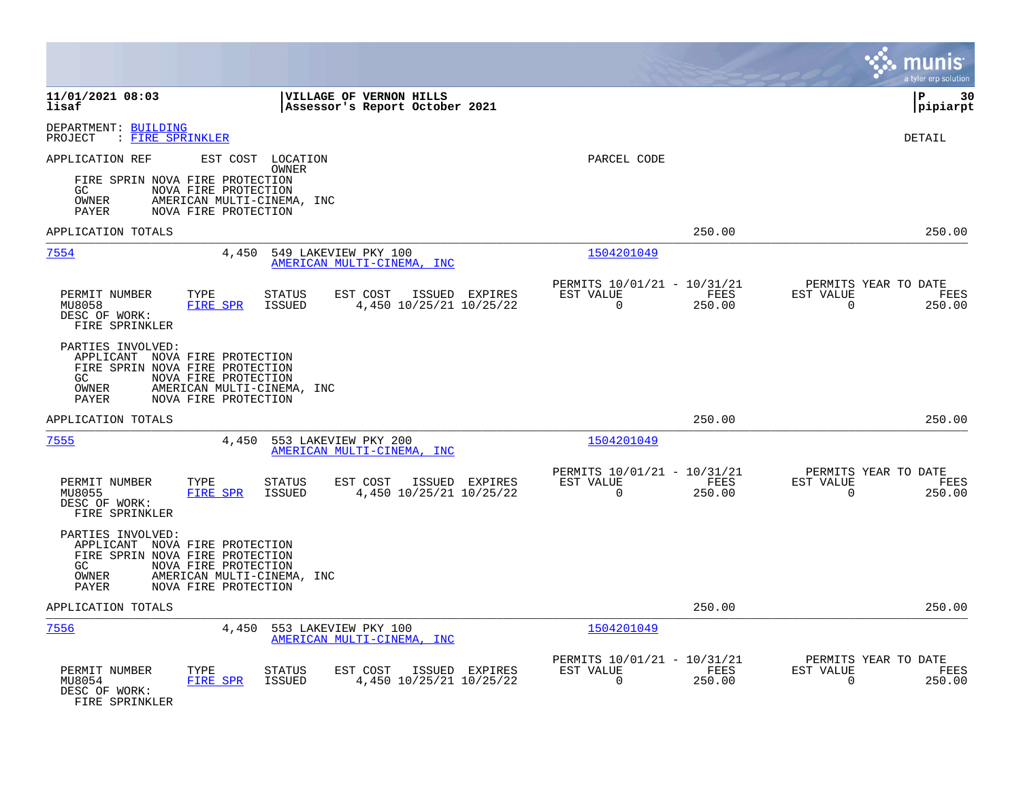|                                                            |                                                                                                                                                 |                                                                           | munis<br>a tyler erp solution                                         |
|------------------------------------------------------------|-------------------------------------------------------------------------------------------------------------------------------------------------|---------------------------------------------------------------------------|-----------------------------------------------------------------------|
| 11/01/2021 08:03<br>lisaf                                  | VILLAGE OF VERNON HILLS<br>Assessor's Report October 2021                                                                                       |                                                                           | l P<br>30<br> pipiarpt                                                |
| DEPARTMENT: BUILDING<br>PROJECT<br>: FIRE SPRINKLER        |                                                                                                                                                 |                                                                           | DETAIL                                                                |
| APPLICATION REF<br>GC<br>OWNER<br>PAYER                    | EST COST LOCATION<br>OWNER<br>FIRE SPRIN NOVA FIRE PROTECTION<br>NOVA FIRE PROTECTION<br>AMERICAN MULTI-CINEMA, INC<br>NOVA FIRE PROTECTION     | PARCEL CODE                                                               |                                                                       |
| APPLICATION TOTALS                                         |                                                                                                                                                 | 250.00                                                                    | 250.00                                                                |
| 7554                                                       | 4,450<br>549 LAKEVIEW PKY 100<br>AMERICAN MULTI-CINEMA, INC                                                                                     | 1504201049                                                                |                                                                       |
| PERMIT NUMBER<br>MU8058<br>DESC OF WORK:<br>FIRE SPRINKLER | TYPE<br><b>STATUS</b><br>EST COST<br>ISSUED EXPIRES<br><b>FIRE SPR</b><br>4,450 10/25/21 10/25/22<br>ISSUED                                     | PERMITS 10/01/21 - 10/31/21<br>EST VALUE<br>FEES<br>$\mathbf 0$<br>250.00 | PERMITS YEAR TO DATE<br>EST VALUE<br>FEES<br>$\overline{0}$<br>250.00 |
| PARTIES INVOLVED:<br>GC<br>OWNER<br>PAYER                  | APPLICANT NOVA FIRE PROTECTION<br>FIRE SPRIN NOVA FIRE PROTECTION<br>NOVA FIRE PROTECTION<br>AMERICAN MULTI-CINEMA, INC<br>NOVA FIRE PROTECTION |                                                                           |                                                                       |
| APPLICATION TOTALS                                         |                                                                                                                                                 | 250.00                                                                    | 250.00                                                                |
| 7555                                                       | 553 LAKEVIEW PKY 200<br>4,450<br>AMERICAN MULTI-CINEMA, INC                                                                                     | 1504201049                                                                |                                                                       |
| PERMIT NUMBER<br>MU8055<br>DESC OF WORK:<br>FIRE SPRINKLER | TYPE<br><b>STATUS</b><br>EST COST<br>ISSUED EXPIRES<br>4,450 10/25/21 10/25/22<br><b>FIRE SPR</b><br>ISSUED                                     | PERMITS 10/01/21 - 10/31/21<br>EST VALUE<br>FEES<br>$\mathbf 0$<br>250.00 | PERMITS YEAR TO DATE<br>EST VALUE<br>FEES<br>$\mathbf 0$<br>250.00    |
| PARTIES INVOLVED:<br>GC<br>OWNER<br>PAYER                  | APPLICANT NOVA FIRE PROTECTION<br>FIRE SPRIN NOVA FIRE PROTECTION<br>NOVA FIRE PROTECTION<br>AMERICAN MULTI-CINEMA, INC<br>NOVA FIRE PROTECTION |                                                                           |                                                                       |
| APPLICATION TOTALS                                         |                                                                                                                                                 | 250.00                                                                    | 250.00                                                                |
| 7556                                                       | 4,450 553 LAKEVIEW PKY 100<br>AMERICAN MULTI-CINEMA, INC                                                                                        | 1504201049                                                                |                                                                       |
| PERMIT NUMBER<br>MU8054<br>DESC OF WORK:<br>FIRE SPRINKLER | TYPE<br>EST COST<br>ISSUED EXPIRES<br>STATUS<br>4,450 10/25/21 10/25/22<br>FIRE SPR<br><b>ISSUED</b>                                            | PERMITS 10/01/21 - 10/31/21<br>EST VALUE<br>FEES<br>$\Omega$<br>250.00    | PERMITS YEAR TO DATE<br>EST VALUE<br>FEES<br>250.00<br>$\mathbf 0$    |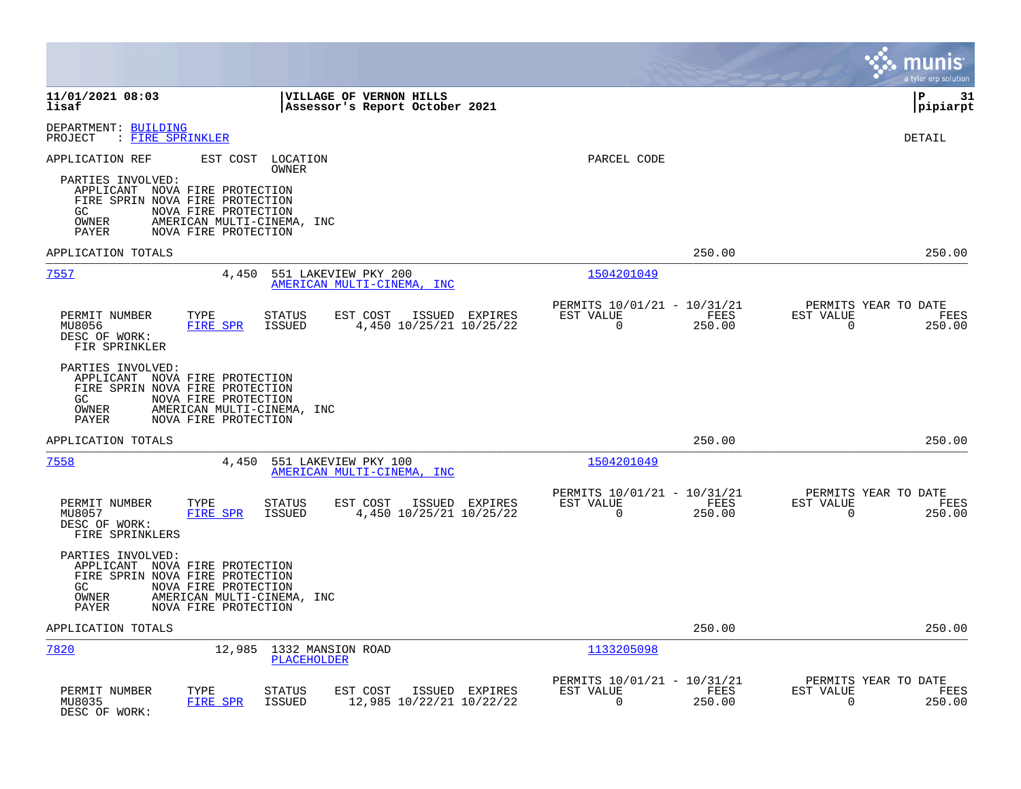|                                                             |                                                                                                                                                 |                                                                  |                                                      |                |                          | munis<br>a tyler erp solution          |
|-------------------------------------------------------------|-------------------------------------------------------------------------------------------------------------------------------------------------|------------------------------------------------------------------|------------------------------------------------------|----------------|--------------------------|----------------------------------------|
| 11/01/2021 08:03<br>lisaf                                   |                                                                                                                                                 | <b>VILLAGE OF VERNON HILLS</b><br>Assessor's Report October 2021 |                                                      |                |                          | l P<br>-31<br> pipiarpt                |
| DEPARTMENT: BUILDING<br>PROJECT<br>: FIRE SPRINKLER         |                                                                                                                                                 |                                                                  |                                                      |                |                          | DETAIL                                 |
| APPLICATION REF                                             | EST COST<br>LOCATION<br>OWNER                                                                                                                   |                                                                  | PARCEL CODE                                          |                |                          |                                        |
| PARTIES INVOLVED:<br>GC<br>OWNER<br>PAYER                   | APPLICANT NOVA FIRE PROTECTION<br>FIRE SPRIN NOVA FIRE PROTECTION<br>NOVA FIRE PROTECTION<br>AMERICAN MULTI-CINEMA, INC<br>NOVA FIRE PROTECTION |                                                                  |                                                      |                |                          |                                        |
| APPLICATION TOTALS                                          |                                                                                                                                                 |                                                                  |                                                      | 250.00         |                          | 250.00                                 |
| 7557                                                        | 4,450                                                                                                                                           | 551 LAKEVIEW PKY 200<br>AMERICAN MULTI-CINEMA, INC               | 1504201049                                           |                |                          |                                        |
| PERMIT NUMBER<br>MU8056<br>DESC OF WORK:<br>FIR SPRINKLER   | TYPE<br><b>STATUS</b><br><b>ISSUED</b><br><b>FIRE SPR</b>                                                                                       | EST COST<br>ISSUED EXPIRES<br>4,450 10/25/21 10/25/22            | PERMITS 10/01/21 - 10/31/21<br>EST VALUE<br>$\Omega$ | FEES<br>250.00 | EST VALUE<br>$\Omega$    | PERMITS YEAR TO DATE<br>FEES<br>250.00 |
| PARTIES INVOLVED:<br>GC.<br>OWNER<br>PAYER                  | APPLICANT NOVA FIRE PROTECTION<br>FIRE SPRIN NOVA FIRE PROTECTION<br>NOVA FIRE PROTECTION<br>AMERICAN MULTI-CINEMA, INC<br>NOVA FIRE PROTECTION |                                                                  |                                                      |                |                          |                                        |
| APPLICATION TOTALS                                          |                                                                                                                                                 |                                                                  |                                                      | 250.00         |                          | 250.00                                 |
| 7558                                                        | 4,450                                                                                                                                           | 551 LAKEVIEW PKY 100<br>AMERICAN MULTI-CINEMA, INC               | 1504201049                                           |                |                          |                                        |
| PERMIT NUMBER<br>MU8057<br>DESC OF WORK:<br>FIRE SPRINKLERS | TYPE<br><b>STATUS</b><br>FIRE SPR<br><b>ISSUED</b>                                                                                              | EST COST<br>ISSUED EXPIRES<br>4,450 10/25/21 10/25/22            | PERMITS 10/01/21 - 10/31/21<br>EST VALUE<br>$\Omega$ | FEES<br>250.00 | EST VALUE<br>$\mathbf 0$ | PERMITS YEAR TO DATE<br>FEES<br>250.00 |
| PARTIES INVOLVED:<br>GC<br>OWNER<br>PAYER                   | APPLICANT NOVA FIRE PROTECTION<br>FIRE SPRIN NOVA FIRE PROTECTION<br>NOVA FIRE PROTECTION<br>AMERICAN MULTI-CINEMA, INC<br>NOVA FIRE PROTECTION |                                                                  |                                                      |                |                          |                                        |
| APPLICATION TOTALS                                          |                                                                                                                                                 |                                                                  |                                                      | 250.00         |                          | 250.00                                 |
| 7820                                                        | 12,985 1332 MANSION ROAD<br><b>PLACEHOLDER</b>                                                                                                  |                                                                  | 1133205098                                           |                |                          |                                        |
| PERMIT NUMBER<br>MU8035<br>DESC OF WORK:                    | TYPE<br><b>STATUS</b><br><b>FIRE SPR</b><br><b>ISSUED</b>                                                                                       | EST COST<br>ISSUED EXPIRES<br>12,985 10/22/21 10/22/22           | PERMITS 10/01/21 - 10/31/21<br>EST VALUE<br>0        | FEES<br>250.00 | EST VALUE<br>$\mathbf 0$ | PERMITS YEAR TO DATE<br>FEES<br>250.00 |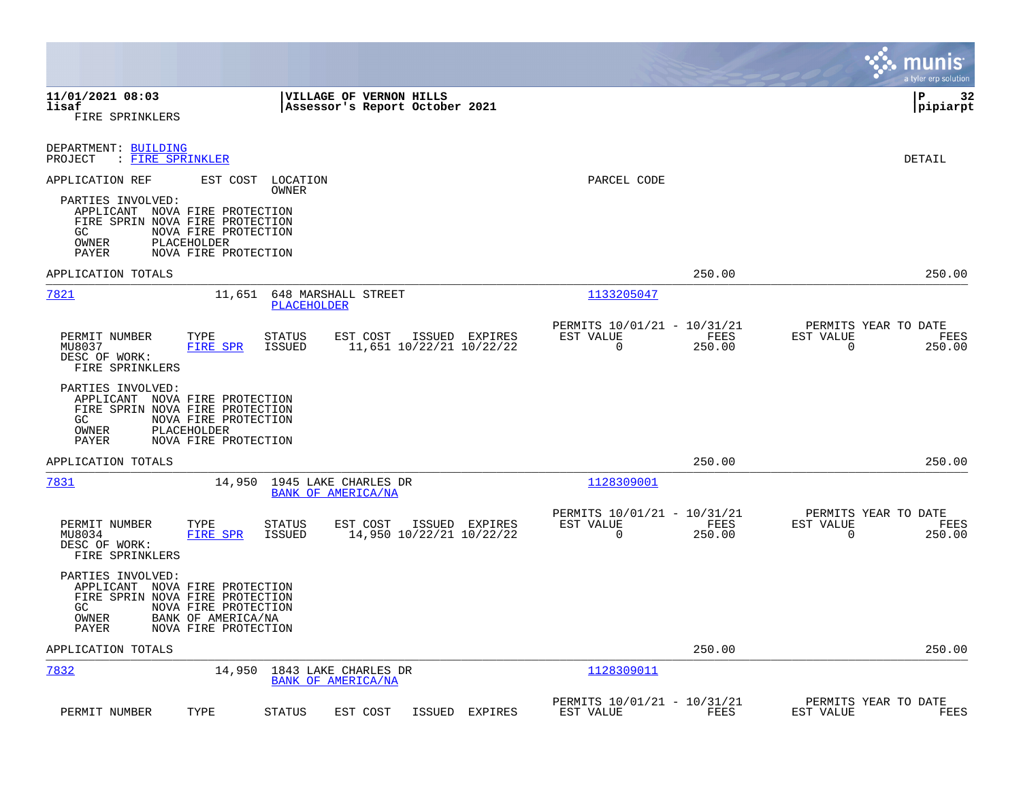|                                                                                                                                                                                                                                 |                                                                           | munis<br>a tyler erp solution                                   |
|---------------------------------------------------------------------------------------------------------------------------------------------------------------------------------------------------------------------------------|---------------------------------------------------------------------------|-----------------------------------------------------------------|
| 11/01/2021 08:03<br><b>VILLAGE OF VERNON HILLS</b><br>lisaf<br>Assessor's Report October 2021<br>FIRE SPRINKLERS                                                                                                                |                                                                           | l P<br>32<br> pipiarpt                                          |
| DEPARTMENT: BUILDING<br>: FIRE SPRINKLER<br>PROJECT                                                                                                                                                                             |                                                                           | DETAIL                                                          |
| APPLICATION REF<br>EST COST LOCATION<br>OWNER<br>PARTIES INVOLVED:<br>APPLICANT NOVA FIRE PROTECTION<br>FIRE SPRIN NOVA FIRE PROTECTION<br>NOVA FIRE PROTECTION<br>GC.<br>OWNER<br>PLACEHOLDER<br>NOVA FIRE PROTECTION<br>PAYER | PARCEL CODE                                                               |                                                                 |
| APPLICATION TOTALS                                                                                                                                                                                                              | 250.00                                                                    | 250.00                                                          |
| 7821<br>11,651 648 MARSHALL STREET<br><b>PLACEHOLDER</b>                                                                                                                                                                        | 1133205047                                                                |                                                                 |
| PERMIT NUMBER<br>TYPE<br><b>STATUS</b><br>EST COST<br>ISSUED EXPIRES<br>MU8037<br>FIRE SPR<br>ISSUED<br>11,651 10/22/21 10/22/22<br>DESC OF WORK:<br>FIRE SPRINKLERS                                                            | PERMITS 10/01/21 - 10/31/21<br>EST VALUE<br>FEES<br>$\mathbf 0$<br>250.00 | PERMITS YEAR TO DATE<br>EST VALUE<br>FEES<br>0<br>250.00        |
| PARTIES INVOLVED:<br>APPLICANT NOVA FIRE PROTECTION<br>FIRE SPRIN NOVA FIRE PROTECTION<br>GC.<br>NOVA FIRE PROTECTION<br>OWNER<br>PLACEHOLDER<br>NOVA FIRE PROTECTION<br>PAYER                                                  |                                                                           |                                                                 |
| APPLICATION TOTALS                                                                                                                                                                                                              | 250.00                                                                    | 250.00                                                          |
| 7831<br>14,950<br>1945 LAKE CHARLES DR<br><b>BANK OF AMERICA/NA</b>                                                                                                                                                             | 1128309001                                                                |                                                                 |
| PERMIT NUMBER<br>TYPE<br><b>STATUS</b><br>EST COST<br>ISSUED EXPIRES<br>14,950 10/22/21 10/22/22<br>MU8034<br><b>FIRE SPR</b><br>ISSUED<br>DESC OF WORK:<br>FIRE SPRINKLERS                                                     | PERMITS 10/01/21 - 10/31/21<br>EST VALUE<br>FEES<br>$\Omega$<br>250.00    | PERMITS YEAR TO DATE<br>EST VALUE<br>FEES<br>$\Omega$<br>250.00 |
| PARTIES INVOLVED:<br>APPLICANT NOVA FIRE PROTECTION<br>FIRE SPRIN NOVA FIRE PROTECTION<br>GC.<br>NOVA FIRE PROTECTION<br>OWNER<br>BANK OF AMERICA/NA<br>PAYER<br>NOVA FIRE PROTECTION                                           |                                                                           |                                                                 |
| APPLICATION TOTALS                                                                                                                                                                                                              | 250.00                                                                    | 250.00                                                          |
| 7832<br>14,950<br>1843 LAKE CHARLES DR<br>BANK OF AMERICA/NA                                                                                                                                                                    | 1128309011                                                                |                                                                 |
| TYPE<br><b>STATUS</b><br>EST COST<br>ISSUED EXPIRES<br>PERMIT NUMBER                                                                                                                                                            | PERMITS 10/01/21 - 10/31/21<br>EST VALUE<br>FEES                          | PERMITS YEAR TO DATE<br>EST VALUE<br>FEES                       |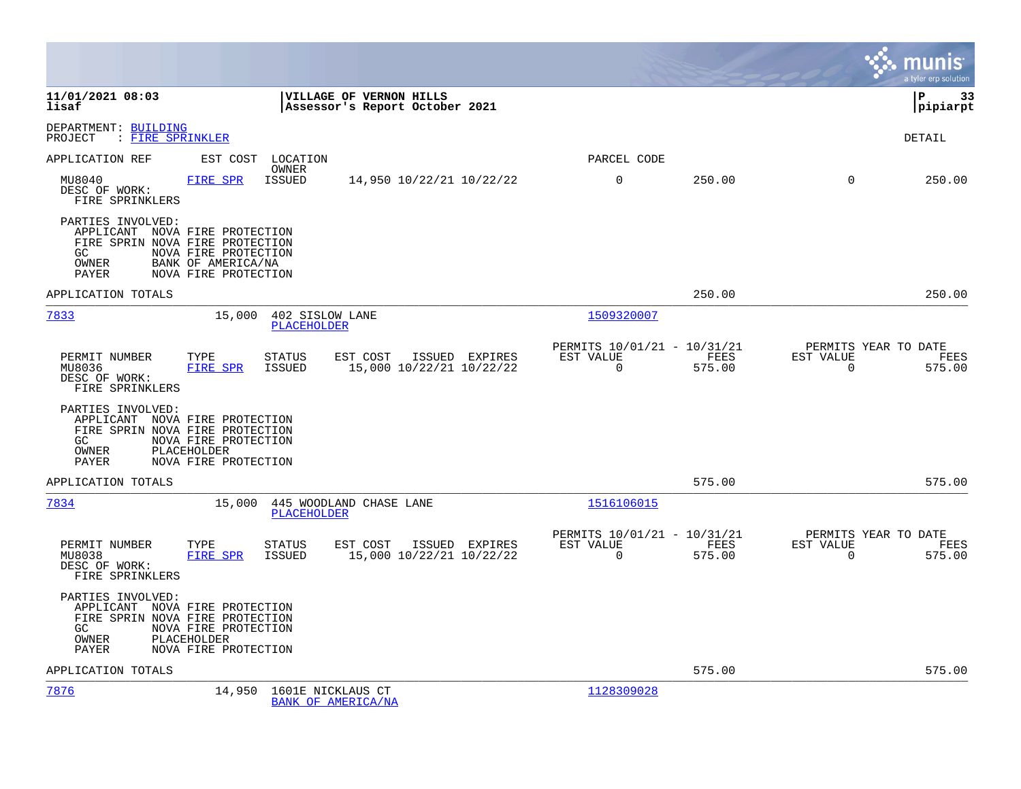|                                                                                                                                                                                       |                                                           |                                                      |                |                                                  | munis<br>a tyler erp solution |
|---------------------------------------------------------------------------------------------------------------------------------------------------------------------------------------|-----------------------------------------------------------|------------------------------------------------------|----------------|--------------------------------------------------|-------------------------------|
| 11/01/2021 08:03<br>lisaf                                                                                                                                                             | VILLAGE OF VERNON HILLS<br>Assessor's Report October 2021 |                                                      |                |                                                  | lР<br>33<br> pipiarpt         |
| DEPARTMENT: BUILDING<br>: FIRE SPRINKLER<br>PROJECT                                                                                                                                   |                                                           |                                                      |                |                                                  | <b>DETAIL</b>                 |
| APPLICATION REF<br>EST COST LOCATION<br>OWNER                                                                                                                                         |                                                           | PARCEL CODE                                          |                |                                                  |                               |
| MU8040<br>FIRE SPR<br><b>ISSUED</b><br>DESC OF WORK:<br>FIRE SPRINKLERS                                                                                                               | 14,950 10/22/21 10/22/22                                  | 0                                                    | 250.00         | $\mathbf 0$                                      | 250.00                        |
| PARTIES INVOLVED:<br>APPLICANT NOVA FIRE PROTECTION<br>FIRE SPRIN NOVA FIRE PROTECTION<br>NOVA FIRE PROTECTION<br>GC.<br>OWNER<br>BANK OF AMERICA/NA<br>NOVA FIRE PROTECTION<br>PAYER |                                                           |                                                      |                |                                                  |                               |
| APPLICATION TOTALS                                                                                                                                                                    |                                                           |                                                      | 250.00         |                                                  | 250.00                        |
| 7833<br>15,000                                                                                                                                                                        | 402 SISLOW LANE<br><b>PLACEHOLDER</b>                     | 1509320007                                           |                |                                                  |                               |
| PERMIT NUMBER<br>TYPE<br><b>STATUS</b><br>MU8036<br>FIRE SPR<br>ISSUED<br>DESC OF WORK:<br>FIRE SPRINKLERS                                                                            | EST COST<br>ISSUED EXPIRES<br>15,000 10/22/21 10/22/22    | PERMITS 10/01/21 - 10/31/21<br>EST VALUE<br>$\Omega$ | FEES<br>575.00 | PERMITS YEAR TO DATE<br>EST VALUE<br>$\mathbf 0$ | FEES<br>575.00                |
| PARTIES INVOLVED:<br>APPLICANT NOVA FIRE PROTECTION<br>FIRE SPRIN NOVA FIRE PROTECTION<br>GC.<br>NOVA FIRE PROTECTION<br>OWNER<br>PLACEHOLDER<br>PAYER<br>NOVA FIRE PROTECTION        |                                                           |                                                      |                |                                                  |                               |
| APPLICATION TOTALS                                                                                                                                                                    |                                                           |                                                      | 575.00         |                                                  | 575.00                        |
| 7834<br>15,000                                                                                                                                                                        | 445 WOODLAND CHASE LANE<br><b>PLACEHOLDER</b>             | 1516106015                                           |                |                                                  |                               |
| PERMIT NUMBER<br>TYPE<br><b>STATUS</b><br>MU8038<br>FIRE SPR<br>ISSUED<br>DESC OF WORK:<br>FIRE SPRINKLERS                                                                            | EST COST<br>ISSUED EXPIRES<br>15,000 10/22/21 10/22/22    | PERMITS 10/01/21 - 10/31/21<br>EST VALUE<br>$\Omega$ | FEES<br>575.00 | PERMITS YEAR TO DATE<br>EST VALUE<br>0           | FEES<br>575.00                |
| PARTIES INVOLVED:<br>APPLICANT NOVA FIRE PROTECTION<br>FIRE SPRIN NOVA FIRE PROTECTION<br>NOVA FIRE PROTECTION<br>GC.<br>OWNER<br>PLACEHOLDER<br>PAYER<br>NOVA FIRE PROTECTION        |                                                           |                                                      |                |                                                  |                               |
| APPLICATION TOTALS                                                                                                                                                                    |                                                           |                                                      | 575.00         |                                                  | 575.00                        |
| 7876<br>14,950                                                                                                                                                                        | 1601E NICKLAUS CT<br><b>BANK OF AMERICA/NA</b>            | 1128309028                                           |                |                                                  |                               |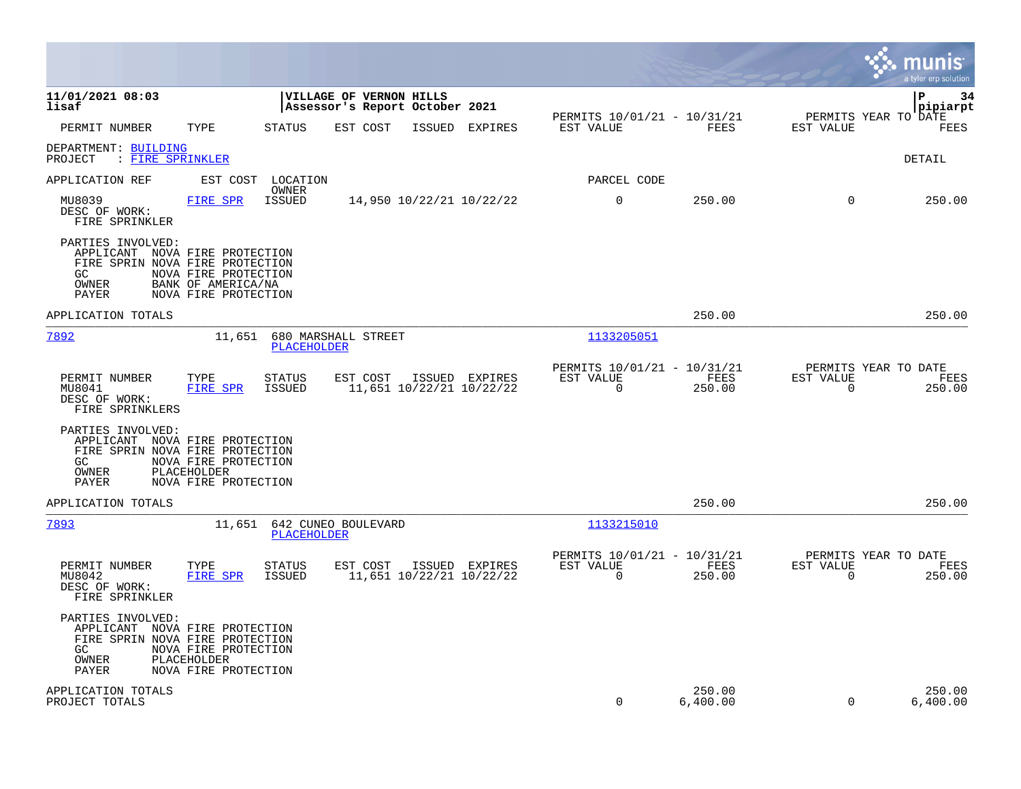|                                                                                                                |                                                                    |                                                  |                                                           |                          |                |                                                      |                    |                                                   | lunis<br>a tyler erp solution               |
|----------------------------------------------------------------------------------------------------------------|--------------------------------------------------------------------|--------------------------------------------------|-----------------------------------------------------------|--------------------------|----------------|------------------------------------------------------|--------------------|---------------------------------------------------|---------------------------------------------|
| 11/01/2021 08:03<br>lisaf                                                                                      |                                                                    |                                                  | VILLAGE OF VERNON HILLS<br>Assessor's Report October 2021 |                          |                | PERMITS 10/01/21 - 10/31/21                          |                    |                                                   | P<br>34<br>pipiarpt<br>PERMITS YEAR TO DATE |
| PERMIT NUMBER                                                                                                  | TYPE                                                               | <b>STATUS</b>                                    | EST COST                                                  | ISSUED                   | EXPIRES        | EST VALUE                                            | FEES               | EST VALUE                                         | FEES                                        |
| DEPARTMENT: BUILDING<br>: FIRE SPRINKLER<br>PROJECT                                                            |                                                                    |                                                  |                                                           |                          |                |                                                      |                    |                                                   | DETAIL                                      |
| APPLICATION REF                                                                                                | EST COST                                                           | LOCATION                                         |                                                           |                          |                | PARCEL CODE                                          |                    |                                                   |                                             |
| MU8039<br>DESC OF WORK:<br>FIRE SPRINKLER                                                                      | <b>FIRE SPR</b>                                                    | OWNER<br><b>ISSUED</b>                           |                                                           | 14,950 10/22/21 10/22/22 |                | $\mathbf 0$                                          | 250.00             | $\Omega$                                          | 250.00                                      |
| PARTIES INVOLVED:<br>APPLICANT NOVA FIRE PROTECTION<br>FIRE SPRIN NOVA FIRE PROTECTION<br>GC<br>OWNER<br>PAYER | NOVA FIRE PROTECTION<br>BANK OF AMERICA/NA<br>NOVA FIRE PROTECTION |                                                  |                                                           |                          |                |                                                      |                    |                                                   |                                             |
| APPLICATION TOTALS                                                                                             |                                                                    |                                                  |                                                           |                          |                |                                                      | 250.00             |                                                   | 250.00                                      |
| 7892                                                                                                           | 11,651                                                             | <b>PLACEHOLDER</b>                               | 680 MARSHALL STREET                                       |                          |                | 1133205051                                           |                    |                                                   |                                             |
| PERMIT NUMBER<br>MU8041<br>DESC OF WORK:<br>FIRE SPRINKLERS                                                    | TYPE<br>FIRE SPR                                                   | <b>STATUS</b><br>ISSUED                          | EST COST<br>11,651 10/22/21 10/22/22                      |                          | ISSUED EXPIRES | PERMITS 10/01/21 - 10/31/21<br>EST VALUE<br>$\Omega$ | FEES<br>250.00     | PERMITS YEAR TO DATE<br>EST VALUE<br>$\mathsf{O}$ | FEES<br>250.00                              |
| PARTIES INVOLVED:<br>APPLICANT NOVA FIRE PROTECTION<br>FIRE SPRIN NOVA FIRE PROTECTION<br>GC<br>OWNER<br>PAYER | NOVA FIRE PROTECTION<br>PLACEHOLDER<br>NOVA FIRE PROTECTION        |                                                  |                                                           |                          |                |                                                      |                    |                                                   |                                             |
| APPLICATION TOTALS                                                                                             |                                                                    |                                                  |                                                           |                          |                |                                                      | 250.00             |                                                   | 250.00                                      |
| 7893                                                                                                           |                                                                    | 11,651 642 CUNEO BOULEVARD<br><b>PLACEHOLDER</b> |                                                           |                          |                | 1133215010                                           |                    |                                                   |                                             |
| PERMIT NUMBER<br>MU8042<br>DESC OF WORK:<br>FIRE SPRINKLER                                                     | TYPE<br>FIRE SPR                                                   | <b>STATUS</b><br>ISSUED                          | EST COST<br>11,651 10/22/21 10/22/22                      |                          | ISSUED EXPIRES | PERMITS 10/01/21 - 10/31/21<br>EST VALUE<br>0        | FEES<br>250.00     | EST VALUE<br>$\mathbf 0$                          | PERMITS YEAR TO DATE<br>FEES<br>250.00      |
| PARTIES INVOLVED:<br>APPLICANT NOVA FIRE PROTECTION<br>FIRE SPRIN NOVA FIRE PROTECTION<br>GC<br>OWNER<br>PAYER | NOVA FIRE PROTECTION<br>PLACEHOLDER<br>NOVA FIRE PROTECTION        |                                                  |                                                           |                          |                |                                                      |                    |                                                   |                                             |
| APPLICATION TOTALS<br>PROJECT TOTALS                                                                           |                                                                    |                                                  |                                                           |                          |                | $\mathbf 0$                                          | 250.00<br>6,400.00 | $\mathbf 0$                                       | 250.00<br>6,400.00                          |

 $\mathcal{L}^{\text{max}}$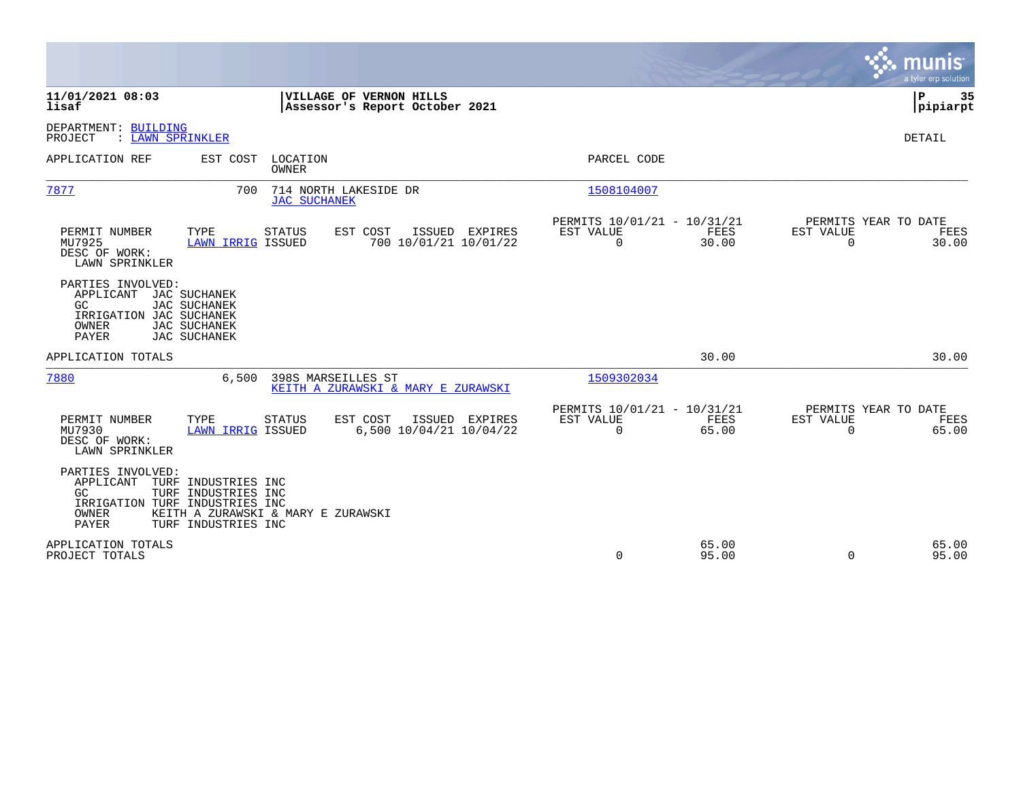|                                                                                                  |                                                                   |                                              |                                                           |                                                         |                |                       | munis<br>a tyler erp solution         |
|--------------------------------------------------------------------------------------------------|-------------------------------------------------------------------|----------------------------------------------|-----------------------------------------------------------|---------------------------------------------------------|----------------|-----------------------|---------------------------------------|
| 11/01/2021 08:03<br>lisaf                                                                        |                                                                   |                                              | VILLAGE OF VERNON HILLS<br>Assessor's Report October 2021 |                                                         |                |                       | ΙP<br>35<br> pipiarpt                 |
| DEPARTMENT: BUILDING<br>: LAWN SPRINKLER<br>PROJECT                                              |                                                                   |                                              |                                                           |                                                         |                |                       | DETAIL                                |
| APPLICATION REF                                                                                  | EST COST                                                          | LOCATION<br>OWNER                            |                                                           | PARCEL CODE                                             |                |                       |                                       |
| 7877                                                                                             | 700                                                               | 714 NORTH LAKESIDE DR<br><b>JAC SUCHANEK</b> |                                                           | 1508104007                                              |                |                       |                                       |
| PERMIT NUMBER<br>MU7925<br>DESC OF WORK:<br>LAWN SPRINKLER                                       | TYPE<br><b>LAWN IRRIG ISSUED</b>                                  | <b>STATUS</b>                                | EST COST<br>ISSUED EXPIRES<br>700 10/01/21 10/01/22       | PERMITS 10/01/21 - 10/31/21<br>EST VALUE<br>$\mathbf 0$ | FEES<br>30.00  | EST VALUE<br>$\Omega$ | PERMITS YEAR TO DATE<br>FEES<br>30.00 |
| PARTIES INVOLVED:<br>APPLICANT JAC SUCHANEK<br>GC.<br>IRRIGATION JAC SUCHANEK<br>OWNER<br>PAYER  | <b>JAC SUCHANEK</b><br><b>JAC SUCHANEK</b><br><b>JAC SUCHANEK</b> |                                              |                                                           |                                                         |                |                       |                                       |
| APPLICATION TOTALS                                                                               |                                                                   |                                              |                                                           |                                                         | 30.00          |                       | 30.00                                 |
| 7880                                                                                             | 6,500                                                             | 398S MARSEILLES ST                           | KEITH A ZURAWSKI & MARY E ZURAWSKI                        | 1509302034                                              |                |                       |                                       |
| PERMIT NUMBER<br>MU7930<br>DESC OF WORK:<br>LAWN SPRINKLER                                       | TYPE<br><b>LAWN IRRIG ISSUED</b>                                  | <b>STATUS</b>                                | EST COST<br>ISSUED EXPIRES<br>6,500 10/04/21 10/04/22     | PERMITS 10/01/21 - 10/31/21<br>EST VALUE<br>$\Omega$    | FEES<br>65.00  | EST VALUE<br>$\Omega$ | PERMITS YEAR TO DATE<br>FEES<br>65.00 |
| PARTIES INVOLVED:<br>APPLICANT<br>GC.<br>IRRIGATION TURF INDUSTRIES INC<br>OWNER<br><b>PAYER</b> | TURF INDUSTRIES INC<br>TURF INDUSTRIES INC<br>TURF INDUSTRIES INC | KEITH A ZURAWSKI & MARY E ZURAWSKI           |                                                           |                                                         |                |                       |                                       |
| APPLICATION TOTALS<br>PROJECT TOTALS                                                             |                                                                   |                                              |                                                           | 0                                                       | 65.00<br>95.00 | $\mathbf 0$           | 65.00<br>95.00                        |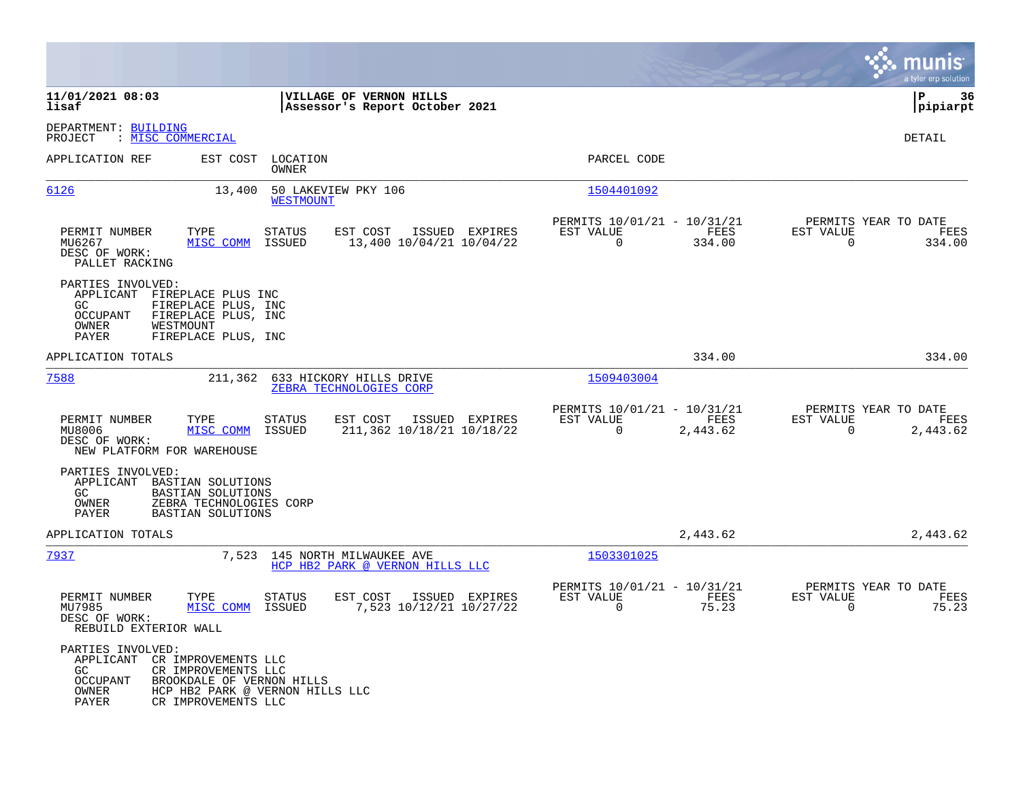|                                                                                                                                                                         |                                                                                    |                                                                             | munis<br>a tyler erp solution                                     |
|-------------------------------------------------------------------------------------------------------------------------------------------------------------------------|------------------------------------------------------------------------------------|-----------------------------------------------------------------------------|-------------------------------------------------------------------|
| 11/01/2021 08:03<br>lisaf                                                                                                                                               | VILLAGE OF VERNON HILLS<br>Assessor's Report October 2021                          |                                                                             | ΙP<br>36<br> pipiarpt                                             |
| DEPARTMENT: BUILDING<br>: MISC COMMERCIAL<br>PROJECT                                                                                                                    |                                                                                    |                                                                             | DETAIL                                                            |
| APPLICATION REF                                                                                                                                                         | EST COST<br>LOCATION<br>OWNER                                                      | PARCEL CODE                                                                 |                                                                   |
| 6126                                                                                                                                                                    | 13,400<br>50 LAKEVIEW PKY 106<br><b>WESTMOUNT</b>                                  | 1504401092                                                                  |                                                                   |
| PERMIT NUMBER<br>TYPE<br>MU6267<br>MISC COMM<br>DESC OF WORK:<br>PALLET RACKING                                                                                         | EST COST<br>ISSUED EXPIRES<br>STATUS<br>13,400 10/04/21 10/04/22<br>ISSUED         | PERMITS 10/01/21 - 10/31/21<br>EST VALUE<br>FEES<br>$\Omega$<br>334.00      | PERMITS YEAR TO DATE<br>EST VALUE<br>FEES<br>$\Omega$<br>334.00   |
| PARTIES INVOLVED:<br>APPLICANT FIREPLACE PLUS INC<br>GC<br>FIREPLACE PLUS, INC<br>OCCUPANT<br>FIREPLACE PLUS, INC<br>OWNER<br>WESTMOUNT<br>PAYER<br>FIREPLACE PLUS, INC |                                                                                    |                                                                             |                                                                   |
| APPLICATION TOTALS                                                                                                                                                      |                                                                                    | 334.00                                                                      | 334.00                                                            |
| 7588                                                                                                                                                                    | 633 HICKORY HILLS DRIVE<br>211,362<br>ZEBRA TECHNOLOGIES CORP                      | 1509403004                                                                  |                                                                   |
| PERMIT NUMBER<br>TYPE<br>MU8006<br>MISC COMM<br>DESC OF WORK:<br>NEW PLATFORM FOR WAREHOUSE                                                                             | <b>STATUS</b><br>EST COST<br>ISSUED EXPIRES<br>211,362 10/18/21 10/18/22<br>ISSUED | PERMITS 10/01/21 - 10/31/21<br>EST VALUE<br>FEES<br>$\mathbf 0$<br>2,443.62 | PERMITS YEAR TO DATE<br>EST VALUE<br>FEES<br>2,443.62<br>$\Omega$ |
| PARTIES INVOLVED:<br>APPLICANT<br>BASTIAN SOLUTIONS<br>GC<br>BASTIAN SOLUTIONS<br>OWNER<br>BASTIAN SOLUTIONS<br>PAYER                                                   | ZEBRA TECHNOLOGIES CORP                                                            |                                                                             |                                                                   |
| APPLICATION TOTALS                                                                                                                                                      |                                                                                    | 2,443.62                                                                    | 2,443.62                                                          |
| 7937                                                                                                                                                                    | 7,523<br>145 NORTH MILWAUKEE AVE<br>HCP HB2 PARK @ VERNON HILLS LLC                | 1503301025                                                                  |                                                                   |
| PERMIT NUMBER<br>TYPE<br>MU7985<br>MISC COMM<br>DESC OF WORK:<br>REBUILD EXTERIOR WALL                                                                                  | <b>STATUS</b><br>EST COST<br>ISSUED EXPIRES<br>7,523 10/12/21 10/27/22<br>ISSUED   | PERMITS 10/01/21 - 10/31/21<br>EST VALUE<br>FEES<br>$\Omega$<br>75.23       | PERMITS YEAR TO DATE<br>EST VALUE<br>FEES<br>$\Omega$<br>75.23    |
| PARTIES INVOLVED:<br>APPLICANT CR IMPROVEMENTS LLC<br>GC.<br>CR IMPROVEMENTS LLC<br>OCCUPANT<br>OWNER<br>PAYER<br>CR IMPROVEMENTS LLC                                   | BROOKDALE OF VERNON HILLS<br>HCP HB2 PARK @ VERNON HILLS LLC                       |                                                                             |                                                                   |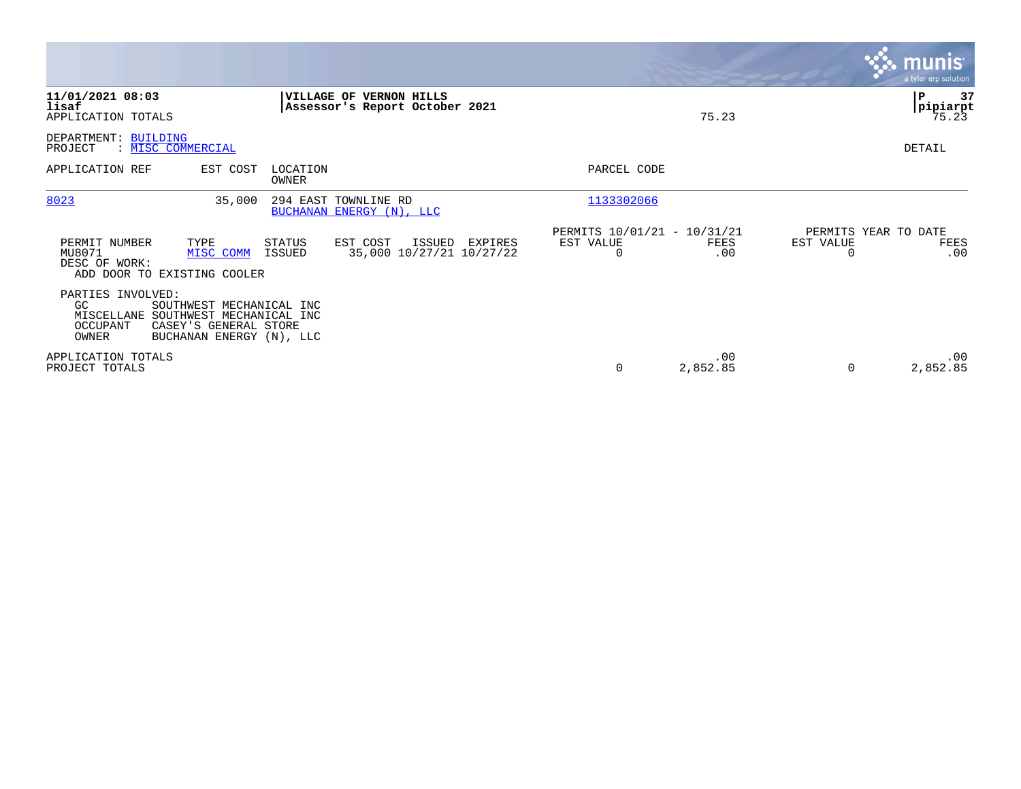|                                                                                                                                                                       |                                                                               |                                                                     | <b>munis</b><br>a tyler erp solution             |
|-----------------------------------------------------------------------------------------------------------------------------------------------------------------------|-------------------------------------------------------------------------------|---------------------------------------------------------------------|--------------------------------------------------|
| 11/01/2021 08:03<br>lisaf<br>APPLICATION TOTALS                                                                                                                       | VILLAGE OF VERNON HILLS<br>Assessor's Report October 2021                     | 75.23                                                               | l P<br>37<br> pipiarpt<br>75.23                  |
| DEPARTMENT: BUILDING<br>PROJECT<br>: MISC COMMERCIAL                                                                                                                  |                                                                               |                                                                     | DETAIL                                           |
| APPLICATION REF<br>EST COST                                                                                                                                           | LOCATION<br>OWNER                                                             | PARCEL CODE                                                         |                                                  |
| 8023<br>35,000                                                                                                                                                        | 294 EAST TOWNLINE RD<br>BUCHANAN ENERGY (N), LLC                              | 1133302066                                                          |                                                  |
| PERMIT NUMBER<br>TYPE<br>MU8071<br>MISC COMM<br>DESC OF WORK:<br>ADD DOOR TO EXISTING COOLER                                                                          | EST COST<br>STATUS<br>ISSUED<br>EXPIRES<br>35,000 10/27/21 10/27/22<br>ISSUED | PERMITS 10/01/21 - 10/31/21<br>EST VALUE<br>FEES<br>$\Omega$<br>.00 | PERMITS YEAR TO DATE<br>EST VALUE<br>FEES<br>.00 |
| PARTIES INVOLVED:<br>GC.<br>SOUTHWEST MECHANICAL INC<br>MISCELLANE SOUTHWEST MECHANICAL INC<br>OCCUPANT<br>CASEY'S GENERAL STORE<br>OWNER<br>BUCHANAN ENERGY (N), LLC |                                                                               |                                                                     |                                                  |
| APPLICATION TOTALS<br>PROJECT TOTALS                                                                                                                                  |                                                                               | .00<br>2,852.85<br>0                                                | .00<br>2,852.85                                  |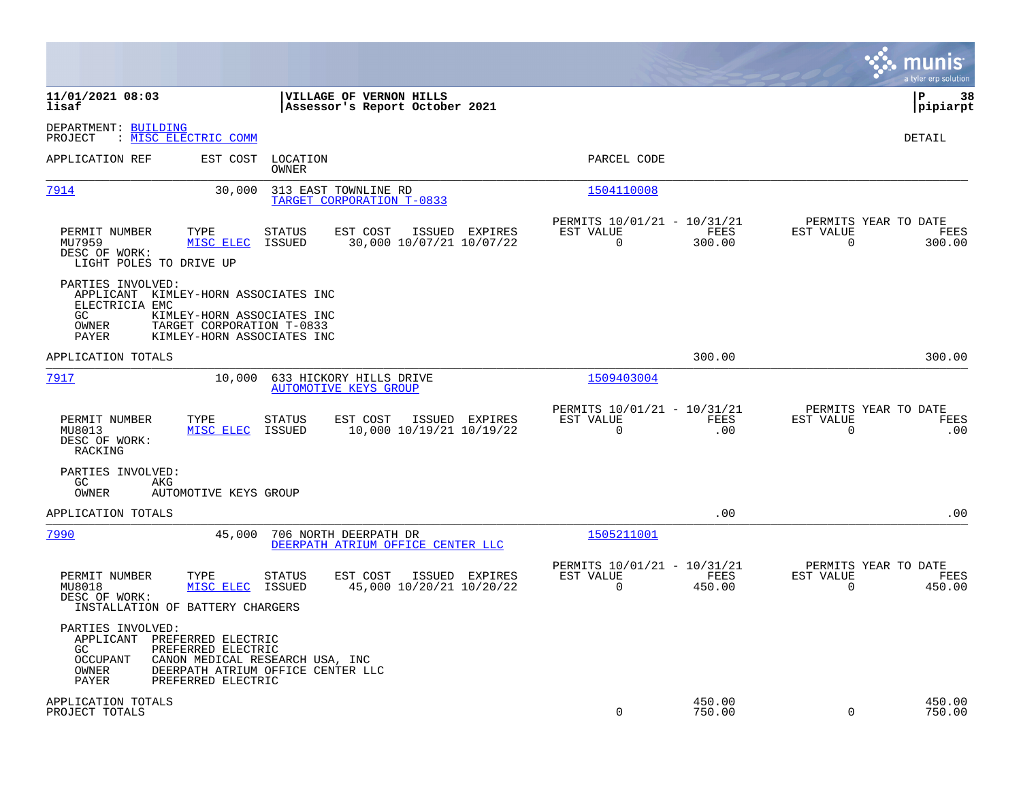|                                                                                                                                                                                                     |                                                                                   |                                                                            | munis<br>a tyler erp solution                                   |
|-----------------------------------------------------------------------------------------------------------------------------------------------------------------------------------------------------|-----------------------------------------------------------------------------------|----------------------------------------------------------------------------|-----------------------------------------------------------------|
| 11/01/2021 08:03<br>lisaf                                                                                                                                                                           | VILLAGE OF VERNON HILLS<br>Assessor's Report October 2021                         |                                                                            | l P<br>38<br> pipiarpt                                          |
| DEPARTMENT: BUILDING<br>: MISC ELECTRIC COMM<br>PROJECT                                                                                                                                             |                                                                                   |                                                                            | DETAIL                                                          |
| EST COST<br>APPLICATION REF                                                                                                                                                                         | LOCATION<br>OWNER                                                                 | PARCEL CODE                                                                |                                                                 |
| 7914<br>30,000                                                                                                                                                                                      | 313 EAST TOWNLINE RD<br>TARGET CORPORATION T-0833                                 | 1504110008                                                                 |                                                                 |
| PERMIT NUMBER<br>TYPE<br>MU7959<br>MISC ELEC<br>DESC OF WORK:<br>LIGHT POLES TO DRIVE UP                                                                                                            | STATUS<br>EST COST<br>ISSUED EXPIRES<br>30,000 10/07/21 10/07/22<br>ISSUED        | PERMITS 10/01/21 - 10/31/21<br>EST VALUE<br>FEES<br>300.00<br>$\Omega$     | PERMITS YEAR TO DATE<br>EST VALUE<br>FEES<br>$\Omega$<br>300.00 |
| PARTIES INVOLVED:<br>APPLICANT KIMLEY-HORN ASSOCIATES INC<br>ELECTRICIA EMC<br>GC<br>KIMLEY-HORN ASSOCIATES INC<br><b>OWNER</b><br>TARGET CORPORATION T-0833<br>PAYER<br>KIMLEY-HORN ASSOCIATES INC |                                                                                   |                                                                            |                                                                 |
| APPLICATION TOTALS                                                                                                                                                                                  |                                                                                   | 300.00                                                                     | 300.00                                                          |
| 7917<br>10,000                                                                                                                                                                                      | 633 HICKORY HILLS DRIVE<br><b>AUTOMOTIVE KEYS GROUP</b>                           | 1509403004                                                                 |                                                                 |
| PERMIT NUMBER<br>TYPE<br>MISC ELEC<br>MU8013<br>DESC OF WORK:<br>RACKING                                                                                                                            | EST COST<br>STATUS<br>ISSUED EXPIRES<br>ISSUED<br>10,000 10/19/21 10/19/22        | PERMITS 10/01/21 - 10/31/21<br>EST VALUE<br><b>FEES</b><br>$\Omega$<br>.00 | PERMITS YEAR TO DATE<br>EST VALUE<br>FEES<br>$\Omega$<br>.00    |
| PARTIES INVOLVED:<br>GC.<br>AKG<br>OWNER<br>AUTOMOTIVE KEYS GROUP                                                                                                                                   |                                                                                   |                                                                            |                                                                 |
| APPLICATION TOTALS                                                                                                                                                                                  |                                                                                   | .00                                                                        | .00                                                             |
| 7990<br>45,000                                                                                                                                                                                      | 706 NORTH DEERPATH DR<br>DEERPATH ATRIUM OFFICE CENTER LLC                        | 1505211001                                                                 |                                                                 |
| PERMIT NUMBER<br>TYPE<br>MISC ELEC<br>MU8018<br>DESC OF WORK:<br>INSTALLATION OF BATTERY CHARGERS                                                                                                   | <b>STATUS</b><br>EST COST<br>ISSUED EXPIRES<br>ISSUED<br>45,000 10/20/21 10/20/22 | PERMITS 10/01/21 - 10/31/21<br>EST VALUE<br>FEES<br>0<br>450.00            | PERMITS YEAR TO DATE<br>EST VALUE<br>FEES<br>450.00<br>0        |
| PARTIES INVOLVED:<br>APPLICANT PREFERRED ELECTRIC<br>GC<br>PREFERRED ELECTRIC<br><b>OCCUPANT</b><br>OWNER<br>PAYER<br>PREFERRED ELECTRIC                                                            | CANON MEDICAL RESEARCH USA, INC<br>DEERPATH ATRIUM OFFICE CENTER LLC              |                                                                            |                                                                 |
| APPLICATION TOTALS<br>PROJECT TOTALS                                                                                                                                                                |                                                                                   | 450.00<br>$\Omega$<br>750.00                                               | 450.00<br>$\Omega$<br>750.00                                    |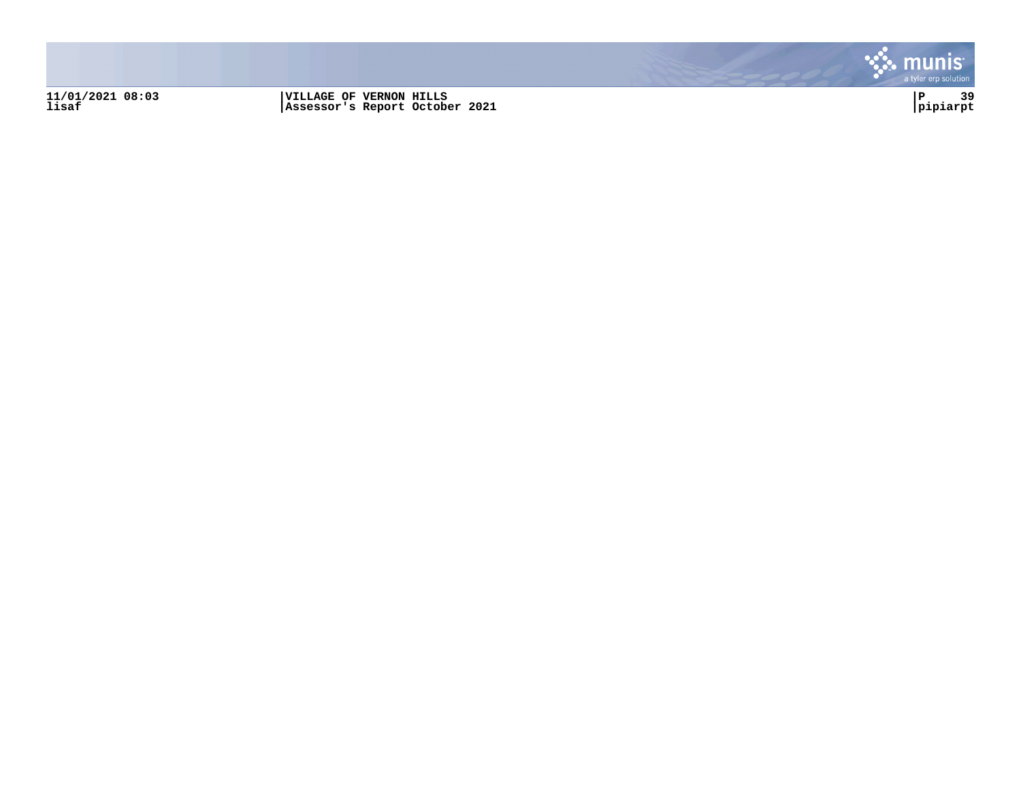**11/01/2021 08:03 |VILLAGE OF VERNON HILLS |P 39 lisaf |Assessor's Report October 2021 |pipiarpt**

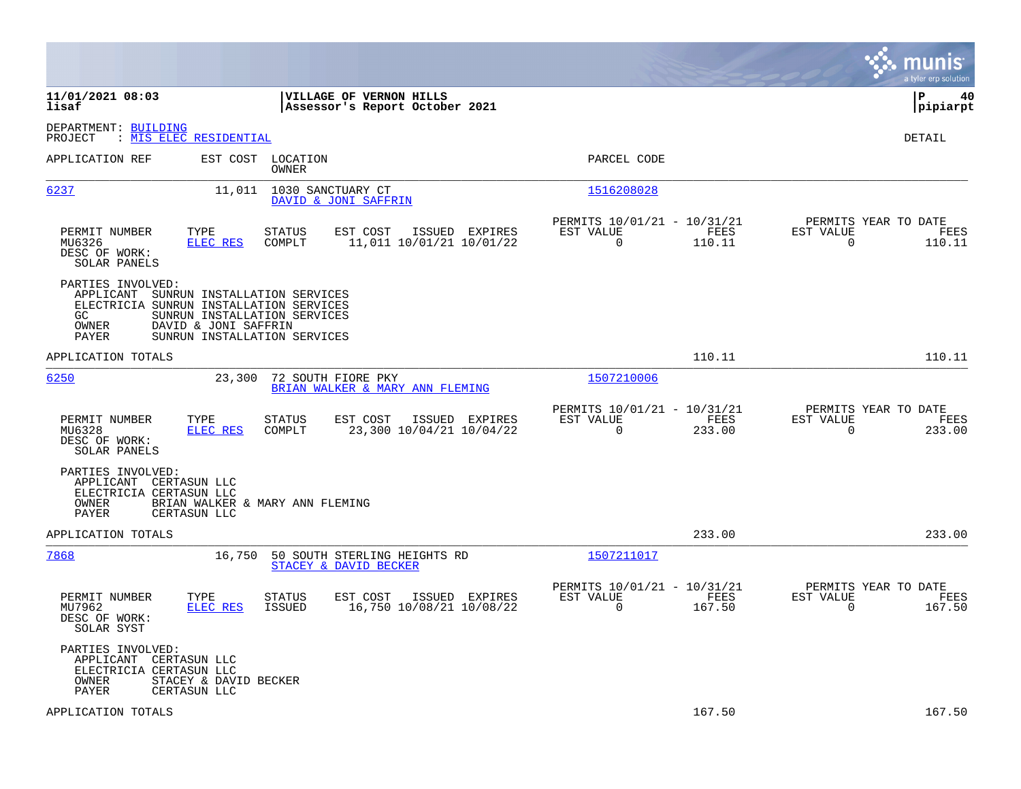|                                                                                                             |                                                                                                                      |                                                                           | munis<br>a tyler erp solution                                      |
|-------------------------------------------------------------------------------------------------------------|----------------------------------------------------------------------------------------------------------------------|---------------------------------------------------------------------------|--------------------------------------------------------------------|
| 11/01/2021 08:03<br>lisaf                                                                                   | VILLAGE OF VERNON HILLS<br>Assessor's Report October 2021                                                            |                                                                           | P<br>40<br> pipiarpt                                               |
| DEPARTMENT: BUILDING<br>: MIS ELEC RESIDENTIAL<br>PROJECT                                                   |                                                                                                                      |                                                                           | DETAIL                                                             |
| APPLICATION REF                                                                                             | EST COST LOCATION<br>OWNER                                                                                           | PARCEL CODE                                                               |                                                                    |
| 6237                                                                                                        | 11,011<br>1030 SANCTUARY CT<br>DAVID & JONI SAFFRIN                                                                  | 1516208028                                                                |                                                                    |
| TYPE<br>PERMIT NUMBER<br>MU6326<br><b>ELEC RES</b><br>DESC OF WORK:<br>SOLAR PANELS                         | EST COST<br>ISSUED EXPIRES<br><b>STATUS</b><br>COMPLT<br>11,011 10/01/21 10/01/22                                    | PERMITS 10/01/21 - 10/31/21<br>EST VALUE<br>FEES<br>0<br>110.11           | PERMITS YEAR TO DATE<br>EST VALUE<br>FEES<br>$\mathbf 0$<br>110.11 |
| PARTIES INVOLVED:<br>APPLICANT<br>ELECTRICIA SUNRUN INSTALLATION SERVICES<br>GC<br>OWNER<br>PAYER           | SUNRUN INSTALLATION SERVICES<br>SUNRUN INSTALLATION SERVICES<br>DAVID & JONI SAFFRIN<br>SUNRUN INSTALLATION SERVICES |                                                                           |                                                                    |
| APPLICATION TOTALS                                                                                          |                                                                                                                      | 110.11                                                                    | 110.11                                                             |
| 6250                                                                                                        | 23,300<br>72 SOUTH FIORE PKY<br>BRIAN WALKER & MARY ANN FLEMING                                                      | 1507210006                                                                |                                                                    |
| PERMIT NUMBER<br>TYPE<br>MU6328<br>ELEC RES<br>DESC OF WORK:<br>SOLAR PANELS                                | <b>STATUS</b><br>EST COST<br>ISSUED EXPIRES<br>23,300 10/04/21 10/04/22<br>COMPLT                                    | PERMITS 10/01/21 - 10/31/21<br>EST VALUE<br>FEES<br>$\mathbf 0$<br>233.00 | PERMITS YEAR TO DATE<br>EST VALUE<br>FEES<br>$\mathbf 0$<br>233.00 |
| PARTIES INVOLVED:<br>APPLICANT CERTASUN LLC<br>ELECTRICIA CERTASUN LLC<br>OWNER<br>PAYER<br>CERTASUN LLC    | BRIAN WALKER & MARY ANN FLEMING                                                                                      |                                                                           |                                                                    |
| APPLICATION TOTALS                                                                                          |                                                                                                                      | 233.00                                                                    | 233.00                                                             |
| 7868                                                                                                        | 16,750<br>50 SOUTH STERLING HEIGHTS RD<br>STACEY & DAVID BECKER                                                      | 1507211017                                                                |                                                                    |
| PERMIT NUMBER<br>TYPE<br>MU7962<br><b>ELEC RES</b><br>DESC OF WORK:<br>SOLAR SYST                           | <b>STATUS</b><br>EST COST<br>ISSUED EXPIRES<br><b>ISSUED</b><br>16,750 10/08/21 10/08/22                             | PERMITS 10/01/21 - 10/31/21<br>EST VALUE<br>FEES<br>$\Omega$<br>167.50    | PERMITS YEAR TO DATE<br>EST VALUE<br>FEES<br>$\Omega$<br>167.50    |
| PARTIES INVOLVED:<br>CERTASUN LLC<br>APPLICANT<br>ELECTRICIA CERTASUN LLC<br>OWNER<br>PAYER<br>CERTASUN LLC | STACEY & DAVID BECKER                                                                                                |                                                                           |                                                                    |
| APPLICATION TOTALS                                                                                          |                                                                                                                      | 167.50                                                                    | 167.50                                                             |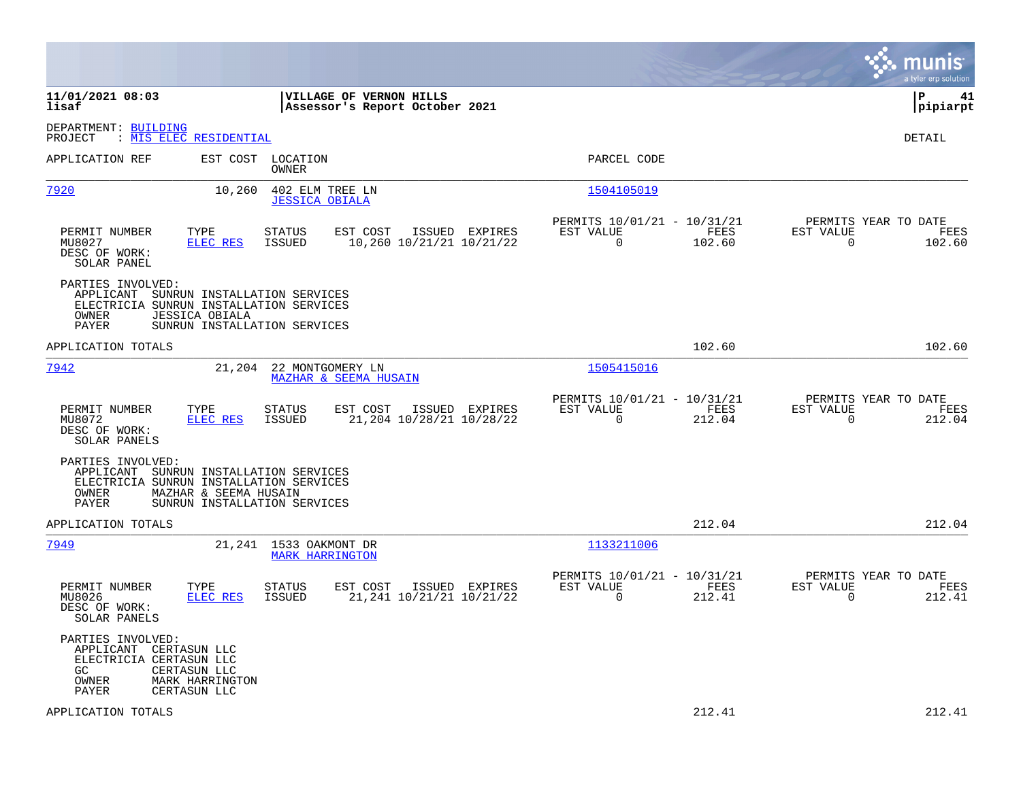|                                                                                                                                                   |                                                                                       |                                                                        | munis<br>a tyler erp solution                                   |
|---------------------------------------------------------------------------------------------------------------------------------------------------|---------------------------------------------------------------------------------------|------------------------------------------------------------------------|-----------------------------------------------------------------|
| 11/01/2021 08:03<br>lisaf                                                                                                                         | VILLAGE OF VERNON HILLS<br>Assessor's Report October 2021                             |                                                                        | l P<br>41<br> pipiarpt                                          |
| DEPARTMENT: BUILDING<br>PROJECT<br>: <u>MIS ELEC RESIDENTIAL</u>                                                                                  |                                                                                       |                                                                        | DETAIL                                                          |
| APPLICATION REF                                                                                                                                   | EST COST LOCATION<br>OWNER                                                            | PARCEL CODE                                                            |                                                                 |
| 7920                                                                                                                                              | 10,260 402 ELM TREE LN<br><b>JESSICA OBIALA</b>                                       | 1504105019                                                             |                                                                 |
| PERMIT NUMBER<br>TYPE<br>MU8027<br>ELEC RES<br>DESC OF WORK:<br>SOLAR PANEL                                                                       | <b>STATUS</b><br>EST COST<br>ISSUED EXPIRES<br>10,260 10/21/21 10/21/22<br>ISSUED     | PERMITS 10/01/21 - 10/31/21<br>EST VALUE<br>FEES<br>$\Omega$<br>102.60 | PERMITS YEAR TO DATE<br>EST VALUE<br>FEES<br>$\Omega$<br>102.60 |
| PARTIES INVOLVED:<br>APPLICANT SUNRUN INSTALLATION SERVICES<br>ELECTRICIA SUNRUN INSTALLATION SERVICES<br>OWNER<br><b>JESSICA OBIALA</b><br>PAYER | SUNRUN INSTALLATION SERVICES                                                          |                                                                        |                                                                 |
| APPLICATION TOTALS                                                                                                                                |                                                                                       | 102.60                                                                 | 102.60                                                          |
| 7942                                                                                                                                              | 21,204 22 MONTGOMERY LN<br><b>MAZHAR &amp; SEEMA HUSAIN</b>                           | 1505415016                                                             |                                                                 |
| PERMIT NUMBER<br>TYPE<br>MU8072<br>ELEC RES<br>DESC OF WORK:<br>SOLAR PANELS                                                                      | EST COST<br>ISSUED EXPIRES<br><b>STATUS</b><br>21, 204 10/28/21 10/28/22<br>ISSUED    | PERMITS 10/01/21 - 10/31/21<br>EST VALUE<br>FEES<br>$\Omega$<br>212.04 | PERMITS YEAR TO DATE<br>EST VALUE<br>FEES<br>$\Omega$<br>212.04 |
| PARTIES INVOLVED:<br>APPLICANT<br>ELECTRICIA SUNRUN INSTALLATION SERVICES<br>OWNER<br>PAYER                                                       | SUNRUN INSTALLATION SERVICES<br>MAZHAR & SEEMA HUSAIN<br>SUNRUN INSTALLATION SERVICES |                                                                        |                                                                 |
| APPLICATION TOTALS                                                                                                                                |                                                                                       | 212.04                                                                 | 212.04                                                          |
| 7949                                                                                                                                              | 21,241 1533 OAKMONT DR<br><b>MARK HARRINGTON</b>                                      | 1133211006                                                             |                                                                 |
| PERMIT NUMBER<br>TYPE<br>MU8026<br>ELEC RES<br>DESC OF WORK:<br>SOLAR PANELS                                                                      | <b>STATUS</b><br>EST COST<br>ISSUED EXPIRES<br>ISSUED<br>21,241 10/21/21 10/21/22     | PERMITS 10/01/21 - 10/31/21<br>EST VALUE<br>FEES<br>$\Omega$<br>212.41 | PERMITS YEAR TO DATE<br>EST VALUE<br>FEES<br>$\Omega$<br>212.41 |
| PARTIES INVOLVED:<br>APPLICANT CERTASUN LLC<br>ELECTRICIA CERTASUN LLC<br>GC<br>CERTASUN LLC<br>OWNER<br>MARK HARRINGTON<br>PAYER<br>CERTASUN LLC |                                                                                       |                                                                        |                                                                 |
| APPLICATION TOTALS                                                                                                                                |                                                                                       | 212.41                                                                 | 212.41                                                          |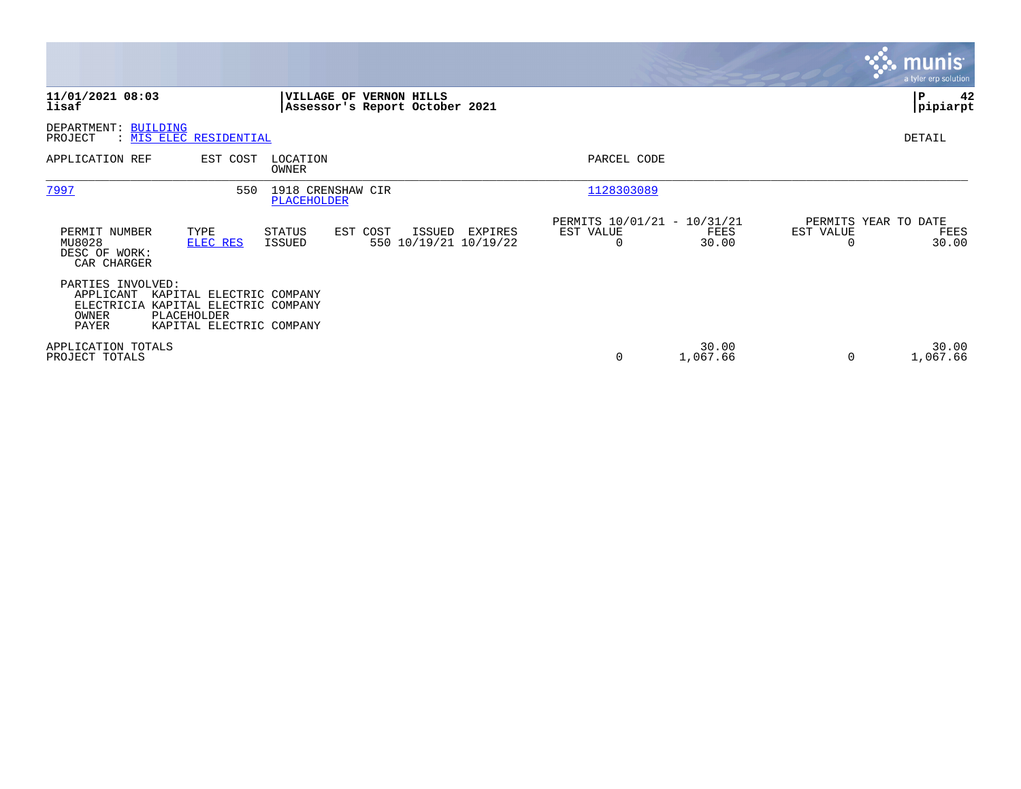|                                                         |                                                                                                            |                                  |                                                           |         |                                                         |                   |                                               | munist<br>a tyler erp solution |
|---------------------------------------------------------|------------------------------------------------------------------------------------------------------------|----------------------------------|-----------------------------------------------------------|---------|---------------------------------------------------------|-------------------|-----------------------------------------------|--------------------------------|
| 11/01/2021 08:03<br>lisaf                               |                                                                                                            |                                  | VILLAGE OF VERNON HILLS<br>Assessor's Report October 2021 |         |                                                         |                   |                                               | P<br>42<br> pipiarpt           |
| DEPARTMENT: BUILDING<br>PROJECT                         | : MIS ELEC RESIDENTIAL                                                                                     |                                  |                                                           |         |                                                         |                   |                                               | DETAIL                         |
| APPLICATION REF                                         | EST COST                                                                                                   | LOCATION<br>OWNER                |                                                           |         | PARCEL CODE                                             |                   |                                               |                                |
| 7997                                                    | 550                                                                                                        | 1918 CRENSHAW CIR<br>PLACEHOLDER |                                                           |         | 1128303089                                              |                   |                                               |                                |
| PERMIT NUMBER<br>MU8028<br>DESC OF WORK:<br>CAR CHARGER | TYPE<br>ELEC RES                                                                                           | STATUS<br><b>ISSUED</b>          | EST COST<br>ISSUED<br>550 10/19/21 10/19/22               | EXPIRES | PERMITS 10/01/21 - 10/31/21<br>EST VALUE<br>$\mathbf 0$ | FEES<br>30.00     | PERMITS YEAR TO DATE<br>EST VALUE<br>$\Omega$ | FEES<br>30.00                  |
| PARTIES INVOLVED:<br>APPLICANT<br>OWNER<br>PAYER        | KAPITAL ELECTRIC COMPANY<br>ELECTRICIA KAPITAL ELECTRIC COMPANY<br>PLACEHOLDER<br>KAPITAL ELECTRIC COMPANY |                                  |                                                           |         |                                                         |                   |                                               |                                |
| APPLICATION TOTALS<br>PROJECT TOTALS                    |                                                                                                            |                                  |                                                           |         | 0                                                       | 30.00<br>1,067.66 | 0                                             | 30.00<br>1,067.66              |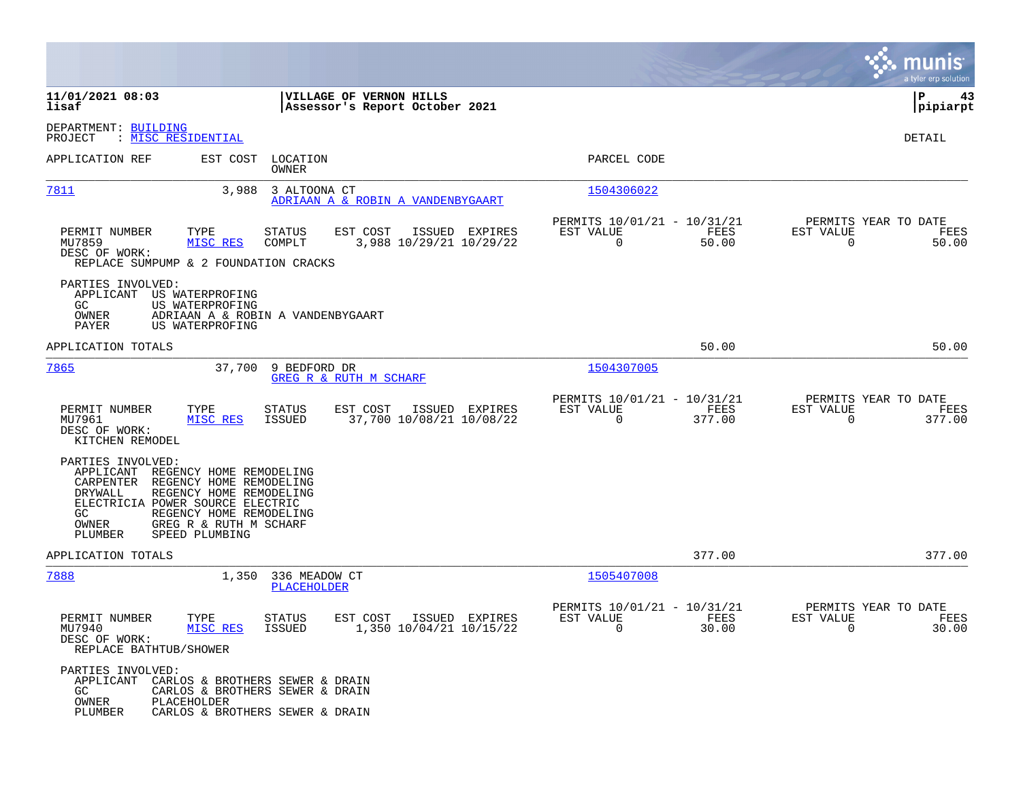|                                                                                                                                                                                                                                                                               |                                                                                         |                                                                             | munis<br>a tyler erp solution                                        |
|-------------------------------------------------------------------------------------------------------------------------------------------------------------------------------------------------------------------------------------------------------------------------------|-----------------------------------------------------------------------------------------|-----------------------------------------------------------------------------|----------------------------------------------------------------------|
| 11/01/2021 08:03<br>lisaf                                                                                                                                                                                                                                                     | VILLAGE OF VERNON HILLS<br>Assessor's Report October 2021                               |                                                                             | P<br>43<br> pipiarpt                                                 |
| DEPARTMENT: BUILDING<br>PROJECT<br>: <u>MISC RESIDENTIAL</u>                                                                                                                                                                                                                  |                                                                                         |                                                                             | DETAIL                                                               |
| APPLICATION REF<br>EST COST                                                                                                                                                                                                                                                   | LOCATION<br>OWNER                                                                       | PARCEL CODE                                                                 |                                                                      |
| <u>7811</u><br>3,988                                                                                                                                                                                                                                                          | 3 ALTOONA CT<br>ADRIAAN A & ROBIN A VANDENBYGAART                                       | 1504306022                                                                  |                                                                      |
| TYPE<br>PERMIT NUMBER<br>MU7859<br>MISC RES<br>DESC OF WORK:<br>REPLACE SUMPUMP & 2 FOUNDATION CRACKS                                                                                                                                                                         | EST COST<br><b>STATUS</b><br>ISSUED EXPIRES<br>3,988 10/29/21 10/29/22<br>COMPLT        | PERMITS 10/01/21 - 10/31/21<br>EST VALUE<br>FEES<br>$\overline{0}$<br>50.00 | PERMITS YEAR TO DATE<br>EST VALUE<br>FEES<br>50.00<br>0              |
| PARTIES INVOLVED:<br>APPLICANT US WATERPROFING<br>GC.<br>US WATERPROFING<br>OWNER<br>PAYER<br>US WATERPROFING                                                                                                                                                                 | ADRIAAN A & ROBIN A VANDENBYGAART                                                       |                                                                             |                                                                      |
| APPLICATION TOTALS                                                                                                                                                                                                                                                            |                                                                                         | 50.00                                                                       | 50.00                                                                |
| 7865<br>37,700                                                                                                                                                                                                                                                                | 9 BEDFORD DR<br>GREG R & RUTH M SCHARF                                                  | 1504307005                                                                  |                                                                      |
| PERMIT NUMBER<br>TYPE<br>MU7961<br>MISC RES<br>DESC OF WORK:<br>KITCHEN REMODEL                                                                                                                                                                                               | EST COST<br>ISSUED EXPIRES<br>STATUS<br>ISSUED<br>37,700 10/08/21 10/08/22              | PERMITS 10/01/21 - 10/31/21<br>EST VALUE<br>FEES<br>377.00<br>0             | PERMITS YEAR TO DATE<br>EST VALUE<br>FEES<br>0<br>377.00             |
| PARTIES INVOLVED:<br>APPLICANT<br>REGENCY HOME REMODELING<br>CARPENTER<br>REGENCY HOME REMODELING<br>DRYWALL<br>REGENCY HOME REMODELING<br>ELECTRICIA POWER SOURCE ELECTRIC<br>REGENCY HOME REMODELING<br>GC.<br>OWNER<br>GREG R & RUTH M SCHARF<br>PLUMBER<br>SPEED PLUMBING |                                                                                         |                                                                             |                                                                      |
| APPLICATION TOTALS                                                                                                                                                                                                                                                            |                                                                                         | 377.00                                                                      | 377.00                                                               |
| 7888<br>1,350                                                                                                                                                                                                                                                                 | 336 MEADOW CT<br>PLACEHOLDER                                                            | 1505407008                                                                  |                                                                      |
| PERMIT NUMBER<br>TYPE<br>MU7940<br>MISC RES<br>DESC OF WORK:<br>REPLACE BATHTUB/SHOWER                                                                                                                                                                                        | EST COST<br><b>STATUS</b><br>ISSUED EXPIRES<br><b>ISSUED</b><br>1,350 10/04/21 10/15/22 | PERMITS 10/01/21 - 10/31/21<br>EST VALUE<br>FEES<br>30.00<br>$\sim$ 0       | PERMITS YEAR TO DATE<br>EST VALUE<br>FEES<br>30.00<br>$\overline{0}$ |
| PARTIES INVOLVED:<br>APPLICANT CARLOS & BROTHERS SEWER & DRAIN<br>GC<br>OWNER<br>PLACEHOLDER<br>PLUMBER                                                                                                                                                                       | CARLOS & BROTHERS SEWER & DRAIN<br>CARLOS & BROTHERS SEWER & DRAIN                      |                                                                             |                                                                      |

 $\mathcal{L}^{\text{max}}$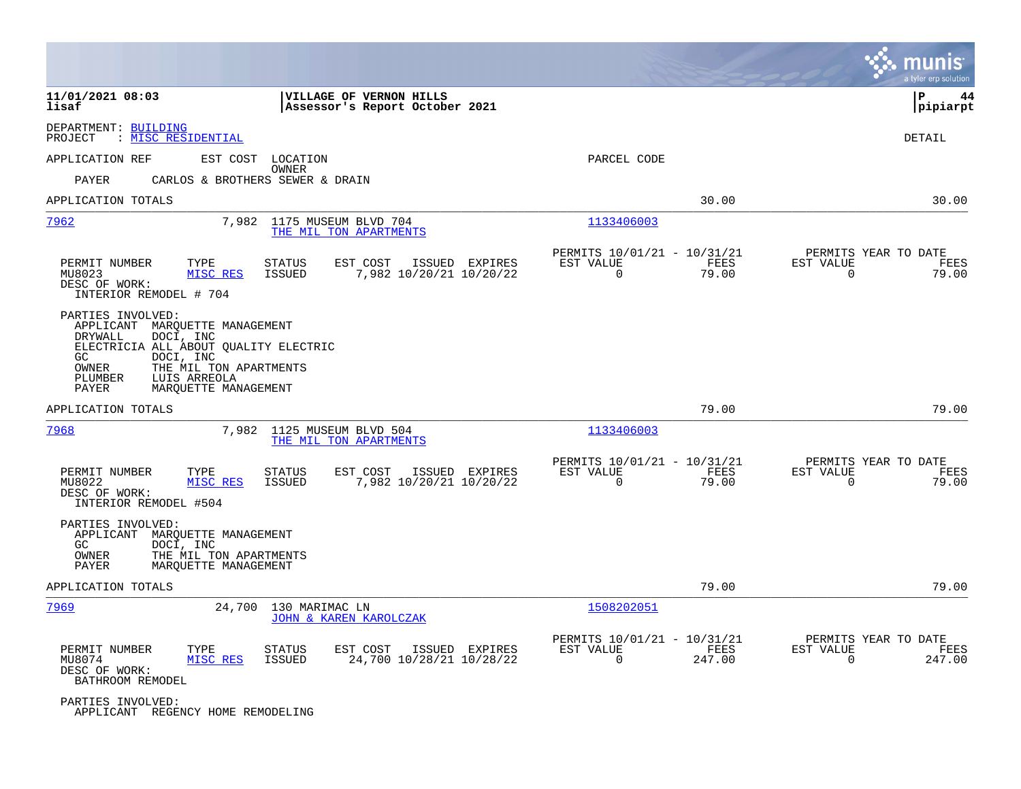|                                                                                                                                                                                                                                        |                                                                                          |                                                         |                | munis<br>a tyler erp solution                                      |
|----------------------------------------------------------------------------------------------------------------------------------------------------------------------------------------------------------------------------------------|------------------------------------------------------------------------------------------|---------------------------------------------------------|----------------|--------------------------------------------------------------------|
| 11/01/2021 08:03<br>lisaf                                                                                                                                                                                                              | VILLAGE OF VERNON HILLS<br>Assessor's Report October 2021                                |                                                         |                | ΙP<br>44<br> pipiarpt                                              |
| DEPARTMENT: BUILDING<br>: MISC RESIDENTIAL<br>PROJECT                                                                                                                                                                                  |                                                                                          |                                                         |                | DETAIL                                                             |
| APPLICATION REF<br>EST COST                                                                                                                                                                                                            | LOCATION                                                                                 | PARCEL CODE                                             |                |                                                                    |
| <b>PAYER</b><br>CARLOS & BROTHERS SEWER & DRAIN                                                                                                                                                                                        | OWNER                                                                                    |                                                         |                |                                                                    |
| APPLICATION TOTALS                                                                                                                                                                                                                     |                                                                                          |                                                         | 30.00          | 30.00                                                              |
| 7962<br>7,982                                                                                                                                                                                                                          | 1175 MUSEUM BLVD 704<br>THE MIL TON APARTMENTS                                           | 1133406003                                              |                |                                                                    |
| PERMIT NUMBER<br>TYPE<br>MU8023<br>MISC RES<br>DESC OF WORK:<br>INTERIOR REMODEL # 704                                                                                                                                                 | EST COST<br>ISSUED EXPIRES<br>STATUS<br><b>ISSUED</b><br>7,982 10/20/21 10/20/22         | PERMITS 10/01/21 - 10/31/21<br>EST VALUE<br>$\mathbf 0$ | FEES<br>79.00  | PERMITS YEAR TO DATE<br>EST VALUE<br>FEES<br>0<br>79.00            |
| PARTIES INVOLVED:<br>APPLICANT MARQUETTE MANAGEMENT<br>DRYWALL<br>DOCI, INC<br>ELECTRICIA ALL ABOUT QUALITY ELECTRIC<br>DOCI, INC<br>GC<br>OWNER<br>THE MIL TON APARTMENTS<br>LUIS ARREOLA<br>PLUMBER<br>PAYER<br>MARQUETTE MANAGEMENT |                                                                                          |                                                         |                |                                                                    |
| APPLICATION TOTALS                                                                                                                                                                                                                     |                                                                                          |                                                         | 79.00          | 79.00                                                              |
| <u>7968</u><br>7,982                                                                                                                                                                                                                   | 1125 MUSEUM BLVD 504<br>THE MIL TON APARTMENTS                                           | 1133406003                                              |                |                                                                    |
| PERMIT NUMBER<br>TYPE<br>MU8022<br>MISC RES<br>DESC OF WORK:<br>INTERIOR REMODEL #504                                                                                                                                                  | <b>STATUS</b><br>EST COST<br>ISSUED EXPIRES<br><b>ISSUED</b><br>7,982 10/20/21 10/20/22  | PERMITS 10/01/21 - 10/31/21<br>EST VALUE<br>$\Omega$    | FEES<br>79.00  | PERMITS YEAR TO DATE<br>EST VALUE<br>FEES<br>79.00<br>$\Omega$     |
| PARTIES INVOLVED:<br>MARQUETTE MANAGEMENT<br>APPLICANT<br>DOCI, INC<br>GC.<br>OWNER<br>THE MIL TON APARTMENTS<br>MARQUETTE MANAGEMENT<br>PAYER                                                                                         |                                                                                          |                                                         |                |                                                                    |
| APPLICATION TOTALS                                                                                                                                                                                                                     |                                                                                          |                                                         | 79.00          | 79.00                                                              |
| 7969<br>24,700                                                                                                                                                                                                                         | 130 MARIMAC LN<br><b>JOHN &amp; KAREN KAROLCZAK</b>                                      | 1508202051                                              |                |                                                                    |
| PERMIT NUMBER<br>TYPE<br>MISC RES<br>MU8074<br>DESC OF WORK:<br>BATHROOM REMODEL                                                                                                                                                       | <b>STATUS</b><br>EST COST<br>ISSUED EXPIRES<br><b>ISSUED</b><br>24,700 10/28/21 10/28/22 | PERMITS 10/01/21 - 10/31/21<br>EST VALUE<br>$\mathbf 0$ | FEES<br>247.00 | PERMITS YEAR TO DATE<br>EST VALUE<br>FEES<br>$\mathbf 0$<br>247.00 |
| PARTIES INVOLVED:<br>APPLICANT REGENCY HOME REMODELING                                                                                                                                                                                 |                                                                                          |                                                         |                |                                                                    |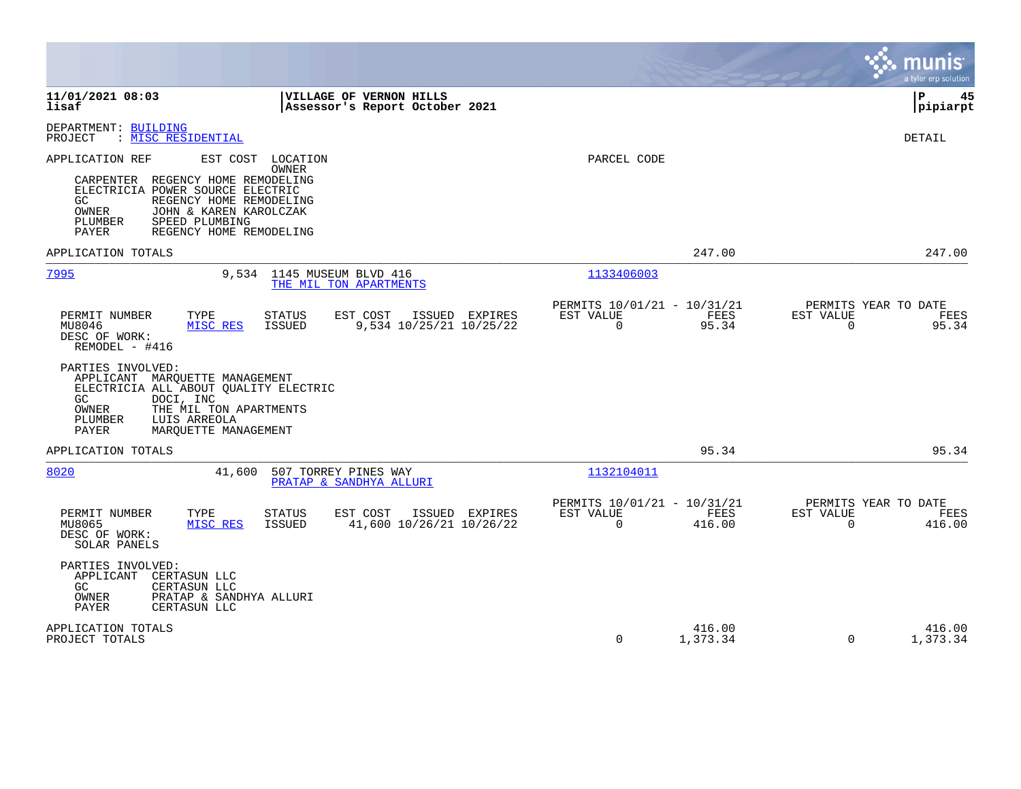|                                                                                                                                                                                                                                |                                                                                   |                                                                               | munis<br>a tyler erp solution                                      |
|--------------------------------------------------------------------------------------------------------------------------------------------------------------------------------------------------------------------------------|-----------------------------------------------------------------------------------|-------------------------------------------------------------------------------|--------------------------------------------------------------------|
| 11/01/2021 08:03<br>lisaf                                                                                                                                                                                                      | VILLAGE OF VERNON HILLS<br>Assessor's Report October 2021                         |                                                                               | l P<br>45<br> pipiarpt                                             |
| DEPARTMENT: BUILDING<br>PROJECT<br>: MISC RESIDENTIAL                                                                                                                                                                          |                                                                                   |                                                                               | DETAIL                                                             |
| APPLICATION REF<br>CARPENTER REGENCY HOME REMODELING<br>ELECTRICIA POWER SOURCE ELECTRIC<br>REGENCY HOME REMODELING<br>GC.<br>JOHN & KAREN KAROLCZAK<br>OWNER<br>PLUMBER<br>SPEED PLUMBING<br>PAYER<br>REGENCY HOME REMODELING | EST COST LOCATION<br>OWNER                                                        | PARCEL CODE                                                                   |                                                                    |
| APPLICATION TOTALS                                                                                                                                                                                                             |                                                                                   | 247.00                                                                        | 247.00                                                             |
| 7995<br>9,534                                                                                                                                                                                                                  | 1145 MUSEUM BLVD 416<br>THE MIL TON APARTMENTS                                    | 1133406003                                                                    |                                                                    |
| PERMIT NUMBER<br>TYPE<br>MU8046<br>MISC RES<br>DESC OF WORK:<br>REMODEL - #416                                                                                                                                                 | STATUS<br>EST COST<br>ISSUED EXPIRES<br>9,534 10/25/21 10/25/22<br>ISSUED         | PERMITS 10/01/21 - 10/31/21<br>FEES<br>EST VALUE<br>95.34<br>$\Omega$         | PERMITS YEAR TO DATE<br>EST VALUE<br>FEES<br>$\Omega$<br>95.34     |
| PARTIES INVOLVED:<br>APPLICANT MAROUETTE MANAGEMENT<br>ELECTRICIA ALL ABOUT QUALITY ELECTRIC<br>GC<br>DOCI, INC<br>OWNER<br>THE MIL TON APARTMENTS<br>PLUMBER<br>LUIS ARREOLA<br>PAYER<br>MAROUETTE MANAGEMENT                 |                                                                                   |                                                                               |                                                                    |
| APPLICATION TOTALS                                                                                                                                                                                                             |                                                                                   | 95.34                                                                         | 95.34                                                              |
| 8020<br>41,600                                                                                                                                                                                                                 | 507 TORREY PINES WAY<br>PRATAP & SANDHYA ALLURI                                   | 1132104011                                                                    |                                                                    |
| PERMIT NUMBER<br>TYPE<br>MU8065<br>MISC RES<br>DESC OF WORK:<br>SOLAR PANELS                                                                                                                                                   | <b>STATUS</b><br>EST COST<br>ISSUED EXPIRES<br>41,600 10/26/21 10/26/22<br>ISSUED | PERMITS 10/01/21 - 10/31/21<br>EST VALUE<br><b>FEES</b><br>$\Omega$<br>416.00 | PERMITS YEAR TO DATE<br>EST VALUE<br>FEES<br>$\mathbf 0$<br>416.00 |
| PARTIES INVOLVED:<br>APPLICANT<br>CERTASUN LLC<br>GC<br>CERTASUN LLC<br>OWNER<br>PRATAP & SANDHYA ALLURI<br>PAYER<br>CERTASUN LLC                                                                                              |                                                                                   |                                                                               |                                                                    |
| APPLICATION TOTALS<br>PROJECT TOTALS                                                                                                                                                                                           |                                                                                   | 416.00<br>$\Omega$<br>1,373.34                                                | 416.00<br>$\Omega$<br>1,373.34                                     |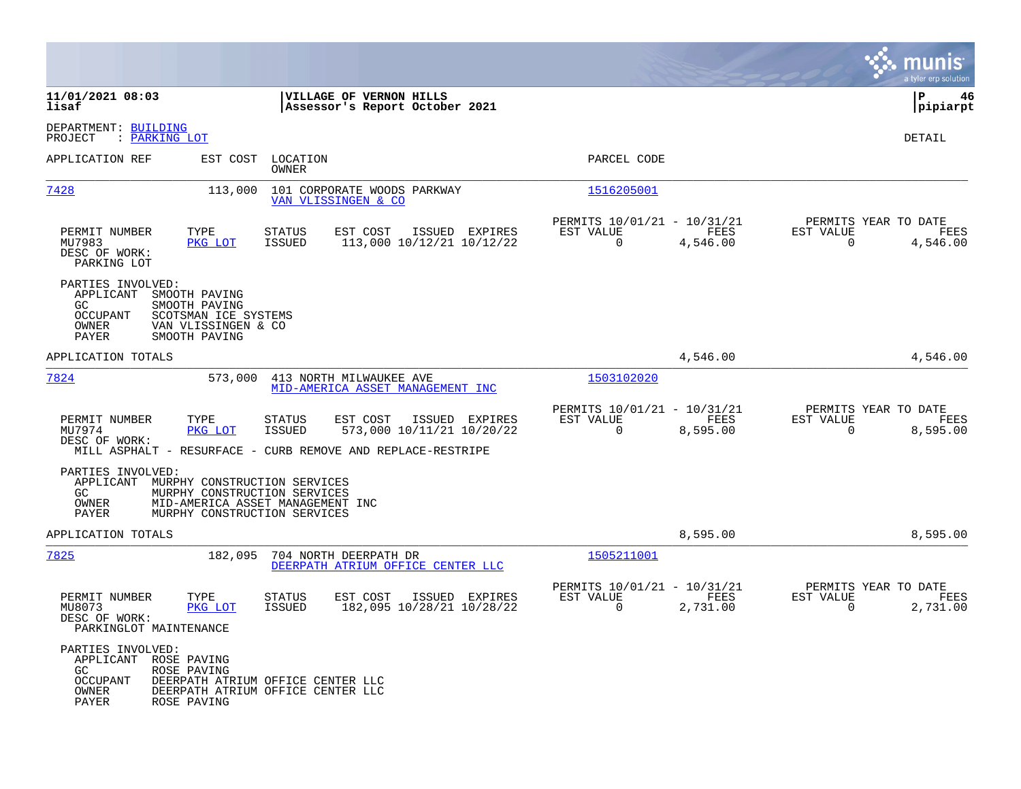|                                                                                                                  |                                                                                                                                  |                                                             |                |                                                         |                  |                                               | munis<br>a tyler erp solution |
|------------------------------------------------------------------------------------------------------------------|----------------------------------------------------------------------------------------------------------------------------------|-------------------------------------------------------------|----------------|---------------------------------------------------------|------------------|-----------------------------------------------|-------------------------------|
| 11/01/2021 08:03<br>lisaf                                                                                        |                                                                                                                                  | VILLAGE OF VERNON HILLS<br>Assessor's Report October 2021   |                |                                                         |                  |                                               | P<br>46<br> pipiarpt          |
| DEPARTMENT: BUILDING<br>PROJECT<br>: PARKING LOT                                                                 |                                                                                                                                  |                                                             |                |                                                         |                  |                                               | DETAIL                        |
| APPLICATION REF                                                                                                  | EST COST<br>LOCATION<br>OWNER                                                                                                    |                                                             |                | PARCEL CODE                                             |                  |                                               |                               |
| 7428                                                                                                             | 113,000                                                                                                                          | 101 CORPORATE WOODS PARKWAY<br>VAN VLISSINGEN & CO          |                | 1516205001                                              |                  |                                               |                               |
| PERMIT NUMBER<br>MU7983<br>DESC OF WORK:<br>PARKING LOT                                                          | TYPE<br>STATUS<br>PKG LOT<br><b>ISSUED</b>                                                                                       | EST COST<br>113,000 10/12/21 10/12/22                       | ISSUED EXPIRES | PERMITS 10/01/21 - 10/31/21<br>EST VALUE<br>$\Omega$    | FEES<br>4,546.00 | PERMITS YEAR TO DATE<br>EST VALUE<br>$\Omega$ | FEES<br>4,546.00              |
| PARTIES INVOLVED:<br>APPLICANT<br>GC.<br><b>OCCUPANT</b><br>OWNER<br>PAYER                                       | SMOOTH PAVING<br>SMOOTH PAVING<br>SCOTSMAN ICE SYSTEMS<br>VAN VLISSINGEN & CO<br>SMOOTH PAVING                                   |                                                             |                |                                                         |                  |                                               |                               |
| APPLICATION TOTALS                                                                                               |                                                                                                                                  |                                                             |                |                                                         | 4,546.00         |                                               | 4,546.00                      |
| 7824                                                                                                             | 573,000                                                                                                                          | 413 NORTH MILWAUKEE AVE<br>MID-AMERICA ASSET MANAGEMENT INC |                | 1503102020                                              |                  |                                               |                               |
| PERMIT NUMBER<br>MU7974<br>DESC OF WORK:                                                                         | TYPE<br>STATUS<br>PKG LOT<br><b>ISSUED</b><br>MILL ASPHALT - RESURFACE - CURB REMOVE AND REPLACE-RESTRIPE                        | EST COST<br>573,000 10/11/21 10/20/22                       | ISSUED EXPIRES | PERMITS 10/01/21 - 10/31/21<br>EST VALUE<br>$\Omega$    | FEES<br>8,595.00 | PERMITS YEAR TO DATE<br>EST VALUE<br>$\Omega$ | FEES<br>8,595.00              |
| PARTIES INVOLVED:<br>APPLICANT<br>GC<br>OWNER<br><b>PAYER</b>                                                    | MURPHY CONSTRUCTION SERVICES<br>MURPHY CONSTRUCTION SERVICES<br>MID-AMERICA ASSET MANAGEMENT INC<br>MURPHY CONSTRUCTION SERVICES |                                                             |                |                                                         |                  |                                               |                               |
| APPLICATION TOTALS                                                                                               |                                                                                                                                  |                                                             |                |                                                         | 8,595.00         |                                               | 8,595.00                      |
| 7825                                                                                                             | 182,095                                                                                                                          | 704 NORTH DEERPATH DR<br>DEERPATH ATRIUM OFFICE CENTER LLC  |                | 1505211001                                              |                  |                                               |                               |
| PERMIT NUMBER<br>MU8073<br>DESC OF WORK:<br>PARKINGLOT MAINTENANCE                                               | TYPE<br><b>STATUS</b><br>PKG LOT<br><b>ISSUED</b>                                                                                | EST COST<br>182,095 10/28/21 10/28/22                       | ISSUED EXPIRES | PERMITS 10/01/21 - 10/31/21<br>EST VALUE<br>$\mathbf 0$ | FEES<br>2,731.00 | PERMITS YEAR TO DATE<br>EST VALUE<br>$\Omega$ | FEES<br>2,731.00              |
| PARTIES INVOLVED:<br>APPLICANT<br>ROSE PAVING<br>ROSE PAVING<br>GC.<br>OCCUPANT<br>OWNER<br>PAYER<br>ROSE PAVING | DEERPATH ATRIUM OFFICE CENTER LLC<br>DEERPATH ATRIUM OFFICE CENTER LLC                                                           |                                                             |                |                                                         |                  |                                               |                               |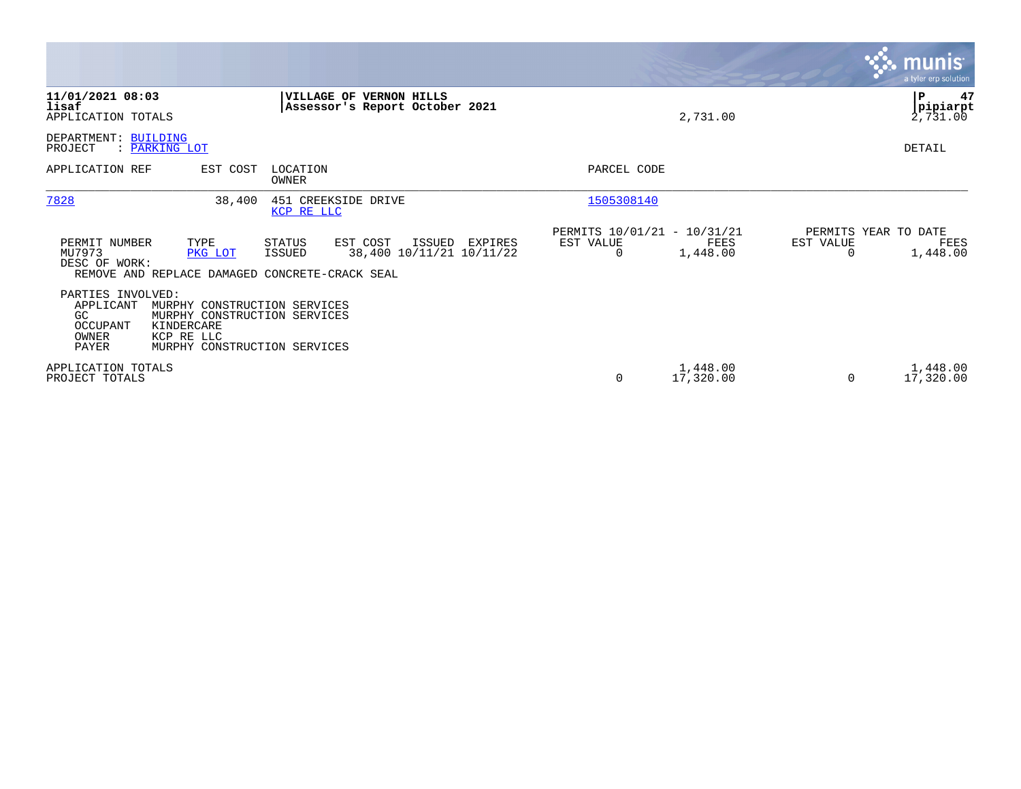|                                                                                                                                                                                                        |                                                                                | <b>munis</b><br>a tyler erp solution     |
|--------------------------------------------------------------------------------------------------------------------------------------------------------------------------------------------------------|--------------------------------------------------------------------------------|------------------------------------------|
| 11/01/2021 08:03<br><b>VILLAGE OF VERNON HILLS</b><br>lisaf<br>Assessor's Report October 2021<br>APPLICATION TOTALS                                                                                    | 2,731.00                                                                       | ${\bf P}$<br>47<br> pipiarpt<br>2,731.00 |
| DEPARTMENT: BUILDING<br>PROJECT<br>: PARKING LOT                                                                                                                                                       |                                                                                | <b>DETAIL</b>                            |
| APPLICATION REF<br>EST COST<br>LOCATION<br>OWNER                                                                                                                                                       | PARCEL CODE                                                                    |                                          |
| 7828<br>38,400<br>451 CREEKSIDE DRIVE<br>KCP RE LLC                                                                                                                                                    | 1505308140                                                                     |                                          |
| TYPE<br>EST COST<br>PERMIT NUMBER<br>STATUS<br>ISSUED<br>EXPIRES<br>MU7973<br>38,400 10/11/21 10/11/22<br>ISSUED<br>PKG LOT<br>DESC OF WORK:<br>REMOVE AND REPLACE DAMAGED CONCRETE-CRACK SEAL         | PERMITS 10/01/21 - 10/31/21<br>EST VALUE<br>EST VALUE<br>FEES<br>1,448.00<br>0 | PERMITS YEAR TO DATE<br>FEES<br>1,448.00 |
| PARTIES INVOLVED:<br>APPLICANT<br>MURPHY CONSTRUCTION SERVICES<br>MURPHY CONSTRUCTION SERVICES<br>GC.<br>OCCUPANT<br>KINDERCARE<br>OWNER<br>KCP RE LLC<br><b>PAYER</b><br>MURPHY CONSTRUCTION SERVICES |                                                                                |                                          |
| APPLICATION TOTALS<br>PROJECT TOTALS                                                                                                                                                                   | 1,448.00<br>17,320.00<br>0                                                     | 1,448.00<br>17,320.00<br>$\Omega$        |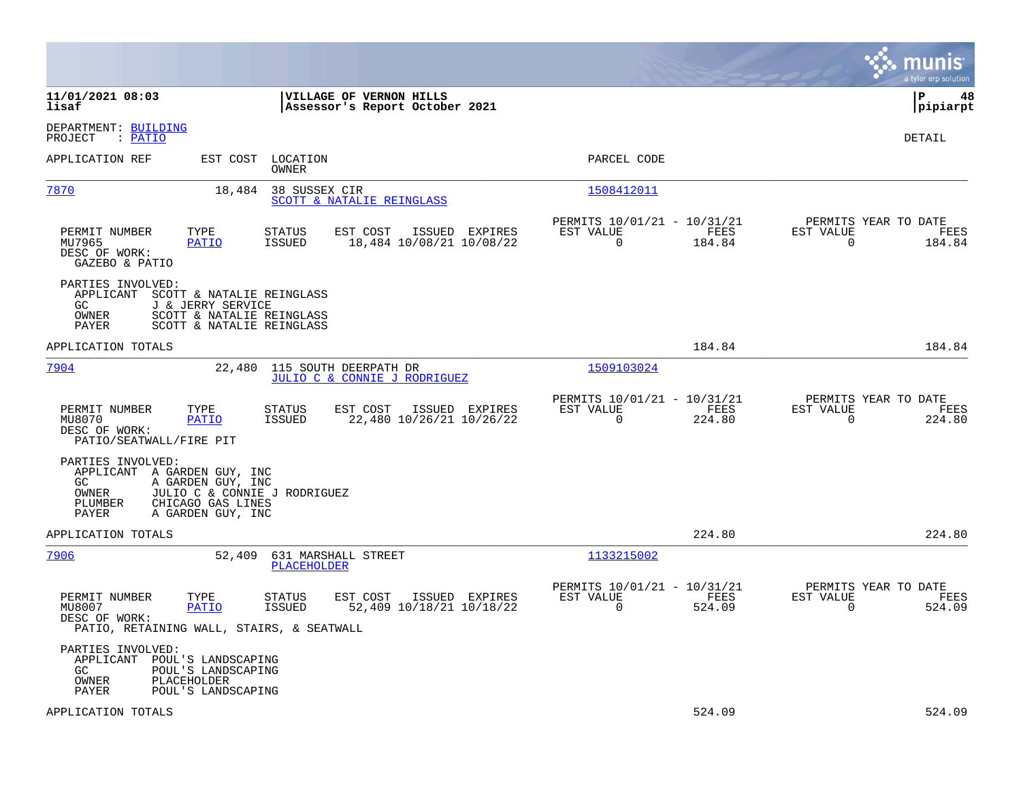|                                                                                                                                                                                                           |                                                                           | munis<br>a tyler erp solution                                      |
|-----------------------------------------------------------------------------------------------------------------------------------------------------------------------------------------------------------|---------------------------------------------------------------------------|--------------------------------------------------------------------|
| 11/01/2021 08:03<br>VILLAGE OF VERNON HILLS<br>lisaf<br>Assessor's Report October 2021                                                                                                                    |                                                                           | l P<br>48<br> pipiarpt                                             |
| DEPARTMENT: BUILDING<br>PROJECT<br>: <u>PATIO</u>                                                                                                                                                         |                                                                           | <b>DETAIL</b>                                                      |
| EST COST<br>LOCATION<br>APPLICATION REF<br>OWNER                                                                                                                                                          | PARCEL CODE                                                               |                                                                    |
| 7870<br>18,484<br>38 SUSSEX CIR<br>SCOTT & NATALIE REINGLASS                                                                                                                                              | 1508412011                                                                |                                                                    |
| EST COST<br>PERMIT NUMBER<br>TYPE<br>STATUS<br>ISSUED EXPIRES<br>MU7965<br>18,484 10/08/21 10/08/22<br>PATIO<br>ISSUED<br>DESC OF WORK:<br>GAZEBO & PATIO                                                 | PERMITS 10/01/21 - 10/31/21<br>EST VALUE<br>FEES<br>$\mathbf 0$<br>184.84 | PERMITS YEAR TO DATE<br>EST VALUE<br>FEES<br>$\mathbf 0$<br>184.84 |
| PARTIES INVOLVED:<br>APPLICANT<br>SCOTT & NATALIE REINGLASS<br>J & JERRY SERVICE<br>GC.<br>OWNER<br>SCOTT & NATALIE REINGLASS<br>PAYER<br>SCOTT & NATALIE REINGLASS                                       |                                                                           |                                                                    |
| APPLICATION TOTALS                                                                                                                                                                                        | 184.84                                                                    | 184.84                                                             |
| 7904<br>22,480<br>115 SOUTH DEERPATH DR<br>JULIO C & CONNIE J RODRIGUEZ                                                                                                                                   | 1509103024                                                                |                                                                    |
| PERMIT NUMBER<br>TYPE<br>STATUS<br>EST COST<br>ISSUED EXPIRES<br>22,480 10/26/21 10/26/22<br><b>PATIO</b><br>ISSUED<br>MU8070<br>DESC OF WORK:<br>PATIO/SEATWALL/FIRE PIT                                 | PERMITS 10/01/21 - 10/31/21<br>EST VALUE<br>FEES<br>$\mathbf 0$<br>224.80 | PERMITS YEAR TO DATE<br>EST VALUE<br>FEES<br>$\mathbf 0$<br>224.80 |
| PARTIES INVOLVED:<br>APPLICANT A GARDEN GUY, INC<br>GC<br>A GARDEN GUY, INC<br>OWNER<br>JULIO C & CONNIE J RODRIGUEZ<br>CHICAGO GAS LINES<br>PLUMBER<br>PAYER<br>A GARDEN GUY, INC                        |                                                                           |                                                                    |
| APPLICATION TOTALS                                                                                                                                                                                        | 224.80                                                                    | 224.80                                                             |
| 7906<br>52,409<br>631 MARSHALL STREET<br><b>PLACEHOLDER</b>                                                                                                                                               | 1133215002                                                                |                                                                    |
| PERMIT NUMBER<br>TYPE<br><b>STATUS</b><br>EST COST<br>ISSUED EXPIRES<br>MU8007<br>52,409 10/18/21 10/18/22<br><b>PATIO</b><br><b>ISSUED</b><br>DESC OF WORK:<br>PATIO, RETAINING WALL, STAIRS, & SEATWALL | PERMITS 10/01/21 - 10/31/21<br>EST VALUE<br>FEES<br>$\Omega$<br>524.09    | PERMITS YEAR TO DATE<br>EST VALUE<br>FEES<br>$\Omega$<br>524.09    |
| PARTIES INVOLVED:<br>APPLICANT<br>POUL'S LANDSCAPING<br>POUL'S LANDSCAPING<br>GC.<br>OWNER<br>PLACEHOLDER<br>PAYER<br>POUL'S LANDSCAPING                                                                  |                                                                           |                                                                    |
| APPLICATION TOTALS                                                                                                                                                                                        | 524.09                                                                    | 524.09                                                             |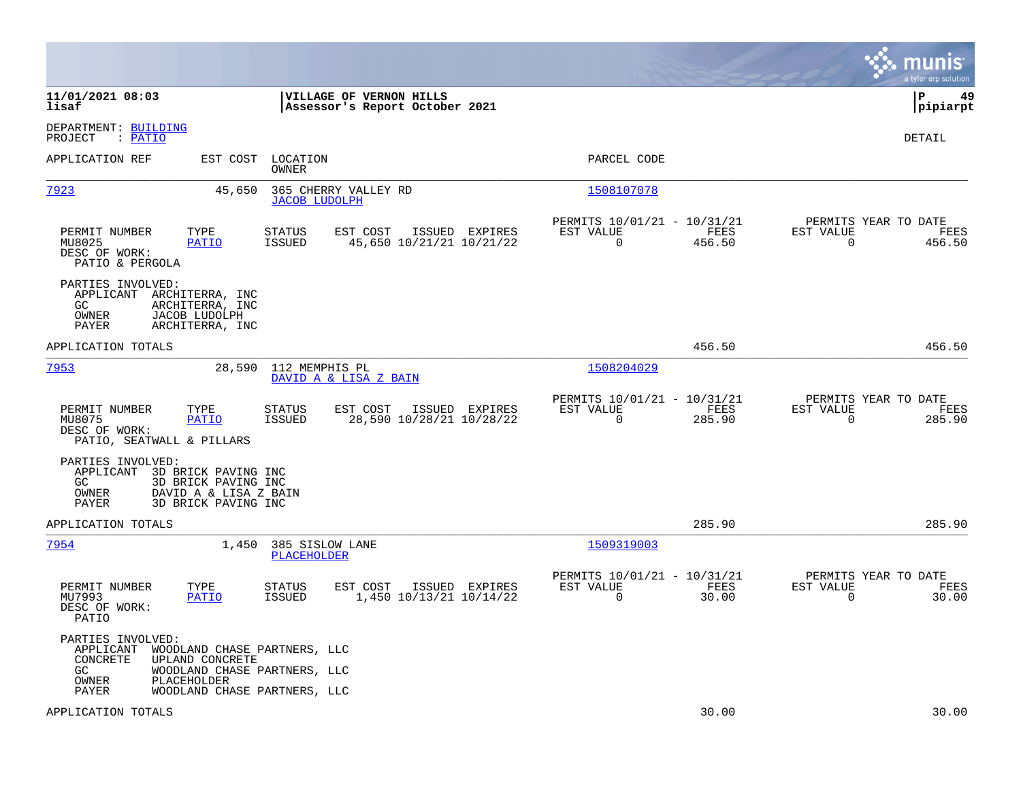|                                                                                                                                                        | munis<br>a tyler erp solution                                                                                                                                     |
|--------------------------------------------------------------------------------------------------------------------------------------------------------|-------------------------------------------------------------------------------------------------------------------------------------------------------------------|
| 11/01/2021 08:03<br>VILLAGE OF VERNON HILLS<br>lisaf<br>Assessor's Report October 2021                                                                 | l P<br>49<br> pipiarpt                                                                                                                                            |
| DEPARTMENT: BUILDING<br>PROJECT<br>: PATIO                                                                                                             | <b>DETAIL</b>                                                                                                                                                     |
| APPLICATION REF<br>EST COST<br>LOCATION<br>OWNER                                                                                                       | PARCEL CODE                                                                                                                                                       |
| 7923<br>45,650<br>365 CHERRY VALLEY RD<br><b>JACOB LUDOLPH</b>                                                                                         | 1508107078                                                                                                                                                        |
| PERMIT NUMBER<br>TYPE<br><b>STATUS</b><br>EST COST<br>45,650 10/21/21 10/21/22<br>MU8025<br><b>PATIO</b><br>ISSUED<br>DESC OF WORK:<br>PATIO & PERGOLA | PERMITS 10/01/21 - 10/31/21<br>PERMITS YEAR TO DATE<br>ISSUED EXPIRES<br>EST VALUE<br>FEES<br>EST VALUE<br>FEES<br>$\mathbf 0$<br>456.50<br>$\mathbf 0$<br>456.50 |
| PARTIES INVOLVED:<br>APPLICANT ARCHITERRA, INC<br>ARCHITERRA, INC<br>GC.<br>OWNER<br>JACOB LUDOLPH<br>PAYER<br>ARCHITERRA, INC                         |                                                                                                                                                                   |
| APPLICATION TOTALS                                                                                                                                     | 456.50<br>456.50                                                                                                                                                  |
| 7953<br>28,590<br>112 MEMPHIS PL<br>DAVID A & LISA Z BAIN                                                                                              | 1508204029                                                                                                                                                        |
| PERMIT NUMBER<br>TYPE<br>STATUS<br>EST COST<br>28,590 10/28/21 10/28/22<br>MU8075<br>PATIO<br>ISSUED<br>DESC OF WORK:<br>PATIO, SEATWALL & PILLARS     | PERMITS 10/01/21 - 10/31/21<br>PERMITS YEAR TO DATE<br>ISSUED EXPIRES<br>EST VALUE<br>FEES<br>EST VALUE<br>FEES<br>$\Omega$<br>285.90<br>$\mathbf 0$<br>285.90    |
| PARTIES INVOLVED:<br>APPLICANT 3D BRICK PAVING INC<br>GC<br>3D BRICK PAVING INC<br>OWNER<br>DAVID A & LISA Z BAIN<br>PAYER<br>3D BRICK PAVING INC      |                                                                                                                                                                   |
| APPLICATION TOTALS                                                                                                                                     | 285.90<br>285.90                                                                                                                                                  |
| 7954<br>1,450<br>385 SISLOW LANE<br><b>PLACEHOLDER</b>                                                                                                 | 1509319003                                                                                                                                                        |
| PERMIT NUMBER<br>TYPE<br><b>STATUS</b><br>EST COST ISSUED EXPIRES<br>MU7993<br>PATIO<br>ISSUED<br>DESC OF WORK:<br>PATIO                               | PERMITS 10/01/21 - 10/31/21<br>PERMITS YEAR TO DATE<br>EST VALUE<br>FEES<br>EST VALUE<br>FEES<br>$\mathbf 0$<br>30.00<br>1,450 10/13/21 10/14/22<br>0<br>30.00    |
| PARTIES INVOLVED:<br>WOODLAND CHASE PARTNERS, LLC<br>APPLICANT<br>CONCRETE<br>UPLAND CONCRETE<br>GC.<br>WOODLAND CHASE PARTNERS, LLC                   |                                                                                                                                                                   |
| OWNER<br>PLACEHOLDER<br>WOODLAND CHASE PARTNERS, LLC<br>PAYER                                                                                          |                                                                                                                                                                   |
| APPLICATION TOTALS                                                                                                                                     | 30.00<br>30.00                                                                                                                                                    |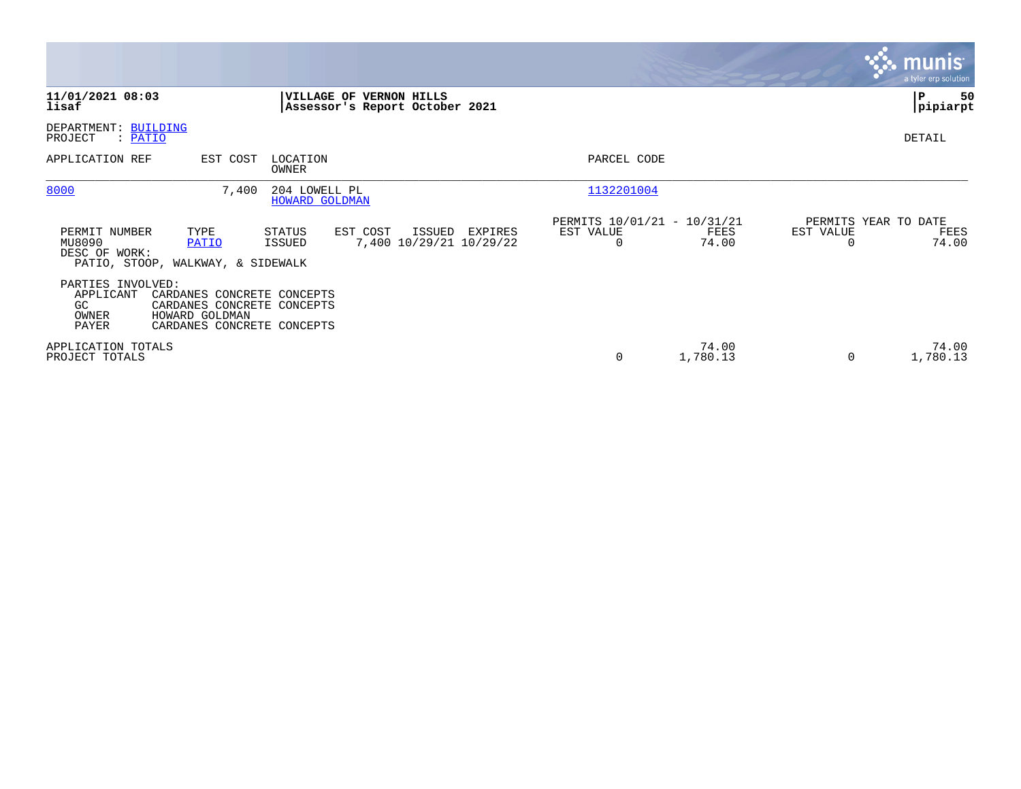|                                                        |                                                                                                          |                                        |                                                           |         |                                               |                   |           | <b>munis</b><br>a tyler erp solution  |
|--------------------------------------------------------|----------------------------------------------------------------------------------------------------------|----------------------------------------|-----------------------------------------------------------|---------|-----------------------------------------------|-------------------|-----------|---------------------------------------|
| 11/01/2021 08:03<br>lisaf                              |                                                                                                          |                                        | VILLAGE OF VERNON HILLS<br>Assessor's Report October 2021 |         |                                               |                   |           | ∣P<br>50<br> pipiarpt                 |
| DEPARTMENT: BUILDING<br>PROJECT<br>: PATIO             |                                                                                                          |                                        |                                                           |         |                                               |                   |           | DETAIL                                |
| APPLICATION REF                                        | EST COST                                                                                                 | LOCATION<br>OWNER                      |                                                           |         | PARCEL CODE                                   |                   |           |                                       |
| 8000                                                   | 7,400                                                                                                    | 204 LOWELL PL<br><b>HOWARD GOLDMAN</b> |                                                           |         | 1132201004                                    |                   |           |                                       |
| PERMIT NUMBER<br>MU8090<br>DESC OF WORK:               | TYPE<br>PATIO<br>PATIO, STOOP, WALKWAY, & SIDEWALK                                                       | STATUS<br>ISSUED                       | EST COST<br>ISSUED<br>7,400 10/29/21 10/29/22             | EXPIRES | PERMITS 10/01/21 - 10/31/21<br>EST VALUE<br>0 | FEES<br>74.00     | EST VALUE | PERMITS YEAR TO DATE<br>FEES<br>74.00 |
| PARTIES INVOLVED:<br>APPLICANT<br>GC<br>OWNER<br>PAYER | CARDANES CONCRETE CONCEPTS<br>CARDANES CONCRETE CONCEPTS<br>HOWARD GOLDMAN<br>CARDANES CONCRETE CONCEPTS |                                        |                                                           |         |                                               |                   |           |                                       |
| APPLICATION TOTALS<br>PROJECT TOTALS                   |                                                                                                          |                                        |                                                           |         | 0                                             | 74.00<br>1,780.13 | $\Omega$  | 74.00<br>1,780.13                     |

 $\mathcal{L}^{\text{max}}$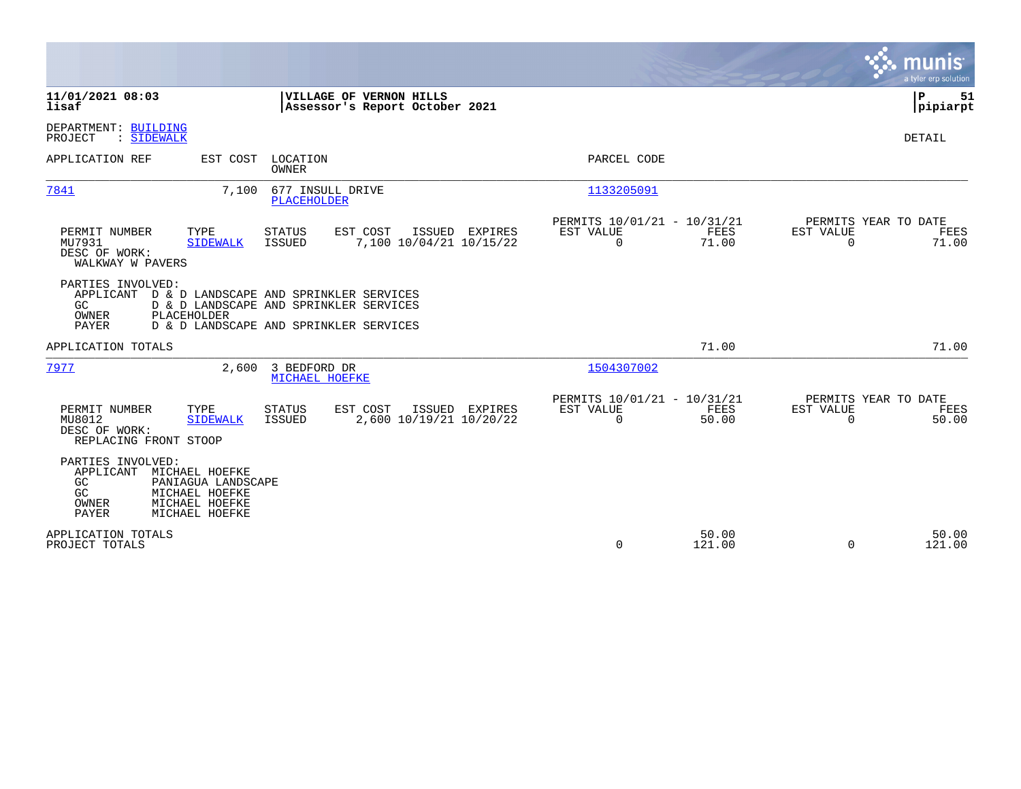|                                                                                                                                                                                                      |                                                                          | munis<br>a tyler erp solution                                  |
|------------------------------------------------------------------------------------------------------------------------------------------------------------------------------------------------------|--------------------------------------------------------------------------|----------------------------------------------------------------|
| 11/01/2021 08:03<br>VILLAGE OF VERNON HILLS<br>lisaf<br>Assessor's Report October 2021                                                                                                               |                                                                          | P<br>51<br> pipiarpt                                           |
| DEPARTMENT: BUILDING<br>: SIDEWALK<br>PROJECT                                                                                                                                                        |                                                                          | <b>DETAIL</b>                                                  |
| APPLICATION REF<br>EST COST<br>LOCATION<br>OWNER                                                                                                                                                     | PARCEL CODE                                                              |                                                                |
| 7841<br>677 INSULL DRIVE<br>7,100<br>PLACEHOLDER                                                                                                                                                     | 1133205091                                                               |                                                                |
| PERMIT NUMBER<br>TYPE<br>EST COST<br>ISSUED EXPIRES<br>STATUS<br>MU7931<br>7,100 10/04/21 10/15/22<br><b>SIDEWALK</b><br>ISSUED<br>DESC OF WORK:<br>WALKWAY W PAVERS                                 | PERMITS 10/01/21 - 10/31/21<br>EST VALUE<br>FEES<br>$\mathbf 0$<br>71.00 | PERMITS YEAR TO DATE<br>EST VALUE<br>FEES<br>$\Omega$<br>71.00 |
| PARTIES INVOLVED:<br>APPLICANT<br>D & D LANDSCAPE AND SPRINKLER SERVICES<br>D & D LANDSCAPE AND SPRINKLER SERVICES<br>GC.<br>OWNER<br>PLACEHOLDER<br>PAYER<br>D & D LANDSCAPE AND SPRINKLER SERVICES |                                                                          |                                                                |
| APPLICATION TOTALS                                                                                                                                                                                   | 71.00                                                                    | 71.00                                                          |
| 7977<br>2,600 3 BEDFORD DR<br>MICHAEL HOEFKE                                                                                                                                                         | 1504307002                                                               |                                                                |
| EST COST<br>PERMIT NUMBER<br>TYPE<br><b>STATUS</b><br>ISSUED EXPIRES<br>MU8012<br>2,600 10/19/21 10/20/22<br>ISSUED<br><b>SIDEWALK</b><br>DESC OF WORK:<br>REPLACING FRONT STOOP                     | PERMITS 10/01/21 - 10/31/21<br>EST VALUE<br>FEES<br>$\Omega$<br>50.00    | PERMITS YEAR TO DATE<br>EST VALUE<br>FEES<br>$\Omega$<br>50.00 |
| PARTIES INVOLVED:<br>APPLICANT<br>MICHAEL HOEFKE<br>GC<br>PANIAGUA LANDSCAPE<br>GC.<br>MICHAEL HOEFKE<br>MICHAEL HOEFKE<br>OWNER<br>PAYER<br>MICHAEL HOEFKE                                          |                                                                          |                                                                |
| APPLICATION TOTALS<br>PROJECT TOTALS                                                                                                                                                                 | 50.00<br>0<br>121.00                                                     | 50.00<br>$\Omega$<br>121.00                                    |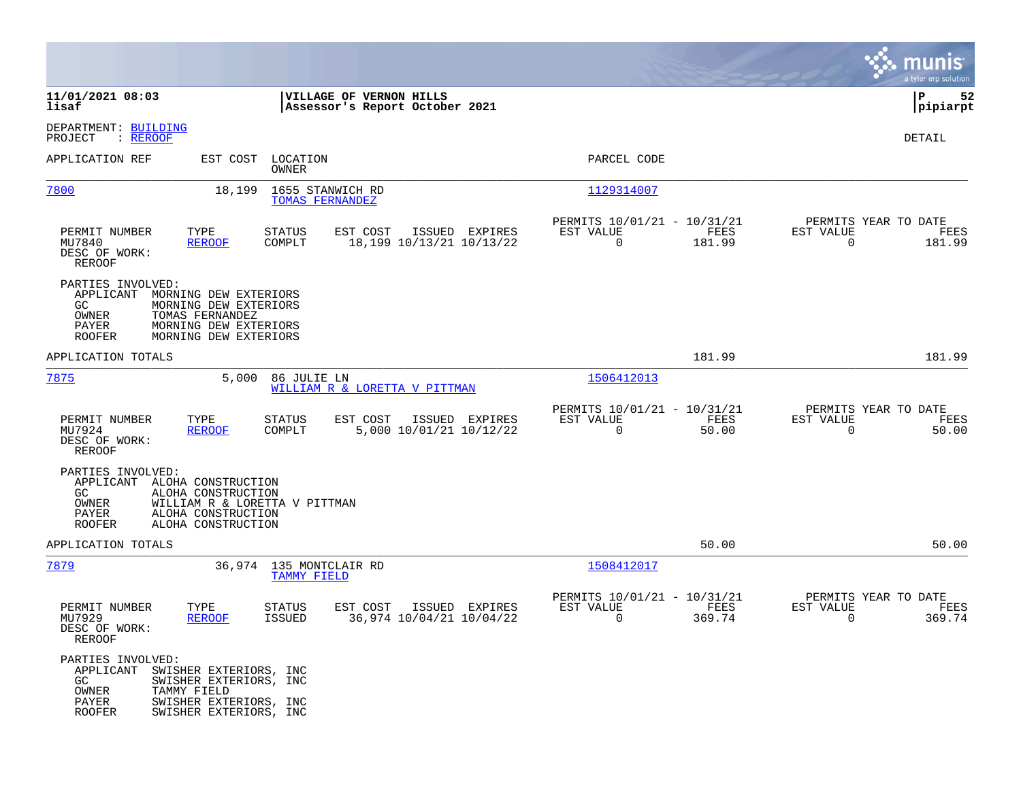|                                                                                                                                                                                                 |                                                                                                      |                                                                           | munis<br>a tyler erp solution                                   |
|-------------------------------------------------------------------------------------------------------------------------------------------------------------------------------------------------|------------------------------------------------------------------------------------------------------|---------------------------------------------------------------------------|-----------------------------------------------------------------|
| 11/01/2021 08:03<br>lisaf                                                                                                                                                                       | VILLAGE OF VERNON HILLS<br>Assessor's Report October 2021                                            |                                                                           | 52<br>IΡ<br> pipiarpt                                           |
| DEPARTMENT: BUILDING<br>PROJECT<br>: <u>REROOF</u>                                                                                                                                              |                                                                                                      |                                                                           | DETAIL                                                          |
| APPLICATION REF                                                                                                                                                                                 | EST COST<br>LOCATION<br>OWNER                                                                        | PARCEL CODE                                                               |                                                                 |
| 7800                                                                                                                                                                                            | 1655 STANWICH RD<br>18,199<br>TOMAS FERNANDEZ                                                        | 1129314007                                                                |                                                                 |
| TYPE<br>PERMIT NUMBER<br>MU7840<br><b>REROOF</b><br>DESC OF WORK:<br>REROOF                                                                                                                     | STATUS<br>EST COST<br>ISSUED EXPIRES<br>COMPLT<br>18,199 10/13/21 10/13/22                           | PERMITS 10/01/21 - 10/31/21<br>FEES<br>EST VALUE<br>$\mathbf 0$<br>181.99 | PERMITS YEAR TO DATE<br>EST VALUE<br>FEES<br>$\Omega$<br>181.99 |
| PARTIES INVOLVED:<br>APPLICANT<br>MORNING DEW EXTERIORS<br>GC.<br>MORNING DEW EXTERIORS<br>TOMAS FERNANDEZ<br>OWNER<br>PAYER<br>MORNING DEW EXTERIORS<br><b>ROOFER</b><br>MORNING DEW EXTERIORS |                                                                                                      |                                                                           |                                                                 |
| APPLICATION TOTALS                                                                                                                                                                              |                                                                                                      | 181.99                                                                    | 181.99                                                          |
| 7875                                                                                                                                                                                            | 5,000<br>86 JULIE LN<br>WILLIAM R & LORETTA V PITTMAN                                                | 1506412013                                                                |                                                                 |
| PERMIT NUMBER<br>TYPE<br>MU7924<br><b>REROOF</b><br>DESC OF WORK:<br><b>REROOF</b>                                                                                                              | EST COST<br>ISSUED EXPIRES<br>STATUS<br>COMPLT<br>5,000 10/01/21 10/12/22                            | PERMITS 10/01/21 - 10/31/21<br>EST VALUE<br>FEES<br>$\mathbf 0$<br>50.00  | PERMITS YEAR TO DATE<br>EST VALUE<br>FEES<br>$\Omega$<br>50.00  |
| PARTIES INVOLVED:<br>APPLICANT ALOHA CONSTRUCTION<br>GC.<br>ALOHA CONSTRUCTION<br>OWNER<br>PAYER<br>ALOHA CONSTRUCTION<br><b>ROOFER</b><br>ALOHA CONSTRUCTION                                   | WILLIAM R & LORETTA V PITTMAN                                                                        |                                                                           |                                                                 |
| APPLICATION TOTALS                                                                                                                                                                              |                                                                                                      | 50.00                                                                     | 50.00                                                           |
| 7879                                                                                                                                                                                            | 36,974 135 MONTCLAIR RD<br><b>TAMMY FIELD</b>                                                        | 1508412017                                                                |                                                                 |
| PERMIT NUMBER<br>TYPE<br>MU7929<br><b>REROOF</b><br>DESC OF WORK:<br>REROOF                                                                                                                     | <b>STATUS</b><br>EST COST<br>ISSUED EXPIRES<br>36,974 10/04/21 10/04/22<br>ISSUED                    | PERMITS 10/01/21 - 10/31/21<br>EST VALUE<br><b>FEES</b><br>369.74<br>0    | PERMITS YEAR TO DATE<br>EST VALUE<br>FEES<br>369.74<br>0        |
| PARTIES INVOLVED:<br>APPLICANT<br>GC<br>OWNER<br>TAMMY FIELD<br>PAYER<br><b>ROOFER</b>                                                                                                          | SWISHER EXTERIORS, INC<br>SWISHER EXTERIORS, INC<br>SWISHER EXTERIORS, INC<br>SWISHER EXTERIORS, INC |                                                                           |                                                                 |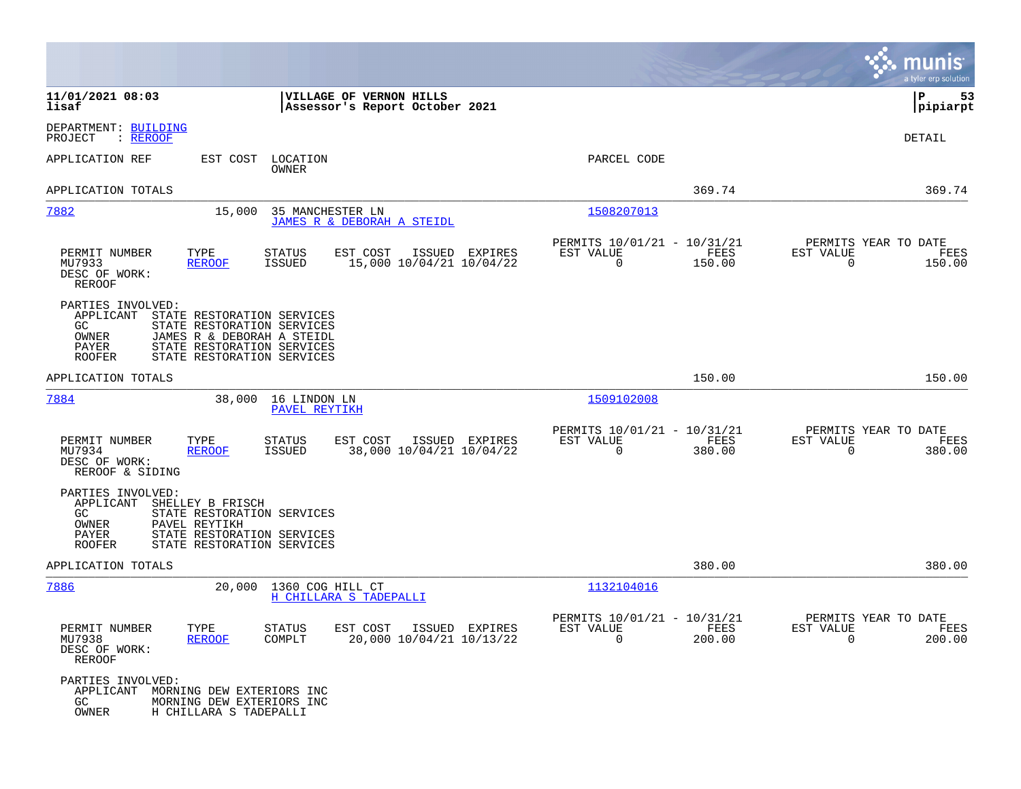|                                                                                                                                                                                                                                | munis<br>a tyler erp solution                                                                                                             |
|--------------------------------------------------------------------------------------------------------------------------------------------------------------------------------------------------------------------------------|-------------------------------------------------------------------------------------------------------------------------------------------|
| 11/01/2021 08:03<br>VILLAGE OF VERNON HILLS<br>lisaf<br>Assessor's Report October 2021                                                                                                                                         | ∣P<br>53<br> pipiarpt                                                                                                                     |
| DEPARTMENT: BUILDING<br>PROJECT<br>: <u>REROOF</u>                                                                                                                                                                             | DETAIL                                                                                                                                    |
| APPLICATION REF<br>LOCATION<br>EST COST<br>OWNER                                                                                                                                                                               | PARCEL CODE                                                                                                                               |
| APPLICATION TOTALS                                                                                                                                                                                                             | 369.74<br>369.74                                                                                                                          |
| 7882<br>15,000<br>35 MANCHESTER LN<br>JAMES R & DEBORAH A STEIDL                                                                                                                                                               | 1508207013                                                                                                                                |
| PERMIT NUMBER<br>TYPE<br><b>STATUS</b><br>EST COST<br>ISSUED EXPIRES<br>MU7933<br><b>REROOF</b><br>ISSUED<br>15,000 10/04/21 10/04/22<br>DESC OF WORK:<br><b>REROOF</b>                                                        | PERMITS 10/01/21 - 10/31/21<br>PERMITS YEAR TO DATE<br>EST VALUE<br>FEES<br>EST VALUE<br>FEES<br>150.00<br>$\mathbf 0$<br>150.00<br>0     |
| PARTIES INVOLVED:<br>APPLICANT<br>STATE RESTORATION SERVICES<br>GC.<br>STATE RESTORATION SERVICES<br>OWNER<br>JAMES R & DEBORAH A STEIDL<br>PAYER<br>STATE RESTORATION SERVICES<br><b>ROOFER</b><br>STATE RESTORATION SERVICES |                                                                                                                                           |
| APPLICATION TOTALS                                                                                                                                                                                                             | 150.00<br>150.00                                                                                                                          |
| 7884<br>38,000<br>16 LINDON LN<br>PAVEL REYTIKH                                                                                                                                                                                | 1509102008                                                                                                                                |
| PERMIT NUMBER<br>TYPE<br>STATUS<br>EST COST<br>ISSUED EXPIRES<br>MU7934<br><b>REROOF</b><br>ISSUED<br>38,000 10/04/21 10/04/22<br>DESC OF WORK:<br>REROOF & SIDING                                                             | PERMITS 10/01/21 - 10/31/21<br>PERMITS YEAR TO DATE<br>FEES<br>EST VALUE<br>EST VALUE<br>FEES<br>$\mathbf 0$<br>380.00<br>0<br>380.00     |
| PARTIES INVOLVED:<br>APPLICANT<br>SHELLEY B FRISCH<br>GC.<br>STATE RESTORATION SERVICES<br>OWNER<br>PAVEL REYTIKH<br>PAYER<br>STATE RESTORATION SERVICES<br>STATE RESTORATION SERVICES<br><b>ROOFER</b>                        |                                                                                                                                           |
| APPLICATION TOTALS                                                                                                                                                                                                             | 380.00<br>380.00                                                                                                                          |
| 7886<br>20,000<br>1360 COG HILL CT<br>H CHILLARA S TADEPALLI                                                                                                                                                                   | 1132104016                                                                                                                                |
| PERMIT NUMBER<br>TYPE<br>STATUS<br>EST COST ISSUED EXPIRES<br>MU7938<br><b>REROOF</b><br>COMPLT<br>20,000 10/04/21 10/13/22<br>DESC OF WORK:<br>REROOF                                                                         | PERMITS 10/01/21 - 10/31/21<br>PERMITS YEAR TO DATE<br>EST VALUE<br>FEES<br>EST VALUE<br>FEES<br>$\Omega$<br>200.00<br>$\Omega$<br>200.00 |
| PARTIES INVOLVED:<br>APPLICANT<br>MORNING DEW EXTERIORS INC<br>GC.<br>MORNING DEW EXTERIORS INC<br>OWNER<br>H CHILLARA S TADEPALLI                                                                                             |                                                                                                                                           |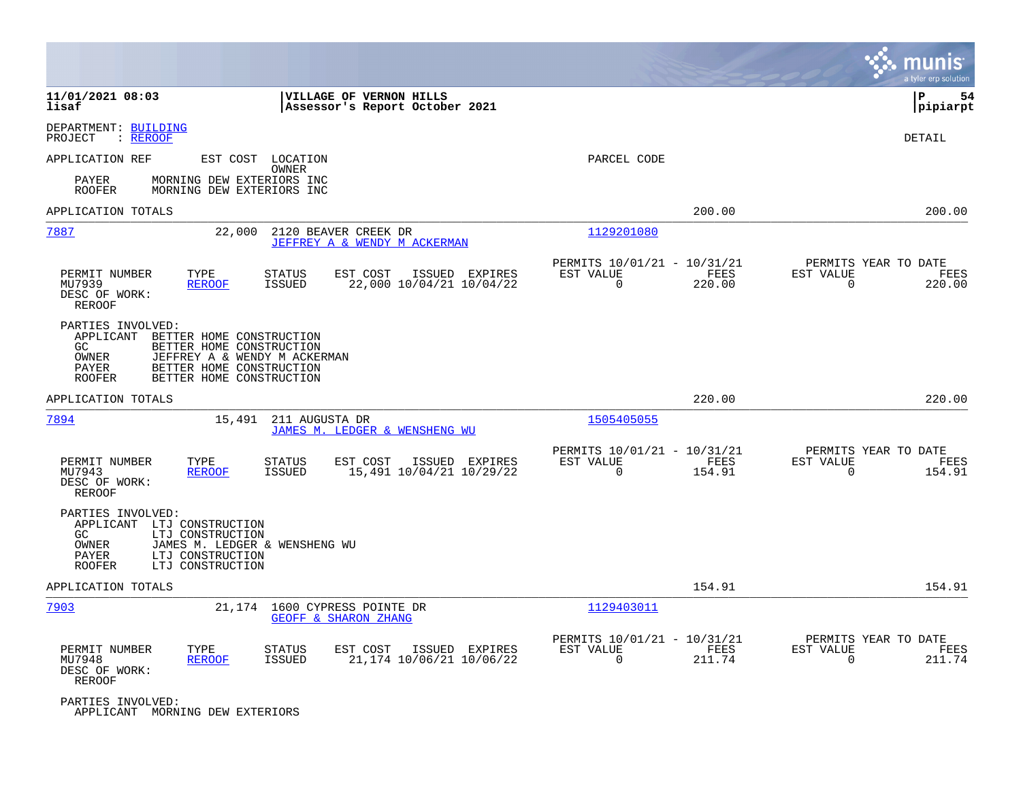|                                                                                                                                                                                                                      |                                                                 | munis<br>a tyler erp solution                                      |
|----------------------------------------------------------------------------------------------------------------------------------------------------------------------------------------------------------------------|-----------------------------------------------------------------|--------------------------------------------------------------------|
| 11/01/2021 08:03<br>VILLAGE OF VERNON HILLS<br>lisaf<br>Assessor's Report October 2021                                                                                                                               |                                                                 | ΙP<br>54<br> pipiarpt                                              |
| DEPARTMENT: BUILDING<br>PROJECT<br>: REROOF                                                                                                                                                                          |                                                                 | DETAIL                                                             |
| APPLICATION REF<br>EST COST<br>LOCATION<br>OWNER                                                                                                                                                                     | PARCEL CODE                                                     |                                                                    |
| PAYER<br>MORNING DEW EXTERIORS INC<br><b>ROOFER</b><br>MORNING DEW EXTERIORS INC                                                                                                                                     |                                                                 |                                                                    |
| APPLICATION TOTALS                                                                                                                                                                                                   | 200.00                                                          | 200.00                                                             |
| 7887<br>2120 BEAVER CREEK DR<br>22,000<br><u>JEFFREY A &amp; WENDY M ACKERMAN</u>                                                                                                                                    | 1129201080                                                      |                                                                    |
| PERMIT NUMBER<br>TYPE<br><b>STATUS</b><br>EST COST<br>ISSUED EXPIRES<br>MU7939<br><b>ISSUED</b><br>22,000 10/04/21 10/04/22<br><b>REROOF</b><br>DESC OF WORK:<br>REROOF                                              | PERMITS 10/01/21 - 10/31/21<br>EST VALUE<br>FEES<br>0<br>220.00 | PERMITS YEAR TO DATE<br>EST VALUE<br>FEES<br>$\mathbf 0$<br>220.00 |
| PARTIES INVOLVED:<br>APPLICANT BETTER HOME CONSTRUCTION<br>GC<br>BETTER HOME CONSTRUCTION<br>OWNER<br>JEFFREY A & WENDY M ACKERMAN<br>PAYER<br>BETTER HOME CONSTRUCTION<br>BETTER HOME CONSTRUCTION<br><b>ROOFER</b> |                                                                 |                                                                    |
| APPLICATION TOTALS                                                                                                                                                                                                   | 220.00                                                          | 220.00                                                             |
| <u>7894</u><br>15,491<br>211 AUGUSTA DR<br>JAMES M. LEDGER & WENSHENG WU                                                                                                                                             | 1505405055                                                      |                                                                    |
| PERMIT NUMBER<br>TYPE<br><b>STATUS</b><br>EST COST<br>ISSUED EXPIRES<br>MU7943<br>ISSUED<br>15,491 10/04/21 10/29/22<br><b>REROOF</b><br>DESC OF WORK:<br>REROOF                                                     | PERMITS 10/01/21 - 10/31/21<br>EST VALUE<br>FEES<br>0<br>154.91 | PERMITS YEAR TO DATE<br>EST VALUE<br>FEES<br>154.91<br>0           |
| PARTIES INVOLVED:<br>APPLICANT LTJ CONSTRUCTION<br>GC<br>LTJ CONSTRUCTION<br>OWNER<br>JAMES M. LEDGER & WENSHENG WU<br>PAYER<br>LTJ CONSTRUCTION<br>LTJ CONSTRUCTION<br><b>ROOFER</b>                                |                                                                 |                                                                    |
| APPLICATION TOTALS                                                                                                                                                                                                   | 154.91                                                          | 154.91                                                             |
| 7903<br>21,174 1600 CYPRESS POINTE DR<br>GEOFF & SHARON ZHANG                                                                                                                                                        | 1129403011                                                      |                                                                    |
| PERMIT NUMBER<br>TYPE<br><b>STATUS</b><br>EST COST<br>ISSUED EXPIRES<br>21, 174 10/06/21 10/06/22<br>MU7948<br><b>REROOF</b><br>ISSUED<br>DESC OF WORK:<br>REROOF                                                    | PERMITS 10/01/21 - 10/31/21<br>EST VALUE<br>FEES<br>0<br>211.74 | PERMITS YEAR TO DATE<br>EST VALUE<br>FEES<br>$\Omega$<br>211.74    |
| PARTIES INVOLVED:<br>APPLICANT MORNING DEW EXTERIORS                                                                                                                                                                 |                                                                 |                                                                    |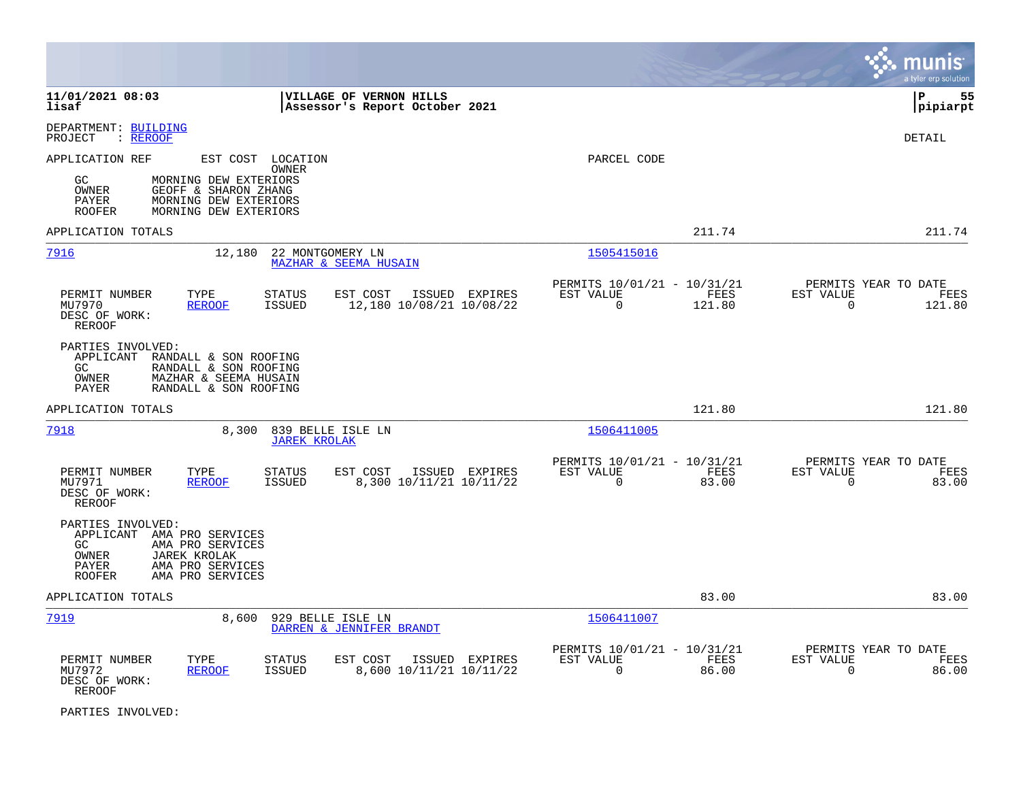|                                                                                                                                                                                           |                                                                          | munis<br>a tyler erp solution                                     |
|-------------------------------------------------------------------------------------------------------------------------------------------------------------------------------------------|--------------------------------------------------------------------------|-------------------------------------------------------------------|
| 11/01/2021 08:03<br>VILLAGE OF VERNON HILLS<br>lisaf<br>Assessor's Report October 2021                                                                                                    |                                                                          | Þ<br>55<br> pipiarpt                                              |
| DEPARTMENT: BUILDING<br>PROJECT<br>: REROOF                                                                                                                                               |                                                                          | DETAIL                                                            |
| APPLICATION REF<br>EST COST LOCATION<br>OWNER<br>GC<br>MORNING DEW EXTERIORS<br>OWNER<br>GEOFF & SHARON ZHANG<br>MORNING DEW EXTERIORS<br>PAYER<br>MORNING DEW EXTERIORS<br><b>ROOFER</b> | PARCEL CODE                                                              |                                                                   |
| APPLICATION TOTALS                                                                                                                                                                        | 211.74                                                                   | 211.74                                                            |
| 7916<br>12,180<br>22 MONTGOMERY LN<br><b>MAZHAR &amp; SEEMA HUSAIN</b>                                                                                                                    | 1505415016                                                               |                                                                   |
| PERMIT NUMBER<br>TYPE<br>EST COST<br>ISSUED EXPIRES<br><b>STATUS</b><br>MU7970<br><b>ISSUED</b><br>12,180 10/08/21 10/08/22<br><b>REROOF</b><br>DESC OF WORK:<br>REROOF                   | PERMITS 10/01/21 - 10/31/21<br>EST VALUE<br>FEES<br>$\Omega$<br>121.80   | PERMITS YEAR TO DATE<br>EST VALUE<br>FEES<br>$\Omega$<br>121.80   |
| PARTIES INVOLVED:<br>APPLICANT RANDALL & SON ROOFING<br>GC<br>RANDALL & SON ROOFING<br>OWNER<br>MAZHAR & SEEMA HUSAIN<br>RANDALL & SON ROOFING<br>PAYER                                   |                                                                          |                                                                   |
| APPLICATION TOTALS                                                                                                                                                                        | 121.80                                                                   | 121.80                                                            |
| 7918<br>8,300<br>839 BELLE ISLE LN<br><b>JAREK KROLAK</b>                                                                                                                                 | 1506411005                                                               |                                                                   |
| PERMIT NUMBER<br>TYPE<br>EST COST<br>ISSUED EXPIRES<br><b>STATUS</b><br>8,300 10/11/21 10/11/22<br>MU7971<br><b>REROOF</b><br>ISSUED<br>DESC OF WORK:<br><b>REROOF</b>                    | PERMITS 10/01/21 - 10/31/21<br>EST VALUE<br>FEES<br>$\mathbf 0$<br>83.00 | PERMITS YEAR TO DATE<br>EST VALUE<br>FEES<br>$\mathbf 0$<br>83.00 |
| PARTIES INVOLVED:<br>APPLICANT AMA PRO SERVICES<br>GC<br>AMA PRO SERVICES<br>OWNER<br>JAREK KROLAK<br>PAYER<br>AMA PRO SERVICES<br>AMA PRO SERVICES<br><b>ROOFER</b>                      |                                                                          |                                                                   |
| APPLICATION TOTALS                                                                                                                                                                        | 83.00                                                                    | 83.00                                                             |
| 7919<br>8,600<br>929 BELLE ISLE LN<br>DARREN & JENNIFER BRANDT                                                                                                                            | 1506411007                                                               |                                                                   |
| PERMIT NUMBER<br>TYPE<br><b>STATUS</b><br>EST COST<br>ISSUED EXPIRES<br>8,600 10/11/21 10/11/22<br>MU7972<br><b>REROOF</b><br><b>ISSUED</b><br>DESC OF WORK:<br><b>REROOF</b>             | PERMITS 10/01/21 - 10/31/21<br>FEES<br>EST VALUE<br>$\mathbf 0$<br>86.00 | PERMITS YEAR TO DATE<br>EST VALUE<br>FEES<br>$\mathbf 0$<br>86.00 |

PARTIES INVOLVED: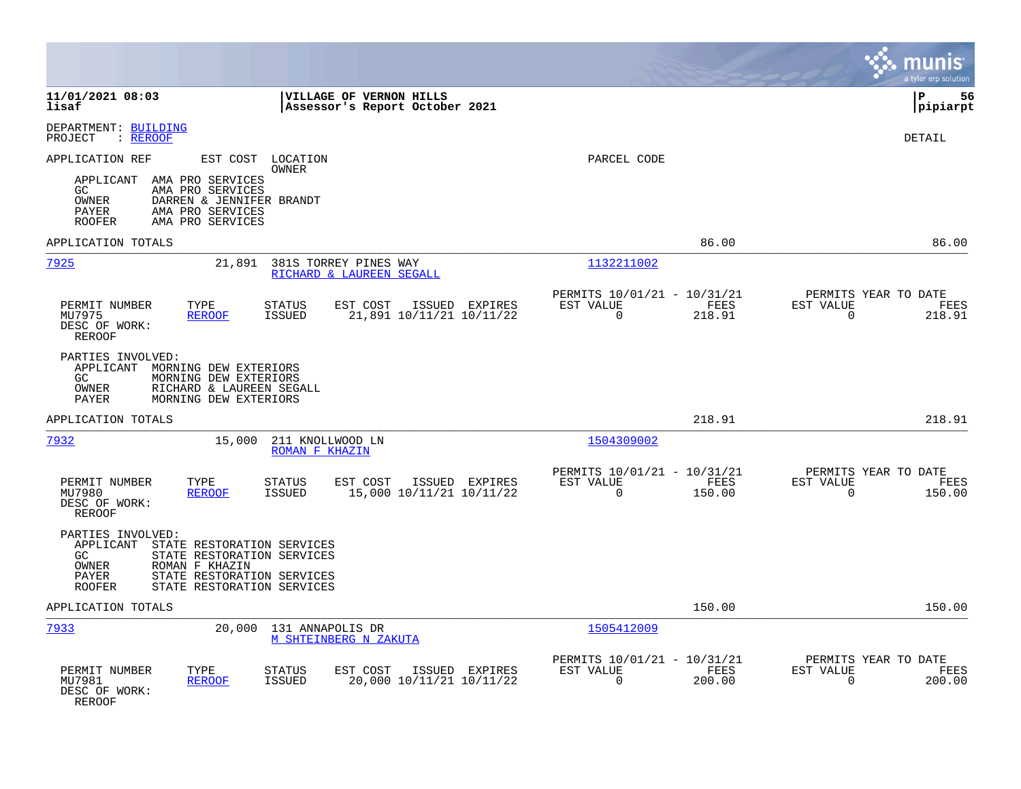|                                                                                                                                                                                                                          |                                                                        | munis<br>a tyler erp solution                                         |
|--------------------------------------------------------------------------------------------------------------------------------------------------------------------------------------------------------------------------|------------------------------------------------------------------------|-----------------------------------------------------------------------|
| 11/01/2021 08:03<br>VILLAGE OF VERNON HILLS<br>lisaf<br>Assessor's Report October 2021                                                                                                                                   |                                                                        | lР<br>56<br> pipiarpt                                                 |
| DEPARTMENT: BUILDING<br>: REROOF<br>PROJECT                                                                                                                                                                              |                                                                        | DETAIL                                                                |
| APPLICATION REF<br>EST COST LOCATION<br>OWNER                                                                                                                                                                            | PARCEL CODE                                                            |                                                                       |
| APPLICANT<br>AMA PRO SERVICES<br>AMA PRO SERVICES<br>GC.<br>OWNER<br>DARREN & JENNIFER BRANDT<br>PAYER<br>AMA PRO SERVICES<br>AMA PRO SERVICES<br><b>ROOFER</b>                                                          |                                                                        |                                                                       |
| APPLICATION TOTALS                                                                                                                                                                                                       | 86.00                                                                  | 86.00                                                                 |
| 7925<br>21,891<br>381S TORREY PINES WAY<br>RICHARD & LAUREEN SEGALL                                                                                                                                                      | 1132211002                                                             |                                                                       |
| PERMIT NUMBER<br>TYPE<br><b>STATUS</b><br>EST COST<br>ISSUED EXPIRES<br>MU7975<br><b>REROOF</b><br><b>ISSUED</b><br>21,891 10/11/21 10/11/22<br>DESC OF WORK:<br>REROOF                                                  | PERMITS 10/01/21 - 10/31/21<br>EST VALUE<br>FEES<br>$\Omega$<br>218.91 | PERMITS YEAR TO DATE<br>EST VALUE<br>FEES<br>$\Omega$<br>218.91       |
| PARTIES INVOLVED:<br>APPLICANT<br>MORNING DEW EXTERIORS<br>GC.<br>MORNING DEW EXTERIORS<br>OWNER<br>RICHARD & LAUREEN SEGALL<br>MORNING DEW EXTERIORS<br>PAYER                                                           |                                                                        |                                                                       |
| APPLICATION TOTALS                                                                                                                                                                                                       | 218.91                                                                 | 218.91                                                                |
| 7932<br>15,000<br>211 KNOLLWOOD LN<br>ROMAN F KHAZIN                                                                                                                                                                     | 1504309002                                                             |                                                                       |
| PERMIT NUMBER<br>TYPE<br><b>STATUS</b><br>EST COST<br>ISSUED EXPIRES<br>15,000 10/11/21 10/11/22<br>MU7980<br><b>ISSUED</b><br><b>REROOF</b><br>DESC OF WORK:<br>REROOF                                                  | PERMITS 10/01/21 - 10/31/21<br>EST VALUE<br>FEES<br>$\Omega$<br>150.00 | PERMITS YEAR TO DATE<br>EST VALUE<br>FEES<br>$\Omega$<br>150.00       |
| PARTIES INVOLVED:<br>APPLICANT<br>STATE RESTORATION SERVICES<br>GC<br>STATE RESTORATION SERVICES<br><b>OWNER</b><br>ROMAN F KHAZIN<br>STATE RESTORATION SERVICES<br>PAYER<br>STATE RESTORATION SERVICES<br><b>ROOFER</b> |                                                                        |                                                                       |
| APPLICATION TOTALS                                                                                                                                                                                                       | 150.00                                                                 | 150.00                                                                |
| 7933<br>20,000<br>131 ANNAPOLIS DR<br>M SHTEINBERG N ZAKUTA                                                                                                                                                              | 1505412009                                                             |                                                                       |
| PERMIT NUMBER<br>TYPE<br><b>STATUS</b><br>EST COST<br>ISSUED EXPIRES<br>20,000 10/11/21 10/11/22<br>MU7981<br><b>REROOF</b><br><b>ISSUED</b><br>DESC OF WORK:<br>REROOF                                                  | PERMITS 10/01/21 - 10/31/21<br>EST VALUE<br>FEES<br>$\Omega$<br>200.00 | PERMITS YEAR TO DATE<br>EST VALUE<br>FEES<br>200.00<br>$\overline{0}$ |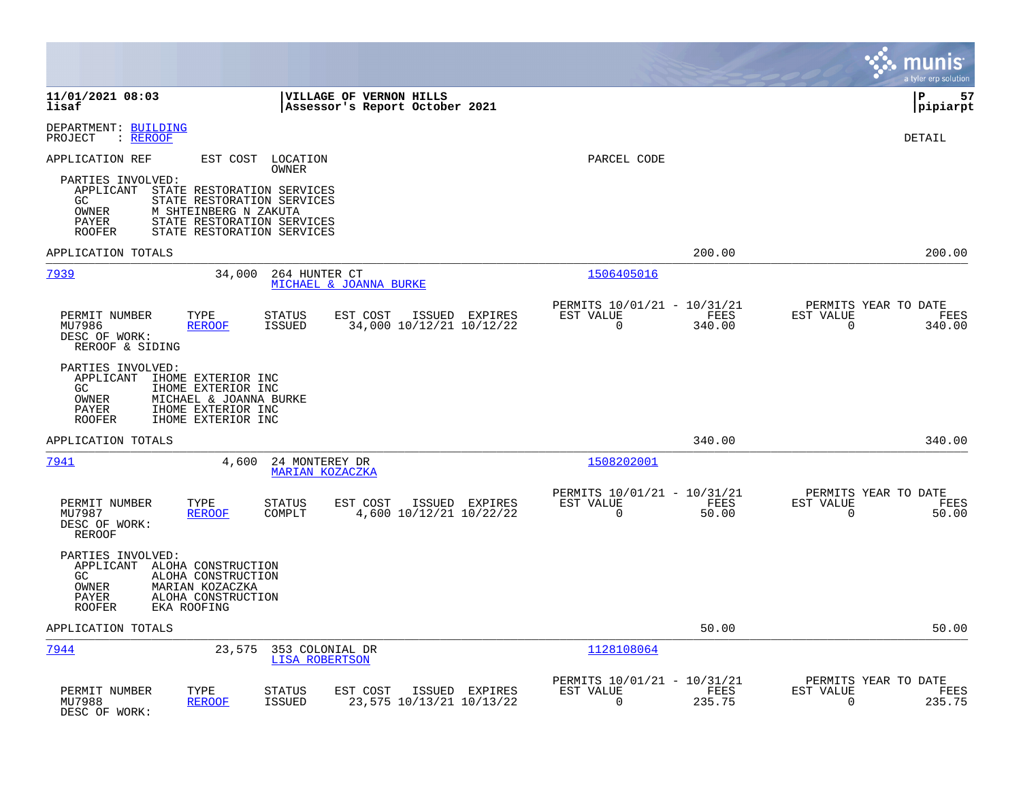|                                                                                                                                                                                                                |                                                                           | munis<br>a tyler erp solution                                      |
|----------------------------------------------------------------------------------------------------------------------------------------------------------------------------------------------------------------|---------------------------------------------------------------------------|--------------------------------------------------------------------|
| 11/01/2021 08:03<br>VILLAGE OF VERNON HILLS<br>lisaf<br>Assessor's Report October 2021                                                                                                                         |                                                                           | l P<br>57<br> pipiarpt                                             |
| DEPARTMENT: BUILDING<br>: REROOF<br>PROJECT                                                                                                                                                                    |                                                                           | DETAIL                                                             |
| APPLICATION REF<br>EST COST<br>LOCATION<br><b>OWNER</b>                                                                                                                                                        | PARCEL CODE                                                               |                                                                    |
| PARTIES INVOLVED:<br>APPLICANT STATE RESTORATION SERVICES<br>GC<br>STATE RESTORATION SERVICES<br>OWNER<br>M SHTEINBERG N ZAKUTA<br>PAYER<br>STATE RESTORATION SERVICES<br>STATE RESTORATION SERVICES<br>ROOFER |                                                                           |                                                                    |
| APPLICATION TOTALS                                                                                                                                                                                             | 200.00                                                                    | 200.00                                                             |
| 7939<br>34,000<br>264 HUNTER CT<br>MICHAEL & JOANNA BURKE                                                                                                                                                      | 1506405016                                                                |                                                                    |
| PERMIT NUMBER<br>TYPE<br><b>STATUS</b><br>EST COST<br>ISSUED EXPIRES<br>MU7986<br><b>REROOF</b><br><b>ISSUED</b><br>34,000 10/12/21 10/12/22<br>DESC OF WORK:<br>REROOF & SIDING                               | PERMITS 10/01/21 - 10/31/21<br>EST VALUE<br>FEES<br>$\mathbf 0$<br>340.00 | PERMITS YEAR TO DATE<br>EST VALUE<br>FEES<br>0<br>340.00           |
| PARTIES INVOLVED:<br>APPLICANT<br>IHOME EXTERIOR INC<br>IHOME EXTERIOR INC<br>GC.<br>OWNER<br>MICHAEL & JOANNA BURKE<br>PAYER<br>IHOME EXTERIOR INC<br><b>ROOFER</b><br>IHOME EXTERIOR INC                     |                                                                           |                                                                    |
| APPLICATION TOTALS                                                                                                                                                                                             | 340.00                                                                    | 340.00                                                             |
| 7941<br>4,600<br>24 MONTEREY DR<br>MARIAN KOZACZKA                                                                                                                                                             | 1508202001                                                                |                                                                    |
| PERMIT NUMBER<br>TYPE<br><b>STATUS</b><br>EST COST<br>ISSUED EXPIRES<br>4,600 10/12/21 10/22/22<br>MU7987<br><b>REROOF</b><br>COMPLT<br>DESC OF WORK:<br><b>REROOF</b>                                         | PERMITS 10/01/21 - 10/31/21<br>EST VALUE<br>FEES<br>$\mathbf 0$<br>50.00  | PERMITS YEAR TO DATE<br>EST VALUE<br>FEES<br>$\mathbf 0$<br>50.00  |
| PARTIES INVOLVED:<br>APPLICANT<br>ALOHA CONSTRUCTION<br>GC<br>ALOHA CONSTRUCTION<br>OWNER<br>MARIAN KOZACZKA<br>ALOHA CONSTRUCTION<br>PAYER<br>EKA ROOFING<br><b>ROOFER</b>                                    |                                                                           |                                                                    |
| APPLICATION TOTALS                                                                                                                                                                                             | 50.00                                                                     | 50.00                                                              |
| 7944<br>23,575<br>353 COLONIAL DR<br><b>LISA ROBERTSON</b>                                                                                                                                                     | 1128108064                                                                |                                                                    |
| PERMIT NUMBER<br>TYPE<br><b>STATUS</b><br>EST COST<br>ISSUED EXPIRES<br>23,575 10/13/21 10/13/22<br>MU7988<br><b>REROOF</b><br><b>ISSUED</b><br>DESC OF WORK:                                                  | PERMITS 10/01/21 - 10/31/21<br>FEES<br>EST VALUE<br>0<br>235.75           | PERMITS YEAR TO DATE<br>EST VALUE<br>FEES<br>$\mathbf 0$<br>235.75 |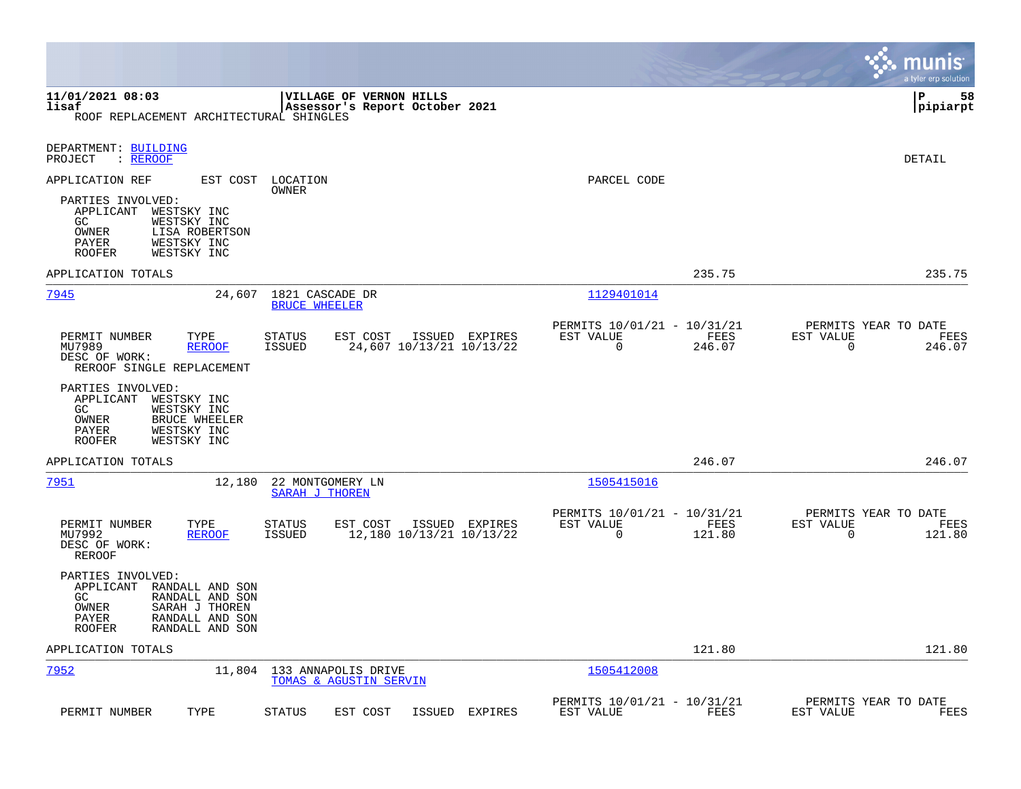|                                                                                                                                                                        |                                                                                          |                                                                           | munis<br>a tyler erp solution                                      |
|------------------------------------------------------------------------------------------------------------------------------------------------------------------------|------------------------------------------------------------------------------------------|---------------------------------------------------------------------------|--------------------------------------------------------------------|
| 11/01/2021 08:03<br>lisaf<br>ROOF REPLACEMENT ARCHITECTURAL SHINGLES                                                                                                   | VILLAGE OF VERNON HILLS<br>Assessor's Report October 2021                                |                                                                           | l P<br>58<br> pipiarpt                                             |
| DEPARTMENT: BUILDING<br>PROJECT<br>: <u>REROOF</u>                                                                                                                     |                                                                                          |                                                                           | DETAIL                                                             |
| APPLICATION REF<br>PARTIES INVOLVED:<br>APPLICANT WESTSKY INC<br>GC<br>WESTSKY INC<br>OWNER<br>LISA ROBERTSON<br>PAYER<br>WESTSKY INC<br>ROOFER<br>WESTSKY INC         | EST COST LOCATION<br>OWNER                                                               | PARCEL CODE                                                               |                                                                    |
| APPLICATION TOTALS                                                                                                                                                     |                                                                                          | 235.75                                                                    | 235.75                                                             |
| 7945<br>24,607                                                                                                                                                         | 1821 CASCADE DR<br><b>BRUCE WHEELER</b>                                                  | 1129401014                                                                |                                                                    |
| PERMIT NUMBER<br>TYPE<br>MU7989<br><b>REROOF</b><br>DESC OF WORK:<br>REROOF SINGLE REPLACEMENT                                                                         | STATUS<br>EST COST<br>ISSUED EXPIRES<br>24,607 10/13/21 10/13/22<br><b>ISSUED</b>        | PERMITS 10/01/21 - 10/31/21<br>EST VALUE<br>FEES<br>$\mathbf 0$<br>246.07 | PERMITS YEAR TO DATE<br>EST VALUE<br>FEES<br>$\mathbf 0$<br>246.07 |
| PARTIES INVOLVED:<br>APPLICANT<br>WESTSKY INC<br>GC<br>WESTSKY INC<br>OWNER<br><b>BRUCE WHEELER</b><br>WESTSKY INC<br>PAYER<br><b>ROOFER</b><br>WESTSKY INC            |                                                                                          |                                                                           |                                                                    |
| APPLICATION TOTALS                                                                                                                                                     |                                                                                          | 246.07                                                                    | 246.07                                                             |
| <u>7951</u><br>12,180                                                                                                                                                  | 22 MONTGOMERY LN<br>SARAH J THOREN                                                       | 1505415016                                                                |                                                                    |
| PERMIT NUMBER<br>TYPE<br>MU7992<br><b>REROOF</b><br>DESC OF WORK:<br><b>REROOF</b>                                                                                     | ISSUED EXPIRES<br><b>STATUS</b><br>EST COST<br><b>ISSUED</b><br>12,180 10/13/21 10/13/22 | PERMITS 10/01/21 - 10/31/21<br>EST VALUE<br>FEES<br>$\Omega$<br>121.80    | PERMITS YEAR TO DATE<br>EST VALUE<br>FEES<br>$\Omega$<br>121.80    |
| PARTIES INVOLVED:<br>APPLICANT<br>RANDALL AND SON<br>GC.<br>RANDALL AND SON<br>OWNER<br>SARAH J THOREN<br>PAYER<br>RANDALL AND SON<br>RANDALL AND SON<br><b>ROOFER</b> |                                                                                          |                                                                           |                                                                    |
| APPLICATION TOTALS                                                                                                                                                     |                                                                                          | 121.80                                                                    | 121.80                                                             |
| 7952<br>11,804                                                                                                                                                         | 133 ANNAPOLIS DRIVE<br><b>TOMAS &amp; AGUSTIN SERVIN</b>                                 | 1505412008                                                                |                                                                    |
| TYPE<br>PERMIT NUMBER                                                                                                                                                  | STATUS<br>EST COST<br>ISSUED EXPIRES                                                     | PERMITS 10/01/21 - 10/31/21<br>FEES<br>EST VALUE                          | PERMITS YEAR TO DATE<br>EST VALUE<br>FEES                          |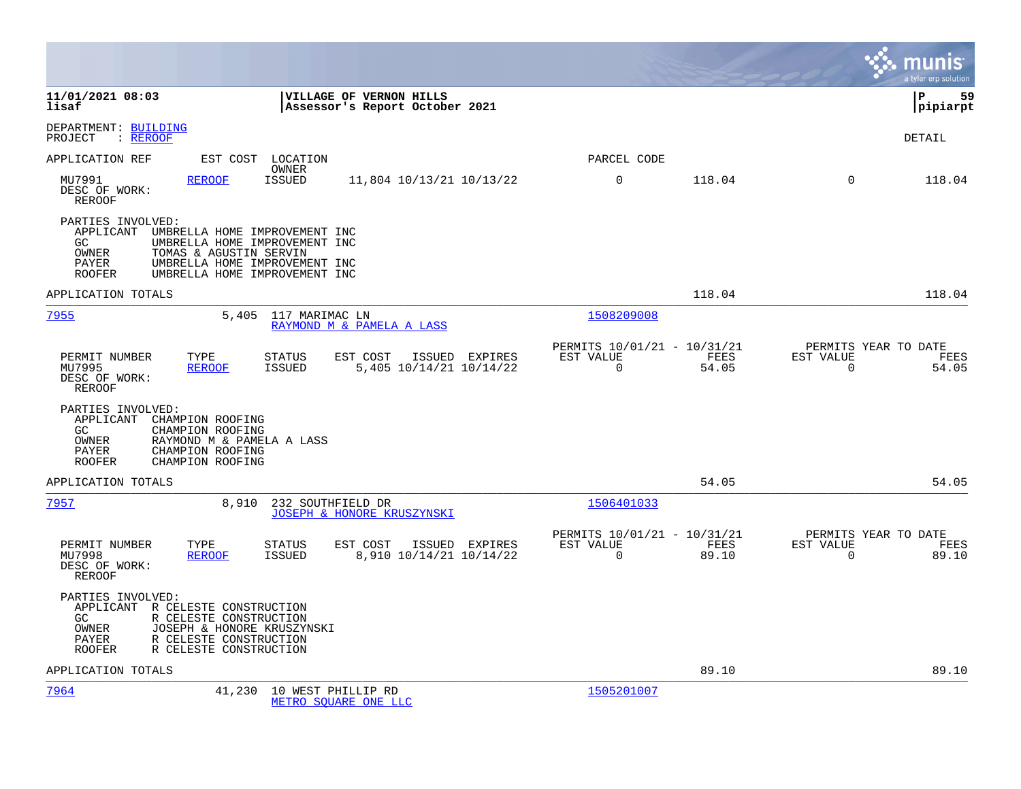|                                                                                                                                                                                                                                       |                                                                          | munis<br>a tyler erp solution                                     |
|---------------------------------------------------------------------------------------------------------------------------------------------------------------------------------------------------------------------------------------|--------------------------------------------------------------------------|-------------------------------------------------------------------|
| 11/01/2021 08:03<br>VILLAGE OF VERNON HILLS<br>lisaf<br>Assessor's Report October 2021                                                                                                                                                |                                                                          | Þ<br>59<br> pipiarpt                                              |
| DEPARTMENT: BUILDING<br>PROJECT<br>: REROOF                                                                                                                                                                                           |                                                                          | DETAIL                                                            |
| APPLICATION REF<br>EST COST LOCATION<br>OWNER                                                                                                                                                                                         | PARCEL CODE                                                              |                                                                   |
| MU7991<br><b>REROOF</b><br>ISSUED<br>11,804 10/13/21 10/13/22<br>DESC OF WORK:<br><b>REROOF</b>                                                                                                                                       | $\mathbf 0$<br>118.04                                                    | $\mathbf 0$<br>118.04                                             |
| PARTIES INVOLVED:<br>APPLICANT<br>UMBRELLA HOME IMPROVEMENT INC<br>GC<br>UMBRELLA HOME IMPROVEMENT INC<br>OWNER<br>TOMAS & AGUSTIN SERVIN<br>UMBRELLA HOME IMPROVEMENT INC<br>PAYER<br>UMBRELLA HOME IMPROVEMENT INC<br><b>ROOFER</b> |                                                                          |                                                                   |
| APPLICATION TOTALS                                                                                                                                                                                                                    | 118.04                                                                   | 118.04                                                            |
| 7955<br>5,405<br>117 MARIMAC LN<br>RAYMOND M & PAMELA A LASS                                                                                                                                                                          | 1508209008                                                               |                                                                   |
| PERMIT NUMBER<br>TYPE<br><b>STATUS</b><br>EST COST<br>ISSUED EXPIRES<br><b>ISSUED</b><br>MU7995<br><b>REROOF</b><br>5,405 10/14/21 10/14/22<br>DESC OF WORK:<br><b>REROOF</b>                                                         | PERMITS 10/01/21 - 10/31/21<br>EST VALUE<br>FEES<br>$\mathbf 0$<br>54.05 | PERMITS YEAR TO DATE<br>EST VALUE<br>FEES<br>$\mathbf 0$<br>54.05 |
| PARTIES INVOLVED:<br>APPLICANT<br>CHAMPION ROOFING<br>GC.<br>CHAMPION ROOFING<br>OWNER<br>RAYMOND M & PAMELA A LASS<br>PAYER<br>CHAMPION ROOFING<br><b>ROOFER</b><br>CHAMPION ROOFING                                                 |                                                                          |                                                                   |
| APPLICATION TOTALS                                                                                                                                                                                                                    | 54.05                                                                    | 54.05                                                             |
| 7957<br>8,910<br>232 SOUTHFIELD DR<br><b>JOSEPH &amp; HONORE KRUSZYNSKI</b>                                                                                                                                                           | 1506401033                                                               |                                                                   |
| PERMIT NUMBER<br>TYPE<br><b>STATUS</b><br>EST COST<br>ISSUED EXPIRES<br>8,910 10/14/21 10/14/22<br>MU7998<br><b>REROOF</b><br>ISSUED<br>DESC OF WORK:<br>REROOF                                                                       | PERMITS 10/01/21 - 10/31/21<br>EST VALUE<br>FEES<br>$\mathbf 0$<br>89.10 | PERMITS YEAR TO DATE<br>EST VALUE<br>FEES<br>$\mathbf 0$<br>89.10 |
| PARTIES INVOLVED:<br>APPLICANT R CELESTE CONSTRUCTION<br>GC.<br>R CELESTE CONSTRUCTION<br>JOSEPH & HONORE KRUSZYNSKI<br>OWNER<br>R CELESTE CONSTRUCTION<br>PAYER<br>R CELESTE CONSTRUCTION<br><b>ROOFER</b>                           |                                                                          |                                                                   |
| APPLICATION TOTALS                                                                                                                                                                                                                    | 89.10                                                                    | 89.10                                                             |
| 7964<br>41,230<br>10 WEST PHILLIP RD<br>METRO SOUARE ONE LLC                                                                                                                                                                          | 1505201007                                                               |                                                                   |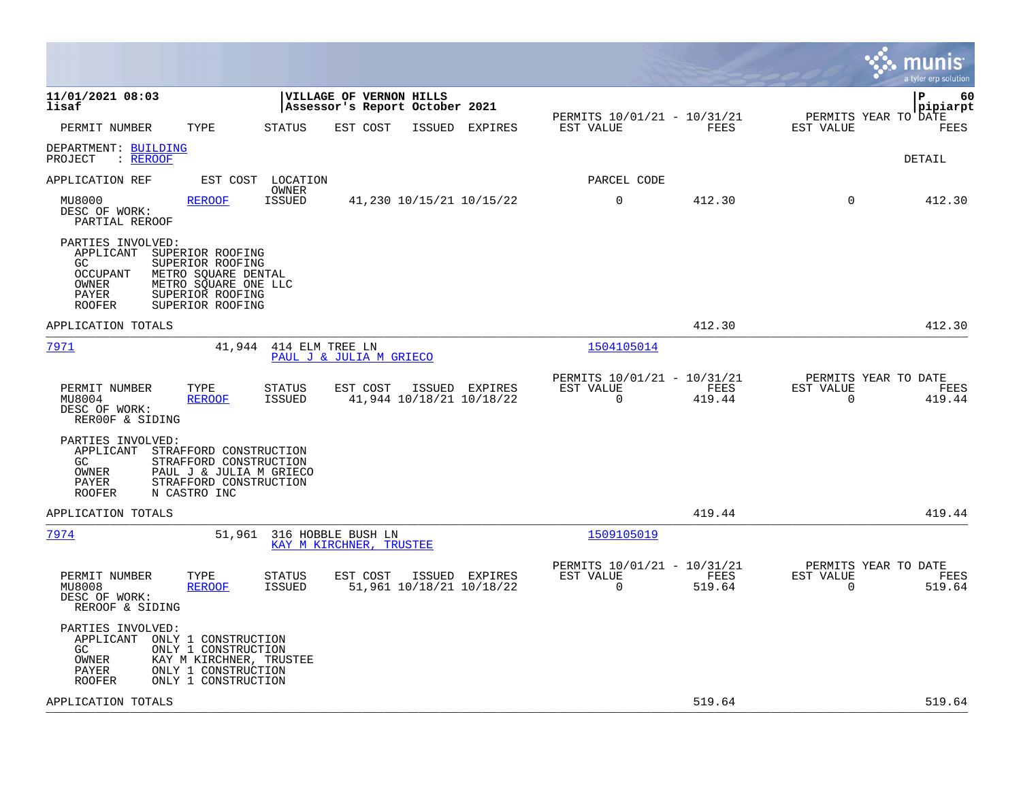|                                                                                                                                                                                                                     |                                                           |                                            |                                                         |                |                                                     | munis<br>a tyler erp solution |
|---------------------------------------------------------------------------------------------------------------------------------------------------------------------------------------------------------------------|-----------------------------------------------------------|--------------------------------------------|---------------------------------------------------------|----------------|-----------------------------------------------------|-------------------------------|
| 11/01/2021 08:03<br>lisaf                                                                                                                                                                                           | VILLAGE OF VERNON HILLS<br>Assessor's Report October 2021 |                                            |                                                         |                |                                                     | lР<br>60<br>pipiarpt          |
| PERMIT NUMBER<br>TYPE                                                                                                                                                                                               | <b>STATUS</b><br>EST COST                                 | ISSUED<br>EXPIRES                          | PERMITS 10/01/21 - 10/31/21<br>EST VALUE                | <b>FEES</b>    | PERMITS YEAR TO DATE<br>EST VALUE                   | FEES                          |
| DEPARTMENT: BUILDING<br>: <u>REROOF</u><br>PROJECT                                                                                                                                                                  |                                                           |                                            |                                                         |                |                                                     | DETAIL                        |
| APPLICATION REF<br>EST COST                                                                                                                                                                                         | LOCATION                                                  |                                            | PARCEL CODE                                             |                |                                                     |                               |
| MU8000<br><b>REROOF</b><br>DESC OF WORK:<br>PARTIAL REROOF                                                                                                                                                          | <b>OWNER</b><br><b>ISSUED</b>                             | 41,230 10/15/21 10/15/22                   | 0                                                       | 412.30         | $\mathbf 0$                                         | 412.30                        |
| PARTIES INVOLVED:<br>APPLICANT<br>SUPERIOR ROOFING<br>GC.<br>SUPERIOR ROOFING<br>OCCUPANT<br>METRO SQUARE DENTAL<br>METRO SQUARE ONE LLC<br>OWNER<br>PAYER<br>SUPERIOR ROOFING<br>SUPERIOR ROOFING<br><b>ROOFER</b> |                                                           |                                            |                                                         |                |                                                     |                               |
| APPLICATION TOTALS                                                                                                                                                                                                  |                                                           |                                            |                                                         | 412.30         |                                                     | 412.30                        |
| 7971<br>41,944                                                                                                                                                                                                      | 414 ELM TREE LN<br>PAUL J & JULIA M GRIECO                |                                            | 1504105014                                              |                |                                                     |                               |
| PERMIT NUMBER<br>TYPE<br>MU8004<br><b>REROOF</b><br>DESC OF WORK:<br>REROOF & SIDING                                                                                                                                | <b>STATUS</b><br>EST COST<br>ISSUED                       | ISSUED EXPIRES<br>41,944 10/18/21 10/18/22 | PERMITS 10/01/21 - 10/31/21<br>EST VALUE<br>$\mathbf 0$ | FEES<br>419.44 | PERMITS YEAR TO DATE<br>EST VALUE<br>$\overline{0}$ | FEES<br>419.44                |
| PARTIES INVOLVED:<br>APPLICANT<br>STRAFFORD CONSTRUCTION<br>GC.<br>STRAFFORD CONSTRUCTION<br>OWNER<br>PAUL J & JULIA M GRIECO<br>PAYER<br>STRAFFORD CONSTRUCTION<br><b>ROOFER</b><br>N CASTRO INC                   |                                                           |                                            |                                                         |                |                                                     |                               |
| APPLICATION TOTALS                                                                                                                                                                                                  |                                                           |                                            |                                                         | 419.44         |                                                     | 419.44                        |
| 7974<br>51,961                                                                                                                                                                                                      | 316 HOBBLE BUSH LN<br>KAY M KIRCHNER, TRUSTEE             |                                            | 1509105019                                              |                |                                                     |                               |
| TYPE<br>PERMIT NUMBER<br>MU8008<br><b>REROOF</b><br>DESC OF WORK:<br>REROOF & SIDING                                                                                                                                | <b>STATUS</b><br>EST COST<br><b>ISSUED</b>                | ISSUED EXPIRES<br>51,961 10/18/21 10/18/22 | PERMITS 10/01/21 - 10/31/21<br>EST VALUE<br>$\mathbf 0$ | FEES<br>519.64 | PERMITS YEAR TO DATE<br>EST VALUE<br>$\mathbf 0$    | FEES<br>519.64                |
| PARTIES INVOLVED:<br>APPLICANT<br>ONLY 1 CONSTRUCTION<br>GC<br>ONLY 1 CONSTRUCTION<br>OWNER<br>KAY M KIRCHNER, TRUSTEE<br>ONLY 1 CONSTRUCTION<br>PAYER<br>ONLY 1 CONSTRUCTION<br>ROOFER                             |                                                           |                                            |                                                         |                |                                                     |                               |
| APPLICATION TOTALS                                                                                                                                                                                                  |                                                           |                                            |                                                         | 519.64         |                                                     | 519.64                        |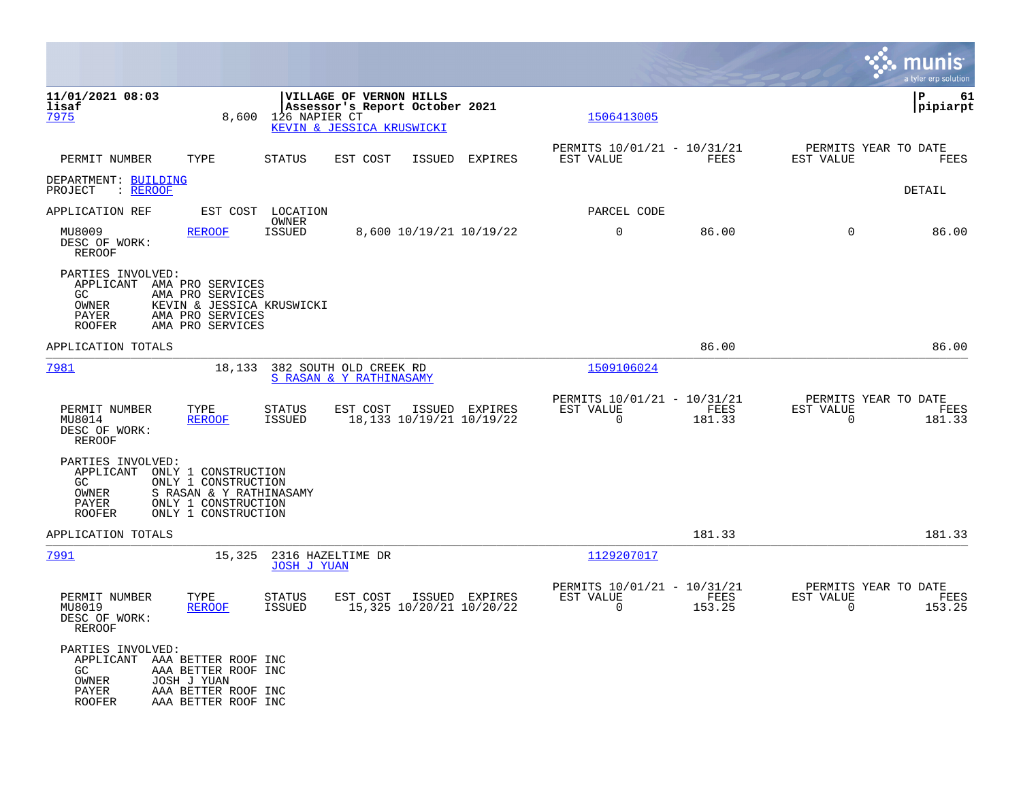|                                                                                          |                                                                                                                     |                                         |                                                                                        |                         |                                                            |                |                          | munis<br>a tyler erp solution          |
|------------------------------------------------------------------------------------------|---------------------------------------------------------------------------------------------------------------------|-----------------------------------------|----------------------------------------------------------------------------------------|-------------------------|------------------------------------------------------------|----------------|--------------------------|----------------------------------------|
| 11/01/2021 08:03<br>lisaf<br>7975                                                        | 8,600                                                                                                               | 126 NAPIER CT                           | VILLAGE OF VERNON HILLS<br>Assessor's Report October 2021<br>KEVIN & JESSICA KRUSWICKI |                         | 1506413005                                                 |                |                          | ΙP<br>61<br> pipiarpt                  |
| PERMIT NUMBER                                                                            | TYPE                                                                                                                | <b>STATUS</b>                           | EST COST                                                                               | ISSUED EXPIRES          | PERMITS 10/01/21 - 10/31/21<br>EST VALUE                   | <b>FEES</b>    | EST VALUE                | PERMITS YEAR TO DATE<br>FEES           |
| DEPARTMENT: BUILDING<br>PROJECT<br>: REROOF                                              |                                                                                                                     |                                         |                                                                                        |                         |                                                            |                |                          | DETAIL                                 |
| APPLICATION REF                                                                          |                                                                                                                     | EST COST LOCATION                       |                                                                                        |                         | PARCEL CODE                                                |                |                          |                                        |
| MU8009<br>DESC OF WORK:<br><b>REROOF</b>                                                 | <b>REROOF</b>                                                                                                       | OWNER<br><b>ISSUED</b>                  |                                                                                        | 8,600 10/19/21 10/19/22 | $\mathbf 0$                                                | 86.00          | $\Omega$                 | 86.00                                  |
| PARTIES INVOLVED:<br>APPLICANT AMA PRO SERVICES<br>GC<br>OWNER<br>PAYER<br><b>ROOFER</b> | AMA PRO SERVICES<br>KEVIN & JESSICA KRUSWICKI<br>AMA PRO SERVICES<br>AMA PRO SERVICES                               |                                         |                                                                                        |                         |                                                            |                |                          |                                        |
| APPLICATION TOTALS                                                                       |                                                                                                                     |                                         |                                                                                        |                         |                                                            | 86.00          |                          | 86.00                                  |
| 7981                                                                                     | 18,133                                                                                                              |                                         | 382 SOUTH OLD CREEK RD<br>S RASAN & Y RATHINASAMY                                      |                         | 1509106024                                                 |                |                          |                                        |
| PERMIT NUMBER<br>MU8014<br>DESC OF WORK:<br>REROOF                                       | TYPE<br><b>REROOF</b>                                                                                               | <b>STATUS</b><br><b>ISSUED</b>          | EST COST<br>18,133 10/19/21 10/19/22                                                   | ISSUED EXPIRES          | PERMITS 10/01/21 - 10/31/21<br>EST VALUE<br>$\mathbf 0$    | FEES<br>181.33 | EST VALUE<br>$\mathbf 0$ | PERMITS YEAR TO DATE<br>FEES<br>181.33 |
| PARTIES INVOLVED:<br>APPLICANT<br>GC<br>OWNER<br>PAYER<br><b>ROOFER</b>                  | ONLY 1 CONSTRUCTION<br>ONLY 1 CONSTRUCTION<br>S RASAN & Y RATHINASAMY<br>ONLY 1 CONSTRUCTION<br>ONLY 1 CONSTRUCTION |                                         |                                                                                        |                         |                                                            |                |                          |                                        |
| APPLICATION TOTALS                                                                       |                                                                                                                     |                                         |                                                                                        |                         |                                                            | 181.33         |                          | 181.33                                 |
| 7991                                                                                     | 15,325                                                                                                              | 2316 HAZELTIME DR<br><b>JOSH J YUAN</b> |                                                                                        |                         | 1129207017                                                 |                |                          |                                        |
| PERMIT NUMBER<br>MU8019<br>DESC OF WORK:<br><b>REROOF</b>                                | TYPE<br><b>REROOF</b>                                                                                               | <b>STATUS</b><br>ISSUED                 | EST COST<br>15,325 10/20/21 10/20/22                                                   | ISSUED EXPIRES          | PERMITS 10/01/21 - 10/31/21<br>EST VALUE<br>$\overline{0}$ | FEES<br>153.25 | EST VALUE<br>$\mathbf 0$ | PERMITS YEAR TO DATE<br>FEES<br>153.25 |
| PARTIES INVOLVED:<br>APPLICANT<br>GC<br>OWNER<br>PAYER<br>ROOFER                         | AAA BETTER ROOF INC<br>AAA BETTER ROOF INC<br>JOSH J YUAN<br>AAA BETTER ROOF INC<br>AAA BETTER ROOF INC             |                                         |                                                                                        |                         |                                                            |                |                          |                                        |

**College**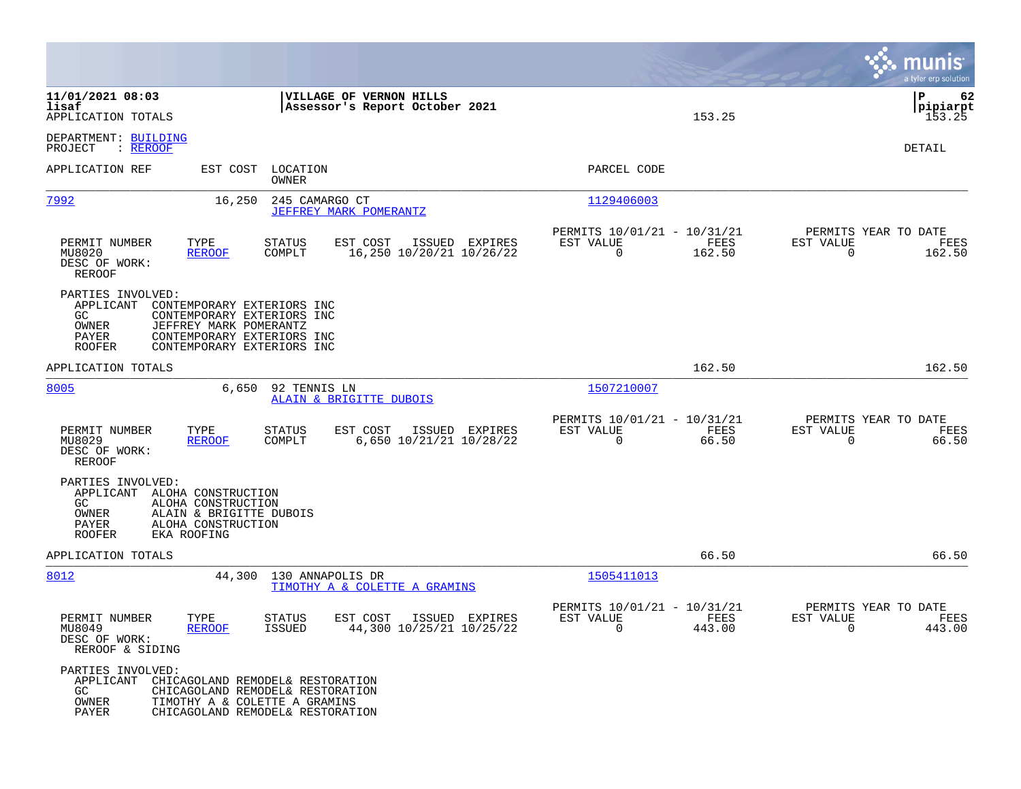|                                                                                                                                                                                                                     |                                                                           | munis<br>a tyler erp solution                                      |
|---------------------------------------------------------------------------------------------------------------------------------------------------------------------------------------------------------------------|---------------------------------------------------------------------------|--------------------------------------------------------------------|
| 11/01/2021 08:03<br>VILLAGE OF VERNON HILLS<br>lisaf<br>Assessor's Report October 2021<br>APPLICATION TOTALS                                                                                                        | 153.25                                                                    | l P<br>62<br> pipiarpt<br>153.25                                   |
| DEPARTMENT: BUILDING<br>: REROOF<br>PROJECT                                                                                                                                                                         |                                                                           | DETAIL                                                             |
| APPLICATION REF<br>EST COST<br>LOCATION<br>OWNER                                                                                                                                                                    | PARCEL CODE                                                               |                                                                    |
| 7992<br>16,250<br>245 CAMARGO CT<br>JEFFREY MARK POMERANTZ                                                                                                                                                          | 1129406003                                                                |                                                                    |
| PERMIT NUMBER<br>TYPE<br><b>STATUS</b><br>EST COST<br>ISSUED EXPIRES<br>MU8020<br><b>REROOF</b><br>COMPLT<br>16,250 10/20/21 10/26/22<br>DESC OF WORK:<br><b>REROOF</b>                                             | PERMITS 10/01/21 - 10/31/21<br>EST VALUE<br>FEES<br>$\mathbf 0$<br>162.50 | PERMITS YEAR TO DATE<br>EST VALUE<br>FEES<br>162.50<br>0           |
| PARTIES INVOLVED:<br>APPLICANT<br>CONTEMPORARY EXTERIORS INC<br>GC.<br>CONTEMPORARY EXTERIORS INC<br>OWNER<br>JEFFREY MARK POMERANTZ<br>PAYER<br>CONTEMPORARY EXTERIORS INC<br>CONTEMPORARY EXTERIORS INC<br>ROOFER |                                                                           |                                                                    |
| APPLICATION TOTALS                                                                                                                                                                                                  | 162.50                                                                    | 162.50                                                             |
| 8005<br>6,650<br>92 TENNIS LN<br><u>ALAIN &amp; BRIGITTE DUBOIS</u>                                                                                                                                                 | 1507210007                                                                |                                                                    |
| PERMIT NUMBER<br>TYPE<br>STATUS<br>EST COST<br>ISSUED EXPIRES<br>MU8029<br>COMPLT<br>6,650 10/21/21 10/28/22<br>REROOF<br>DESC OF WORK:<br>REROOF                                                                   | PERMITS 10/01/21 - 10/31/21<br>EST VALUE<br>FEES<br>0<br>66.50            | PERMITS YEAR TO DATE<br>EST VALUE<br>FEES<br>$\Omega$<br>66.50     |
| PARTIES INVOLVED:<br>APPLICANT ALOHA CONSTRUCTION<br>GC<br>ALOHA CONSTRUCTION<br>OWNER<br>ALAIN & BRIGITTE DUBOIS<br>PAYER<br>ALOHA CONSTRUCTION<br><b>ROOFER</b><br>EKA ROOFING                                    |                                                                           |                                                                    |
| APPLICATION TOTALS                                                                                                                                                                                                  | 66.50                                                                     | 66.50                                                              |
| 8012<br>44,300<br>130 ANNAPOLIS DR<br>TIMOTHY A & COLETTE A GRAMINS                                                                                                                                                 | 1505411013                                                                |                                                                    |
| PERMIT NUMBER<br>TYPE<br><b>STATUS</b><br>EST COST<br>ISSUED EXPIRES<br><b>ISSUED</b><br>44,300 10/25/21 10/25/22<br>MU8049<br><b>REROOF</b><br>DESC OF WORK:<br>REROOF & SIDING                                    | PERMITS 10/01/21 - 10/31/21<br>EST VALUE<br>FEES<br>$\Omega$<br>443.00    | PERMITS YEAR TO DATE<br>EST VALUE<br>FEES<br>$\mathbf 0$<br>443.00 |
| PARTIES INVOLVED:<br>APPLICANT<br>CHICAGOLAND REMODEL& RESTORATION<br>GC.<br>CHICAGOLAND REMODEL& RESTORATION<br>OWNER<br>TIMOTHY A & COLETTE A GRAMINS<br>PAYER<br>CHICAGOLAND REMODEL& RESTORATION                |                                                                           |                                                                    |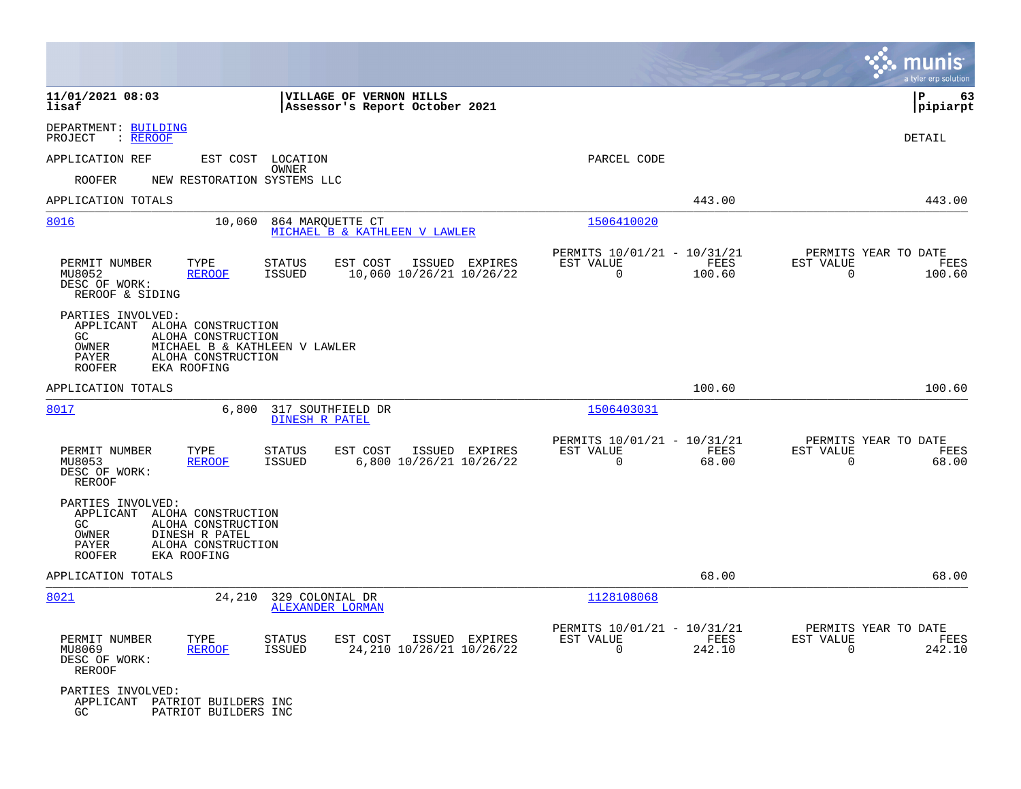|                                                                                                                                                                                           |                                                                                          |                                                                           | munis<br>a tyler erp solution                                         |
|-------------------------------------------------------------------------------------------------------------------------------------------------------------------------------------------|------------------------------------------------------------------------------------------|---------------------------------------------------------------------------|-----------------------------------------------------------------------|
| 11/01/2021 08:03<br>lisaf                                                                                                                                                                 | VILLAGE OF VERNON HILLS<br>Assessor's Report October 2021                                |                                                                           | ΙP<br>63<br> pipiarpt                                                 |
| DEPARTMENT: BUILDING<br>: REROOF<br>PROJECT                                                                                                                                               |                                                                                          |                                                                           | <b>DETAIL</b>                                                         |
| APPLICATION REF                                                                                                                                                                           | EST COST LOCATION                                                                        | PARCEL CODE                                                               |                                                                       |
| NEW RESTORATION SYSTEMS LLC<br><b>ROOFER</b>                                                                                                                                              | OWNER                                                                                    |                                                                           |                                                                       |
| APPLICATION TOTALS                                                                                                                                                                        |                                                                                          | 443.00                                                                    | 443.00                                                                |
| 8016<br>10,060                                                                                                                                                                            | 864 MARQUETTE CT<br>MICHAEL B & KATHLEEN V LAWLER                                        | 1506410020                                                                |                                                                       |
| PERMIT NUMBER<br>TYPE<br>MU8052<br><b>REROOF</b><br>DESC OF WORK:<br>REROOF & SIDING                                                                                                      | ISSUED EXPIRES<br>STATUS<br>EST COST<br><b>ISSUED</b><br>10,060 10/26/21 10/26/22        | PERMITS 10/01/21 - 10/31/21<br>EST VALUE<br>FEES<br>$\mathbf 0$<br>100.60 | PERMITS YEAR TO DATE<br>EST VALUE<br>FEES<br>$\overline{0}$<br>100.60 |
| PARTIES INVOLVED:<br>APPLICANT<br>ALOHA CONSTRUCTION<br>GC<br>ALOHA CONSTRUCTION<br>OWNER<br>MICHAEL B & KATHLEEN V LAWLER<br>ALOHA CONSTRUCTION<br>PAYER<br><b>ROOFER</b><br>EKA ROOFING |                                                                                          |                                                                           |                                                                       |
| APPLICATION TOTALS                                                                                                                                                                        |                                                                                          | 100.60                                                                    | 100.60                                                                |
| 8017<br>6,800                                                                                                                                                                             | 317 SOUTHFIELD DR<br>DINESH R PATEL                                                      | 1506403031                                                                |                                                                       |
| PERMIT NUMBER<br>TYPE<br>MU8053<br><b>REROOF</b><br>DESC OF WORK:<br><b>REROOF</b>                                                                                                        | <b>STATUS</b><br>EST COST<br>ISSUED EXPIRES<br>6,800 10/26/21 10/26/22<br><b>ISSUED</b>  | PERMITS 10/01/21 - 10/31/21<br>EST VALUE<br>FEES<br>$\Omega$<br>68.00     | PERMITS YEAR TO DATE<br>EST VALUE<br>FEES<br>$\Omega$<br>68.00        |
| PARTIES INVOLVED:<br>APPLICANT<br>ALOHA CONSTRUCTION<br>ALOHA CONSTRUCTION<br>GC.<br>OWNER<br>DINESH R PATEL<br>PAYER<br>ALOHA CONSTRUCTION<br><b>ROOFER</b><br>EKA ROOFING               |                                                                                          |                                                                           |                                                                       |
| APPLICATION TOTALS                                                                                                                                                                        |                                                                                          | 68.00                                                                     | 68.00                                                                 |
| 8021<br>24,210                                                                                                                                                                            | 329 COLONIAL DR<br><b>ALEXANDER LORMAN</b>                                               | 1128108068                                                                |                                                                       |
| PERMIT NUMBER<br>TYPE<br>MU8069<br><b>REROOF</b><br>DESC OF WORK:<br><b>REROOF</b>                                                                                                        | EST COST<br>ISSUED EXPIRES<br><b>STATUS</b><br><b>ISSUED</b><br>24,210 10/26/21 10/26/22 | PERMITS 10/01/21 - 10/31/21<br>EST VALUE<br>FEES<br>$\mathbf 0$<br>242.10 | PERMITS YEAR TO DATE<br>EST VALUE<br>FEES<br>$\overline{0}$<br>242.10 |
| PARTIES INVOLVED:<br>APPLICANT<br>PATRIOT BUILDERS INC<br>GC<br>PATRIOT BUILDERS INC                                                                                                      |                                                                                          |                                                                           |                                                                       |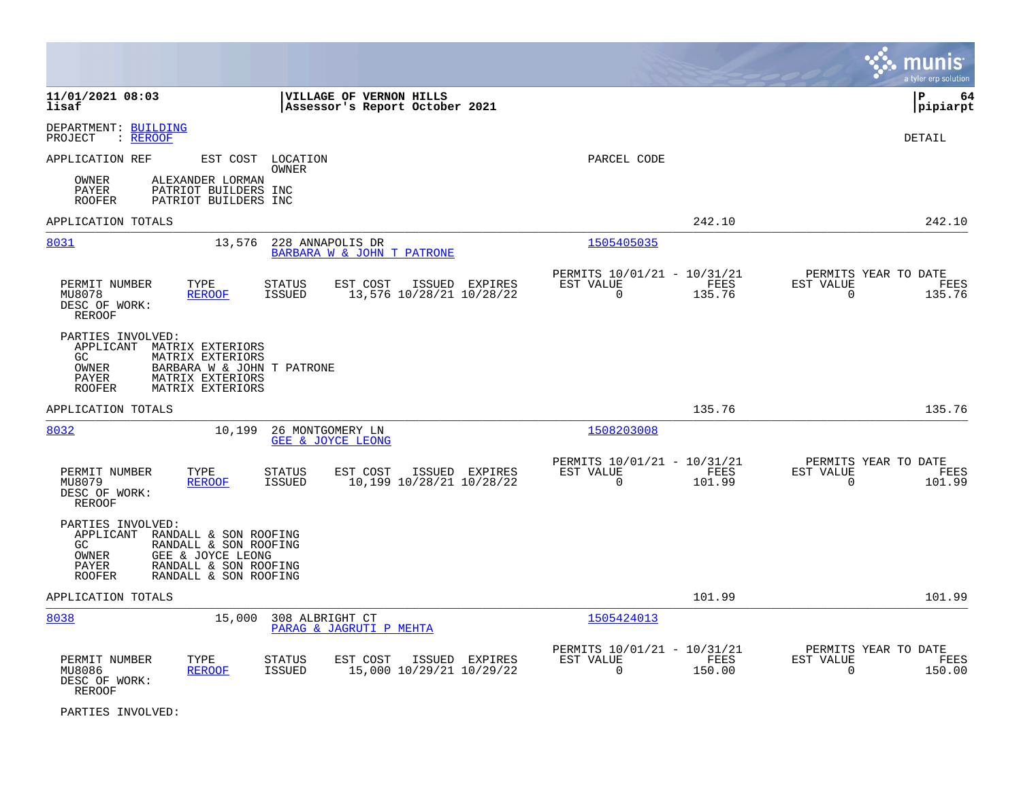|                                                                                                                                                                                                   |                                                                               | munis<br>a tyler erp solution                                         |
|---------------------------------------------------------------------------------------------------------------------------------------------------------------------------------------------------|-------------------------------------------------------------------------------|-----------------------------------------------------------------------|
| 11/01/2021 08:03<br>VILLAGE OF VERNON HILLS<br>lisaf<br>Assessor's Report October 2021                                                                                                            |                                                                               | lР<br>64<br> pipiarpt                                                 |
| DEPARTMENT: BUILDING<br>PROJECT<br>: REROOF                                                                                                                                                       |                                                                               | <b>DETAIL</b>                                                         |
| APPLICATION REF<br>EST COST LOCATION<br>OWNER                                                                                                                                                     | PARCEL CODE                                                                   |                                                                       |
| OWNER<br>ALEXANDER LORMAN<br>PAYER<br>PATRIOT BUILDERS INC<br>PATRIOT BUILDERS INC<br><b>ROOFER</b>                                                                                               |                                                                               |                                                                       |
| APPLICATION TOTALS                                                                                                                                                                                | 242.10                                                                        | 242.10                                                                |
| 8031<br>13,576<br>228 ANNAPOLIS DR<br>BARBARA W & JOHN T PATRONE                                                                                                                                  | 1505405035                                                                    |                                                                       |
| PERMIT NUMBER<br>TYPE<br>STATUS<br>EST COST<br>ISSUED EXPIRES<br>MU8078<br><b>REROOF</b><br><b>ISSUED</b><br>13,576 10/28/21 10/28/22<br>DESC OF WORK:<br>REROOF                                  | PERMITS 10/01/21 - 10/31/21<br>FEES<br>EST VALUE<br>$\Omega$<br>135.76        | PERMITS YEAR TO DATE<br>EST VALUE<br>FEES<br>$\Omega$<br>135.76       |
| PARTIES INVOLVED:<br>APPLICANT MATRIX EXTERIORS<br>MATRIX EXTERIORS<br>GC.<br>OWNER<br>BARBARA W & JOHN T PATRONE<br>MATRIX EXTERIORS<br>PAYER<br>MATRIX EXTERIORS<br><b>ROOFER</b>               |                                                                               |                                                                       |
| APPLICATION TOTALS                                                                                                                                                                                | 135.76                                                                        | 135.76                                                                |
| 8032<br>10,199<br>26 MONTGOMERY LN<br>GEE & JOYCE LEONG                                                                                                                                           | 1508203008                                                                    |                                                                       |
| PERMIT NUMBER<br>TYPE<br><b>STATUS</b><br>EST COST<br>ISSUED EXPIRES<br>MU8079<br>10,199 10/28/21 10/28/22<br><b>REROOF</b><br><b>ISSUED</b><br>DESC OF WORK:<br><b>REROOF</b>                    | PERMITS 10/01/21 - 10/31/21<br>EST VALUE<br><b>FEES</b><br>$\Omega$<br>101.99 | PERMITS YEAR TO DATE<br>EST VALUE<br>FEES<br>$\overline{0}$<br>101.99 |
| PARTIES INVOLVED:<br>APPLICANT<br>RANDALL & SON ROOFING<br>RANDALL & SON ROOFING<br>GC.<br>GEE & JOYCE LEONG<br>OWNER<br>RANDALL & SON ROOFING<br>PAYER<br>RANDALL & SON ROOFING<br><b>ROOFER</b> |                                                                               |                                                                       |
| APPLICATION TOTALS                                                                                                                                                                                | 101.99                                                                        | 101.99                                                                |
| 8038<br>15,000<br>308 ALBRIGHT CT<br>PARAG & JAGRUTI P MEHTA                                                                                                                                      | 1505424013                                                                    |                                                                       |
| PERMIT NUMBER<br>TYPE<br><b>STATUS</b><br>EST COST<br>ISSUED EXPIRES<br>15,000 10/29/21 10/29/22<br>MU8086<br><b>REROOF</b><br><b>ISSUED</b><br>DESC OF WORK:<br>REROOF                           | PERMITS 10/01/21 - 10/31/21<br>EST VALUE<br>FEES<br>$\Omega$<br>150.00        | PERMITS YEAR TO DATE<br>EST VALUE<br>FEES<br>$\mathbf 0$<br>150.00    |

PARTIES INVOLVED: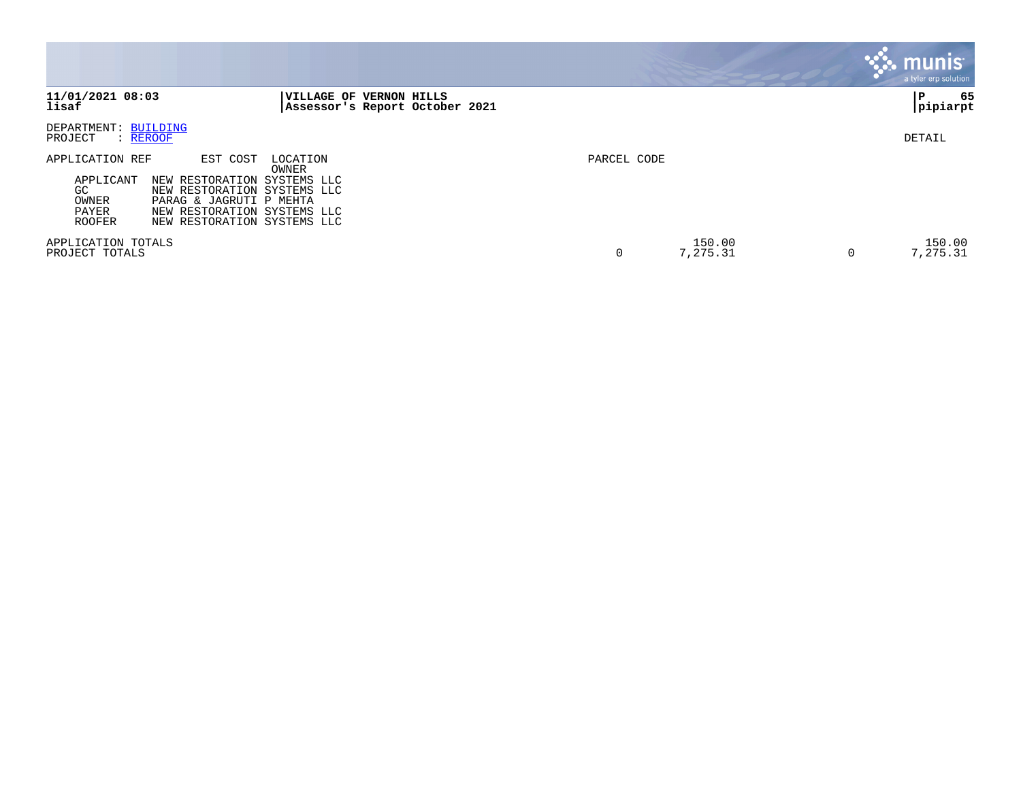|                                                                                                                                                                                                                                           |                                                                            |             |                    | munis<br>a tyler erp solution |
|-------------------------------------------------------------------------------------------------------------------------------------------------------------------------------------------------------------------------------------------|----------------------------------------------------------------------------|-------------|--------------------|-------------------------------|
| 11/01/2021 08:03<br>lisaf                                                                                                                                                                                                                 | <b>VERNON HILLS</b><br><b>VILLAGE OF</b><br>Assessor's Report October 2021 |             |                    | 65<br>P<br> pipiarpt          |
| DEPARTMENT: BUILDING<br>: REROOF<br>PROJECT                                                                                                                                                                                               |                                                                            |             |                    | DETAIL                        |
| APPLICATION REF<br>EST COST<br>NEW RESTORATION SYSTEMS LLC<br>APPLICANT<br>GC.<br>NEW RESTORATION SYSTEMS LLC<br>OWNER<br>PARAG & JAGRUTI P MEHTA<br>PAYER<br>NEW RESTORATION SYSTEMS LLC<br>NEW RESTORATION SYSTEMS LLC<br><b>ROOFER</b> | LOCATION<br>OWNER                                                          | PARCEL CODE |                    |                               |
| APPLICATION TOTALS<br>PROJECT TOTALS                                                                                                                                                                                                      |                                                                            | 0           | 150.00<br>7,275.31 | 150.00<br>7,275.31<br>0       |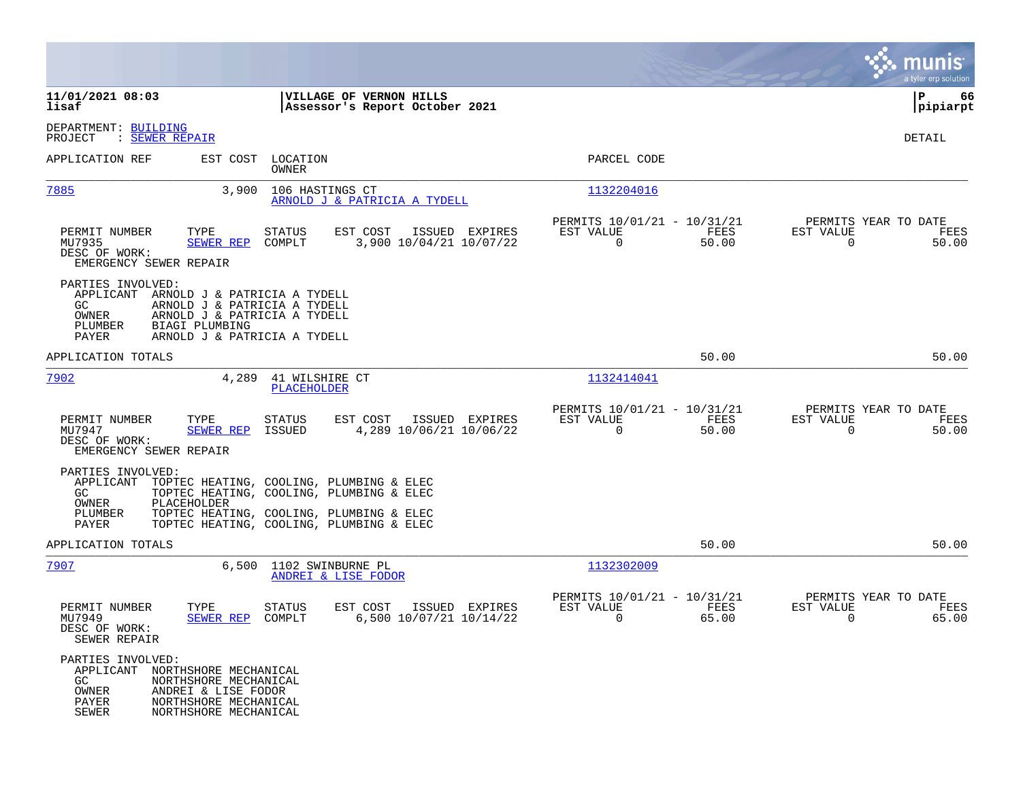|                                                                                                                                                                                                                          |                                                                                                                                                                              |                                                                          | munis<br>a tyler erp solution                                     |
|--------------------------------------------------------------------------------------------------------------------------------------------------------------------------------------------------------------------------|------------------------------------------------------------------------------------------------------------------------------------------------------------------------------|--------------------------------------------------------------------------|-------------------------------------------------------------------|
| 11/01/2021 08:03<br>lisaf                                                                                                                                                                                                | VILLAGE OF VERNON HILLS<br>Assessor's Report October 2021                                                                                                                    |                                                                          | 66<br>IΡ<br> pipiarpt                                             |
| DEPARTMENT: BUILDING<br>: SEWER REPAIR<br>PROJECT                                                                                                                                                                        |                                                                                                                                                                              |                                                                          | DETAIL                                                            |
| APPLICATION REF<br>EST COST                                                                                                                                                                                              | LOCATION<br>OWNER                                                                                                                                                            | PARCEL CODE                                                              |                                                                   |
| 7885<br>3,900                                                                                                                                                                                                            | 106 HASTINGS CT<br>ARNOLD J & PATRICIA A TYDELL                                                                                                                              | 1132204016                                                               |                                                                   |
| PERMIT NUMBER<br>TYPE<br>MU7935<br><b>SEWER REP</b><br>DESC OF WORK:<br>EMERGENCY SEWER REPAIR                                                                                                                           | EST COST<br><b>STATUS</b><br>ISSUED EXPIRES<br>COMPLT<br>3,900 10/04/21 10/07/22                                                                                             | PERMITS 10/01/21 - 10/31/21<br>EST VALUE<br>FEES<br>$\mathbf 0$<br>50.00 | PERMITS YEAR TO DATE<br>EST VALUE<br>FEES<br>$\Omega$<br>50.00    |
| PARTIES INVOLVED:<br>APPLICANT ARNOLD J & PATRICIA A TYDELL<br>ARNOLD J & PATRICIA A TYDELL<br>GC.<br>OWNER<br>ARNOLD J & PATRICIA A TYDELL<br>PLUMBER<br><b>BIAGI PLUMBING</b><br>ARNOLD J & PATRICIA A TYDELL<br>PAYER |                                                                                                                                                                              |                                                                          |                                                                   |
| APPLICATION TOTALS                                                                                                                                                                                                       |                                                                                                                                                                              | 50.00                                                                    | 50.00                                                             |
| 7902<br>4,289                                                                                                                                                                                                            | 41 WILSHIRE CT<br>PLACEHOLDER                                                                                                                                                | 1132414041                                                               |                                                                   |
| PERMIT NUMBER<br>TYPE<br>MU7947<br><b>SEWER REP</b><br>DESC OF WORK:<br>EMERGENCY SEWER REPAIR                                                                                                                           | <b>STATUS</b><br>EST COST<br>ISSUED EXPIRES<br>4,289 10/06/21 10/06/22<br>ISSUED                                                                                             | PERMITS 10/01/21 - 10/31/21<br>EST VALUE<br>FEES<br>$\mathbf 0$<br>50.00 | PERMITS YEAR TO DATE<br>EST VALUE<br>FEES<br>$\mathbf 0$<br>50.00 |
| PARTIES INVOLVED:<br>APPLICANT<br>GC<br>PLACEHOLDER<br>OWNER<br>PLUMBER<br>PAYER                                                                                                                                         | TOPTEC HEATING, COOLING, PLUMBING & ELEC<br>TOPTEC HEATING, COOLING, PLUMBING & ELEC<br>TOPTEC HEATING, COOLING, PLUMBING & ELEC<br>TOPTEC HEATING, COOLING, PLUMBING & ELEC |                                                                          |                                                                   |
| APPLICATION TOTALS                                                                                                                                                                                                       |                                                                                                                                                                              | 50.00                                                                    | 50.00                                                             |
| 7907<br>6,500                                                                                                                                                                                                            | 1102 SWINBURNE PL<br>ANDREI & LISE FODOR                                                                                                                                     | 1132302009                                                               |                                                                   |
| PERMIT NUMBER<br>TYPE<br>MU7949<br>SEWER REP<br>DESC OF WORK:<br>SEWER REPAIR                                                                                                                                            | ISSUED EXPIRES<br>STATUS<br>EST COST<br>6,500 10/07/21 10/14/22<br>COMPLT                                                                                                    | PERMITS 10/01/21 - 10/31/21<br>EST VALUE<br>FEES<br>$\mathbf 0$<br>65.00 | PERMITS YEAR TO DATE<br>EST VALUE<br>FEES<br>0<br>65.00           |
| PARTIES INVOLVED:<br>APPLICANT NORTHSHORE MECHANICAL<br>GC<br>NORTHSHORE MECHANICAL<br>OWNER<br>ANDREI & LISE FODOR<br>PAYER<br>NORTHSHORE MECHANICAL<br>SEWER<br>NORTHSHORE MECHANICAL                                  |                                                                                                                                                                              |                                                                          |                                                                   |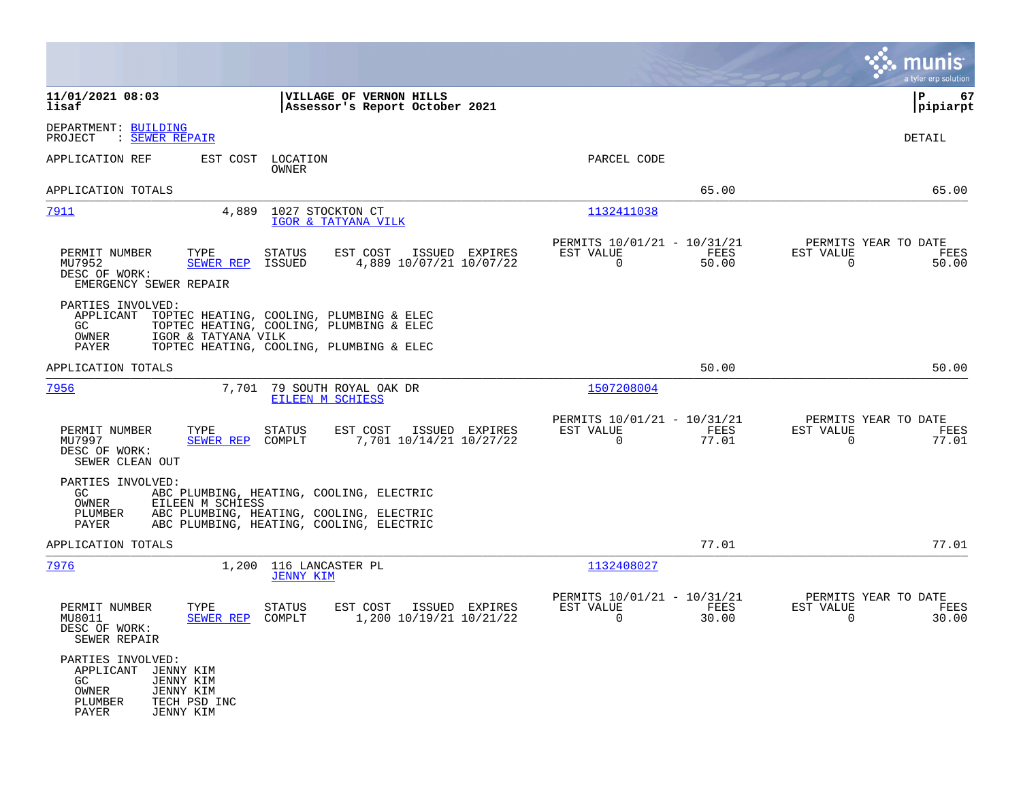|                                                                                                                                                                                                                    |                                                                          | munis<br>a tyler erp solution                                     |
|--------------------------------------------------------------------------------------------------------------------------------------------------------------------------------------------------------------------|--------------------------------------------------------------------------|-------------------------------------------------------------------|
| VILLAGE OF VERNON HILLS<br>11/01/2021 08:03<br>lisaf<br>Assessor's Report October 2021                                                                                                                             |                                                                          | ΙP<br>67<br> pipiarpt                                             |
| DEPARTMENT: BUILDING<br>PROJECT<br>: SEWER REPAIR                                                                                                                                                                  |                                                                          | DETAIL                                                            |
| APPLICATION REF<br>EST COST<br>LOCATION<br>OWNER                                                                                                                                                                   | PARCEL CODE                                                              |                                                                   |
| APPLICATION TOTALS                                                                                                                                                                                                 | 65.00                                                                    | 65.00                                                             |
| 7911<br>4,889<br>1027 STOCKTON CT<br>IGOR & TATYANA VILK                                                                                                                                                           | 1132411038                                                               |                                                                   |
| PERMIT NUMBER<br>TYPE<br>EST COST<br>ISSUED EXPIRES<br>STATUS<br>MU7952<br>ISSUED<br>4,889 10/07/21 10/07/22<br><b>SEWER REP</b><br>DESC OF WORK:<br>EMERGENCY SEWER REPAIR                                        | PERMITS 10/01/21 - 10/31/21<br>EST VALUE<br>FEES<br>$\mathbf 0$<br>50.00 | PERMITS YEAR TO DATE<br>EST VALUE<br>FEES<br>$\mathbf 0$<br>50.00 |
| PARTIES INVOLVED:<br>APPLICANT<br>TOPTEC HEATING, COOLING, PLUMBING & ELEC<br>TOPTEC HEATING, COOLING, PLUMBING & ELEC<br>GC.<br>OWNER<br>IGOR & TATYANA VILK<br>PAYER<br>TOPTEC HEATING, COOLING, PLUMBING & ELEC |                                                                          |                                                                   |
| APPLICATION TOTALS                                                                                                                                                                                                 | 50.00                                                                    | 50.00                                                             |
| 7956<br>7,701 79 SOUTH ROYAL OAK DR<br><b>EILEEN M SCHIESS</b>                                                                                                                                                     | 1507208004                                                               |                                                                   |
| PERMIT NUMBER<br>TYPE<br>EST COST<br>ISSUED EXPIRES<br><b>STATUS</b><br>7,701 10/14/21 10/27/22<br>MU7997<br><b>SEWER REP</b><br>COMPLT<br>DESC OF WORK:<br>SEWER CLEAN OUT                                        | PERMITS 10/01/21 - 10/31/21<br>EST VALUE<br>FEES<br>$\mathbf 0$<br>77.01 | PERMITS YEAR TO DATE<br>EST VALUE<br>FEES<br>77.01<br>$\Omega$    |
| PARTIES INVOLVED:<br>GC.<br>ABC PLUMBING, HEATING, COOLING, ELECTRIC<br>OWNER<br>EILEEN M SCHIESS<br>PLUMBER<br>ABC PLUMBING, HEATING, COOLING, ELECTRIC                                                           |                                                                          |                                                                   |
| PAYER<br>ABC PLUMBING, HEATING, COOLING, ELECTRIC<br>APPLICATION TOTALS                                                                                                                                            | 77.01                                                                    | 77.01                                                             |
| 7976<br>1,200 116 LANCASTER PL<br><b>JENNY KIM</b>                                                                                                                                                                 | 1132408027                                                               |                                                                   |
| PERMIT NUMBER<br>EST COST<br>TYPE<br>STATUS<br>ISSUED EXPIRES<br>MU8011<br><b>SEWER REP</b><br>COMPLT<br>1,200 10/19/21 10/21/22<br>DESC OF WORK:<br>SEWER REPAIR                                                  | PERMITS 10/01/21 - 10/31/21<br>EST VALUE<br>FEES<br>0<br>30.00           | PERMITS YEAR TO DATE<br>EST VALUE<br>FEES<br>30.00<br>0           |
| PARTIES INVOLVED:<br>APPLICANT JENNY KIM<br>JENNY KIM<br>GC<br>OWNER<br>JENNY KIM<br>PLUMBER<br>TECH PSD INC<br>PAYER<br>JENNY KIM                                                                                 |                                                                          |                                                                   |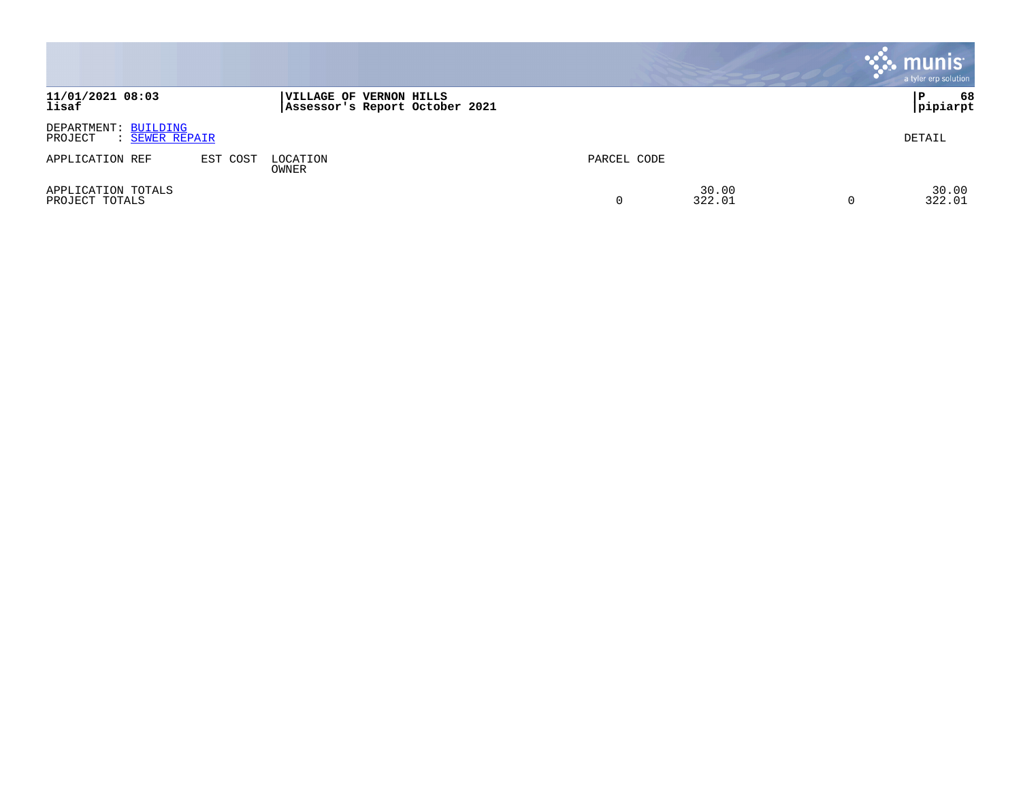|                                                   |          |                                                                  |             |                 |          | <b>munis</b><br>a tyler erp solution |
|---------------------------------------------------|----------|------------------------------------------------------------------|-------------|-----------------|----------|--------------------------------------|
| 11/01/2021 08:03<br>lisaf                         |          | <b>VILLAGE OF VERNON HILLS</b><br>Assessor's Report October 2021 |             |                 |          | 68<br>P<br> pipiarpt                 |
| DEPARTMENT: BUILDING<br>: SEWER REPAIR<br>PROJECT |          |                                                                  |             |                 |          | DETAIL                               |
| APPLICATION REF                                   | EST COST | LOCATION<br>OWNER                                                | PARCEL CODE |                 |          |                                      |
| APPLICATION TOTALS<br>PROJECT TOTALS              |          |                                                                  | 0           | 30.00<br>322.01 | $\Omega$ | 30.00<br>322.01                      |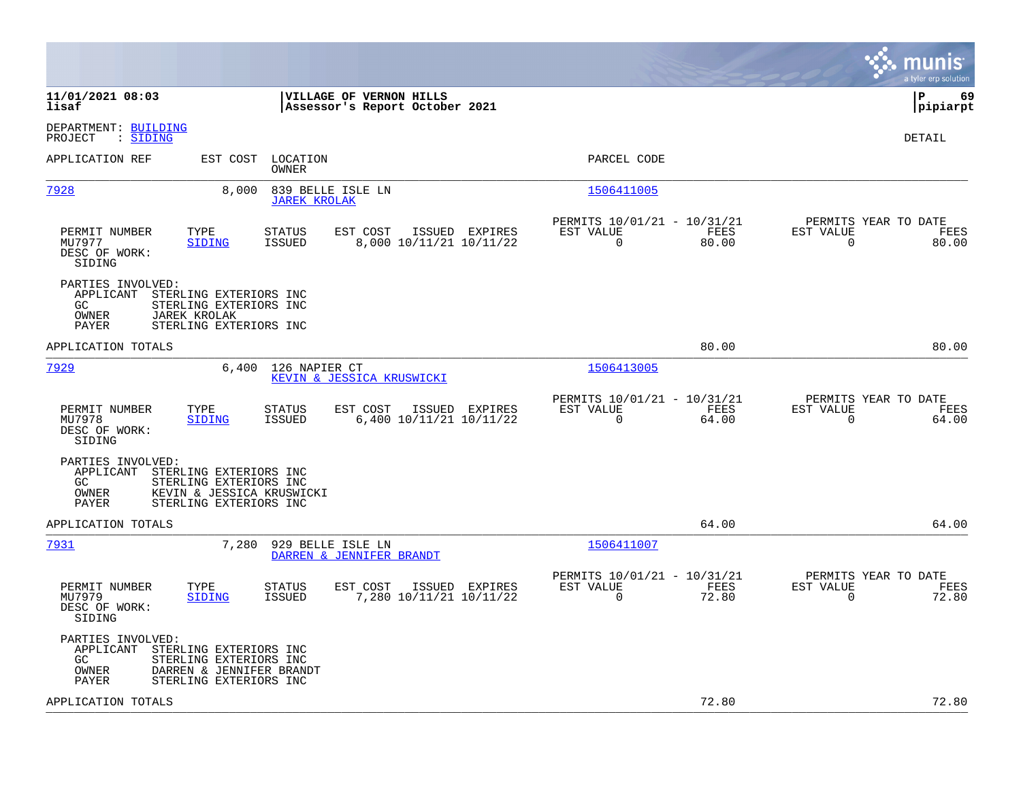|                                                                                                                                                                          |                                                                          | munis<br>a tyler erp solution                                     |
|--------------------------------------------------------------------------------------------------------------------------------------------------------------------------|--------------------------------------------------------------------------|-------------------------------------------------------------------|
| 11/01/2021 08:03<br>VILLAGE OF VERNON HILLS<br>lisaf<br>Assessor's Report October 2021                                                                                   |                                                                          | l P<br>-69<br> pipiarpt                                           |
| DEPARTMENT: BUILDING<br>: SIDING<br>PROJECT                                                                                                                              |                                                                          | <b>DETAIL</b>                                                     |
| APPLICATION REF<br>EST COST LOCATION<br>OWNER                                                                                                                            | PARCEL CODE                                                              |                                                                   |
| <u>7928</u><br>8,000<br>839 BELLE ISLE LN<br><b>JAREK KROLAK</b>                                                                                                         | <u>1506411005</u>                                                        |                                                                   |
| TYPE<br><b>STATUS</b><br>EST COST<br>PERMIT NUMBER<br>ISSUED EXPIRES<br><b>ISSUED</b><br>8,000 10/11/21 10/11/22<br>MU7977<br><b>SIDING</b><br>DESC OF WORK:<br>SIDING   | PERMITS 10/01/21 - 10/31/21<br>FEES<br>EST VALUE<br>$\mathbf 0$<br>80.00 | PERMITS YEAR TO DATE<br>EST VALUE<br>FEES<br>$\mathbf 0$<br>80.00 |
| PARTIES INVOLVED:<br>APPLICANT<br>STERLING EXTERIORS INC<br>GC.<br>STERLING EXTERIORS INC<br>OWNER<br>JAREK KROLAK<br>STERLING EXTERIORS INC<br>PAYER                    |                                                                          |                                                                   |
| APPLICATION TOTALS                                                                                                                                                       | 80.00                                                                    | 80.00                                                             |
| <u>7929</u><br>6,400<br>126 NAPIER CT<br>KEVIN & JESSICA KRUSWICKI                                                                                                       | 1506413005                                                               |                                                                   |
| PERMIT NUMBER<br>TYPE<br><b>STATUS</b><br>EST COST<br>ISSUED EXPIRES<br>6,400 10/11/21 10/11/22<br>MU7978<br><b>SIDING</b><br><b>ISSUED</b><br>DESC OF WORK:<br>SIDING   | PERMITS 10/01/21 - 10/31/21<br>EST VALUE<br>FEES<br>$\Omega$<br>64.00    | PERMITS YEAR TO DATE<br>EST VALUE<br>FEES<br>$\Omega$<br>64.00    |
| PARTIES INVOLVED:<br>APPLICANT<br>STERLING EXTERIORS INC<br>GC<br>STERLING EXTERIORS INC<br>OWNER<br>KEVIN & JESSICA KRUSWICKI<br><b>PAYER</b><br>STERLING EXTERIORS INC |                                                                          |                                                                   |
| APPLICATION TOTALS                                                                                                                                                       | 64.00                                                                    | 64.00                                                             |
| <u>7931</u><br>7,280<br>929 BELLE ISLE LN<br>DARREN & JENNIFER BRANDT                                                                                                    | 1506411007                                                               |                                                                   |
| PERMIT NUMBER<br>EST COST<br>ISSUED EXPIRES<br>TYPE<br>STATUS<br>MU7979<br>ISSUED<br>7,280 10/11/21 10/11/22<br><b>SIDING</b><br>DESC OF WORK:<br>SIDING                 | PERMITS 10/01/21 - 10/31/21<br>EST VALUE<br>FEES<br>$\mathbf 0$<br>72.80 | PERMITS YEAR TO DATE<br>EST VALUE<br>FEES<br>$\mathbf 0$<br>72.80 |
| PARTIES INVOLVED:<br>APPLICANT<br>STERLING EXTERIORS INC<br>GC<br>STERLING EXTERIORS INC<br>DARREN & JENNIFER BRANDT<br>OWNER<br>PAYER<br>STERLING EXTERIORS INC         |                                                                          |                                                                   |
| APPLICATION TOTALS                                                                                                                                                       | 72.80                                                                    | 72.80                                                             |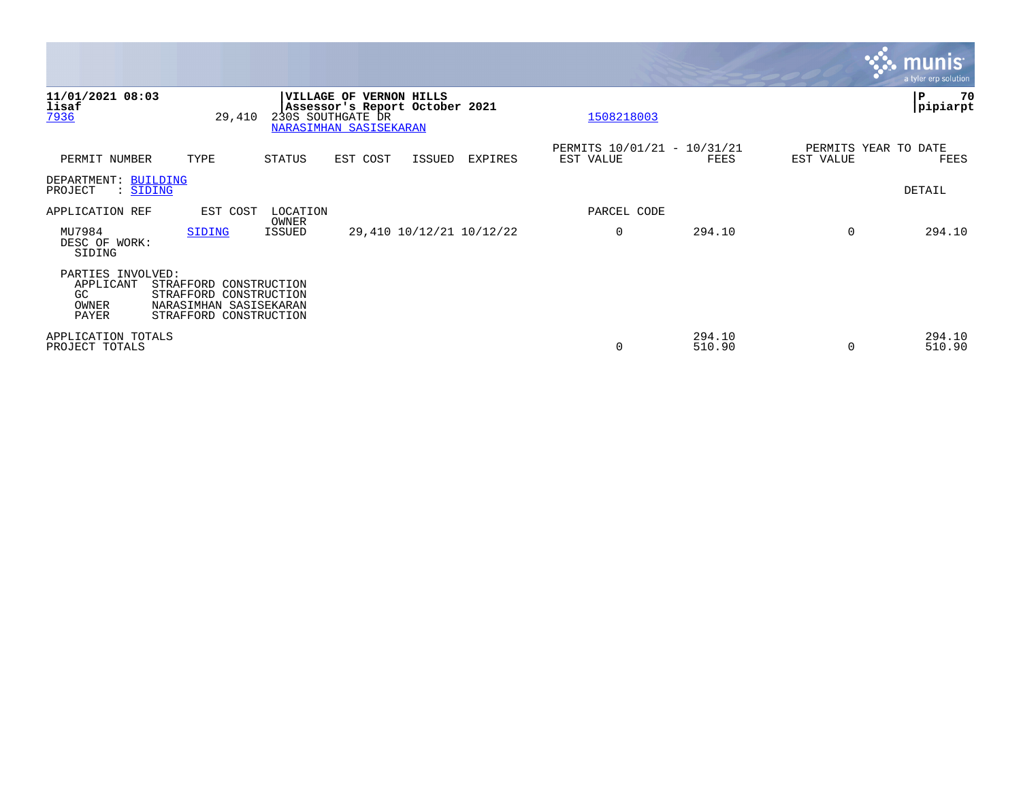|                                                                |                                                                                                      |                        |                                                                                                          |               |                          |                                          |                  |           | <u>munis'</u><br>a tyler erp solution |
|----------------------------------------------------------------|------------------------------------------------------------------------------------------------------|------------------------|----------------------------------------------------------------------------------------------------------|---------------|--------------------------|------------------------------------------|------------------|-----------|---------------------------------------|
| 11/01/2021 08:03<br>lisaf<br>7936                              | 29,410                                                                                               |                        | VILLAGE OF VERNON HILLS<br>Assessor's Report October 2021<br>230S SOUTHGATE DR<br>NARASIMHAN SASISEKARAN |               |                          | 1508218003                               |                  |           | 70<br>P<br> pipiarpt                  |
| PERMIT NUMBER                                                  | TYPE                                                                                                 | STATUS                 | EST COST                                                                                                 | <b>ISSUED</b> | EXPIRES                  | PERMITS 10/01/21 - 10/31/21<br>EST VALUE | FEES             | EST VALUE | PERMITS YEAR TO DATE<br>FEES          |
| DEPARTMENT: BUILDING<br>PROJECT<br>: SIDING                    |                                                                                                      |                        |                                                                                                          |               |                          |                                          |                  |           | DETAIL                                |
| APPLICATION REF                                                | EST COST                                                                                             | LOCATION               |                                                                                                          |               |                          | PARCEL CODE                              |                  |           |                                       |
| MU7984<br>DESC OF WORK:<br>SIDING                              | SIDING                                                                                               | OWNER<br><b>ISSUED</b> |                                                                                                          |               | 29,410 10/12/21 10/12/22 | 0                                        | 294.10           | $\Omega$  | 294.10                                |
| PARTIES INVOLVED:<br>APPLICANT<br>GC.<br>OWNER<br><b>PAYER</b> | STRAFFORD CONSTRUCTION<br>STRAFFORD CONSTRUCTION<br>NARASIMHAN SASISEKARAN<br>STRAFFORD CONSTRUCTION |                        |                                                                                                          |               |                          |                                          |                  |           |                                       |
| APPLICATION TOTALS<br>PROJECT TOTALS                           |                                                                                                      |                        |                                                                                                          |               |                          | 0                                        | 294.10<br>510.90 | $\Omega$  | 294.10<br>510.90                      |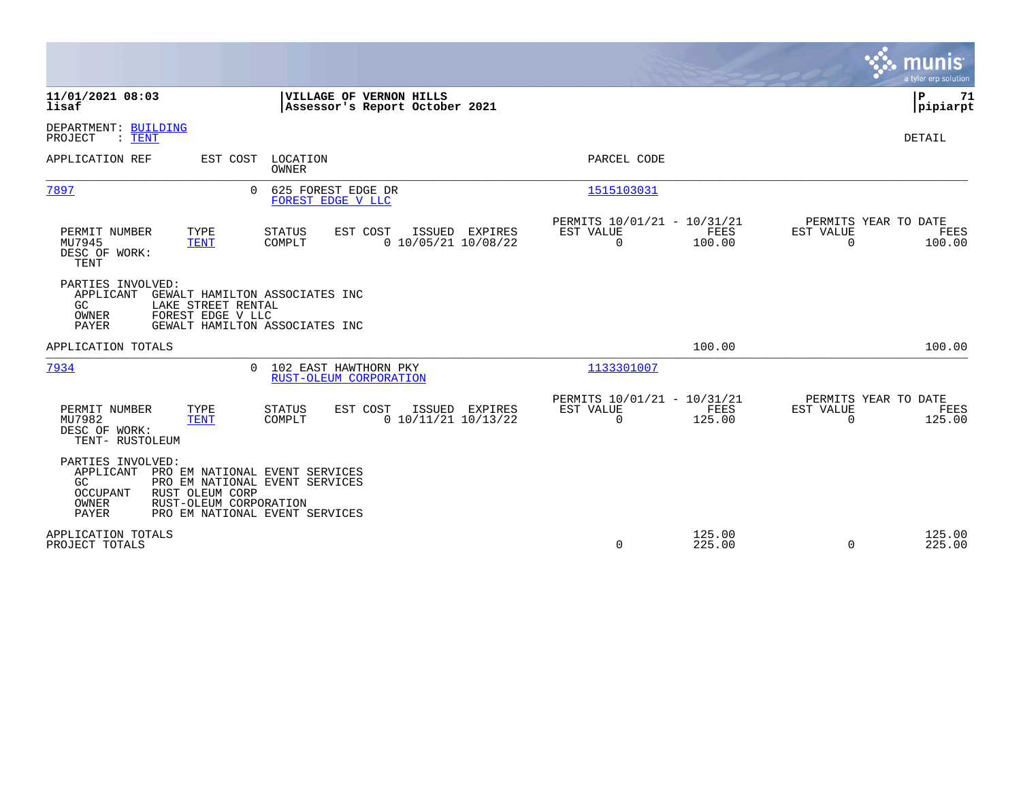|                                                                                                                                                                                                                                      |                                                                        | munis<br>a tyler erp solution                                   |
|--------------------------------------------------------------------------------------------------------------------------------------------------------------------------------------------------------------------------------------|------------------------------------------------------------------------|-----------------------------------------------------------------|
| 11/01/2021 08:03<br>VILLAGE OF VERNON HILLS<br>lisaf<br>Assessor's Report October 2021                                                                                                                                               |                                                                        | P<br>71<br> pipiarpt                                            |
| DEPARTMENT: BUILDING<br>PROJECT<br>$:$ TENT                                                                                                                                                                                          |                                                                        | <b>DETAIL</b>                                                   |
| APPLICATION REF<br>LOCATION<br>EST COST<br>OWNER                                                                                                                                                                                     | PARCEL CODE                                                            |                                                                 |
| 7897<br>625 FOREST EDGE DR<br>$\Omega$<br>FOREST EDGE V LLC                                                                                                                                                                          | 1515103031                                                             |                                                                 |
| PERMIT NUMBER<br>TYPE<br><b>STATUS</b><br>EST COST<br>ISSUED EXPIRES<br>MU7945<br>$0$ 10/05/21 10/08/22<br><b>TENT</b><br>COMPLT<br>DESC OF WORK:<br><b>TENT</b>                                                                     | PERMITS 10/01/21 - 10/31/21<br>EST VALUE<br>FEES<br>$\Omega$<br>100.00 | PERMITS YEAR TO DATE<br>EST VALUE<br>FEES<br>$\Omega$<br>100.00 |
| PARTIES INVOLVED:<br>APPLICANT<br>GEWALT HAMILTON ASSOCIATES INC<br>LAKE STREET RENTAL<br>GC.<br>OWNER<br>FOREST EDGE V LLC<br><b>PAYER</b><br>GEWALT HAMILTON ASSOCIATES INC                                                        |                                                                        |                                                                 |
| APPLICATION TOTALS                                                                                                                                                                                                                   | 100.00                                                                 | 100.00                                                          |
| 0 102 EAST HAWTHORN PKY<br>7934<br>RUST-OLEUM CORPORATION                                                                                                                                                                            | 1133301007                                                             |                                                                 |
| PERMIT NUMBER<br>TYPE<br><b>STATUS</b><br>EST COST<br>ISSUED EXPIRES<br>MU7982<br>COMPLT<br>$0$ 10/11/21 10/13/22<br><b>TENT</b><br>DESC OF WORK:<br>TENT- RUSTOLEUM                                                                 | PERMITS 10/01/21 - 10/31/21<br>EST VALUE<br>FEES<br>$\Omega$<br>125.00 | PERMITS YEAR TO DATE<br>EST VALUE<br>FEES<br>$\Omega$<br>125.00 |
| PARTIES INVOLVED:<br>APPLICANT<br>PRO EM NATIONAL EVENT SERVICES<br>PRO EM NATIONAL EVENT SERVICES<br>GC.<br><b>OCCUPANT</b><br>RUST OLEUM CORP<br>OWNER<br>RUST-OLEUM CORPORATION<br><b>PAYER</b><br>PRO EM NATIONAL EVENT SERVICES |                                                                        |                                                                 |
| APPLICATION TOTALS<br>PROJECT TOTALS                                                                                                                                                                                                 | 125.00<br>0<br>225.00                                                  | 125.00<br>225.00<br>$\Omega$                                    |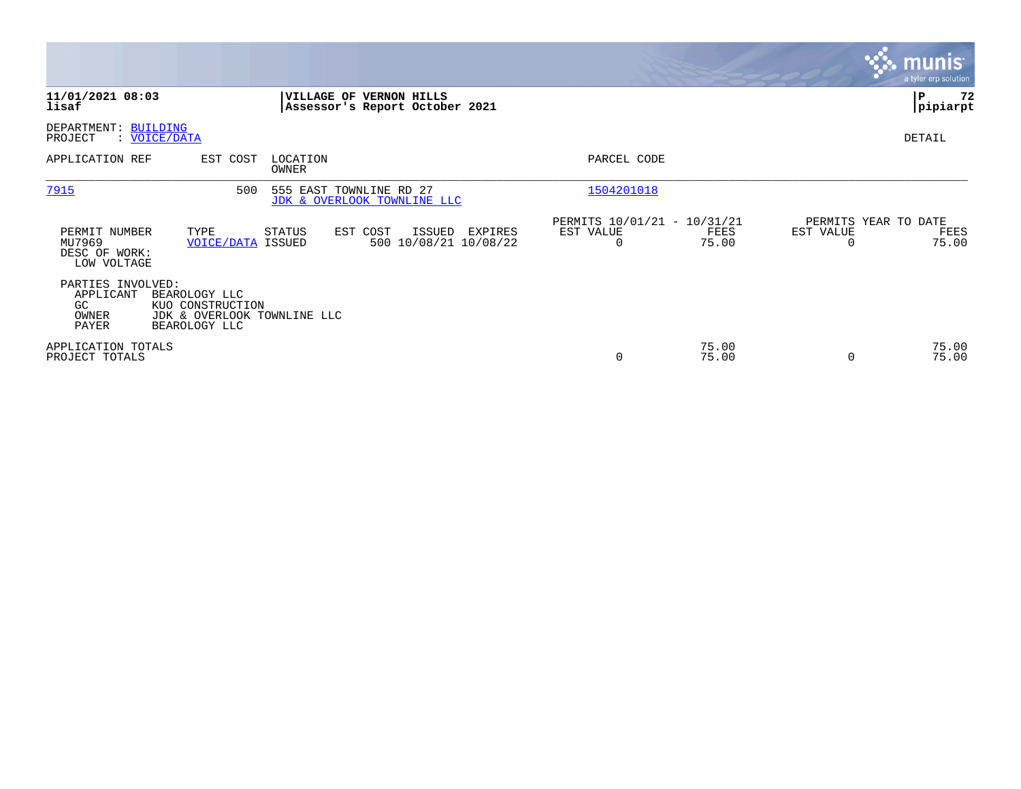|                                                         |                                                                                   |                                                        |                                 |         |                                               |                |                | <b>munis</b><br>a tyler erp solution  |
|---------------------------------------------------------|-----------------------------------------------------------------------------------|--------------------------------------------------------|---------------------------------|---------|-----------------------------------------------|----------------|----------------|---------------------------------------|
| 11/01/2021 08:03<br>lisaf                               |                                                                                   | VILLAGE OF VERNON HILLS                                | Assessor's Report October 2021  |         |                                               |                |                | 72<br>P<br> pipiarpt                  |
| DEPARTMENT: BUILDING<br>PROJECT                         | : VOICE/DATA                                                                      |                                                        |                                 |         |                                               |                |                | DETAIL                                |
| APPLICATION REF                                         | EST COST                                                                          | LOCATION<br>OWNER                                      |                                 |         | PARCEL CODE                                   |                |                |                                       |
| 7915                                                    | 500                                                                               | 555 EAST TOWNLINE RD 27<br>JDK & OVERLOOK TOWNLINE LLC |                                 |         | 1504201018                                    |                |                |                                       |
| PERMIT NUMBER<br>MU7969<br>DESC OF WORK:<br>LOW VOLTAGE | TYPE<br><b>VOICE/DATA ISSUED</b>                                                  | EST COST<br>STATUS                                     | ISSUED<br>500 10/08/21 10/08/22 | EXPIRES | PERMITS 10/01/21 - 10/31/21<br>EST VALUE<br>0 | FEES<br>75.00  | EST VALUE<br>0 | PERMITS YEAR TO DATE<br>FEES<br>75.00 |
| PARTIES INVOLVED:<br>APPLICANT<br>GC<br>OWNER<br>PAYER  | BEAROLOGY LLC<br>KUO CONSTRUCTION<br>JDK & OVERLOOK TOWNLINE LLC<br>BEAROLOGY LLC |                                                        |                                 |         |                                               |                |                |                                       |
| APPLICATION TOTALS<br>PROJECT TOTALS                    |                                                                                   |                                                        |                                 |         | 0                                             | 75.00<br>75.00 | $\Omega$       | 75.00<br>75.00                        |

 $\mathcal{L}^{\text{max}}$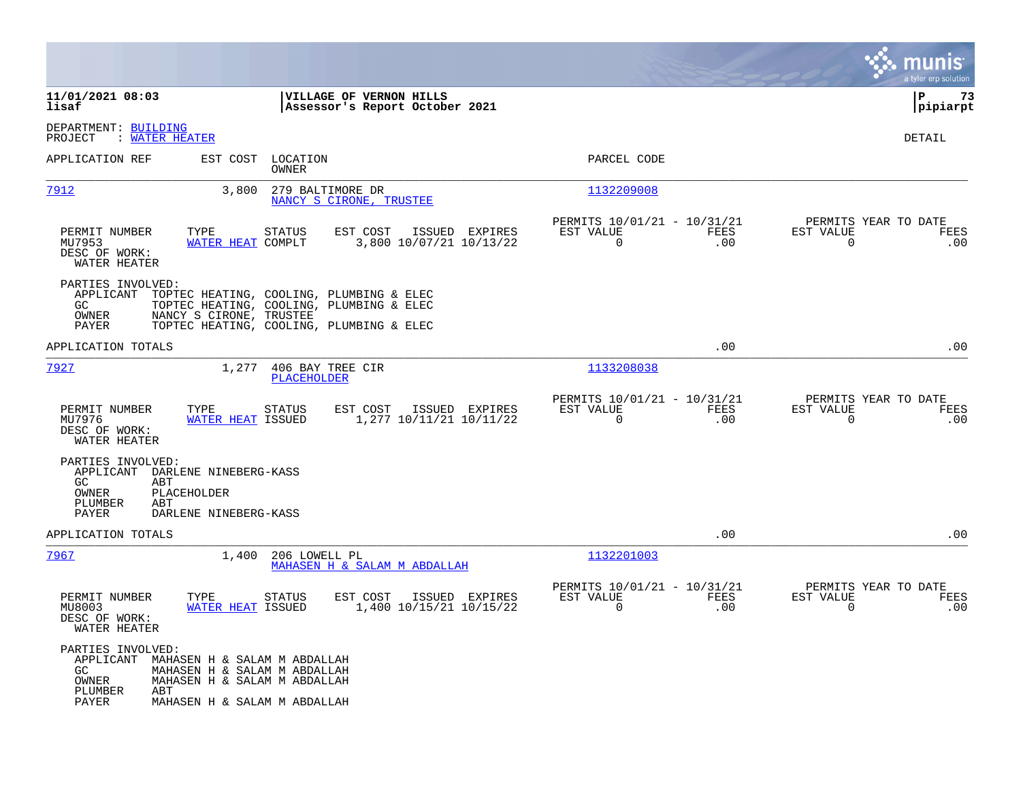|                                                                                                                      |                                                                                                                                                             |                                                                                       | a tyler erp solution                                            |
|----------------------------------------------------------------------------------------------------------------------|-------------------------------------------------------------------------------------------------------------------------------------------------------------|---------------------------------------------------------------------------------------|-----------------------------------------------------------------|
| 11/01/2021 08:03<br>lisaf                                                                                            | VILLAGE OF VERNON HILLS<br>Assessor's Report October 2021                                                                                                   |                                                                                       | P<br>73<br> pipiarpt                                            |
| DEPARTMENT: BUILDING<br>: WATER HEATER<br>PROJECT                                                                    |                                                                                                                                                             |                                                                                       | DETAIL                                                          |
| APPLICATION REF                                                                                                      | EST COST LOCATION<br><b>OWNER</b>                                                                                                                           | PARCEL CODE                                                                           |                                                                 |
| <u>7912</u>                                                                                                          | 3,800<br>279 BALTIMORE DR<br>NANCY S CIRONE, TRUSTEE                                                                                                        | 1132209008                                                                            |                                                                 |
| PERMIT NUMBER<br>MU7953<br>DESC OF WORK:<br>WATER HEATER                                                             | TYPE<br><b>STATUS</b><br>EST COST<br>3,800 10/07/21 10/13/22<br>WATER HEAT COMPLT                                                                           | PERMITS 10/01/21 - 10/31/21<br>EST VALUE<br>ISSUED EXPIRES<br>FEES<br>0<br>.00        | PERMITS YEAR TO DATE<br>EST VALUE<br>FEES<br>$\mathbf 0$<br>.00 |
| PARTIES INVOLVED:<br>APPLICANT<br>GC.<br>OWNER<br>PAYER                                                              | TOPTEC HEATING, COOLING, PLUMBING & ELEC<br>TOPTEC HEATING, COOLING, PLUMBING & ELEC<br>NANCY S CIRONE, TRUSTEE<br>TOPTEC HEATING, COOLING, PLUMBING & ELEC |                                                                                       |                                                                 |
| APPLICATION TOTALS                                                                                                   |                                                                                                                                                             | .00                                                                                   | .00                                                             |
| <u>7927</u>                                                                                                          | 1,277 406 BAY TREE CIR<br>PLACEHOLDER                                                                                                                       | 1133208038                                                                            |                                                                 |
| PERMIT NUMBER<br>MU7976<br>DESC OF WORK:<br>WATER HEATER                                                             | TYPE<br><b>STATUS</b><br>EST COST<br>1,277 10/11/21 10/11/22<br>WATER HEAT ISSUED                                                                           | PERMITS 10/01/21 - 10/31/21<br>ISSUED EXPIRES<br>EST VALUE<br>FEES<br>$\Omega$<br>.00 | PERMITS YEAR TO DATE<br>EST VALUE<br>FEES<br>$\Omega$<br>.00    |
| PARTIES INVOLVED:<br>APPLICANT DARLENE NINEBERG-KASS<br>GC<br>ABT<br>OWNER<br>PLACEHOLDER<br>PLUMBER<br>ABT<br>PAYER | DARLENE NINEBERG-KASS                                                                                                                                       |                                                                                       |                                                                 |
| APPLICATION TOTALS                                                                                                   |                                                                                                                                                             | .00                                                                                   | .00                                                             |
| <u>7967</u>                                                                                                          | 1,400<br>206 LOWELL PL<br>MAHASEN H & SALAM M ABDALLAH                                                                                                      | 1132201003                                                                            |                                                                 |
| PERMIT NUMBER<br>TYPE<br>MU8003<br>DESC OF WORK:<br>WATER HEATER                                                     | <b>STATUS</b><br>EST COST<br>1,400 10/15/21 10/15/22<br>WATER HEAT ISSUED                                                                                   | PERMITS 10/01/21 - 10/31/21<br>FEES<br>ISSUED EXPIRES<br>EST VALUE<br>0<br>.00        | PERMITS YEAR TO DATE<br>EST VALUE<br>FEES<br>$\mathbf 0$<br>.00 |
| PARTIES INVOLVED:<br>APPLICANT<br>GC<br>OWNER<br>PLUMBER<br>ABT<br>PAYER                                             | MAHASEN H & SALAM M ABDALLAH<br>MAHASEN H & SALAM M ABDALLAH<br>MAHASEN H & SALAM M ABDALLAH<br>MAHASEN H & SALAM M ABDALLAH                                |                                                                                       |                                                                 |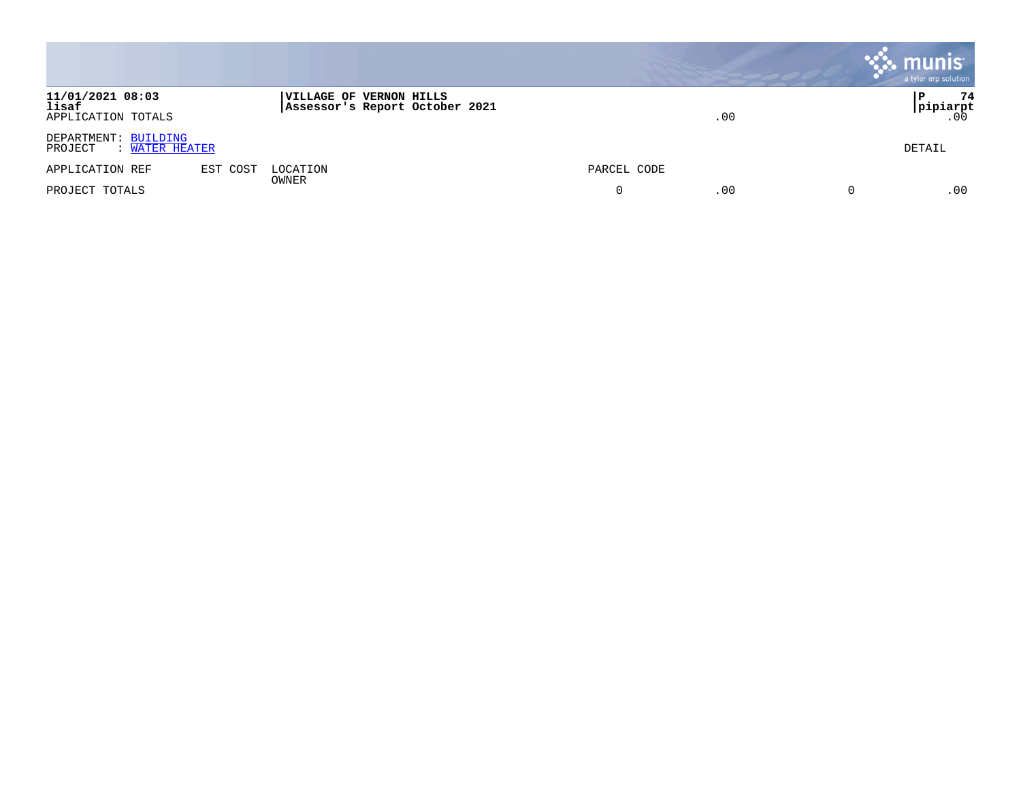|                                                   |                                                                  |             |     | $\mathbf{\ddot{.}}$ munis<br>a tyler erp solution |
|---------------------------------------------------|------------------------------------------------------------------|-------------|-----|---------------------------------------------------|
| 11/01/2021 08:03<br>lisaf<br>APPLICATION TOTALS   | <b>VILLAGE OF VERNON HILLS</b><br>Assessor's Report October 2021 |             | .00 | 74<br>P<br>pipiarpt <br>00.                       |
| DEPARTMENT: BUILDING<br>: WATER HEATER<br>PROJECT |                                                                  |             |     | DETAIL                                            |
| EST COST<br>APPLICATION REF                       | LOCATION<br>OWNER                                                | PARCEL CODE |     |                                                   |
| PROJECT TOTALS                                    |                                                                  | 0           | .00 | .00                                               |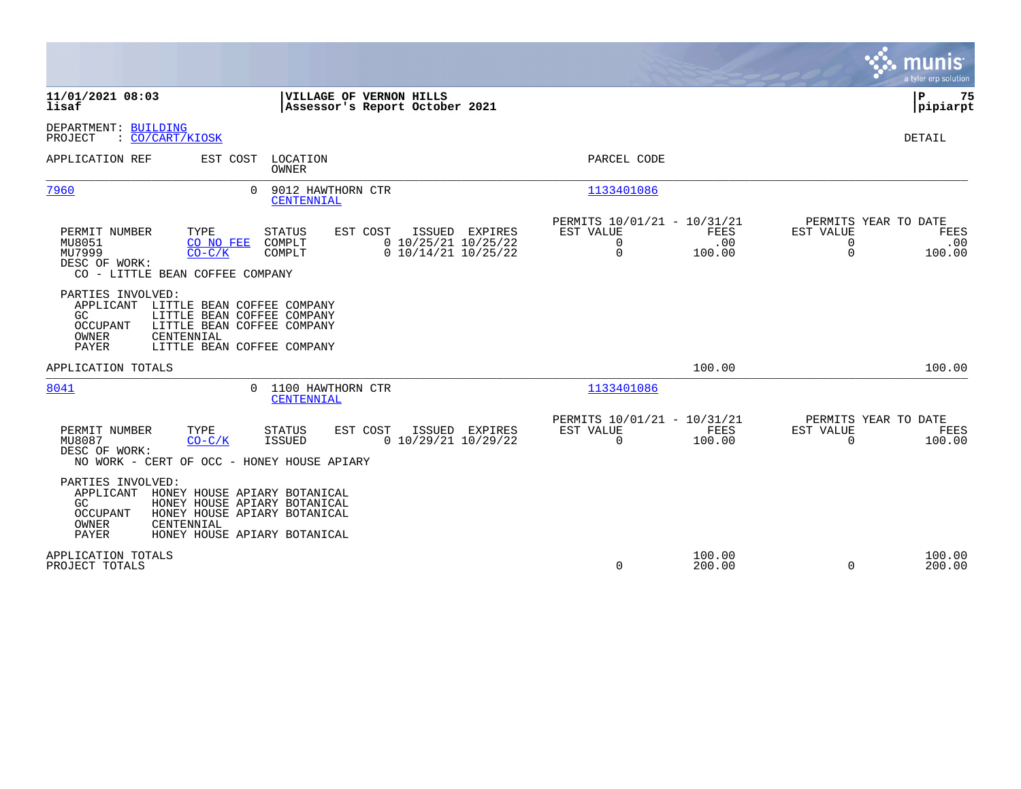|                                                                                                                                                                                                                                      |                                                                                           | munis<br>a tyler erp solution                                                      |
|--------------------------------------------------------------------------------------------------------------------------------------------------------------------------------------------------------------------------------------|-------------------------------------------------------------------------------------------|------------------------------------------------------------------------------------|
| 11/01/2021 08:03<br>VILLAGE OF VERNON HILLS<br>lisaf<br>Assessor's Report October 2021                                                                                                                                               |                                                                                           | ΙP<br>75<br> pipiarpt                                                              |
| DEPARTMENT: BUILDING<br>: CO/CART/KIOSK<br>PROJECT                                                                                                                                                                                   |                                                                                           | DETAIL                                                                             |
| LOCATION<br>APPLICATION REF<br>EST COST<br>OWNER                                                                                                                                                                                     | PARCEL CODE                                                                               |                                                                                    |
| 7960<br>$\Omega$<br>9012 HAWTHORN CTR<br>CENTENNIAL                                                                                                                                                                                  | 1133401086                                                                                |                                                                                    |
| PERMIT NUMBER<br>TYPE<br>EST COST<br>ISSUED EXPIRES<br>STATUS<br>$0$ 10/25/21 10/25/22<br>MU8051<br>CO NO FEE<br>COMPLT<br>$0$ 10/14/21 10/25/22<br>MU7999<br>$CO-C/K$<br>COMPLT<br>DESC OF WORK:<br>CO - LITTLE BEAN COFFEE COMPANY | PERMITS 10/01/21 - 10/31/21<br>EST VALUE<br>FEES<br>$\Omega$<br>.00<br>$\Omega$<br>100.00 | PERMITS YEAR TO DATE<br>EST VALUE<br>FEES<br>$\Omega$<br>.00<br>$\Omega$<br>100.00 |
| PARTIES INVOLVED:<br>APPLICANT<br>LITTLE BEAN COFFEE COMPANY<br>GC<br>LITTLE BEAN COFFEE COMPANY<br>OCCUPANT<br>LITTLE BEAN COFFEE COMPANY<br>OWNER<br>CENTENNIAL<br>PAYER<br>LITTLE BEAN COFFEE COMPANY                             |                                                                                           |                                                                                    |
| APPLICATION TOTALS                                                                                                                                                                                                                   | 100.00                                                                                    | 100.00                                                                             |
| 0 1100 HAWTHORN CTR<br>8041<br>CENTENNIAL                                                                                                                                                                                            | 1133401086                                                                                |                                                                                    |
| PERMIT NUMBER<br>TYPE<br>EST COST<br>ISSUED EXPIRES<br>STATUS<br>$0$ 10/29/21 10/29/22<br>MU8087<br><b>ISSUED</b><br>$CO-C/K$<br>DESC OF WORK:<br>NO WORK - CERT OF OCC - HONEY HOUSE APIARY                                         | PERMITS 10/01/21 - 10/31/21<br><b>EST VALUE</b><br>FEES<br>$\Omega$<br>100.00             | PERMITS YEAR TO DATE<br>EST VALUE<br>FEES<br>$\Omega$<br>100.00                    |
| PARTIES INVOLVED:<br>APPLICANT<br>HONEY HOUSE APIARY BOTANICAL<br>GC.<br>HONEY HOUSE APIARY BOTANICAL<br>OCCUPANT<br>HONEY HOUSE APIARY BOTANICAL<br>OWNER<br>CENTENNIAL<br>PAYER<br>HONEY HOUSE APIARY BOTANICAL                    |                                                                                           |                                                                                    |
| APPLICATION TOTALS<br>PROJECT TOTALS                                                                                                                                                                                                 | 100.00<br>0<br>200.00                                                                     | 100.00<br>$\Omega$<br>200.00                                                       |